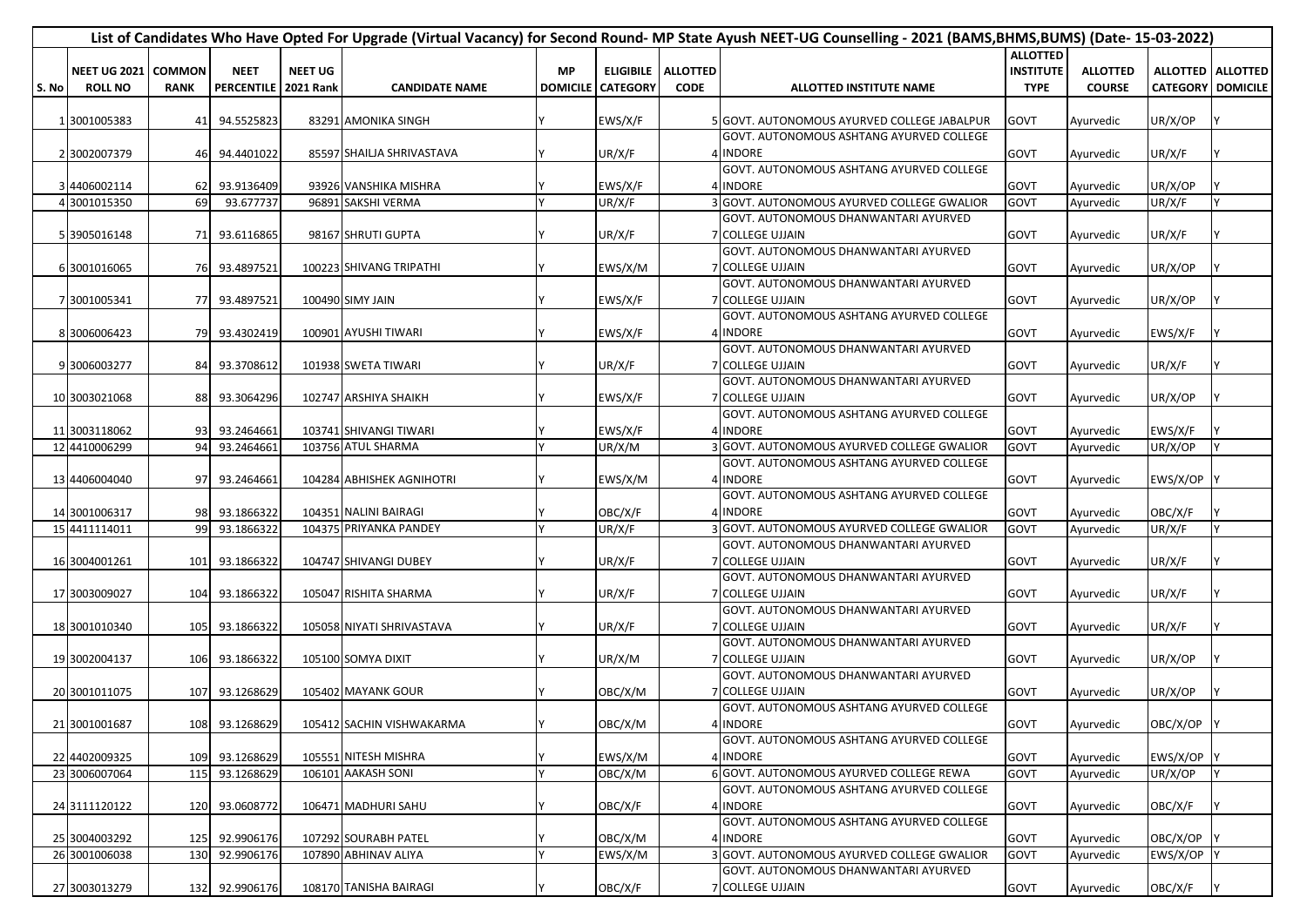|       |                       |             |                        |                |                           |                 |                 |                    | List of Candidates Who Have Opted For Upgrade (Virtual Vacancy) for Second Round- MP State Ayush NEET-UG Counselling - 2021 (BAMS,BHMS,BUMS) (Date- 15-03-2022) |                  |                 |          |                          |
|-------|-----------------------|-------------|------------------------|----------------|---------------------------|-----------------|-----------------|--------------------|-----------------------------------------------------------------------------------------------------------------------------------------------------------------|------------------|-----------------|----------|--------------------------|
|       |                       |             |                        |                |                           |                 |                 |                    |                                                                                                                                                                 | <b>ALLOTTED</b>  |                 |          |                          |
|       | NEET UG 2021   COMMON |             | <b>NEET</b>            | <b>NEET UG</b> |                           | <b>MP</b>       |                 | ELIGIBILE ALLOTTED |                                                                                                                                                                 | <b>INSTITUTE</b> | <b>ALLOTTED</b> |          | ALLOTTED   ALLOTTED      |
| S. No | <b>ROLL NO</b>        | <b>RANK</b> | PERCENTILE   2021 Rank |                | <b>CANDIDATE NAME</b>     | <b>DOMICILE</b> | <b>CATEGORY</b> | <b>CODE</b>        | ALLOTTED INSTITUTE NAME                                                                                                                                         | <b>TYPE</b>      | <b>COURSE</b>   |          | <b>CATEGORY DOMICILE</b> |
|       |                       |             |                        |                |                           |                 |                 |                    |                                                                                                                                                                 |                  |                 |          |                          |
|       | 1 3001005383          |             | 41 94.5525823          |                | 83291 AMONIKA SINGH       |                 | EWS/X/F         |                    | 5 GOVT. AUTONOMOUS AYURVED COLLEGE JABALPUR                                                                                                                     | GOVT             | Ayurvedic       | UR/X/OP  |                          |
|       |                       |             |                        |                |                           |                 |                 |                    | GOVT. AUTONOMOUS ASHTANG AYURVED COLLEGE                                                                                                                        |                  |                 |          |                          |
|       | 2 3002007379          | 461         | 94.4401022             |                | 85597 SHAILJA SHRIVASTAVA |                 | UR/X/F          |                    | 4 INDORE                                                                                                                                                        | GOVT             | Ayurvedic       | UR/X/F   |                          |
|       |                       |             |                        |                |                           |                 |                 |                    | GOVT. AUTONOMOUS ASHTANG AYURVED COLLEGE                                                                                                                        |                  |                 |          |                          |
|       | 3 4406002114          |             | 62 93.9136409          |                | 93926 VANSHIKA MISHRA     |                 | EWS/X/F         |                    | 4 INDORE                                                                                                                                                        | GOVT             | Ayurvedic       | UR/X/OP  |                          |
|       | 4 3001015350          | 69          | 93.677737              |                | 96891 SAKSHI VERMA        |                 | UR/X/F          |                    | 3 GOVT. AUTONOMOUS AYURVED COLLEGE GWALIOR                                                                                                                      | GOVT             | Ayurvedic       | UR/X/F   |                          |
|       |                       |             |                        |                |                           |                 |                 |                    | GOVT. AUTONOMOUS DHANWANTARI AYURVED                                                                                                                            |                  |                 |          |                          |
|       | 5 3905016148          |             | 71 93.6116865          |                | 98167 SHRUTI GUPTA        |                 | UR/X/F          |                    | <b>7 COLLEGE UJJAIN</b>                                                                                                                                         | GOVT             | Ayurvedic       | UR/X/F   |                          |
|       |                       |             |                        |                |                           |                 |                 |                    | GOVT. AUTONOMOUS DHANWANTARI AYURVED                                                                                                                            |                  |                 |          |                          |
|       | 6 3001016065          |             | 76 93.4897521          |                | 100223 SHIVANG TRIPATHI   |                 | EWS/X/M         |                    | 7 COLLEGE UJJAIN                                                                                                                                                | GOVT             | Ayurvedic       | UR/X/OP  |                          |
|       |                       |             |                        |                |                           |                 |                 |                    | GOVT. AUTONOMOUS DHANWANTARI AYURVED                                                                                                                            |                  |                 |          |                          |
|       | 7 3001005341          |             | 77 93.4897521          |                | 100490 SIMY JAIN          |                 | EWS/X/F         |                    | 7 COLLEGE UJJAIN                                                                                                                                                | GOVT             | Ayurvedic       | UR/X/OP  |                          |
|       |                       |             |                        |                |                           |                 |                 |                    | GOVT. AUTONOMOUS ASHTANG AYURVED COLLEGE                                                                                                                        |                  |                 |          |                          |
|       | 8 3006006423          |             | 79 93.4302419          |                | 100901 AYUSHI TIWARI      |                 | EWS/X/F         |                    | 4 INDORE                                                                                                                                                        | GOVT             | Ayurvedic       | EWS/X/F  |                          |
|       |                       |             |                        |                |                           |                 |                 |                    | GOVT. AUTONOMOUS DHANWANTARI AYURVED                                                                                                                            |                  |                 |          |                          |
|       | 9 3006003277          |             | 84 93.3708612          |                | 101938 SWETA TIWARI       |                 | UR/X/F          |                    | <b>7 COLLEGE UJJAIN</b>                                                                                                                                         | GOVT             | Ayurvedic       | UR/X/F   |                          |
|       |                       |             |                        |                |                           |                 |                 |                    | GOVT. AUTONOMOUS DHANWANTARI AYURVED                                                                                                                            |                  |                 |          |                          |
|       | 10 3003021068         |             | 88 93.3064296          |                | 102747 ARSHIYA SHAIKH     |                 | EWS/X/F         |                    | 7 COLLEGE UJJAIN                                                                                                                                                | GOVT             | Ayurvedic       | UR/X/OP  |                          |
|       |                       |             |                        |                |                           |                 |                 |                    | GOVT. AUTONOMOUS ASHTANG AYURVED COLLEGE                                                                                                                        |                  |                 |          |                          |
|       | 11 3003118062         |             | 93 93.2464661          |                | 103741 SHIVANGI TIWARI    |                 | EWS/X/F         |                    | 4 INDORE                                                                                                                                                        | GOVT             | Ayurvedic       | EWS/X/F  |                          |
|       | 12 4410006299         | 94          | 93.2464661             |                | 103756 ATUL SHARMA        |                 | UR/X/M          |                    | GOVT. AUTONOMOUS AYURVED COLLEGE GWALIOR                                                                                                                        | GOVT             | Ayurvedic       | UR/X/OP  |                          |
|       |                       |             |                        |                |                           |                 |                 |                    | GOVT. AUTONOMOUS ASHTANG AYURVED COLLEGE                                                                                                                        |                  |                 |          |                          |
|       | 13 4406004040         | 97          | 93.2464661             |                | 104284 ABHISHEK AGNIHOTRI |                 | EWS/X/M         |                    | 4 INDORE                                                                                                                                                        | GOVT             | Ayurvedic       | EWS/X/OP |                          |
|       |                       |             |                        |                |                           |                 |                 |                    | GOVT. AUTONOMOUS ASHTANG AYURVED COLLEGE                                                                                                                        |                  |                 |          |                          |
|       | 14 3001006317         |             | 98 93.1866322          |                | 104351 NALINI BAIRAGI     |                 | OBC/X/F         |                    | 4 INDORE                                                                                                                                                        | GOVT             | Ayurvedic       | OBC/X/F  |                          |
|       | 15 4411114011         | 99          | 93.1866322             |                | 104375 PRIYANKA PANDEY    |                 | UR/X/F          |                    | 3 GOVT. AUTONOMOUS AYURVED COLLEGE GWALIOR                                                                                                                      | GOVT             | Ayurvedic       | UR/X/F   |                          |
|       |                       |             |                        |                |                           |                 |                 |                    | GOVT. AUTONOMOUS DHANWANTARI AYURVED                                                                                                                            |                  |                 |          |                          |
|       | 16 3004001261         |             | 101 93.1866322         |                | 104747 SHIVANGI DUBEY     |                 | UR/X/F          |                    | 7 COLLEGE UJJAIN                                                                                                                                                | GOVT             | Ayurvedic       | UR/X/F   |                          |
|       |                       |             |                        |                |                           |                 |                 |                    | GOVT. AUTONOMOUS DHANWANTARI AYURVED                                                                                                                            |                  |                 |          |                          |
|       | 17 3003009027         |             | 104 93.1866322         |                | 105047 RISHITA SHARMA     |                 | UR/X/F          |                    | 7 COLLEGE UJJAIN                                                                                                                                                | GOVT             | Ayurvedic       | UR/X/F   |                          |
|       |                       |             |                        |                |                           |                 |                 |                    | GOVT. AUTONOMOUS DHANWANTARI AYURVED                                                                                                                            |                  |                 |          |                          |
|       | 18 3001010340         |             | 105 93.1866322         |                | 105058 NIYATI SHRIVASTAVA |                 | UR/X/F          |                    | 7 COLLEGE UJJAIN                                                                                                                                                | GOVT             | Ayurvedic       | UR/X/F   |                          |
|       |                       |             |                        |                |                           |                 |                 |                    | GOVT. AUTONOMOUS DHANWANTARI AYURVED                                                                                                                            |                  |                 |          |                          |
|       | 19 3002004137         |             | 106 93.1866322         |                | 105100 SOMYA DIXIT        |                 | UR/X/M          |                    | 7 COLLEGE UJJAIN                                                                                                                                                | GOVT             | Ayurvedic       | UR/X/OP  |                          |
|       |                       |             |                        |                |                           |                 |                 |                    | GOVT. AUTONOMOUS DHANWANTARI AYURVED                                                                                                                            |                  |                 |          |                          |
|       | 20 3001011075         |             | 107 93.1268629         |                | 105402 MAYANK GOUR        |                 | OBC/X/M         |                    | 7 COLLEGE UJJAIN                                                                                                                                                | GOVT             | Ayurvedic       | UR/X/OP  |                          |
|       |                       |             |                        |                |                           |                 |                 |                    | GOVT. AUTONOMOUS ASHTANG AYURVED COLLEGE                                                                                                                        |                  |                 |          |                          |
|       | 21 3001001687         |             | 108 93.1268629         |                | 105412 SACHIN VISHWAKARMA |                 | OBC/X/M         |                    | 4 INDORE                                                                                                                                                        | GOVT             | Ayurvedic       | OBC/X/OP |                          |
|       |                       |             |                        |                |                           |                 |                 |                    | GOVT. AUTONOMOUS ASHTANG AYURVED COLLEGE                                                                                                                        |                  |                 |          |                          |
|       | 22 4402009325         | 109         | 93.1268629             |                | 105551 NITESH MISHRA      |                 | EWS/X/M         |                    | 4 INDORE                                                                                                                                                        | GOVT             | Ayurvedic       | EWS/X/OP |                          |
|       | 23 3006007064         | 115         | 93.1268629             |                | 106101 AAKASH SONI        |                 | OBC/X/M         |                    | 6 GOVT. AUTONOMOUS AYURVED COLLEGE REWA                                                                                                                         | GOVT             | Ayurvedic       | UR/X/OP  |                          |
|       |                       |             |                        |                |                           |                 |                 |                    | GOVT. AUTONOMOUS ASHTANG AYURVED COLLEGE                                                                                                                        |                  |                 |          |                          |
|       | 24 3111120122         | 120         | 93.0608772             |                | 106471 MADHURI SAHU       |                 | OBC/X/F         |                    | 4 INDORE                                                                                                                                                        | GOVT             | Ayurvedic       | OBC/X/F  |                          |
|       |                       |             |                        |                |                           |                 |                 |                    | GOVT. AUTONOMOUS ASHTANG AYURVED COLLEGE                                                                                                                        |                  |                 |          |                          |
|       | 25 3004003292         |             | 125 92.9906176         |                | 107292 SOURABH PATEL      |                 | OBC/X/M         |                    | 4 INDORE                                                                                                                                                        | GOVT             | Ayurvedic       | OBC/X/OP |                          |
|       | 26 3001006038         | 130         | 92.9906176             |                | 107890 ABHINAV ALIYA      |                 | EWS/X/M         |                    | 3 GOVT. AUTONOMOUS AYURVED COLLEGE GWALIOR                                                                                                                      | GOVT             | Ayurvedic       | EWS/X/OP |                          |
|       |                       |             |                        |                |                           |                 |                 |                    | GOVT. AUTONOMOUS DHANWANTARI AYURVED                                                                                                                            |                  |                 |          |                          |
|       | 27 3003013279         |             | 132 92.9906176         |                | 108170 TANISHA BAIRAGI    |                 | OBC/X/F         |                    | 7 COLLEGE UJJAIN                                                                                                                                                | GOVT             | Ayurvedic       | OBC/X/F  |                          |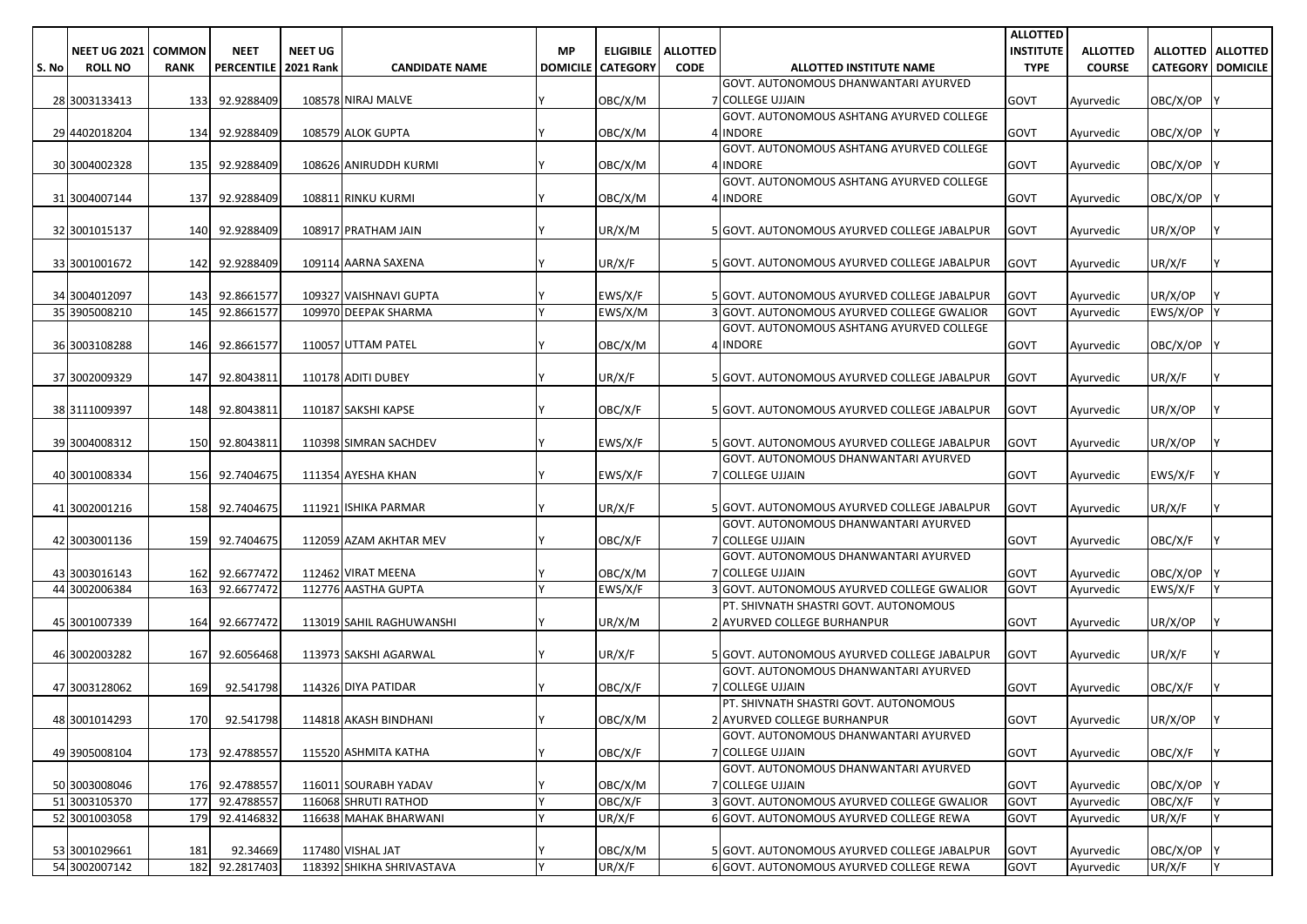|       |                                       |                              |                                       |                |                                               |           |                            |                                     |                                                                                        | <b>ALLOTTED</b>                 |                                  |                   |                                                 |
|-------|---------------------------------------|------------------------------|---------------------------------------|----------------|-----------------------------------------------|-----------|----------------------------|-------------------------------------|----------------------------------------------------------------------------------------|---------------------------------|----------------------------------|-------------------|-------------------------------------------------|
| S. No | <b>NEET UG 2021</b><br><b>ROLL NO</b> | <b>COMMON</b><br><b>RANK</b> | <b>NEET</b><br>PERCENTILE   2021 Rank | <b>NEET UG</b> | <b>CANDIDATE NAME</b>                         | <b>MP</b> | <b>DOMICILE   CATEGORY</b> | ELIGIBILE   ALLOTTED<br><b>CODE</b> | ALLOTTED INSTITUTE NAME                                                                | <b>INSTITUTE</b><br><b>TYPE</b> | <b>ALLOTTED</b><br><b>COURSE</b> |                   | ALLOTTED   ALLOTTED<br><b>CATEGORY DOMICILE</b> |
|       |                                       |                              |                                       |                |                                               |           |                            |                                     | GOVT. AUTONOMOUS DHANWANTARI AYURVED                                                   |                                 |                                  |                   |                                                 |
|       | 28 3003133413                         |                              | 133 92.9288409                        |                | 108578 NIRAJ MALVE                            |           | OBC/X/M                    |                                     | 7 COLLEGE UJJAIN                                                                       | GOVT                            | Ayurvedic                        | OBC/X/OP          |                                                 |
|       |                                       |                              |                                       |                |                                               |           |                            |                                     | GOVT. AUTONOMOUS ASHTANG AYURVED COLLEGE                                               |                                 |                                  |                   |                                                 |
|       | 29 4402018204                         |                              | 134 92.9288409                        |                | 108579 ALOK GUPTA                             |           | OBC/X/M                    |                                     | 4 INDORE                                                                               | GOVT                            | Ayurvedic                        | OBC/X/OP          |                                                 |
|       |                                       |                              |                                       |                |                                               |           |                            |                                     | GOVT. AUTONOMOUS ASHTANG AYURVED COLLEGE                                               |                                 |                                  |                   |                                                 |
|       | 30 3004002328                         | 135                          | 92.9288409                            |                | 108626 ANIRUDDH KURMI                         |           | OBC/X/M                    |                                     | 4 INDORE                                                                               | GOVT                            | Ayurvedic                        | OBC/X/OP          |                                                 |
|       | 31 3004007144                         |                              | 137 92.9288409                        |                | 108811 RINKU KURMI                            |           |                            |                                     | GOVT. AUTONOMOUS ASHTANG AYURVED COLLEGE<br>4 INDORE                                   | GOVT                            |                                  |                   |                                                 |
|       |                                       |                              |                                       |                |                                               |           | OBC/X/M                    |                                     |                                                                                        |                                 | Ayurvedic                        | OBC/X/OP          |                                                 |
|       | 32 3001015137                         | 140                          | 92.9288409                            |                | 108917 PRATHAM JAIN                           |           | UR/X/M                     |                                     | 5 GOVT. AUTONOMOUS AYURVED COLLEGE JABALPUR                                            | <b>GOVT</b>                     | Ayurvedic                        | UR/X/OP           |                                                 |
|       |                                       |                              |                                       |                |                                               |           |                            |                                     |                                                                                        |                                 |                                  |                   |                                                 |
|       | 33 3001001672                         |                              | 142 92.9288409                        |                | 109114 AARNA SAXENA                           |           | UR/X/F                     |                                     | 5 GOVT. AUTONOMOUS AYURVED COLLEGE JABALPUR                                            | <b>GOVT</b>                     | Ayurvedic                        | UR/X/F            |                                                 |
|       |                                       |                              |                                       |                |                                               |           |                            |                                     |                                                                                        |                                 |                                  |                   |                                                 |
|       | 34 3004012097                         | 143                          | 92.8661577                            |                | 109327 VAISHNAVI GUPTA                        |           | EWS/X/F                    |                                     | 5 GOVT. AUTONOMOUS AYURVED COLLEGE JABALPUR                                            | <b>GOVT</b>                     | Ayurvedic                        | UR/X/OP           |                                                 |
|       | 35 3905008210                         | 145                          | 92.8661577                            |                | 109970 DEEPAK SHARMA                          |           | EWS/X/M                    |                                     | 3 GOVT. AUTONOMOUS AYURVED COLLEGE GWALIOR<br>GOVT. AUTONOMOUS ASHTANG AYURVED COLLEGE | GOVT                            | Ayurvedic                        | EWS/X/OP Y        |                                                 |
|       | 36 3003108288                         | 146                          | 92.8661577                            |                | 110057 UTTAM PATEL                            |           | OBC/X/M                    |                                     | 4 INDORE                                                                               | GOVT                            | Ayurvedic                        | OBC/X/OP          |                                                 |
|       |                                       |                              |                                       |                |                                               |           |                            |                                     |                                                                                        |                                 |                                  |                   |                                                 |
|       | 37 3002009329                         | 147                          | 92.8043811                            |                | 110178 ADITI DUBEY                            |           | UR/X/F                     |                                     | 5 GOVT. AUTONOMOUS AYURVED COLLEGE JABALPUR                                            | <b>GOVT</b>                     | Ayurvedic                        | UR/X/F            |                                                 |
|       |                                       |                              |                                       |                |                                               |           |                            |                                     |                                                                                        |                                 |                                  |                   |                                                 |
|       | 38 3111009397                         | 148                          | 92.8043811                            |                | 110187 SAKSHI KAPSE                           |           | OBC/X/F                    |                                     | 5 GOVT. AUTONOMOUS AYURVED COLLEGE JABALPUR                                            | GOVT                            | Ayurvedic                        | UR/X/OP           |                                                 |
|       |                                       |                              |                                       |                |                                               |           |                            |                                     |                                                                                        |                                 |                                  |                   |                                                 |
|       | 39 3004008312                         | 150                          | 92.8043811                            |                | 110398 SIMRAN SACHDEV                         |           | EWS/X/F                    |                                     | 5 GOVT. AUTONOMOUS AYURVED COLLEGE JABALPUR<br>GOVT. AUTONOMOUS DHANWANTARI AYURVED    | <b>GOVT</b>                     | Ayurvedic                        | UR/X/OP           |                                                 |
|       | 40 3001008334                         | 156                          | 92.7404675                            |                | 111354 AYESHA KHAN                            |           | EWS/X/F                    |                                     | 7 COLLEGE UJJAIN                                                                       | <b>GOVT</b>                     | Ayurvedic                        | EWS/X/F           |                                                 |
|       |                                       |                              |                                       |                |                                               |           |                            |                                     |                                                                                        |                                 |                                  |                   |                                                 |
|       | 41 3002001216                         | 158                          | 92.7404675                            |                | 111921 ISHIKA PARMAR                          |           | UR/X/F                     |                                     | 5 GOVT. AUTONOMOUS AYURVED COLLEGE JABALPUR                                            | <b>GOVT</b>                     | Ayurvedic                        | UR/X/F            |                                                 |
|       |                                       |                              |                                       |                |                                               |           |                            |                                     | GOVT. AUTONOMOUS DHANWANTARI AYURVED                                                   |                                 |                                  |                   |                                                 |
|       | 42 3003001136                         | 159                          | 92.7404675                            |                | 112059 AZAM AKHTAR MEV                        |           | OBC/X/F                    |                                     | 7 COLLEGE UJJAIN                                                                       | GOVT                            | Ayurvedic                        | OBC/X/F           |                                                 |
|       | 43 3003016143                         | 162                          | 92.6677472                            |                | 112462 VIRAT MEENA                            |           | OBC/X/M                    |                                     | GOVT. AUTONOMOUS DHANWANTARI AYURVED<br><b>7 COLLEGE UJJAIN</b>                        | GOVT                            |                                  | OBC/X/OP          |                                                 |
|       | 44 3002006384                         | 163                          | 92.6677472                            |                | 112776 AASTHA GUPTA                           |           | EWS/X/F                    |                                     | 3 GOVT. AUTONOMOUS AYURVED COLLEGE GWALIOR                                             | GOVT                            | Ayurvedic<br>Ayurvedic           | EWS/X/F           |                                                 |
|       |                                       |                              |                                       |                |                                               |           |                            |                                     | PT. SHIVNATH SHASTRI GOVT. AUTONOMOUS                                                  |                                 |                                  |                   |                                                 |
|       | 45 3001007339                         | 164                          | 92.6677472                            |                | 113019 SAHIL RAGHUWANSHI                      |           | UR/X/M                     |                                     | 2 AYURVED COLLEGE BURHANPUR                                                            | GOVT                            | Ayurvedic                        | UR/X/OP           |                                                 |
|       |                                       |                              |                                       |                |                                               |           |                            |                                     |                                                                                        |                                 |                                  |                   |                                                 |
|       | 46 3002003282                         | 167                          | 92.6056468                            |                | 113973 SAKSHI AGARWAL                         |           | UR/X/F                     |                                     | 5 GOVT. AUTONOMOUS AYURVED COLLEGE JABALPUR                                            | <b>GOVT</b>                     | Ayurvedic                        | UR/X/F            |                                                 |
|       | 47 3003128062                         | 169                          | 92.541798                             |                |                                               |           |                            |                                     | GOVT. AUTONOMOUS DHANWANTARI AYURVED<br>7 COLLEGE UJJAIN                               | GOVT                            |                                  |                   |                                                 |
|       |                                       |                              |                                       |                | 114326 DIYA PATIDAR                           |           | OBC/X/F                    |                                     | PT. SHIVNATH SHASTRI GOVT. AUTONOMOUS                                                  |                                 | Ayurvedic                        | OBC/X/F           |                                                 |
|       | 48 3001014293                         |                              | 170 92.541798                         |                | 114818 AKASH BINDHANI                         |           | OBC/X/M                    |                                     | 2 AYURVED COLLEGE BURHANPUR                                                            | GOVT                            | Ayurvedic                        | UR/X/OP           |                                                 |
|       |                                       |                              |                                       |                |                                               |           |                            |                                     | GOVT. AUTONOMOUS DHANWANTARI AYURVED                                                   |                                 |                                  |                   |                                                 |
|       | 49 3905008104                         |                              | 173 92.4788557                        |                | 115520 ASHMITA KATHA                          |           | OBC/X/F                    |                                     | 7 COLLEGE UJJAIN                                                                       | <b>GOVT</b>                     | Ayurvedic                        | OBC/X/F           |                                                 |
|       |                                       |                              |                                       |                |                                               |           |                            |                                     | GOVT. AUTONOMOUS DHANWANTARI AYURVED                                                   |                                 |                                  |                   |                                                 |
|       | 50 3003008046                         |                              | 176 92.4788557                        |                | 116011 SOURABH YADAV                          |           | OBC/X/M                    |                                     | 7 COLLEGE UJJAIN                                                                       | <b>GOVT</b>                     | Ayurvedic                        | OBC/X/OP          |                                                 |
|       | 51 3003105370<br>52 3001003058        | 179                          | 177 92.4788557<br>92.4146832          |                | 116068 SHRUTI RATHOD<br>116638 MAHAK BHARWANI |           | OBC/X/F<br>UR/X/F          |                                     | 3 GOVT. AUTONOMOUS AYURVED COLLEGE GWALIOR<br>6 GOVT. AUTONOMOUS AYURVED COLLEGE REWA  | GOVT<br><b>GOVT</b>             | Ayurvedic<br>Ayurvedic           | OBC/X/F<br>UR/X/F |                                                 |
|       |                                       |                              |                                       |                |                                               |           |                            |                                     |                                                                                        |                                 |                                  |                   |                                                 |
|       | 53 3001029661                         | 181                          | 92.34669                              |                | 117480 VISHAL JAT                             |           | OBC/X/M                    |                                     | 5 GOVT. AUTONOMOUS AYURVED COLLEGE JABALPUR                                            | <b>GOVT</b>                     | Ayurvedic                        | OBC/X/OP          |                                                 |
|       | 54 3002007142                         |                              | 182 92.2817403                        |                | 118392 SHIKHA SHRIVASTAVA                     |           | UR/X/F                     |                                     | 6 GOVT. AUTONOMOUS AYURVED COLLEGE REWA                                                | <b>GOVT</b>                     | Ayurvedic                        | UR/X/F            |                                                 |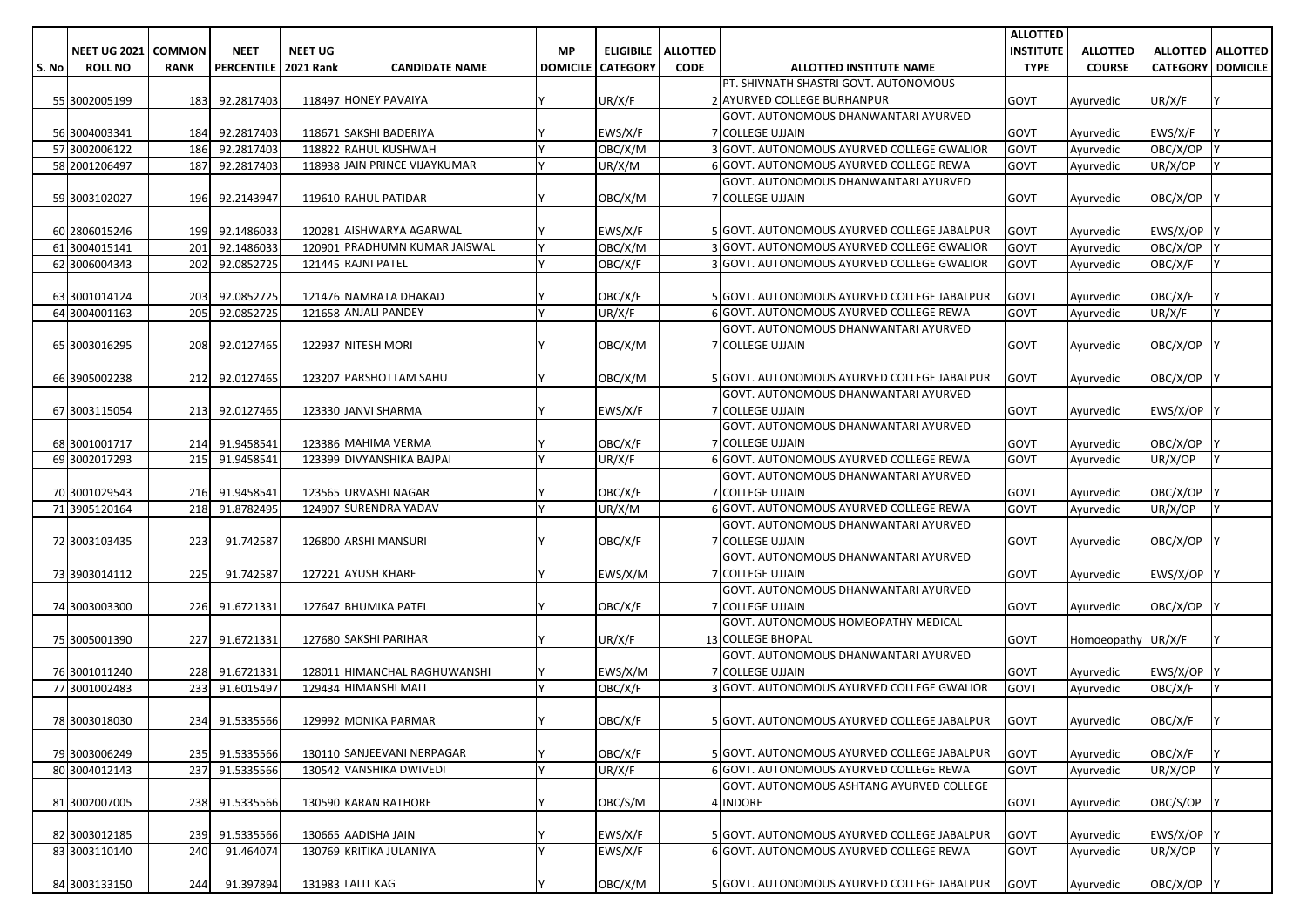| <b>NEET UG 2021</b><br><b>COMMON</b><br><b>NEET</b><br><b>NEET UG</b><br><b>ELIGIBILE</b><br><b>ALLOTTED</b><br><b>INSTITUTE</b><br><b>ALLOTTED</b><br>ALLOTTED   ALLOTTED<br>MP.<br>PERCENTILE   2021 Rank<br><b>DOMICILE   CATEGORY</b><br><b>CODE</b><br><b>TYPE</b><br><b>COURSE</b><br><b>CATEGORY DOMICILE</b><br><b>ROLL NO</b><br><b>RANK</b><br><b>CANDIDATE NAME</b><br>ALLOTTED INSTITUTE NAME<br>S. No<br>PT. SHIVNATH SHASTRI GOVT. AUTONOMOUS<br>118497 HONEY PAVAIYA<br>UR/X/F<br>2 AYURVED COLLEGE BURHANPUR<br>UR/X/F<br>55 3002005199<br>183 92.2817403<br><b>GOVT</b><br>Ayurvedic<br>GOVT. AUTONOMOUS DHANWANTARI AYURVED<br>7 COLLEGE UJJAIN<br>56 3004003341<br>92.2817403<br>118671 SAKSHI BADERIYA<br>EWS/X/F<br>GOVT<br>EWS/X/F<br>184<br>Ayurvedic<br>57 3002006122<br>92.2817403<br>186<br>118822 RAHUL KUSHWAH<br>OBC/X/M<br>3 GOVT. AUTONOMOUS AYURVED COLLEGE GWALIOR<br><b>GOVT</b><br>Ayurvedic<br>OBC/X/OP<br>58 2001206497<br>187<br>92.2817403<br>118938 JAIN PRINCE VIJAYKUMAR<br>UR/X/M<br>GOVT<br>UR/X/OP<br>6 GOVT. AUTONOMOUS AYURVED COLLEGE REWA<br>Ayurvedic<br>GOVT. AUTONOMOUS DHANWANTARI AYURVED<br>119610 RAHUL PATIDAR<br><b>7 COLLEGE UJJAIN</b><br>59 3003102027<br>196 92.2143947<br>OBC/X/M<br><b>GOVT</b><br>OBC/X/OP<br>Ayurvedic<br>EWS/X/F<br>EWS/X/OP<br>60 2806015246<br>199 92.1486033<br>120281 AISHWARYA AGARWAL<br>5 GOVT. AUTONOMOUS AYURVED COLLEGE JABALPUR<br><b>GOVT</b><br>Ayurvedic<br>92.1486033<br><b>PRADHUMN KUMAR JAISWAL</b><br>OBC/X/M<br>3 GOVT. AUTONOMOUS AYURVED COLLEGE GWALIOR<br>OBC/X/OP<br>61 3004015141<br>201<br>120901<br>GOVT<br>Ayurvedic<br>92.0852725<br>OBC/X/F<br>OBC/X/F<br>62 3006004343<br>202<br>121445 RAJNI PATEL<br>3 GOVT. AUTONOMOUS AYURVED COLLEGE GWALIOR<br>GOVT<br>Ayurvedic<br>203<br>92.0852725<br>121476 NAMRATA DHAKAD<br>OBC/X/F<br><b>GOVT</b><br>OBC/X/F<br>63 3001014124<br>5 GOVT. AUTONOMOUS AYURVED COLLEGE JABALPUR<br>Ayurvedic<br>205<br>121658 ANJALI PANDEY<br>UR/X/F<br>64 3004001163<br>92.0852725<br>6 GOVT. AUTONOMOUS AYURVED COLLEGE REWA<br>GOVT<br>UR/X/F<br>Ayurvedic<br>GOVT. AUTONOMOUS DHANWANTARI AYURVED |  |
|-----------------------------------------------------------------------------------------------------------------------------------------------------------------------------------------------------------------------------------------------------------------------------------------------------------------------------------------------------------------------------------------------------------------------------------------------------------------------------------------------------------------------------------------------------------------------------------------------------------------------------------------------------------------------------------------------------------------------------------------------------------------------------------------------------------------------------------------------------------------------------------------------------------------------------------------------------------------------------------------------------------------------------------------------------------------------------------------------------------------------------------------------------------------------------------------------------------------------------------------------------------------------------------------------------------------------------------------------------------------------------------------------------------------------------------------------------------------------------------------------------------------------------------------------------------------------------------------------------------------------------------------------------------------------------------------------------------------------------------------------------------------------------------------------------------------------------------------------------------------------------------------------------------------------------------------------------------------------------------------------------------------------------------------------------------------------------------------------------------------------------------------------------|--|
|                                                                                                                                                                                                                                                                                                                                                                                                                                                                                                                                                                                                                                                                                                                                                                                                                                                                                                                                                                                                                                                                                                                                                                                                                                                                                                                                                                                                                                                                                                                                                                                                                                                                                                                                                                                                                                                                                                                                                                                                                                                                                                                                                     |  |
|                                                                                                                                                                                                                                                                                                                                                                                                                                                                                                                                                                                                                                                                                                                                                                                                                                                                                                                                                                                                                                                                                                                                                                                                                                                                                                                                                                                                                                                                                                                                                                                                                                                                                                                                                                                                                                                                                                                                                                                                                                                                                                                                                     |  |
|                                                                                                                                                                                                                                                                                                                                                                                                                                                                                                                                                                                                                                                                                                                                                                                                                                                                                                                                                                                                                                                                                                                                                                                                                                                                                                                                                                                                                                                                                                                                                                                                                                                                                                                                                                                                                                                                                                                                                                                                                                                                                                                                                     |  |
|                                                                                                                                                                                                                                                                                                                                                                                                                                                                                                                                                                                                                                                                                                                                                                                                                                                                                                                                                                                                                                                                                                                                                                                                                                                                                                                                                                                                                                                                                                                                                                                                                                                                                                                                                                                                                                                                                                                                                                                                                                                                                                                                                     |  |
|                                                                                                                                                                                                                                                                                                                                                                                                                                                                                                                                                                                                                                                                                                                                                                                                                                                                                                                                                                                                                                                                                                                                                                                                                                                                                                                                                                                                                                                                                                                                                                                                                                                                                                                                                                                                                                                                                                                                                                                                                                                                                                                                                     |  |
|                                                                                                                                                                                                                                                                                                                                                                                                                                                                                                                                                                                                                                                                                                                                                                                                                                                                                                                                                                                                                                                                                                                                                                                                                                                                                                                                                                                                                                                                                                                                                                                                                                                                                                                                                                                                                                                                                                                                                                                                                                                                                                                                                     |  |
|                                                                                                                                                                                                                                                                                                                                                                                                                                                                                                                                                                                                                                                                                                                                                                                                                                                                                                                                                                                                                                                                                                                                                                                                                                                                                                                                                                                                                                                                                                                                                                                                                                                                                                                                                                                                                                                                                                                                                                                                                                                                                                                                                     |  |
|                                                                                                                                                                                                                                                                                                                                                                                                                                                                                                                                                                                                                                                                                                                                                                                                                                                                                                                                                                                                                                                                                                                                                                                                                                                                                                                                                                                                                                                                                                                                                                                                                                                                                                                                                                                                                                                                                                                                                                                                                                                                                                                                                     |  |
|                                                                                                                                                                                                                                                                                                                                                                                                                                                                                                                                                                                                                                                                                                                                                                                                                                                                                                                                                                                                                                                                                                                                                                                                                                                                                                                                                                                                                                                                                                                                                                                                                                                                                                                                                                                                                                                                                                                                                                                                                                                                                                                                                     |  |
|                                                                                                                                                                                                                                                                                                                                                                                                                                                                                                                                                                                                                                                                                                                                                                                                                                                                                                                                                                                                                                                                                                                                                                                                                                                                                                                                                                                                                                                                                                                                                                                                                                                                                                                                                                                                                                                                                                                                                                                                                                                                                                                                                     |  |
|                                                                                                                                                                                                                                                                                                                                                                                                                                                                                                                                                                                                                                                                                                                                                                                                                                                                                                                                                                                                                                                                                                                                                                                                                                                                                                                                                                                                                                                                                                                                                                                                                                                                                                                                                                                                                                                                                                                                                                                                                                                                                                                                                     |  |
|                                                                                                                                                                                                                                                                                                                                                                                                                                                                                                                                                                                                                                                                                                                                                                                                                                                                                                                                                                                                                                                                                                                                                                                                                                                                                                                                                                                                                                                                                                                                                                                                                                                                                                                                                                                                                                                                                                                                                                                                                                                                                                                                                     |  |
|                                                                                                                                                                                                                                                                                                                                                                                                                                                                                                                                                                                                                                                                                                                                                                                                                                                                                                                                                                                                                                                                                                                                                                                                                                                                                                                                                                                                                                                                                                                                                                                                                                                                                                                                                                                                                                                                                                                                                                                                                                                                                                                                                     |  |
|                                                                                                                                                                                                                                                                                                                                                                                                                                                                                                                                                                                                                                                                                                                                                                                                                                                                                                                                                                                                                                                                                                                                                                                                                                                                                                                                                                                                                                                                                                                                                                                                                                                                                                                                                                                                                                                                                                                                                                                                                                                                                                                                                     |  |
|                                                                                                                                                                                                                                                                                                                                                                                                                                                                                                                                                                                                                                                                                                                                                                                                                                                                                                                                                                                                                                                                                                                                                                                                                                                                                                                                                                                                                                                                                                                                                                                                                                                                                                                                                                                                                                                                                                                                                                                                                                                                                                                                                     |  |
|                                                                                                                                                                                                                                                                                                                                                                                                                                                                                                                                                                                                                                                                                                                                                                                                                                                                                                                                                                                                                                                                                                                                                                                                                                                                                                                                                                                                                                                                                                                                                                                                                                                                                                                                                                                                                                                                                                                                                                                                                                                                                                                                                     |  |
|                                                                                                                                                                                                                                                                                                                                                                                                                                                                                                                                                                                                                                                                                                                                                                                                                                                                                                                                                                                                                                                                                                                                                                                                                                                                                                                                                                                                                                                                                                                                                                                                                                                                                                                                                                                                                                                                                                                                                                                                                                                                                                                                                     |  |
|                                                                                                                                                                                                                                                                                                                                                                                                                                                                                                                                                                                                                                                                                                                                                                                                                                                                                                                                                                                                                                                                                                                                                                                                                                                                                                                                                                                                                                                                                                                                                                                                                                                                                                                                                                                                                                                                                                                                                                                                                                                                                                                                                     |  |
| 122937 NITESH MORI<br>OBC/X/M<br>7 COLLEGE UJJAIN<br>65 3003016295<br>208 92.0127465<br>GOVT<br>OBC/X/OP<br>Ayurvedic                                                                                                                                                                                                                                                                                                                                                                                                                                                                                                                                                                                                                                                                                                                                                                                                                                                                                                                                                                                                                                                                                                                                                                                                                                                                                                                                                                                                                                                                                                                                                                                                                                                                                                                                                                                                                                                                                                                                                                                                                               |  |
|                                                                                                                                                                                                                                                                                                                                                                                                                                                                                                                                                                                                                                                                                                                                                                                                                                                                                                                                                                                                                                                                                                                                                                                                                                                                                                                                                                                                                                                                                                                                                                                                                                                                                                                                                                                                                                                                                                                                                                                                                                                                                                                                                     |  |
| GOVT<br>OBC/X/OP<br>66 3905002238<br>212<br>92.0127465<br>123207 PARSHOTTAM SAHU<br>OBC/X/M<br>5 GOVT. AUTONOMOUS AYURVED COLLEGE JABALPUR<br>Ayurvedic                                                                                                                                                                                                                                                                                                                                                                                                                                                                                                                                                                                                                                                                                                                                                                                                                                                                                                                                                                                                                                                                                                                                                                                                                                                                                                                                                                                                                                                                                                                                                                                                                                                                                                                                                                                                                                                                                                                                                                                             |  |
| GOVT. AUTONOMOUS DHANWANTARI AYURVED                                                                                                                                                                                                                                                                                                                                                                                                                                                                                                                                                                                                                                                                                                                                                                                                                                                                                                                                                                                                                                                                                                                                                                                                                                                                                                                                                                                                                                                                                                                                                                                                                                                                                                                                                                                                                                                                                                                                                                                                                                                                                                                |  |
| 7 COLLEGE UJJAIN<br>67 3003115054<br>213 92.0127465<br>123330 JANVI SHARMA<br>EWS/X/F<br>GOVT<br>EWS/X/OP<br>Ayurvedic                                                                                                                                                                                                                                                                                                                                                                                                                                                                                                                                                                                                                                                                                                                                                                                                                                                                                                                                                                                                                                                                                                                                                                                                                                                                                                                                                                                                                                                                                                                                                                                                                                                                                                                                                                                                                                                                                                                                                                                                                              |  |
| GOVT. AUTONOMOUS DHANWANTARI AYURVED                                                                                                                                                                                                                                                                                                                                                                                                                                                                                                                                                                                                                                                                                                                                                                                                                                                                                                                                                                                                                                                                                                                                                                                                                                                                                                                                                                                                                                                                                                                                                                                                                                                                                                                                                                                                                                                                                                                                                                                                                                                                                                                |  |
| <b>7 COLLEGE UJJAIN</b><br>68 3001001717<br>214 91.9458541<br>123386 MAHIMA VERMA<br>OBC/X/F<br>GOVT<br>OBC/X/OP<br>Ayurvedic                                                                                                                                                                                                                                                                                                                                                                                                                                                                                                                                                                                                                                                                                                                                                                                                                                                                                                                                                                                                                                                                                                                                                                                                                                                                                                                                                                                                                                                                                                                                                                                                                                                                                                                                                                                                                                                                                                                                                                                                                       |  |
| 6 GOVT. AUTONOMOUS AYURVED COLLEGE REWA<br>69 3002017293<br>215<br>91.9458541<br>123399 DIVYANSHIKA BAJPAI<br>UR/X/F<br>UR/X/OP<br><b>GOVT</b><br>Ayurvedic                                                                                                                                                                                                                                                                                                                                                                                                                                                                                                                                                                                                                                                                                                                                                                                                                                                                                                                                                                                                                                                                                                                                                                                                                                                                                                                                                                                                                                                                                                                                                                                                                                                                                                                                                                                                                                                                                                                                                                                         |  |
| GOVT. AUTONOMOUS DHANWANTARI AYURVED                                                                                                                                                                                                                                                                                                                                                                                                                                                                                                                                                                                                                                                                                                                                                                                                                                                                                                                                                                                                                                                                                                                                                                                                                                                                                                                                                                                                                                                                                                                                                                                                                                                                                                                                                                                                                                                                                                                                                                                                                                                                                                                |  |
| 7 COLLEGE UJJAIN<br>216 91.9458541<br>123565 URVASHI NAGAR<br>OBC/X/F<br>OBC/X/OP<br>70 3001029543<br><b>GOVT</b><br>Ayurvedic                                                                                                                                                                                                                                                                                                                                                                                                                                                                                                                                                                                                                                                                                                                                                                                                                                                                                                                                                                                                                                                                                                                                                                                                                                                                                                                                                                                                                                                                                                                                                                                                                                                                                                                                                                                                                                                                                                                                                                                                                      |  |
| $\overline{UR}/X/M$<br>71 3905120164<br>218<br>91.8782495<br>124907 SURENDRA YADAV<br>6 GOVT. AUTONOMOUS AYURVED COLLEGE REWA<br>GOVT<br>UR/X/OP<br>Ayurvedic                                                                                                                                                                                                                                                                                                                                                                                                                                                                                                                                                                                                                                                                                                                                                                                                                                                                                                                                                                                                                                                                                                                                                                                                                                                                                                                                                                                                                                                                                                                                                                                                                                                                                                                                                                                                                                                                                                                                                                                       |  |
| GOVT. AUTONOMOUS DHANWANTARI AYURVED                                                                                                                                                                                                                                                                                                                                                                                                                                                                                                                                                                                                                                                                                                                                                                                                                                                                                                                                                                                                                                                                                                                                                                                                                                                                                                                                                                                                                                                                                                                                                                                                                                                                                                                                                                                                                                                                                                                                                                                                                                                                                                                |  |
| OBC/X/F<br>72 3003103435<br>223<br>91.742587<br>126800 ARSHI MANSURI<br>7 COLLEGE UJJAIN<br><b>GOVT</b><br>OBC/X/OP<br>Ayurvedic                                                                                                                                                                                                                                                                                                                                                                                                                                                                                                                                                                                                                                                                                                                                                                                                                                                                                                                                                                                                                                                                                                                                                                                                                                                                                                                                                                                                                                                                                                                                                                                                                                                                                                                                                                                                                                                                                                                                                                                                                    |  |
| GOVT. AUTONOMOUS DHANWANTARI AYURVED                                                                                                                                                                                                                                                                                                                                                                                                                                                                                                                                                                                                                                                                                                                                                                                                                                                                                                                                                                                                                                                                                                                                                                                                                                                                                                                                                                                                                                                                                                                                                                                                                                                                                                                                                                                                                                                                                                                                                                                                                                                                                                                |  |
| 225<br>91.742587<br>127221 AYUSH KHARE<br>EWS/X/M<br>7 COLLEGE UJJAIN<br><b>GOVT</b><br>EWS/X/OP<br>73 3903014112<br>Ayurvedic                                                                                                                                                                                                                                                                                                                                                                                                                                                                                                                                                                                                                                                                                                                                                                                                                                                                                                                                                                                                                                                                                                                                                                                                                                                                                                                                                                                                                                                                                                                                                                                                                                                                                                                                                                                                                                                                                                                                                                                                                      |  |
| GOVT. AUTONOMOUS DHANWANTARI AYURVED                                                                                                                                                                                                                                                                                                                                                                                                                                                                                                                                                                                                                                                                                                                                                                                                                                                                                                                                                                                                                                                                                                                                                                                                                                                                                                                                                                                                                                                                                                                                                                                                                                                                                                                                                                                                                                                                                                                                                                                                                                                                                                                |  |
| OBC/X/F<br>7 COLLEGE UJJAIN<br>74 3003003300<br>226 91.6721331<br>127647 BHUMIKA PATEL<br><b>GOVT</b><br>OBC/X/OP<br>Ayurvedic                                                                                                                                                                                                                                                                                                                                                                                                                                                                                                                                                                                                                                                                                                                                                                                                                                                                                                                                                                                                                                                                                                                                                                                                                                                                                                                                                                                                                                                                                                                                                                                                                                                                                                                                                                                                                                                                                                                                                                                                                      |  |
| GOVT. AUTONOMOUS HOMEOPATHY MEDICAL                                                                                                                                                                                                                                                                                                                                                                                                                                                                                                                                                                                                                                                                                                                                                                                                                                                                                                                                                                                                                                                                                                                                                                                                                                                                                                                                                                                                                                                                                                                                                                                                                                                                                                                                                                                                                                                                                                                                                                                                                                                                                                                 |  |
| 227<br>91.6721331<br>127680 SAKSHI PARIHAR<br>UR/X/F<br>13 COLLEGE BHOPAL<br>Homoeopathy UR/X/F<br>75 3005001390<br><b>GOVT</b>                                                                                                                                                                                                                                                                                                                                                                                                                                                                                                                                                                                                                                                                                                                                                                                                                                                                                                                                                                                                                                                                                                                                                                                                                                                                                                                                                                                                                                                                                                                                                                                                                                                                                                                                                                                                                                                                                                                                                                                                                     |  |
| GOVT. AUTONOMOUS DHANWANTARI AYURVED                                                                                                                                                                                                                                                                                                                                                                                                                                                                                                                                                                                                                                                                                                                                                                                                                                                                                                                                                                                                                                                                                                                                                                                                                                                                                                                                                                                                                                                                                                                                                                                                                                                                                                                                                                                                                                                                                                                                                                                                                                                                                                                |  |
| 7 COLLEGE UJJAIN<br>76 3001011240<br>228 91.6721331<br>128011<br>HIMANCHAL RAGHUWANSHI<br>EWS/X/M<br>GOVT<br>EWS/X/OP Y<br>Ayurvedic                                                                                                                                                                                                                                                                                                                                                                                                                                                                                                                                                                                                                                                                                                                                                                                                                                                                                                                                                                                                                                                                                                                                                                                                                                                                                                                                                                                                                                                                                                                                                                                                                                                                                                                                                                                                                                                                                                                                                                                                                |  |
| HIMANSHI MALI<br>3 GOVT. AUTONOMOUS AYURVED COLLEGE GWALIOR<br>77 3001002483<br>233<br>91.6015497<br>129434<br>IY.<br>OBC/X/F<br><b>GOVT</b><br>OBC/X/F<br>Ayurvedic                                                                                                                                                                                                                                                                                                                                                                                                                                                                                                                                                                                                                                                                                                                                                                                                                                                                                                                                                                                                                                                                                                                                                                                                                                                                                                                                                                                                                                                                                                                                                                                                                                                                                                                                                                                                                                                                                                                                                                                |  |
| <b>v</b>                                                                                                                                                                                                                                                                                                                                                                                                                                                                                                                                                                                                                                                                                                                                                                                                                                                                                                                                                                                                                                                                                                                                                                                                                                                                                                                                                                                                                                                                                                                                                                                                                                                                                                                                                                                                                                                                                                                                                                                                                                                                                                                                            |  |
| 129992 MONIKA PARMAR<br>5 GOVT. AUTONOMOUS AYURVED COLLEGE JABALPUR<br>OBC/X/F<br>78 3003018030<br>234 91.5335566<br>OBC/X/F<br>GOVT<br>Ayurvedic                                                                                                                                                                                                                                                                                                                                                                                                                                                                                                                                                                                                                                                                                                                                                                                                                                                                                                                                                                                                                                                                                                                                                                                                                                                                                                                                                                                                                                                                                                                                                                                                                                                                                                                                                                                                                                                                                                                                                                                                   |  |
|                                                                                                                                                                                                                                                                                                                                                                                                                                                                                                                                                                                                                                                                                                                                                                                                                                                                                                                                                                                                                                                                                                                                                                                                                                                                                                                                                                                                                                                                                                                                                                                                                                                                                                                                                                                                                                                                                                                                                                                                                                                                                                                                                     |  |
| 130110 SANJEEVANI NERPAGAR<br>79 3003006249<br>235 91.5335566<br>OBC/X/F<br>5 GOVT. AUTONOMOUS AYURVED COLLEGE JABALPUR<br><b>GOVT</b><br>OBC/X/F<br>Ayurvedic<br>130542 VANSHIKA DWIVEDI<br><b>Y</b>                                                                                                                                                                                                                                                                                                                                                                                                                                                                                                                                                                                                                                                                                                                                                                                                                                                                                                                                                                                                                                                                                                                                                                                                                                                                                                                                                                                                                                                                                                                                                                                                                                                                                                                                                                                                                                                                                                                                               |  |
| 80 3004012143<br>237<br>91.5335566<br>UR/X/F<br>GOVT<br>UR/X/OP<br>6 GOVT. AUTONOMOUS AYURVED COLLEGE REWA<br>Ayurvedic<br>GOVT. AUTONOMOUS ASHTANG AYURVED COLLEGE                                                                                                                                                                                                                                                                                                                                                                                                                                                                                                                                                                                                                                                                                                                                                                                                                                                                                                                                                                                                                                                                                                                                                                                                                                                                                                                                                                                                                                                                                                                                                                                                                                                                                                                                                                                                                                                                                                                                                                                 |  |
|                                                                                                                                                                                                                                                                                                                                                                                                                                                                                                                                                                                                                                                                                                                                                                                                                                                                                                                                                                                                                                                                                                                                                                                                                                                                                                                                                                                                                                                                                                                                                                                                                                                                                                                                                                                                                                                                                                                                                                                                                                                                                                                                                     |  |
| 81 3002007005<br>238 91.5335566<br>130590 KARAN RATHORE<br>OBC/S/M<br>4 INDORE<br><b>GOVT</b><br>OBC/S/OP<br>Ayurvedic                                                                                                                                                                                                                                                                                                                                                                                                                                                                                                                                                                                                                                                                                                                                                                                                                                                                                                                                                                                                                                                                                                                                                                                                                                                                                                                                                                                                                                                                                                                                                                                                                                                                                                                                                                                                                                                                                                                                                                                                                              |  |
|                                                                                                                                                                                                                                                                                                                                                                                                                                                                                                                                                                                                                                                                                                                                                                                                                                                                                                                                                                                                                                                                                                                                                                                                                                                                                                                                                                                                                                                                                                                                                                                                                                                                                                                                                                                                                                                                                                                                                                                                                                                                                                                                                     |  |
| EWS/X/F<br>EWS/X/OP<br>82 3003012185<br>239 91.5335566<br>130665 AADISHA JAIN<br>5 GOVT. AUTONOMOUS AYURVED COLLEGE JABALPUR<br><b>GOVT</b><br>Ayurvedic<br>130769 KRITIKA JULANIYA<br>I٧<br>240<br>91.464074<br>EWS/X/F<br>6 GOVT. AUTONOMOUS AYURVED COLLEGE REWA<br>Ayurvedic<br>UR/X/OP<br><b>GOVT</b>                                                                                                                                                                                                                                                                                                                                                                                                                                                                                                                                                                                                                                                                                                                                                                                                                                                                                                                                                                                                                                                                                                                                                                                                                                                                                                                                                                                                                                                                                                                                                                                                                                                                                                                                                                                                                                          |  |
| 83 3003110140                                                                                                                                                                                                                                                                                                                                                                                                                                                                                                                                                                                                                                                                                                                                                                                                                                                                                                                                                                                                                                                                                                                                                                                                                                                                                                                                                                                                                                                                                                                                                                                                                                                                                                                                                                                                                                                                                                                                                                                                                                                                                                                                       |  |
| 131983 LALIT KAG<br>OBC/X/M<br>84 3003133150<br>91.397894<br>5 GOVT. AUTONOMOUS AYURVED COLLEGE JABALPUR<br><b>GOVT</b><br>OBC/X/OP Y<br>244<br>ΙY<br>Ayurvedic                                                                                                                                                                                                                                                                                                                                                                                                                                                                                                                                                                                                                                                                                                                                                                                                                                                                                                                                                                                                                                                                                                                                                                                                                                                                                                                                                                                                                                                                                                                                                                                                                                                                                                                                                                                                                                                                                                                                                                                     |  |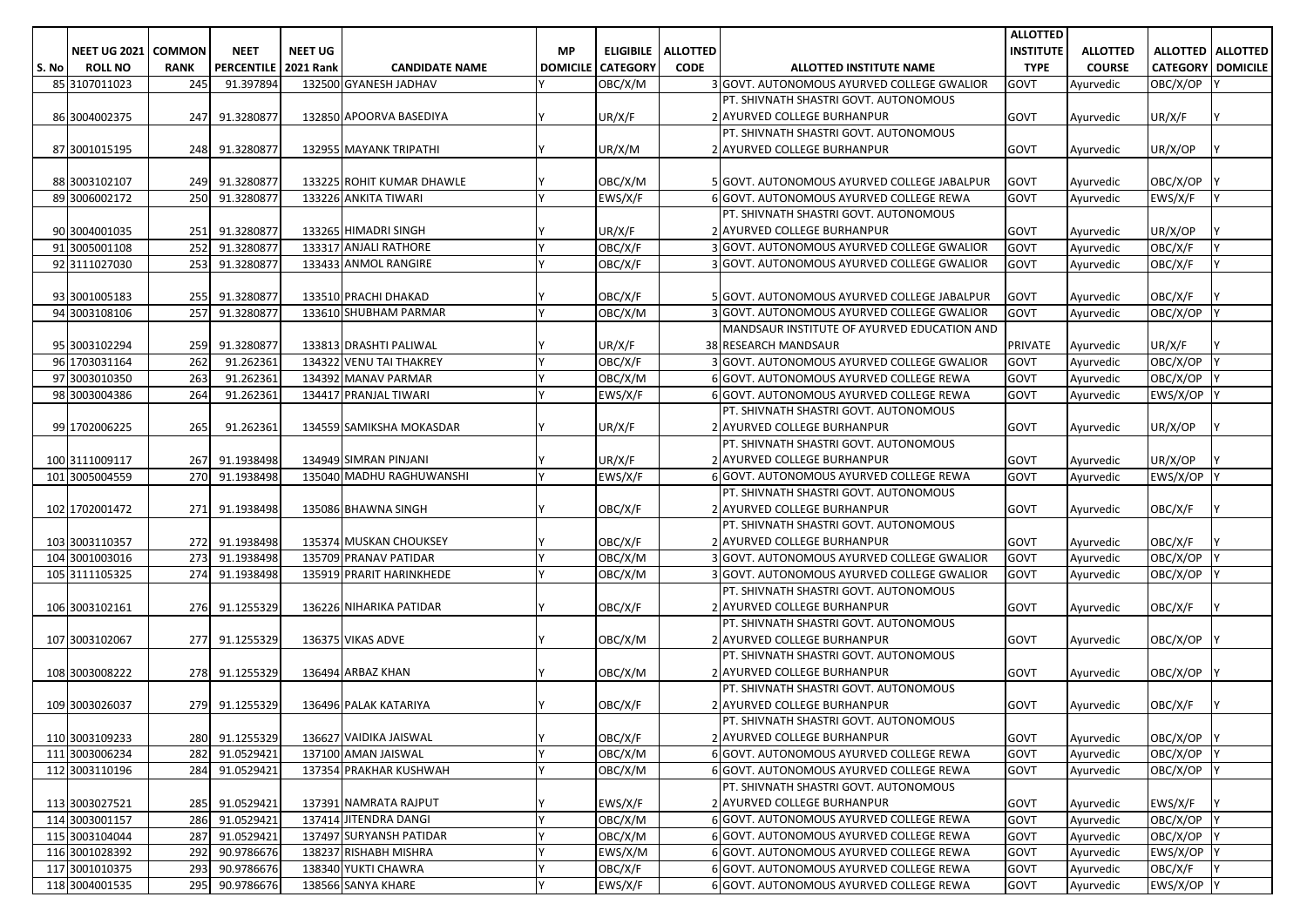|       |                     |               |                        |                |                           |                 |                  |                 |                                             | <b>ALLOTTED</b> |                 |                          |                     |
|-------|---------------------|---------------|------------------------|----------------|---------------------------|-----------------|------------------|-----------------|---------------------------------------------|-----------------|-----------------|--------------------------|---------------------|
|       | <b>NEET UG 2021</b> | <b>COMMON</b> | <b>NEET</b>            | <b>NEET UG</b> |                           | <b>MP</b>       | <b>ELIGIBILE</b> | <b>ALLOTTED</b> |                                             | INSTITUTE       | <b>ALLOTTED</b> |                          | ALLOTTED   ALLOTTED |
| S. No | <b>ROLL NO</b>      | <b>RANK</b>   | PERCENTILE   2021 Rank |                | <b>CANDIDATE NAME</b>     | <b>DOMICILE</b> | <b>CATEGORY</b>  | <b>CODE</b>     | ALLOTTED INSTITUTE NAME                     | <b>TYPE</b>     | <b>COURSE</b>   | <b>CATEGORY DOMICILE</b> |                     |
|       | 85 3107011023       | 245           | 91.397894              |                | 132500 GYANESH JADHAV     |                 | OBC/X/M          |                 | 3 GOVT. AUTONOMOUS AYURVED COLLEGE GWALIOR  | GOVT            | Ayurvedic       | OBC/X/OP                 |                     |
|       |                     |               |                        |                |                           |                 |                  |                 | PT. SHIVNATH SHASTRI GOVT. AUTONOMOUS       |                 |                 |                          |                     |
|       | 86 3004002375       | 247           | 91.3280877             |                | 132850 APOORVA BASEDIYA   |                 | UR/X/F           |                 | 2 AYURVED COLLEGE BURHANPUR                 | GOVT            | Ayurvedic       | UR/X/F                   |                     |
|       |                     |               |                        |                |                           |                 |                  |                 | PT. SHIVNATH SHASTRI GOVT. AUTONOMOUS       |                 |                 |                          |                     |
|       | 87 3001015195       |               | 248 91.3280877         |                | 132955 MAYANK TRIPATHI    |                 | UR/X/M           |                 | 2 AYURVED COLLEGE BURHANPUR                 | GOVT            | Ayurvedic       | UR/X/OP                  |                     |
|       |                     |               |                        |                |                           |                 |                  |                 |                                             |                 |                 |                          |                     |
|       | 88 3003102107       | 249           | 91.3280877             |                | 133225 ROHIT KUMAR DHAWLE |                 | OBC/X/M          |                 | 5 GOVT. AUTONOMOUS AYURVED COLLEGE JABALPUR | <b>GOVT</b>     | Ayurvedic       | OBC/X/OP                 |                     |
|       | 89 3006002172       | 250           | 91.3280877             |                | 133226 ANKITA TIWARI      |                 | EWS/X/F          |                 | 6 GOVT. AUTONOMOUS AYURVED COLLEGE REWA     | GOVT            | Ayurvedic       | EWS/X/F                  |                     |
|       |                     |               |                        |                |                           |                 |                  |                 | PT. SHIVNATH SHASTRI GOVT. AUTONOMOUS       |                 |                 |                          |                     |
|       | 90 3004001035       | 251           | 91.3280877             |                | 133265 HIMADRI SINGH      |                 | UR/X/F           |                 | 2 AYURVED COLLEGE BURHANPUR                 | GOVT            | Ayurvedic       | UR/X/OP                  |                     |
|       | 91 3005001108       | 252           | 91.3280877             |                | 133317 ANJALI RATHORE     |                 | OBC/X/F          |                 | 3 GOVT. AUTONOMOUS AYURVED COLLEGE GWALIOR  | <b>GOVT</b>     | Ayurvedic       | OBC/X/F                  |                     |
|       | 92 3111027030       | 253           | 91.3280877             |                | 133433 ANMOL RANGIRE      |                 | OBC/X/F          |                 | 3 GOVT. AUTONOMOUS AYURVED COLLEGE GWALIOR  | GOVT            | Ayurvedic       | OBC/X/F                  |                     |
|       |                     |               |                        |                |                           |                 |                  |                 |                                             |                 |                 |                          |                     |
|       | 93 3001005183       | 255           | 91.3280877             |                | 133510 PRACHI DHAKAD      |                 | OBC/X/F          |                 | 5 GOVT. AUTONOMOUS AYURVED COLLEGE JABALPUR | GOVT            | Ayurvedic       | OBC/X/F                  |                     |
|       | 94 3003108106       | 257           | 91.3280877             |                | 133610 SHUBHAM PARMAR     |                 | OBC/X/M          |                 | 3 GOVT. AUTONOMOUS AYURVED COLLEGE GWALIOR  | <b>GOVT</b>     | Ayurvedic       | OBC/X/OP                 |                     |
|       |                     |               |                        |                |                           |                 |                  |                 | MANDSAUR INSTITUTE OF AYURVED EDUCATION AND |                 |                 |                          |                     |
|       | 95 3003102294       |               | 259 91.3280877         |                | 133813 DRASHTI PALIWAL    |                 | UR/X/F           |                 | <b>38 RESEARCH MANDSAUR</b>                 | <b>PRIVATE</b>  | Ayurvedic       | UR/X/F                   |                     |
|       | 96 1703031164       | 262           | 91.262361              |                | 134322 VENU TAI THAKREY   |                 | OBC/X/F          |                 | 3 GOVT. AUTONOMOUS AYURVED COLLEGE GWALIOR  | <b>GOVT</b>     | Ayurvedic       | OBC/X/OP                 |                     |
|       | 97 3003010350       | 263           | 91.262361              |                | 134392 MANAV PARMAR       |                 | OBC/X/M          |                 | 6 GOVT. AUTONOMOUS AYURVED COLLEGE REWA     | <b>GOVT</b>     | Ayurvedic       | OBC/X/OP                 |                     |
|       | 98 3003004386       | 264           | 91.262361              |                | 134417 PRANJAL TIWARI     |                 | EWS/X/F          |                 | 6 GOVT. AUTONOMOUS AYURVED COLLEGE REWA     | GOVT            | Ayurvedic       | EWS/X/OP                 |                     |
|       |                     |               |                        |                |                           |                 |                  |                 | PT. SHIVNATH SHASTRI GOVT. AUTONOMOUS       |                 |                 |                          |                     |
|       |                     | 265           |                        |                |                           |                 |                  |                 | 2 AYURVED COLLEGE BURHANPUR                 |                 |                 |                          |                     |
|       | 99 1702006225       |               | 91.262361              |                | 134559 SAMIKSHA MOKASDAR  |                 | UR/X/F           |                 | PT. SHIVNATH SHASTRI GOVT. AUTONOMOUS       | GOVT            | Ayurvedic       | UR/X/OP                  |                     |
|       |                     |               |                        |                | 134949 SIMRAN PINJANI     |                 |                  |                 | 2 AYURVED COLLEGE BURHANPUR                 |                 |                 |                          |                     |
|       | 100 3111009117      | 267           | 91.1938498             |                | 135040 MADHU RAGHUWANSHI  |                 | UR/X/F           |                 | 6 GOVT. AUTONOMOUS AYURVED COLLEGE REWA     | GOVT            | Ayurvedic       | UR/X/OP                  |                     |
|       | 101 3005004559      | 270           | 91.1938498             |                |                           |                 | EWS/X/F          |                 |                                             | GOVT            | Ayurvedic       | EWS/X/OP                 |                     |
|       |                     |               |                        |                |                           |                 |                  |                 | PT. SHIVNATH SHASTRI GOVT. AUTONOMOUS       |                 |                 |                          |                     |
|       | 102 1702001472      | 271           | 91.1938498             |                | 135086 BHAWNA SINGH       |                 | OBC/X/F          |                 | 2 AYURVED COLLEGE BURHANPUR                 | GOVT            | Ayurvedic       | OBC/X/F                  |                     |
|       |                     |               |                        |                |                           |                 |                  |                 | PT. SHIVNATH SHASTRI GOVT. AUTONOMOUS       |                 |                 |                          |                     |
|       | 103 3003110357      |               | 272 91.1938498         |                | 135374 MUSKAN CHOUKSEY    |                 | OBC/X/F          |                 | 2 AYURVED COLLEGE BURHANPUR                 | GOVT            | Ayurvedic       | OBC/X/F                  |                     |
|       | 104 3001003016      | 273           | 91.1938498             |                | 135709 PRANAV PATIDAR     |                 | OBC/X/M          |                 | 3 GOVT. AUTONOMOUS AYURVED COLLEGE GWALIOR  | GOVT            | Ayurvedic       | OBC/X/OP                 |                     |
|       | 105 3111105325      | 274           | 91.1938498             |                | 135919 PRARIT HARINKHEDE  |                 | OBC/X/M          |                 | 3 GOVT. AUTONOMOUS AYURVED COLLEGE GWALIOR  | GOVT            | Ayurvedic       | OBC/X/OP                 |                     |
|       |                     |               |                        |                |                           |                 |                  |                 | PT. SHIVNATH SHASTRI GOVT. AUTONOMOUS       |                 |                 |                          |                     |
|       | 106 3003102161      |               | 276 91.1255329         |                | 136226 NIHARIKA PATIDAR   |                 | OBC/X/F          |                 | 2 AYURVED COLLEGE BURHANPUR                 | GOVT            | Ayurvedic       | OBC/X/F                  |                     |
|       |                     |               |                        |                |                           |                 |                  |                 | PT. SHIVNATH SHASTRI GOVT. AUTONOMOUS       |                 |                 |                          |                     |
|       | 107 3003102067      |               | 277 91.1255329         |                | 136375 VIKAS ADVE         |                 | OBC/X/M          |                 | 2 AYURVED COLLEGE BURHANPUR                 | GOVT            | Ayurvedic       | OBC/X/OP                 |                     |
|       |                     |               |                        |                |                           |                 |                  |                 | PT. SHIVNATH SHASTRI GOVT. AUTONOMOUS       |                 |                 |                          |                     |
|       | 108 3003008222      |               | 278 91.1255329         |                | 136494 ARBAZ KHAN         |                 | OBC/X/M          |                 | 2 AYURVED COLLEGE BURHANPUR                 | GOVT            | Ayurvedic       | OBC/X/OP                 |                     |
|       |                     |               |                        |                |                           |                 |                  |                 | PT. SHIVNATH SHASTRI GOVT. AUTONOMOUS       |                 |                 |                          |                     |
|       | 109 3003026037      |               | 279 91.1255329         |                | 136496 PALAK KATARIYA     |                 | OBC/X/F          |                 | 2 AYURVED COLLEGE BURHANPUR                 | GOVT            | Ayurvedic       | OBC/X/F                  |                     |
|       |                     |               |                        |                |                           |                 |                  |                 | PT. SHIVNATH SHASTRI GOVT. AUTONOMOUS       |                 |                 |                          |                     |
|       | 110 3003109233      |               | 280 91.1255329         |                | 136627 VAIDIKA JAISWAL    | I٧              | OBC/X/F          |                 | 2 AYURVED COLLEGE BURHANPUR                 | <b>GOVT</b>     | Ayurvedic       | OBC/X/OP Y               |                     |
|       | 111 3003006234      | 282           | 91.0529421             |                | 137100 AMAN JAISWAL       | l Y             | OBC/X/M          |                 | 6 GOVT. AUTONOMOUS AYURVED COLLEGE REWA     | GOVT            | Ayurvedic       | OBC/X/OP Y               |                     |
|       | 112 3003110196      | 284           | 91.0529421             |                | 137354 PRAKHAR KUSHWAH    |                 | OBC/X/M          |                 | 6 GOVT. AUTONOMOUS AYURVED COLLEGE REWA     | <b>GOVT</b>     | Ayurvedic       | OBC/X/OP                 |                     |
|       |                     |               |                        |                |                           |                 |                  |                 | PT. SHIVNATH SHASTRI GOVT. AUTONOMOUS       |                 |                 |                          |                     |
|       | 113 3003027521      | 285           | 91.0529421             |                | 137391 NAMRATA RAJPUT     |                 | EWS/X/F          |                 | 2 AYURVED COLLEGE BURHANPUR                 | GOVT            | Ayurvedic       | EWS/X/F                  |                     |
|       | 114 3003001157      | 286           | 91.0529421             |                | 137414 JITENDRA DANGI     |                 | OBC/X/M          |                 | 6 GOVT. AUTONOMOUS AYURVED COLLEGE REWA     | GOVT            | Ayurvedic       | OBC/X/OP Y               |                     |
|       | 115 3003104044      | 287           | 91.0529421             |                | 137497 SURYANSH PATIDAR   |                 | OBC/X/M          |                 | 6 GOVT. AUTONOMOUS AYURVED COLLEGE REWA     | GOVT            | Ayurvedic       | OBC/X/OP                 |                     |
|       | 116 3001028392      | 292           | 90.9786676             |                | 138237 RISHABH MISHRA     |                 | EWS/X/M          |                 | 6 GOVT. AUTONOMOUS AYURVED COLLEGE REWA     | GOVT            | Ayurvedic       | EWS/X/OP Y               |                     |
|       | 117 3001010375      | 293           | 90.9786676             |                | 138340 YUKTI CHAWRA       | I۷              | OBC/X/F          |                 | 6 GOVT. AUTONOMOUS AYURVED COLLEGE REWA     | <b>GOVT</b>     | Ayurvedic       | OBC/X/F                  |                     |
|       | 118 3004001535      |               | 295 90.9786676         |                | 138566 SANYA KHARE        | ΙY              | EWS/X/F          |                 | 6 GOVT. AUTONOMOUS AYURVED COLLEGE REWA     | GOVT            | Ayurvedic       | EWS/X/OP Y               |                     |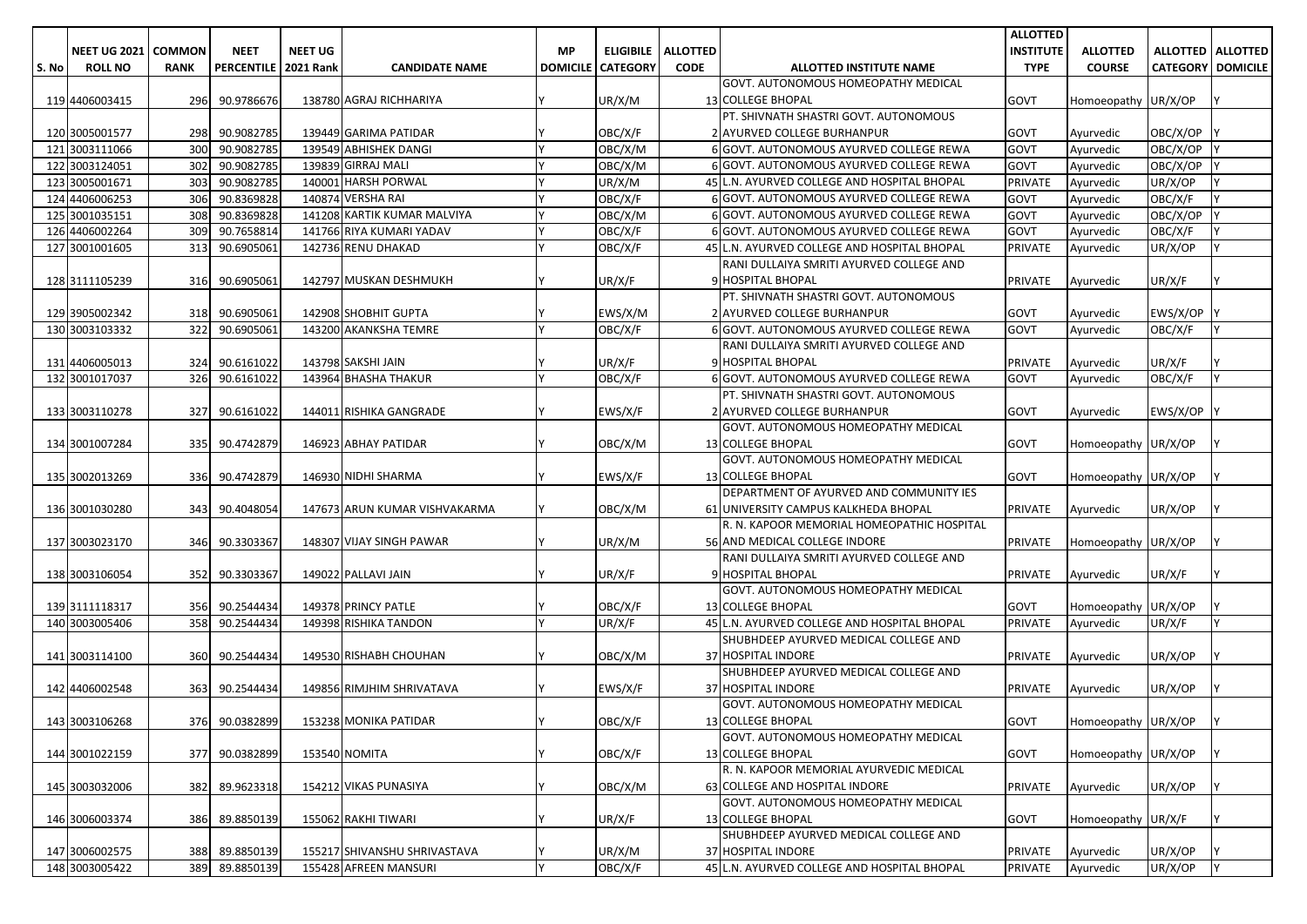|       |                     |               |                        |                |                                                       |     |                          |                 |                                                                   | <b>ALLOTTED</b>  |                     |                              |                     |
|-------|---------------------|---------------|------------------------|----------------|-------------------------------------------------------|-----|--------------------------|-----------------|-------------------------------------------------------------------|------------------|---------------------|------------------------------|---------------------|
|       | <b>NEET UG 2021</b> | <b>COMMON</b> | <b>NEET</b>            | <b>NEET UG</b> |                                                       | MP. | <b>ELIGIBILE</b>         | <b>ALLOTTED</b> |                                                                   | <b>INSTITUTE</b> | <b>ALLOTTED</b>     |                              | ALLOTTED   ALLOTTED |
| S. No | <b>ROLL NO</b>      | <b>RANK</b>   | PERCENTILE   2021 Rank |                | <b>CANDIDATE NAME</b>                                 |     | <b>DOMICILE CATEGORY</b> | <b>CODE</b>     | ALLOTTED INSTITUTE NAME                                           | <b>TYPE</b>      | <b>COURSE</b>       | <b>CATEGORY   DOMICILE  </b> |                     |
|       |                     |               |                        |                |                                                       |     |                          |                 | GOVT. AUTONOMOUS HOMEOPATHY MEDICAL                               |                  |                     |                              |                     |
|       | 119 4406003415      | 296           | 90.9786676             |                | 138780 AGRAJ RICHHARIYA                               |     | UR/X/M                   |                 | 13 COLLEGE BHOPAL                                                 | GOVT             | Homoeopathy UR/X/OP |                              |                     |
|       |                     |               |                        |                |                                                       |     |                          |                 | PT. SHIVNATH SHASTRI GOVT. AUTONOMOUS                             |                  |                     |                              |                     |
|       | 120 3005001577      | 298           | 90.9082785             |                | 139449 GARIMA PATIDAR                                 |     | OBC/X/F                  |                 | 2 AYURVED COLLEGE BURHANPUR                                       | <b>GOVT</b>      | Ayurvedic           | OBC/X/OP Y                   |                     |
|       | 121 3003111066      | 300           | 90.9082785             |                | 139549 ABHISHEK DANGI                                 |     | OBC/X/M                  |                 | 6 GOVT. AUTONOMOUS AYURVED COLLEGE REWA                           | <b>GOVT</b>      | Ayurvedic           | OBC/X/OP                     |                     |
|       | 122 3003124051      | 302           | 90.9082785             |                | 139839 GIRRAJ MALI                                    |     | OBC/X/M                  |                 | 6 GOVT. AUTONOMOUS AYURVED COLLEGE REWA                           | GOVT             | Ayurvedic           | OBC/X/OP                     |                     |
|       | 123 3005001671      | 303           | 90.9082785             |                | 140001 HARSH PORWAL                                   |     | UR/X/M                   |                 | 45 L.N. AYURVED COLLEGE AND HOSPITAL BHOPAL                       | PRIVATE          | Ayurvedic           | UR/X/OP                      |                     |
|       | 124 4406006253      | 306           | 90.8369828             |                | 140874 VERSHA RAI                                     |     | OBC/X/F                  |                 | 6 GOVT. AUTONOMOUS AYURVED COLLEGE REWA                           | GOVT             | Ayurvedic           | OBC/X/F                      |                     |
|       | 125 3001035151      | 308           | 90.8369828             |                | 141208 KARTIK KUMAR MALVIYA                           |     | OBC/X/M                  |                 | 6 GOVT. AUTONOMOUS AYURVED COLLEGE REWA                           | GOVT             | Ayurvedic           | OBC/X/OP                     |                     |
|       | 126 4406002264      | 309           | 90.7658814             |                | 141766 RIYA KUMARI YADAV                              |     | OBC/X/F                  |                 | 6 GOVT. AUTONOMOUS AYURVED COLLEGE REWA                           | <b>GOVT</b>      | Ayurvedic           | OBC/X/F                      |                     |
|       | 127 3001001605      | 313           | 90.6905061             |                | 142736 RENU DHAKAD                                    |     | OBC/X/F                  |                 | 45 L.N. AYURVED COLLEGE AND HOSPITAL BHOPAL                       | PRIVATE          | Ayurvedic           | UR/X/OP                      |                     |
|       |                     |               |                        |                |                                                       |     |                          |                 | RANI DULLAIYA SMRITI AYURVED COLLEGE AND                          |                  |                     |                              |                     |
|       | 128 3111105239      |               | 316 90.6905061         |                | 142797 MUSKAN DESHMUKH                                |     | UR/X/F                   |                 | 9 HOSPITAL BHOPAL                                                 | PRIVATE          | Ayurvedic           | UR/X/F                       |                     |
|       |                     |               |                        |                |                                                       |     |                          |                 | PT. SHIVNATH SHASTRI GOVT. AUTONOMOUS                             |                  |                     |                              |                     |
|       | 129 3905002342      |               | 318 90.6905061         |                | 142908 SHOBHIT GUPTA                                  |     | EWS/X/M                  |                 | 2 AYURVED COLLEGE BURHANPUR                                       | GOVT             | Ayurvedic           | EWS/X/OP Y                   |                     |
|       | 130 3003103332      | 322           | 90.6905061             |                | 143200 AKANKSHA TEMRE                                 | I٧  | OBC/X/F                  |                 | 6 GOVT. AUTONOMOUS AYURVED COLLEGE REWA                           | <b>GOVT</b>      | Ayurvedic           | OBC/X/F                      | IY.                 |
|       |                     |               |                        |                |                                                       |     |                          |                 | RANI DULLAIYA SMRITI AYURVED COLLEGE AND                          |                  |                     |                              |                     |
|       | 131 4406005013      | 324           | 90.6161022             |                | 143798 SAKSHI JAIN                                    |     | UR/X/F                   |                 | 9 HOSPITAL BHOPAL                                                 | PRIVATE          | Ayurvedic           | UR/X/F                       |                     |
|       | 132 3001017037      | 326           | 90.6161022             |                | 143964 BHASHA THAKUR                                  |     | OBC/X/F                  |                 | 6 GOVT. AUTONOMOUS AYURVED COLLEGE REWA                           | GOVT             | Ayurvedic           | OBC/X/F                      |                     |
|       |                     |               |                        |                |                                                       |     |                          |                 | PT. SHIVNATH SHASTRI GOVT. AUTONOMOUS                             |                  |                     |                              |                     |
|       | 133 3003110278      | 327           | 90.6161022             |                | 144011 RISHIKA GANGRADE                               |     | EWS/X/F                  |                 | 2 AYURVED COLLEGE BURHANPUR                                       | GOVT             | Ayurvedic           | EWS/X/OP Y                   |                     |
|       |                     |               |                        |                |                                                       |     |                          |                 | GOVT. AUTONOMOUS HOMEOPATHY MEDICAL                               |                  |                     |                              |                     |
|       | 134 3001007284      | 335           | 90.4742879             |                | 146923 ABHAY PATIDAR                                  |     | OBC/X/M                  |                 | 13 COLLEGE BHOPAL                                                 | GOVT             | Homoeopathy UR/X/OP |                              |                     |
|       |                     |               |                        |                |                                                       |     |                          |                 | GOVT. AUTONOMOUS HOMEOPATHY MEDICAL                               |                  |                     |                              |                     |
|       | 135 3002013269      |               | 336 90.4742879         |                | 146930 NIDHI SHARMA                                   |     | EWS/X/F                  |                 | <b>13 COLLEGE BHOPAL</b>                                          | GOVT             | Homoeopathy UR/X/OP |                              |                     |
|       |                     |               |                        |                |                                                       |     |                          |                 | DEPARTMENT OF AYURVED AND COMMUNITY IES                           |                  |                     |                              |                     |
|       | 136 3001030280      |               | 343 90.4048054         |                | 147673 ARUN KUMAR VISHVAKARMA                         |     | OBC/X/M                  |                 | 61 UNIVERSITY CAMPUS KALKHEDA BHOPAL                              | PRIVATE          | Ayurvedic           | UR/X/OP                      |                     |
|       |                     |               |                        |                |                                                       |     |                          |                 | R. N. KAPOOR MEMORIAL HOMEOPATHIC HOSPITAL                        |                  |                     |                              |                     |
|       | 137 3003023170      |               | 346 90.3303367         |                | 148307 VIJAY SINGH PAWAR                              |     | UR/X/M                   |                 | 56 AND MEDICAL COLLEGE INDORE                                     | PRIVATE          | Homoeopathy UR/X/OP |                              |                     |
|       |                     |               |                        |                |                                                       |     |                          |                 | RANI DULLAIYA SMRITI AYURVED COLLEGE AND                          |                  |                     |                              |                     |
|       | 138 3003106054      | 352           | 90.3303367             |                | 149022 PALLAVI JAIN                                   |     | UR/X/F                   |                 | 9 HOSPITAL BHOPAL                                                 | PRIVATE          | Ayurvedic           | UR/X/F                       |                     |
|       |                     |               |                        |                |                                                       |     |                          |                 | GOVT. AUTONOMOUS HOMEOPATHY MEDICAL                               |                  |                     |                              |                     |
|       | 139 3111118317      | 356           | 90.2544434             |                | 149378 PRINCY PATLE                                   |     | OBC/X/F                  |                 | 13 COLLEGE BHOPAL                                                 | <b>GOVT</b>      | Homoeopathy UR/X/OP |                              |                     |
|       | 140 3003005406      | 358           | 90.2544434             |                | 149398 RISHIKA TANDON                                 | I۷  | UR/X/F                   |                 | 45 L.N. AYURVED COLLEGE AND HOSPITAL BHOPAL                       | PRIVATE          | Ayurvedic           | UR/X/F                       | l Y                 |
|       |                     |               |                        |                |                                                       |     |                          |                 | SHUBHDEEP AYURVED MEDICAL COLLEGE AND                             |                  |                     |                              |                     |
|       | 141 3003114100      | 360           | 90.2544434             |                | 149530 RISHABH CHOUHAN                                |     | OBC/X/M                  |                 | 37 HOSPITAL INDORE                                                | PRIVATE          | Ayurvedic           | UR/X/OP                      |                     |
|       |                     |               |                        |                |                                                       |     |                          |                 | SHUBHDEEP AYURVED MEDICAL COLLEGE AND                             |                  |                     |                              |                     |
|       | 142 4406002548      | 363           | 90.2544434             |                | 149856 RIMJHIM SHRIVATAVA                             |     | EWS/X/F                  |                 | 37 HOSPITAL INDORE                                                | PRIVATE          | Ayurvedic           | UR/X/OP                      |                     |
|       |                     |               |                        |                |                                                       |     |                          |                 | GOVT. AUTONOMOUS HOMEOPATHY MEDICAL                               |                  |                     |                              |                     |
|       | 143 3003106268      |               | 376 90.0382899         |                | 153238 MONIKA PATIDAR                                 | I۷  | OBC/X/F                  |                 | 13 COLLEGE BHOPAL                                                 | GOVT             | Homoeopathy UR/X/OP |                              |                     |
|       |                     |               |                        |                |                                                       |     |                          |                 | GOVT. AUTONOMOUS HOMEOPATHY MEDICAL                               |                  |                     |                              |                     |
|       | 144 3001022159      |               | 377 90.0382899         |                | 153540 NOMITA                                         |     | OBC/X/F                  |                 | 13 COLLEGE BHOPAL                                                 | GOVT             | Homoeopathy UR/X/OP |                              | IY.                 |
|       |                     |               |                        |                |                                                       |     |                          |                 | R. N. KAPOOR MEMORIAL AYURVEDIC MEDICAL                           |                  |                     |                              |                     |
|       | 145 3003032006      |               | 382 89.9623318         |                | 154212 VIKAS PUNASIYA                                 |     | OBC/X/M                  |                 | 63 COLLEGE AND HOSPITAL INDORE                                    | PRIVATE          | Ayurvedic           | UR/X/OP                      |                     |
|       |                     |               |                        |                |                                                       |     |                          |                 | GOVT. AUTONOMOUS HOMEOPATHY MEDICAL                               |                  |                     |                              |                     |
|       | 146 3006003374      |               | 386 89.8850139         |                | 155062 RAKHI TIWARI                                   |     | UR/X/F                   |                 | 13 COLLEGE BHOPAL                                                 | GOVT             | Homoeopathy UR/X/F  |                              | IY.                 |
|       |                     |               |                        |                |                                                       |     |                          |                 | SHUBHDEEP AYURVED MEDICAL COLLEGE AND                             |                  |                     |                              |                     |
|       | 147 3006002575      |               | 388 89.8850139         |                | 155217 SHIVANSHU SHRIVASTAVA<br>155428 AFREEN MANSURI | lΥ  | UR/X/M                   |                 | 37 HOSPITAL INDORE<br>45 L.N. AYURVED COLLEGE AND HOSPITAL BHOPAL | PRIVATE          | Ayurvedic           | UR/X/OP                      | <u>IY</u>           |
|       | 148 3003005422      |               | 389 89.8850139         |                |                                                       |     | OBC/X/F                  |                 |                                                                   | PRIVATE          | Ayurvedic           | UR/X/OP                      |                     |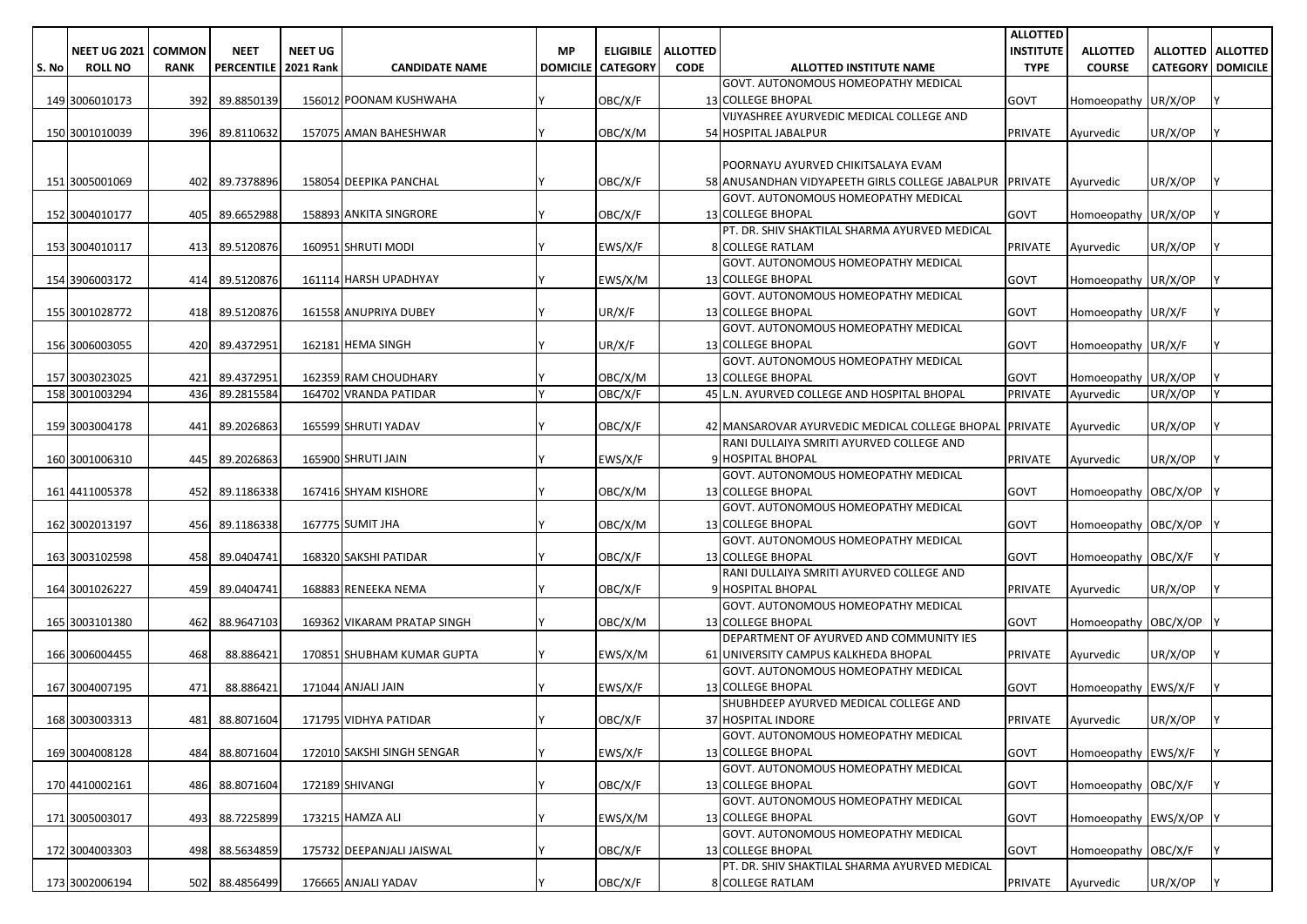|       |                              |             |                             |                |                                      |    |                          |                 |                                                         | <b>ALLOTTED</b>   |                        |                          |  |
|-------|------------------------------|-------------|-----------------------------|----------------|--------------------------------------|----|--------------------------|-----------------|---------------------------------------------------------|-------------------|------------------------|--------------------------|--|
|       | <b>NEET UG 2021   COMMON</b> |             | <b>NEET</b>                 | <b>NEET UG</b> |                                      | МP | <b>ELIGIBILE</b>         | <b>ALLOTTED</b> |                                                         | <b>INSTITUTE</b>  | <b>ALLOTTED</b>        | <b>ALLOTTED ALLOTTED</b> |  |
| S. No | <b>ROLL NO</b>               | <b>RANK</b> | <b>PERCENTILE 2021 Rank</b> |                | <b>CANDIDATE NAME</b>                |    | <b>DOMICILE CATEGORY</b> | <b>CODE</b>     | <b>ALLOTTED INSTITUTE NAME</b>                          | <b>TYPE</b>       | <b>COURSE</b>          | <b>CATEGORY DOMICILE</b> |  |
|       |                              |             |                             |                |                                      |    |                          |                 | GOVT. AUTONOMOUS HOMEOPATHY MEDICAL                     |                   |                        |                          |  |
|       | 149 3006010173               | 392         | 89.8850139                  |                | 156012 POONAM KUSHWAHA               |    | OBC/X/F                  |                 | <b>13 COLLEGE BHOPAL</b>                                | <b>GOVT</b>       | Homoeopathy UR/X/OP    |                          |  |
|       |                              |             |                             |                |                                      |    |                          |                 | VIJYASHREE AYURVEDIC MEDICAL COLLEGE AND                |                   |                        |                          |  |
|       | 150 3001010039               | 396         | 89.8110632                  |                | 157075 AMAN BAHESHWAR                |    | OBC/X/M                  |                 | 54 HOSPITAL JABALPUR                                    | <b>PRIVATE</b>    | Ayurvedic              | UR/X/OP                  |  |
|       |                              |             |                             |                |                                      |    |                          |                 |                                                         |                   |                        |                          |  |
|       |                              |             |                             |                |                                      |    |                          |                 |                                                         |                   |                        |                          |  |
|       |                              |             |                             |                |                                      |    |                          |                 | POORNAYU AYURVED CHIKITSALAYA EVAM                      |                   |                        |                          |  |
|       | 151 3005001069               | 402         | 89.7378896                  |                | 158054 DEEPIKA PANCHAL               |    | OBC/X/F                  |                 | 58 ANUSANDHAN VIDYAPEETH GIRLS COLLEGE JABALPUR PRIVATE |                   | Ayurvedic              | UR/X/OP                  |  |
|       |                              |             |                             |                |                                      |    |                          |                 | GOVT. AUTONOMOUS HOMEOPATHY MEDICAL                     |                   |                        |                          |  |
|       | 152 3004010177               | 405         | 89.6652988                  |                | 158893 ANKITA SINGRORE               |    | OBC/X/F                  |                 | <b>13 COLLEGE BHOPAL</b>                                | <b>GOVT</b>       | Homoeopathy UR/X/OP    |                          |  |
|       |                              |             |                             |                |                                      |    |                          |                 | PT. DR. SHIV SHAKTILAL SHARMA AYURVED MEDICAL           |                   |                        |                          |  |
|       | 153 3004010117               | 413         | 89.5120876                  |                | 160951 SHRUTI MODI                   |    | EWS/X/F                  |                 | <b>8 COLLEGE RATLAM</b>                                 | <b>PRIVATE</b>    | Ayurvedic              | UR/X/OP                  |  |
|       |                              |             |                             |                |                                      |    |                          |                 | GOVT. AUTONOMOUS HOMEOPATHY MEDICAL                     |                   |                        |                          |  |
|       | 154 3906003172               |             | 414 89.5120876              |                | 161114 HARSH UPADHYAY                |    | EWS/X/M                  |                 | 13 COLLEGE BHOPAL                                       | <b>GOVT</b>       | Homoeopathy UR/X/OP    |                          |  |
|       |                              |             |                             |                |                                      |    |                          |                 | GOVT. AUTONOMOUS HOMEOPATHY MEDICAL                     |                   |                        |                          |  |
|       | 155 3001028772               |             | 418 89.5120876              |                | 161558 ANUPRIYA DUBEY                |    | UR/X/F                   |                 | 13 COLLEGE BHOPAL                                       | <b>GOVT</b>       | Homoeopathy UR/X/F     |                          |  |
|       |                              |             |                             |                |                                      |    |                          |                 | GOVT. AUTONOMOUS HOMEOPATHY MEDICAL                     |                   |                        |                          |  |
|       | 156 3006003055               |             | 420 89.4372951              |                | 162181 HEMA SINGH                    |    | UR/X/F                   |                 | <b>13 COLLEGE BHOPAL</b>                                | <b>GOVT</b>       | Homoeopathy UR/X/F     |                          |  |
|       |                              |             |                             |                |                                      |    |                          |                 | GOVT. AUTONOMOUS HOMEOPATHY MEDICAL                     |                   |                        |                          |  |
|       | 157 3003023025               | 421         | 89.4372951                  |                | 162359 RAM CHOUDHARY                 |    | OBC/X/M                  |                 | 13 COLLEGE BHOPAL                                       | GOVT              | Homoeopathy UR/X/OP    |                          |  |
|       | 158 3001003294               | 436         | 89.2815584                  |                | 164702 VRANDA PATIDAR                |    | OBC/X/F                  |                 | 45 L.N. AYURVED COLLEGE AND HOSPITAL BHOPAL             | <b>PRIVATE</b>    | Ayurvedic              | UR/X/OP                  |  |
|       |                              |             |                             |                |                                      |    |                          |                 |                                                         |                   |                        |                          |  |
|       | 159 3003004178               | 441         | 89.2026863                  |                | 165599 SHRUTI YADAV                  |    | OBC/X/F                  |                 | 42 MANSAROVAR AYURVEDIC MEDICAL COLLEGE BHOPAL PRIVATE  |                   | Ayurvedic              | UR/X/OP                  |  |
|       |                              |             |                             |                |                                      |    |                          |                 | RANI DULLAIYA SMRITI AYURVED COLLEGE AND                |                   |                        |                          |  |
|       |                              |             |                             |                | 165900 SHRUTI JAIN                   |    | EWS/X/F                  |                 | 9 HOSPITAL BHOPAL                                       |                   |                        | UR/X/OP                  |  |
|       | 160 3001006310               | 445         | 89.2026863                  |                |                                      |    |                          |                 | GOVT. AUTONOMOUS HOMEOPATHY MEDICAL                     | <b>PRIVATE</b>    | Ayurvedic              |                          |  |
|       |                              |             |                             |                |                                      |    |                          |                 |                                                         |                   |                        |                          |  |
|       | 161 4411005378               | 452         | 89.1186338                  |                | 167416 SHYAM KISHORE                 |    | OBC/X/M                  |                 | 13 COLLEGE BHOPAL                                       | <b>GOVT</b>       | Homoeopathy OBC/X/OP   |                          |  |
|       |                              |             |                             |                |                                      |    |                          |                 | GOVT. AUTONOMOUS HOMEOPATHY MEDICAL                     |                   |                        |                          |  |
|       | 162 3002013197               | 456         | 89.1186338                  |                | 167775 SUMIT JHA                     |    | OBC/X/M                  |                 | 13 COLLEGE BHOPAL                                       | <b>GOVT</b>       | Homoeopathy OBC/X/OP   |                          |  |
|       |                              |             |                             |                |                                      |    |                          |                 | GOVT. AUTONOMOUS HOMEOPATHY MEDICAL                     |                   |                        |                          |  |
|       | 163 3003102598               | 458         | 89.0404741                  |                | 168320 SAKSHI PATIDAR                |    | OBC/X/F                  |                 | <b>13 COLLEGE BHOPAL</b>                                | <b>GOVT</b>       | Homoeopathy OBC/X/F    |                          |  |
|       |                              |             |                             |                |                                      |    |                          |                 | RANI DULLAIYA SMRITI AYURVED COLLEGE AND                |                   |                        |                          |  |
|       | 164 3001026227               | 459         | 89.0404741                  |                | 168883 RENEEKA NEMA                  |    | OBC/X/F                  |                 | 9 HOSPITAL BHOPAL                                       | <b>PRIVATE</b>    | Ayurvedic              | UR/X/OP                  |  |
|       |                              |             |                             |                |                                      |    |                          |                 | GOVT. AUTONOMOUS HOMEOPATHY MEDICAL                     |                   |                        |                          |  |
|       | 165 3003101380               | 462         | 88.9647103                  |                | 169362 VIKARAM PRATAP SINGH          |    | OBC/X/M                  |                 | <b>13 COLLEGE BHOPAL</b>                                | <b>GOVT</b>       | Homoeopathy OBC/X/OP   |                          |  |
|       |                              |             |                             |                |                                      |    |                          |                 | DEPARTMENT OF AYURVED AND COMMUNITY IES                 |                   |                        |                          |  |
|       | 166 3006004455               | 468         | 88.886421                   |                | 170851 SHUBHAM KUMAR GUPTA           |    | EWS/X/M                  |                 | 61 UNIVERSITY CAMPUS KALKHEDA BHOPAL                    | <b>PRIVATE</b>    | Ayurvedic              | UR/X/OP                  |  |
|       |                              |             |                             |                |                                      |    |                          |                 | GOVT. AUTONOMOUS HOMEOPATHY MEDICAL                     |                   |                        |                          |  |
|       | 167 3004007195               | 471         | 88.886421                   |                | 171044 ANJALI JAIN                   |    | EWS/X/F                  |                 | 13 COLLEGE BHOPAL                                       | <b>GOVT</b>       | Homoeopathy EWS/X/F    |                          |  |
|       |                              |             |                             |                |                                      |    |                          |                 | SHUBHDEEP AYURVED MEDICAL COLLEGE AND                   |                   |                        |                          |  |
|       | 168 3003003313               |             |                             |                | 481 88.8071604 171795 VIDHYA PATIDAR |    | OBC/X/F                  |                 | 37 HOSPITAL INDORE                                      | PRIVATE Ayurvedic |                        | UR/X/OP                  |  |
|       |                              |             |                             |                |                                      |    |                          |                 | GOVT. AUTONOMOUS HOMEOPATHY MEDICAL                     |                   |                        |                          |  |
|       | 169 3004008128               |             | 484 88.8071604              |                | 172010 SAKSHI SINGH SENGAR           |    | EWS/X/F                  |                 | <b>13 COLLEGE BHOPAL</b>                                | <b>GOVT</b>       | Homoeopathy EWS/X/F    |                          |  |
|       |                              |             |                             |                |                                      |    |                          |                 | GOVT. AUTONOMOUS HOMEOPATHY MEDICAL                     |                   |                        |                          |  |
|       | 170 4410002161               |             | 486 88.8071604              |                | 172189 SHIVANGI                      |    | OBC/X/F                  |                 | 13 COLLEGE BHOPAL                                       | <b>GOVT</b>       | Homoeopathy OBC/X/F    |                          |  |
|       |                              |             |                             |                |                                      |    |                          |                 | GOVT. AUTONOMOUS HOMEOPATHY MEDICAL                     |                   |                        |                          |  |
|       | 171 3005003017               |             | 493 88.7225899              |                | 173215 HAMZA ALI                     |    | EWS/X/M                  |                 | <b>13 COLLEGE BHOPAL</b>                                | <b>GOVT</b>       | Homoeopathy EWS/X/OP Y |                          |  |
|       |                              |             |                             |                |                                      |    |                          |                 | GOVT. AUTONOMOUS HOMEOPATHY MEDICAL                     |                   |                        |                          |  |
|       | 172 3004003303               |             |                             |                | 175732 DEEPANJALI JAISWAL            |    | OBC/X/F                  |                 | 13 COLLEGE BHOPAL                                       |                   | Homoeopathy OBC/X/F    |                          |  |
|       |                              |             | 498 88.5634859              |                |                                      |    |                          |                 |                                                         | <b>GOVT</b>       |                        |                          |  |
|       |                              |             |                             |                |                                      |    |                          |                 | PT. DR. SHIV SHAKTILAL SHARMA AYURVED MEDICAL           |                   |                        |                          |  |
|       | 173 3002006194               |             | 502 88.4856499              |                | 176665 ANJALI YADAV                  |    | OBC/X/F                  |                 | 8 COLLEGE RATLAM                                        | <b>PRIVATE</b>    | Ayurvedic              | UR/X/OP                  |  |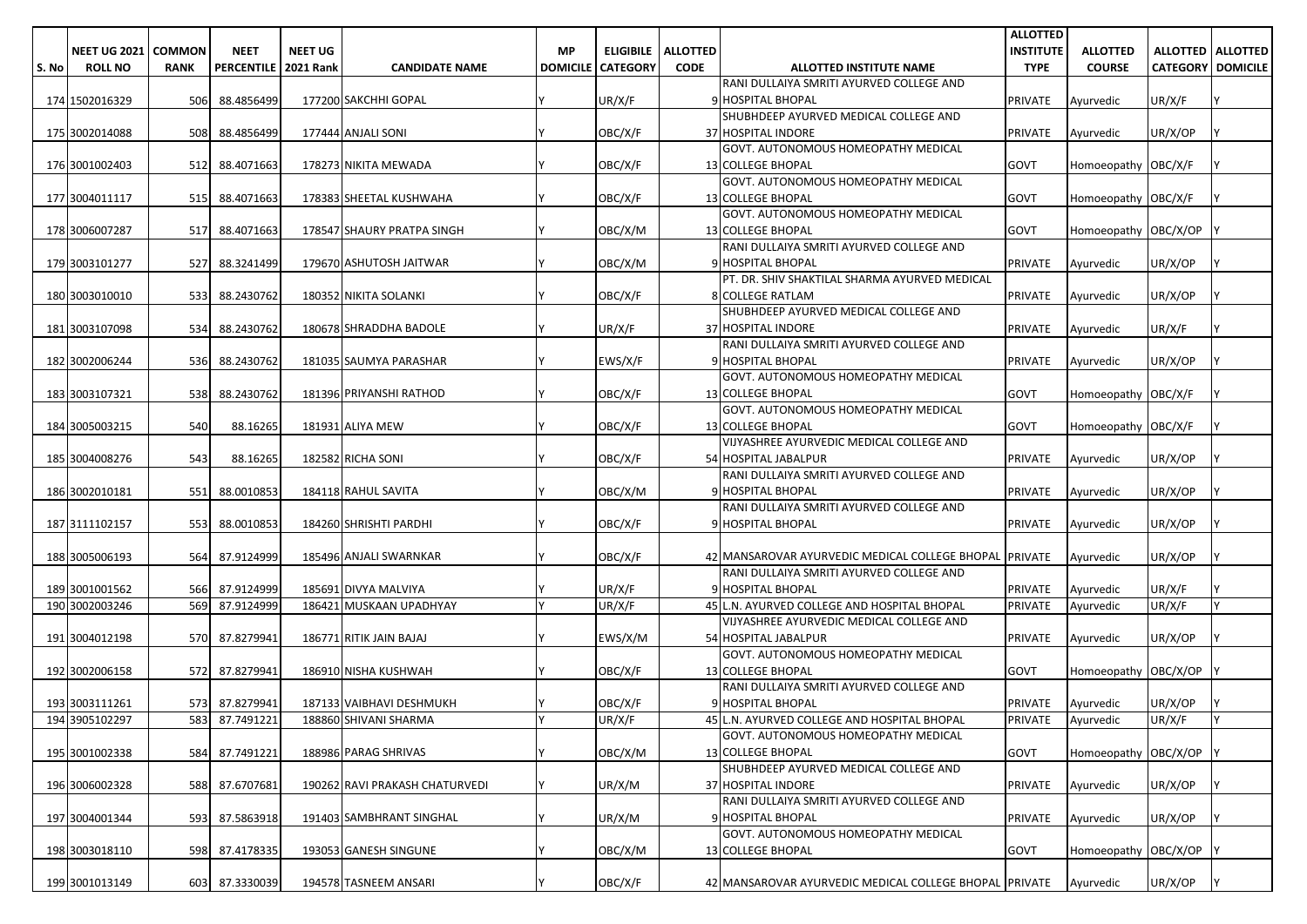|       |                     |               |                        |                |                                |           |                            |                 |                                                                       | <b>ALLOTTED</b>   |                      |                          |                     |
|-------|---------------------|---------------|------------------------|----------------|--------------------------------|-----------|----------------------------|-----------------|-----------------------------------------------------------------------|-------------------|----------------------|--------------------------|---------------------|
|       | <b>NEET UG 2021</b> | <b>COMMON</b> | <b>NEET</b>            | <b>NEET UG</b> |                                | <b>MP</b> | <b>ELIGIBILE</b>           | <b>ALLOTTED</b> |                                                                       | <b>INSTITUTE</b>  | <b>ALLOTTED</b>      |                          | ALLOTTED   ALLOTTED |
| S. No | <b>ROLL NO</b>      | <b>RANK</b>   | PERCENTILE   2021 Rank |                | <b>CANDIDATE NAME</b>          |           | <b>DOMICILE   CATEGORY</b> | <b>CODE</b>     | <b>ALLOTTED INSTITUTE NAME</b>                                        | <b>TYPE</b>       | <b>COURSE</b>        | <b>CATEGORY DOMICILE</b> |                     |
|       |                     |               |                        |                |                                |           |                            |                 | RANI DULLAIYA SMRITI AYURVED COLLEGE AND                              |                   |                      |                          |                     |
|       | 174 1502016329      | 506           | 88.4856499             |                | 177200 SAKCHHI GOPAL           |           | UR/X/F                     |                 | 9 HOSPITAL BHOPAL                                                     | <b>PRIVATE</b>    | Ayurvedic            | UR/X/F                   |                     |
|       |                     |               |                        |                |                                |           |                            |                 | SHUBHDEEP AYURVED MEDICAL COLLEGE AND                                 |                   |                      |                          |                     |
|       | 175 3002014088      | 508           | 88.4856499             |                | 177444 ANJALI SONI             |           | OBC/X/F                    |                 | 37 HOSPITAL INDORE                                                    | <b>PRIVATE</b>    | Ayurvedic            | UR/X/OP                  |                     |
|       |                     |               |                        |                |                                |           |                            |                 | GOVT. AUTONOMOUS HOMEOPATHY MEDICAL                                   |                   |                      |                          |                     |
|       | 176 3001002403      | 512           | 88.4071663             |                | 178273 NIKITA MEWADA           |           | OBC/X/F                    |                 | <b>13 COLLEGE BHOPAL</b>                                              | <b>GOVT</b>       | Homoeopathy OBC/X/F  |                          |                     |
|       |                     |               |                        |                |                                |           |                            |                 | GOVT. AUTONOMOUS HOMEOPATHY MEDICAL                                   |                   |                      |                          |                     |
|       | 177 3004011117      | <b>515</b>    | 88.4071663             |                | 178383 SHEETAL KUSHWAHA        |           | OBC/X/F                    |                 | 13 COLLEGE BHOPAL                                                     | <b>GOVT</b>       | Homoeopathy OBC/X/F  |                          |                     |
|       |                     |               |                        |                |                                |           |                            |                 | GOVT. AUTONOMOUS HOMEOPATHY MEDICAL                                   |                   |                      |                          |                     |
|       | 178 3006007287      | 517           | 88.4071663             |                | 178547 SHAURY PRATPA SINGH     |           | OBC/X/M                    |                 | <b>13 COLLEGE BHOPAL</b>                                              | <b>GOVT</b>       | Homoeopathy OBC/X/OP |                          |                     |
|       |                     |               |                        |                |                                |           |                            |                 | RANI DULLAIYA SMRITI AYURVED COLLEGE AND                              |                   |                      |                          |                     |
|       | 179 3003101277      | 527           | 88.3241499             |                | 179670 ASHUTOSH JAITWAR        |           | OBC/X/M                    |                 | 9 HOSPITAL BHOPAL                                                     | <b>PRIVATE</b>    | Avurvedic            | UR/X/OP                  |                     |
|       |                     |               |                        |                |                                |           |                            |                 | PT. DR. SHIV SHAKTILAL SHARMA AYURVED MEDICAL                         |                   |                      |                          |                     |
|       | 180 3003010010      |               | 533 88.2430762         |                | 180352 NIKITA SOLANKI          |           | OBC/X/F                    |                 | <b>8 COLLEGE RATLAM</b>                                               | <b>PRIVATE</b>    | Ayurvedic            | UR/X/OP                  |                     |
|       |                     |               |                        |                |                                |           |                            |                 | SHUBHDEEP AYURVED MEDICAL COLLEGE AND                                 |                   |                      |                          |                     |
|       | 181 3003107098      | 534           | 88.2430762             |                | 180678 SHRADDHA BADOLE         |           | UR/X/F                     |                 | <b>37 HOSPITAL INDORE</b><br>RANI DULLAIYA SMRITI AYURVED COLLEGE AND | <b>PRIVATE</b>    | Ayurvedic            | UR/X/F                   |                     |
|       |                     | 536           | 88.2430762             |                | 181035 SAUMYA PARASHAR         |           | EWS/X/F                    |                 | 9 HOSPITAL BHOPAL                                                     | <b>PRIVATE</b>    | Avurvedic            | UR/X/OP                  |                     |
|       | 182 3002006244      |               |                        |                |                                |           |                            |                 | GOVT. AUTONOMOUS HOMEOPATHY MEDICAL                                   |                   |                      |                          |                     |
|       | 183 3003107321      | 538           | 88.2430762             |                | 181396 PRIYANSHI RATHOD        |           | OBC/X/F                    |                 | <b>13 COLLEGE BHOPAL</b>                                              | <b>GOVT</b>       | Homoeopathy OBC/X/F  |                          |                     |
|       |                     |               |                        |                |                                |           |                            |                 | GOVT. AUTONOMOUS HOMEOPATHY MEDICAL                                   |                   |                      |                          |                     |
|       | 184 3005003215      | 540           | 88.16265               |                | 181931 ALIYA MEW               |           | OBC/X/F                    |                 | <b>13 COLLEGE BHOPAL</b>                                              | <b>GOVT</b>       | Homoeopathy OBC/X/F  |                          |                     |
|       |                     |               |                        |                |                                |           |                            |                 | VIJYASHREE AYURVEDIC MEDICAL COLLEGE AND                              |                   |                      |                          |                     |
|       | 185 3004008276      | 543           | 88.16265               |                | 182582 RICHA SONI              |           | OBC/X/F                    |                 | 54 HOSPITAL JABALPUR                                                  | <b>PRIVATE</b>    | Ayurvedic            | UR/X/OP                  |                     |
|       |                     |               |                        |                |                                |           |                            |                 | RANI DULLAIYA SMRITI AYURVED COLLEGE AND                              |                   |                      |                          |                     |
|       | 186 3002010181      | 551           | 88.0010853             |                | 184118 RAHUL SAVITA            |           | OBC/X/M                    |                 | 9 HOSPITAL BHOPAL                                                     | <b>PRIVATE</b>    | Ayurvedic            | UR/X/OP                  |                     |
|       |                     |               |                        |                |                                |           |                            |                 | RANI DULLAIYA SMRITI AYURVED COLLEGE AND                              |                   |                      |                          |                     |
|       | 187 3111102157      | 553           | 88.0010853             |                | 184260 SHRISHTI PARDHI         |           | OBC/X/F                    |                 | 9 HOSPITAL BHOPAL                                                     | <b>PRIVATE</b>    | Ayurvedic            | UR/X/OP                  |                     |
|       |                     |               |                        |                |                                |           |                            |                 |                                                                       |                   |                      |                          |                     |
|       | 188 3005006193      | 564           | 87.9124999             |                | 185496 ANJALI SWARNKAR         |           | OBC/X/F                    |                 | 42 MANSAROVAR AYURVEDIC MEDICAL COLLEGE BHOPAL PRIVATE                |                   | Ayurvedic            | UR/X/OP                  |                     |
|       |                     |               |                        |                |                                |           |                            |                 | RANI DULLAIYA SMRITI AYURVED COLLEGE AND                              |                   |                      |                          |                     |
|       | 189 3001001562      | 566           | 87.9124999             |                | 185691 DIVYA MALVIYA           |           | UR/X/F                     |                 | 9 HOSPITAL BHOPAL                                                     | <b>PRIVATE</b>    | Ayurvedic            | UR/X/F                   |                     |
|       | 190 3002003246      | 569           | 87.9124999             |                | 186421 MUSKAAN UPADHYAY        |           | UR/X/F                     |                 | 45 L.N. AYURVED COLLEGE AND HOSPITAL BHOPAL                           | <b>PRIVATE</b>    | Ayurvedic            | UR/X/F                   |                     |
|       |                     |               |                        |                |                                |           |                            |                 | VIJYASHREE AYURVEDIC MEDICAL COLLEGE AND                              |                   |                      |                          |                     |
|       | 191 3004012198      |               | 570 87.8279941         |                | 186771 RITIK JAIN BAJAJ        |           | EWS/X/M                    |                 | 54 HOSPITAL JABALPUR                                                  | <b>PRIVATE</b>    | Avurvedic            | UR/X/OP                  |                     |
|       |                     |               |                        |                |                                |           |                            |                 | GOVT. AUTONOMOUS HOMEOPATHY MEDICAL                                   |                   |                      |                          |                     |
|       | 192 3002006158      |               | 572 87.8279941         |                | 186910 NISHA KUSHWAH           |           | OBC/X/F                    |                 | <b>13 COLLEGE BHOPAL</b>                                              | <b>GOVT</b>       | Homoeopathy OBC/X/OP |                          |                     |
|       |                     |               |                        |                |                                |           |                            |                 | RANI DULLAIYA SMRITI AYURVED COLLEGE AND                              |                   |                      |                          |                     |
|       | 193 3003111261      |               | 573 87.8279941         |                | 187133 VAIBHAVI DESHMUKH       |           | OBC/X/F                    |                 | 9 HOSPITAL BHOPAL                                                     | PRIVATE           | Ayurvedic            | UR/X/OP                  |                     |
|       | 194 3905102297      |               | 583 87.7491221         |                | 188860 SHIVANI SHARMA          | I۷        | UR/X/F                     |                 | 45 L.N. AYURVED COLLEGE AND HOSPITAL BHOPAL                           | PRIVATE Ayurvedic |                      | UR/X/F                   |                     |
|       |                     |               |                        |                |                                |           |                            |                 | GOVT. AUTONOMOUS HOMEOPATHY MEDICAL                                   |                   |                      |                          |                     |
|       | 195 3001002338      | 584           | 87.7491221             |                | 188986 PARAG SHRIVAS           |           | OBC/X/M                    |                 | 13 COLLEGE BHOPAL<br>SHUBHDEEP AYURVED MEDICAL COLLEGE AND            | <b>GOVT</b>       | Homoeopathy OBC/X/OP |                          |                     |
|       | 196 3006002328      |               | 588 87.6707681         |                | 190262 RAVI PRAKASH CHATURVEDI |           | UR/X/M                     |                 | 37 HOSPITAL INDORE                                                    | <b>PRIVATE</b>    | Ayurvedic            | UR/X/OP                  |                     |
|       |                     |               |                        |                |                                |           |                            |                 | RANI DULLAIYA SMRITI AYURVED COLLEGE AND                              |                   |                      |                          |                     |
|       | 197 3004001344      | 593           | 87.5863918             |                | 191403 SAMBHRANT SINGHAL       |           | UR/X/M                     |                 | 9 HOSPITAL BHOPAL                                                     | <b>PRIVATE</b>    | Ayurvedic            | UR/X/OP                  |                     |
|       |                     |               |                        |                |                                |           |                            |                 | GOVT. AUTONOMOUS HOMEOPATHY MEDICAL                                   |                   |                      |                          |                     |
|       | 198 3003018110      |               | 598 87.4178335         |                | 193053 GANESH SINGUNE          |           | OBC/X/M                    |                 | <b>13 COLLEGE BHOPAL</b>                                              | <b>GOVT</b>       | Homoeopathy          | OBC/X/OP                 |                     |
|       |                     |               |                        |                |                                |           |                            |                 |                                                                       |                   |                      |                          |                     |
|       | 199 3001013149      |               | 603 87.3330039         |                | 194578 TASNEEM ANSARI          |           | OBC/X/F                    |                 | 42 MANSAROVAR AYURVEDIC MEDICAL COLLEGE BHOPAL PRIVATE                |                   | Ayurvedic            | UR/X/OP                  |                     |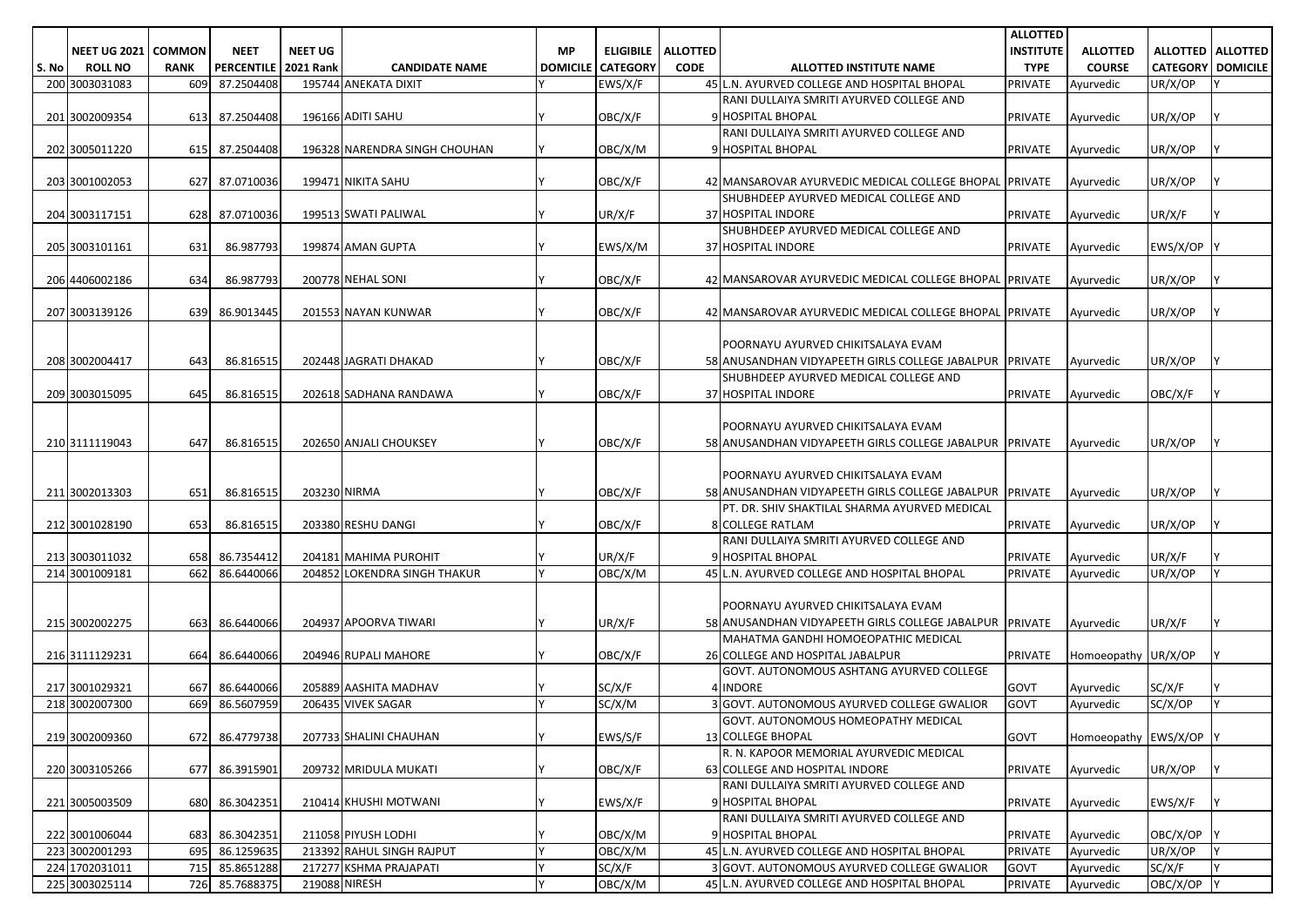|       |                              |             |                        |                |                               |           |                            |                 |                                                                                                 | <b>ALLOTTED</b>  |                        |                          |                            |
|-------|------------------------------|-------------|------------------------|----------------|-------------------------------|-----------|----------------------------|-----------------|-------------------------------------------------------------------------------------------------|------------------|------------------------|--------------------------|----------------------------|
|       | <b>NEET UG 2021   COMMON</b> |             | <b>NEET</b>            | <b>NEET UG</b> |                               | <b>MP</b> | <b>ELIGIBILE</b>           | <b>ALLOTTED</b> |                                                                                                 | <b>INSTITUTE</b> | <b>ALLOTTED</b>        |                          | <b>ALLOTTED   ALLOTTED</b> |
| S. No | <b>ROLL NO</b>               | <b>RANK</b> | PERCENTILE   2021 Rank |                | <b>CANDIDATE NAME</b>         |           | <b>DOMICILE   CATEGORY</b> | <b>CODE</b>     | ALLOTTED INSTITUTE NAME                                                                         | <b>TYPE</b>      | <b>COURSE</b>          | <b>CATEGORY DOMICILE</b> |                            |
|       | 200 3003031083               | 609         | 87.2504408             |                | 195744 ANEKATA DIXIT          |           | EWS/X/F                    |                 | 45 L.N. AYURVED COLLEGE AND HOSPITAL BHOPAL                                                     | <b>PRIVATE</b>   | Ayurvedic              | UR/X/OP                  |                            |
|       |                              |             |                        |                |                               |           |                            |                 | RANI DULLAIYA SMRITI AYURVED COLLEGE AND                                                        |                  |                        |                          |                            |
|       | 201 3002009354               | 613         | 87.2504408             |                | 196166 ADITI SAHU             |           | OBC/X/F                    |                 | 9 HOSPITAL BHOPAL                                                                               | <b>PRIVATE</b>   | Ayurvedic              | UR/X/OP                  |                            |
|       |                              |             |                        |                |                               |           |                            |                 | RANI DULLAIYA SMRITI AYURVED COLLEGE AND                                                        |                  |                        |                          |                            |
|       | 202 3005011220               | 615         | 87.2504408             |                | 196328 NARENDRA SINGH CHOUHAN |           | OBC/X/M                    |                 | 9 HOSPITAL BHOPAL                                                                               | <b>PRIVATE</b>   | Ayurvedic              | UR/X/OP                  |                            |
|       |                              |             |                        |                |                               |           |                            |                 |                                                                                                 |                  |                        |                          |                            |
|       | 203 3001002053               | 627         | 87.0710036             |                | 199471 NIKITA SAHU            |           | OBC/X/F                    |                 | 42 MANSAROVAR AYURVEDIC MEDICAL COLLEGE BHOPAL PRIVATE<br>SHUBHDEEP AYURVED MEDICAL COLLEGE AND |                  | Avurvedic              | UR/X/OP                  |                            |
|       | 204 3003117151               |             | 628 87.0710036         |                | 199513 SWATI PALIWAL          |           | UR/X/F                     |                 | 37 HOSPITAL INDORE                                                                              | <b>PRIVATE</b>   | Ayurvedic              | UR/X/F                   |                            |
|       |                              |             |                        |                |                               |           |                            |                 | SHUBHDEEP AYURVED MEDICAL COLLEGE AND                                                           |                  |                        |                          |                            |
|       | 205 3003101161               | 631         | 86.987793              |                | 199874 AMAN GUPTA             |           | EWS/X/M                    |                 | 37 HOSPITAL INDORE                                                                              | <b>PRIVATE</b>   | Ayurvedic              | EWS/X/OP                 |                            |
|       |                              |             |                        |                |                               |           |                            |                 |                                                                                                 |                  |                        |                          |                            |
|       | 206 4406002186               | 634         | 86.987793              |                | 200778 NEHAL SONI             |           | OBC/X/F                    |                 | 42 MANSAROVAR AYURVEDIC MEDICAL COLLEGE BHOPAL PRIVATE                                          |                  | Ayurvedic              | UR/X/OP                  |                            |
|       |                              |             |                        |                |                               |           |                            |                 |                                                                                                 |                  |                        |                          |                            |
|       | 207 3003139126               | 639         | 86.9013445             |                | 201553 NAYAN KUNWAR           |           | OBC/X/F                    |                 | 42 MANSAROVAR AYURVEDIC MEDICAL COLLEGE BHOPAL PRIVATE                                          |                  | Ayurvedic              | UR/X/OP                  |                            |
|       |                              |             |                        |                |                               |           |                            |                 |                                                                                                 |                  |                        |                          |                            |
|       |                              |             |                        |                |                               |           |                            |                 | POORNAYU AYURVED CHIKITSALAYA EVAM                                                              |                  |                        |                          |                            |
|       | 208 3002004417               | 643         | 86.816515              |                | 202448 JAGRATI DHAKAD         |           | OBC/X/F                    |                 | 58 ANUSANDHAN VIDYAPEETH GIRLS COLLEGE JABALPUR PRIVATE                                         |                  | Ayurvedic              | UR/X/OP                  |                            |
|       |                              |             |                        |                |                               |           |                            |                 | SHUBHDEEP AYURVED MEDICAL COLLEGE AND                                                           |                  |                        |                          |                            |
|       | 209 3003015095               | 645         | 86.816515              |                | 202618 SADHANA RANDAWA        |           | OBC/X/F                    |                 | 37 HOSPITAL INDORE                                                                              | <b>PRIVATE</b>   | Ayurvedic              | OBC/X/F                  |                            |
|       |                              |             |                        |                |                               |           |                            |                 |                                                                                                 |                  |                        |                          |                            |
|       |                              |             |                        |                |                               |           |                            |                 | POORNAYU AYURVED CHIKITSALAYA EVAM                                                              |                  |                        |                          |                            |
|       | 210 3111119043               | 647         | 86.816515              |                | 202650 ANJALI CHOUKSEY        |           | OBC/X/F                    |                 | 58 ANUSANDHAN VIDYAPEETH GIRLS COLLEGE JABALPUR PRIVATE                                         |                  | Ayurvedic              | UR/X/OP                  |                            |
|       |                              |             |                        |                |                               |           |                            |                 |                                                                                                 |                  |                        |                          |                            |
|       |                              |             |                        |                |                               |           |                            |                 | POORNAYU AYURVED CHIKITSALAYA EVAM                                                              |                  |                        |                          |                            |
|       | 211 3002013303               | 651         | 86.816515              | 203230 NIRMA   |                               |           | OBC/X/F                    |                 | 58 ANUSANDHAN VIDYAPEETH GIRLS COLLEGE JABALPUR PRIVATE                                         |                  | Ayurvedic              | UR/X/OP                  |                            |
|       |                              |             |                        |                |                               |           |                            |                 | PT. DR. SHIV SHAKTILAL SHARMA AYURVED MEDICAL                                                   |                  |                        |                          |                            |
|       | 212 3001028190               | 653         | 86.816515              |                | 203380 RESHU DANGI            |           | OBC/X/F                    |                 | 8 COLLEGE RATLAM                                                                                | <b>PRIVATE</b>   | Ayurvedic              | UR/X/OP                  |                            |
|       |                              |             |                        |                |                               |           |                            |                 | RANI DULLAIYA SMRITI AYURVED COLLEGE AND                                                        |                  |                        |                          |                            |
|       | 213 3003011032               | 658         | 86.7354412             |                | 204181 MAHIMA PUROHIT         |           | UR/X/F                     |                 | 9 HOSPITAL BHOPAL                                                                               | <b>PRIVATE</b>   | Ayurvedic              | UR/X/F                   |                            |
|       | 214 3001009181               | 662         | 86.6440066             |                | 204852 LOKENDRA SINGH THAKUR  |           | OBC/X/M                    |                 | 45 L.N. AYURVED COLLEGE AND HOSPITAL BHOPAL                                                     | <b>PRIVATE</b>   | Ayurvedic              | UR/X/OP                  |                            |
|       |                              |             |                        |                |                               |           |                            |                 |                                                                                                 |                  |                        |                          |                            |
|       |                              |             |                        |                |                               |           |                            |                 | POORNAYU AYURVED CHIKITSALAYA EVAM                                                              |                  |                        |                          |                            |
|       | 215 3002002275               | 663         | 86.6440066             |                | 204937 APOORVA TIWARI         |           | UR/X/F                     |                 | 58 ANUSANDHAN VIDYAPEETH GIRLS COLLEGE JABALPUR PRIVATE                                         |                  | Ayurvedic              | UR/X/F                   |                            |
|       |                              |             |                        |                |                               |           |                            |                 | MAHATMA GANDHI HOMOEOPATHIC MEDICAL                                                             |                  |                        |                          |                            |
|       | 216 3111129231               | 664         | 86.6440066             |                | 204946 RUPALI MAHORE          |           | OBC/X/F                    |                 | 26 COLLEGE AND HOSPITAL JABALPUR                                                                | <b>PRIVATE</b>   | Homoeopathy UR/X/OP    |                          |                            |
|       | 217 3001029321               | 667         | 86.6440066             |                | 205889 AASHITA MADHAV         |           | SC/X/F                     |                 | GOVT. AUTONOMOUS ASHTANG AYURVED COLLEGE<br>4 INDORE                                            | <b>GOVT</b>      | Ayurvedic              | SC/X/F                   |                            |
|       | 218 3002007300               | 669         | 86.5607959             |                | 206435 VIVEK SAGAR            |           | SC/X/M                     |                 | 3 GOVT. AUTONOMOUS AYURVED COLLEGE GWALIOR                                                      | GOVT             | Ayurvedic              | SC/X/OP                  |                            |
|       |                              |             |                        |                |                               |           |                            |                 | GOVT. AUTONOMOUS HOMEOPATHY MEDICAL                                                             |                  |                        |                          |                            |
|       | 219 3002009360               |             | 672 86.4779738         |                | 207733 SHALINI CHAUHAN        |           | EWS/S/F                    |                 | <b>13 COLLEGE BHOPAL</b>                                                                        | <b>GOVT</b>      | Homoeopathy EWS/X/OP Y |                          |                            |
|       |                              |             |                        |                |                               |           |                            |                 | R. N. KAPOOR MEMORIAL AYURVEDIC MEDICAL                                                         |                  |                        |                          |                            |
|       | 220 3003105266               |             | 677 86.3915901         |                | 209732 MRIDULA MUKATI         |           | OBC/X/F                    |                 | 63 COLLEGE AND HOSPITAL INDORE                                                                  | <b>PRIVATE</b>   | Ayurvedic              | UR/X/OP                  |                            |
|       |                              |             |                        |                |                               |           |                            |                 | RANI DULLAIYA SMRITI AYURVED COLLEGE AND                                                        |                  |                        |                          |                            |
|       | 221 3005003509               |             | 680 86.3042351         |                | 210414 KHUSHI MOTWANI         |           | EWS/X/F                    |                 | 9 HOSPITAL BHOPAL                                                                               | <b>PRIVATE</b>   | Ayurvedic              | EWS/X/F                  |                            |
|       |                              |             |                        |                |                               |           |                            |                 | RANI DULLAIYA SMRITI AYURVED COLLEGE AND                                                        |                  |                        |                          |                            |
|       | 222 3001006044               |             | 683 86.3042351         |                | 211058 PIYUSH LODHI           |           | OBC/X/M                    |                 | 9 HOSPITAL BHOPAL                                                                               | <b>PRIVATE</b>   | Ayurvedic              | OBC/X/OP                 |                            |
|       | 223 3002001293               |             | 695 86.1259635         |                | 213392 RAHUL SINGH RAJPUT     |           | OBC/X/M                    |                 | 45 L.N. AYURVED COLLEGE AND HOSPITAL BHOPAL                                                     | PRIVATE          | Ayurvedic              | UR/X/OP                  |                            |
|       | 224 1702031011               | 715         | 85.8651288             |                | 217277 KSHMA PRAJAPATI        |           | SC/X/F                     |                 | 3 GOVT. AUTONOMOUS AYURVED COLLEGE GWALIOR                                                      | <b>GOVT</b>      | Ayurvedic              | SC/X/F                   |                            |
|       | 225 3003025114               |             | 726 85.7688375         | 219088 NIRESH  |                               |           | OBC/X/M                    |                 | 45 L.N. AYURVED COLLEGE AND HOSPITAL BHOPAL                                                     | <b>PRIVATE</b>   | Ayurvedic              | OBC/X/OP Y               |                            |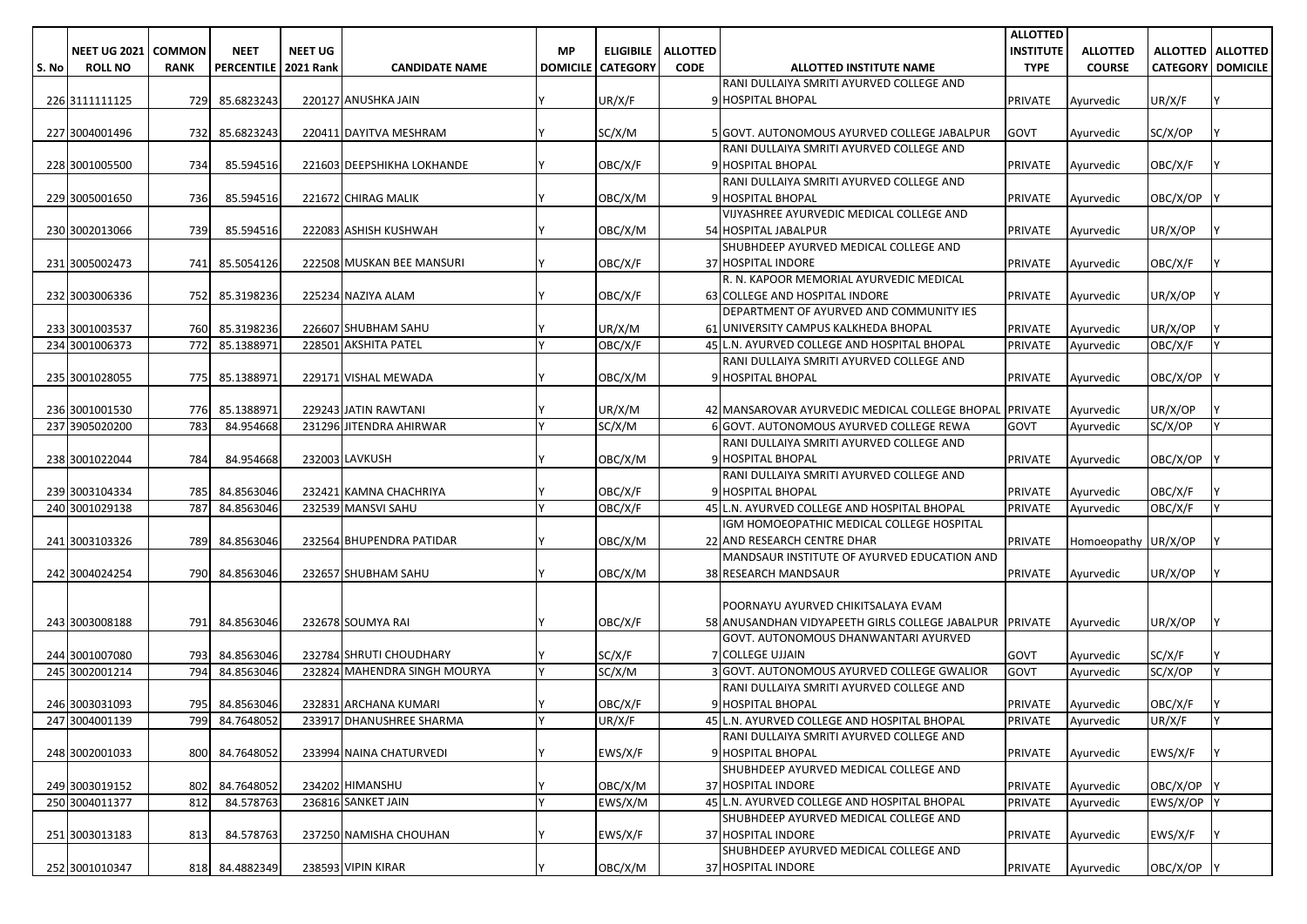|       |                       |               |                   |                  |                              |                 |                  |                 |                                                                                               | <b>ALLOTTED</b>  |                     |                          |    |
|-------|-----------------------|---------------|-------------------|------------------|------------------------------|-----------------|------------------|-----------------|-----------------------------------------------------------------------------------------------|------------------|---------------------|--------------------------|----|
|       | <b>NEET UG 2021  </b> | <b>COMMON</b> | <b>NEET</b>       | <b>NEET UG</b>   |                              | МP              | <b>ELIGIBILE</b> | <b>ALLOTTED</b> |                                                                                               | <b>INSTITUTE</b> | <b>ALLOTTED</b>     | ALLOTTED   ALLOTTED      |    |
| S. No | <b>ROLL NO</b>        | <b>RANK</b>   | <b>PERCENTILE</b> | <b>2021 Rank</b> | <b>CANDIDATE NAME</b>        | <b>DOMICILE</b> | <b>CATEGORY</b>  | <b>CODE</b>     | ALLOTTED INSTITUTE NAME                                                                       | <b>TYPE</b>      | <b>COURSE</b>       | <b>CATEGORY DOMICILE</b> |    |
|       |                       |               |                   |                  |                              |                 |                  |                 | RANI DULLAIYA SMRITI AYURVED COLLEGE AND<br>9 HOSPITAL BHOPAL                                 |                  |                     |                          |    |
|       | 226 3111111125        | 729           | 85.6823243        |                  | 220127 ANUSHKA JAIN          |                 | UR/X/F           |                 |                                                                                               | <b>PRIVATE</b>   | Ayurvedic           | UR/X/F                   |    |
|       | 227 3004001496        | 732           | 85.6823243        |                  | 220411 DAYITVA MESHRAM       |                 | SC/X/M           |                 | 5 GOVT. AUTONOMOUS AYURVED COLLEGE JABALPUR                                                   | <b>GOVT</b>      | Ayurvedic           | SC/X/OP                  |    |
|       |                       |               |                   |                  |                              |                 |                  |                 | RANI DULLAIYA SMRITI AYURVED COLLEGE AND                                                      |                  |                     |                          |    |
|       | 228 3001005500        | 734           | 85.594516         |                  | 221603 DEEPSHIKHA LOKHANDE   |                 | OBC/X/F          |                 | 9 HOSPITAL BHOPAL                                                                             | <b>PRIVATE</b>   | Ayurvedic           | OBC/X/F                  |    |
|       |                       |               |                   |                  |                              |                 |                  |                 | RANI DULLAIYA SMRITI AYURVED COLLEGE AND                                                      |                  |                     |                          |    |
|       | 229 3005001650        | 736           | 85.594516         |                  | 221672 CHIRAG MALIK          |                 | OBC/X/M          |                 | 9 HOSPITAL BHOPAL                                                                             | <b>PRIVATE</b>   | Ayurvedic           | OBC/X/OP                 |    |
|       |                       |               |                   |                  |                              |                 |                  |                 | VIJYASHREE AYURVEDIC MEDICAL COLLEGE AND                                                      |                  |                     |                          |    |
|       | 230 3002013066        | 739           | 85.594516         |                  | 222083 ASHISH KUSHWAH        |                 | OBC/X/M          |                 | 54 HOSPITAL JABALPUR                                                                          | <b>PRIVATE</b>   | Ayurvedic           | UR/X/OP                  |    |
|       |                       |               |                   |                  |                              |                 |                  |                 | SHUBHDEEP AYURVED MEDICAL COLLEGE AND                                                         |                  |                     |                          |    |
|       | 231 3005002473        | 741           | 85.5054126        |                  | 222508 MUSKAN BEE MANSURI    |                 | OBC/X/F          |                 | 37 HOSPITAL INDORE                                                                            | <b>PRIVATE</b>   | Ayurvedic           | OBC/X/F                  |    |
|       |                       |               |                   |                  |                              |                 |                  |                 | R. N. KAPOOR MEMORIAL AYURVEDIC MEDICAL                                                       |                  |                     |                          |    |
|       | 232 3003006336        | 752           | 85.3198236        |                  | 225234 NAZIYA ALAM           |                 | OBC/X/F          |                 | 63 COLLEGE AND HOSPITAL INDORE                                                                | <b>PRIVATE</b>   | Ayurvedic           | UR/X/OP                  |    |
|       |                       |               |                   |                  |                              |                 |                  |                 | DEPARTMENT OF AYURVED AND COMMUNITY IES                                                       |                  |                     |                          |    |
|       | 233 3001003537        | 760           | 85.3198236        |                  | 226607 SHUBHAM SAHU          |                 | UR/X/M           |                 | 61 UNIVERSITY CAMPUS KALKHEDA BHOPAL                                                          | <b>PRIVATE</b>   | Ayurvedic           | UR/X/OP                  |    |
|       | 234 3001006373        | 772           | 85.1388971        |                  | 228501 AKSHITA PATEL         |                 | OBC/X/F          |                 | 45 L.N. AYURVED COLLEGE AND HOSPITAL BHOPAL                                                   | <b>PRIVATE</b>   | Ayurvedic           | OBC/X/F                  |    |
|       |                       |               |                   |                  |                              |                 |                  |                 | RANI DULLAIYA SMRITI AYURVED COLLEGE AND                                                      |                  |                     |                          |    |
|       | 235 3001028055        | 775           | 85.1388971        |                  | 229171 VISHAL MEWADA         |                 | OBC/X/M          |                 | 9 HOSPITAL BHOPAL                                                                             | <b>PRIVATE</b>   | Ayurvedic           | OBC/X/OP                 |    |
|       | 236 3001001530        | 776           | 85.1388971        |                  | 229243 JATIN RAWTANI         |                 | UR/X/M           |                 | 42 MANSAROVAR AYURVEDIC MEDICAL COLLEGE BHOPAL PRIVATE                                        |                  | Avurvedic           | UR/X/OP                  |    |
|       | 237 3905020200        | 783           | 84.954668         |                  | 231296 JITENDRA AHIRWAR      |                 | SC/X/M           |                 | 6 GOVT. AUTONOMOUS AYURVED COLLEGE REWA                                                       | <b>GOVT</b>      | Ayurvedic           | SC/X/OP                  |    |
|       |                       |               |                   |                  |                              |                 |                  |                 | RANI DULLAIYA SMRITI AYURVED COLLEGE AND                                                      |                  |                     |                          |    |
|       | 238 3001022044        | 784           | 84.954668         |                  | 232003 LAVKUSH               |                 | OBC/X/M          |                 | 9 HOSPITAL BHOPAL                                                                             | <b>PRIVATE</b>   | Ayurvedic           | OBC/X/OP                 |    |
|       |                       |               |                   |                  |                              |                 |                  |                 | RANI DULLAIYA SMRITI AYURVED COLLEGE AND                                                      |                  |                     |                          |    |
|       | 239 3003104334        | 785           | 84.8563046        |                  | 232421 KAMNA CHACHRIYA       |                 | OBC/X/F          |                 | 9 HOSPITAL BHOPAL                                                                             | <b>PRIVATE</b>   | Ayurvedic           | OBC/X/F                  |    |
|       | 240 3001029138        | 787           | 84.8563046        |                  | 232539 MANSVI SAHU           |                 | OBC/X/F          |                 | 45 L.N. AYURVED COLLEGE AND HOSPITAL BHOPAL                                                   | <b>PRIVATE</b>   | Avurvedic           | OBC/X/F                  |    |
|       |                       |               |                   |                  |                              |                 |                  |                 | IGM HOMOEOPATHIC MEDICAL COLLEGE HOSPITAL                                                     |                  |                     |                          |    |
|       | 241 3003103326        | 789           | 84.8563046        |                  | 232564 BHUPENDRA PATIDAR     |                 | OBC/X/M          |                 | 22 AND RESEARCH CENTRE DHAR                                                                   | <b>PRIVATE</b>   | Homoeopathy UR/X/OP |                          |    |
|       |                       |               |                   |                  |                              |                 |                  |                 | MANDSAUR INSTITUTE OF AYURVED EDUCATION AND                                                   |                  |                     |                          |    |
|       | 242 3004024254        | 790           | 84.8563046        |                  | 232657 SHUBHAM SAHU          |                 | OBC/X/M          |                 | <b>38 RESEARCH MANDSAUR</b>                                                                   | <b>PRIVATE</b>   | Ayurvedic           | UR/X/OP                  |    |
|       |                       |               |                   |                  |                              |                 |                  |                 |                                                                                               |                  |                     |                          |    |
|       | 243 3003008188        | 791           | 84.8563046        |                  | 232678 SOUMYA RAI            |                 | OBC/X/F          |                 | POORNAYU AYURVED CHIKITSALAYA EVAM<br>58 ANUSANDHAN VIDYAPEETH GIRLS COLLEGE JABALPUR PRIVATE |                  |                     |                          |    |
|       |                       |               |                   |                  |                              |                 |                  |                 | GOVT. AUTONOMOUS DHANWANTARI AYURVED                                                          |                  | Ayurvedic           | UR/X/OP                  |    |
|       | 244 3001007080        |               | 793 84.8563046    |                  | 232784 SHRUTI CHOUDHARY      |                 | SC/X/F           |                 | <b>COLLEGE UJJAIN</b>                                                                         | <b>GOVT</b>      | Ayurvedic           | SC/X/F                   |    |
|       | 245 3002001214        | 794           | 84.8563046        |                  | 232824 MAHENDRA SINGH MOURYA |                 | SC/X/M           |                 | GOVT. AUTONOMOUS AYURVED COLLEGE GWALIOR                                                      | <b>GOVT</b>      | Ayurvedic           | SC/X/OP                  |    |
|       |                       |               |                   |                  |                              |                 |                  |                 | RANI DULLAIYA SMRITI AYURVED COLLEGE AND                                                      |                  |                     |                          |    |
|       | 246 3003031093        | 795           | 84.8563046        |                  | 232831 ARCHANA KUMARI        |                 | OBC/X/F          |                 | 9 HOSPITAL BHOPAL                                                                             | <b>PRIVATE</b>   | Ayurvedic           | OBC/X/F                  |    |
|       | 247 3004001139        |               | 799 84.7648052    |                  | 233917 DHANUSHREE SHARMA     | I۷              | UR/X/F           |                 | 45 L.N. AYURVED COLLEGE AND HOSPITAL BHOPAL                                                   | <b>PRIVATE</b>   | Ayurvedic           | UR/X/F                   | I۷ |
|       |                       |               |                   |                  |                              |                 |                  |                 | RANI DULLAIYA SMRITI AYURVED COLLEGE AND                                                      |                  |                     |                          |    |
|       | 248 3002001033        |               | 800 84.7648052    |                  | 233994 NAINA CHATURVEDI      |                 | EWS/X/F          |                 | 9 HOSPITAL BHOPAL                                                                             | <b>PRIVATE</b>   | Ayurvedic           | EWS/X/F                  |    |
|       |                       |               |                   |                  |                              |                 |                  |                 | SHUBHDEEP AYURVED MEDICAL COLLEGE AND                                                         |                  |                     |                          |    |
|       | 249 3003019152        | 802           | 84.7648052        |                  | 234202 HIMANSHU              |                 | OBC/X/M          |                 | 37 HOSPITAL INDORE                                                                            | <b>PRIVATE</b>   | Ayurvedic           | OBC/X/OP                 |    |
|       | 250 3004011377        | 812           | 84.578763         |                  | 236816 SANKET JAIN           |                 | EWS/X/M          |                 | 45 L.N. AYURVED COLLEGE AND HOSPITAL BHOPAL                                                   | <b>PRIVATE</b>   | Ayurvedic           | EWS/X/OP Y               |    |
|       |                       |               |                   |                  |                              |                 |                  |                 | SHUBHDEEP AYURVED MEDICAL COLLEGE AND                                                         |                  |                     |                          |    |
|       | 251 3003013183        | 813           | 84.578763         |                  | 237250 NAMISHA CHOUHAN       |                 | EWS/X/F          |                 | 37 HOSPITAL INDORE                                                                            | <b>PRIVATE</b>   | Ayurvedic           | EWS/X/F                  |    |
|       |                       |               |                   |                  |                              |                 |                  |                 | SHUBHDEEP AYURVED MEDICAL COLLEGE AND                                                         |                  |                     |                          |    |
|       | 252 3001010347        |               | 818 84.4882349    |                  | 238593 VIPIN KIRAR           |                 | OBC/X/M          |                 | 37 HOSPITAL INDORE                                                                            | <b>PRIVATE</b>   | Ayurvedic           | OBC/X/OP Y               |    |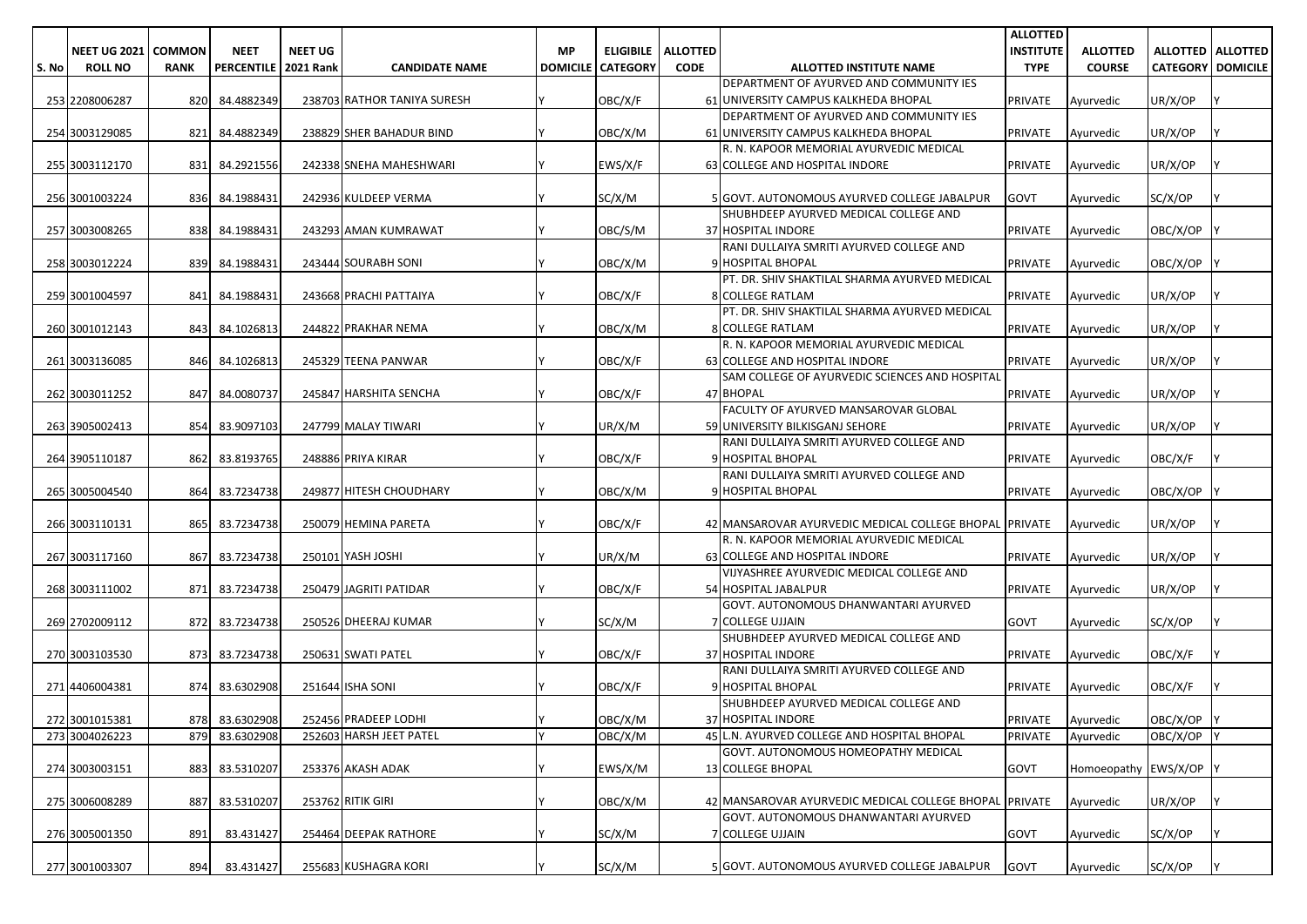|       |                       |             |                        |                |                             |                 |                  |                 |                                                               | <b>ALLOTTED</b>  |                        |                          |                            |
|-------|-----------------------|-------------|------------------------|----------------|-----------------------------|-----------------|------------------|-----------------|---------------------------------------------------------------|------------------|------------------------|--------------------------|----------------------------|
|       | NEET UG 2021   COMMON |             | <b>NEET</b>            | <b>NEET UG</b> |                             | <b>MP</b>       | <b>ELIGIBILE</b> | <b>ALLOTTED</b> |                                                               | <b>INSTITUTE</b> | <b>ALLOTTED</b>        |                          | <b>ALLOTTED   ALLOTTED</b> |
| S. No | <b>ROLL NO</b>        | <b>RANK</b> | PERCENTILE   2021 Rank |                | <b>CANDIDATE NAME</b>       | <b>DOMICILE</b> | <b>CATEGORY</b>  | <b>CODE</b>     | ALLOTTED INSTITUTE NAME                                       | <b>TYPE</b>      | <b>COURSE</b>          | <b>CATEGORY DOMICILE</b> |                            |
|       |                       |             |                        |                |                             |                 |                  |                 | DEPARTMENT OF AYURVED AND COMMUNITY IES                       |                  |                        |                          |                            |
|       | 253 2208006287        | 820         | 84.4882349             |                | 238703 RATHOR TANIYA SURESH |                 | OBC/X/F          |                 | 61 UNIVERSITY CAMPUS KALKHEDA BHOPAL                          | PRIVATE          | Ayurvedic              | UR/X/OP                  |                            |
|       |                       |             |                        |                |                             |                 |                  |                 | DEPARTMENT OF AYURVED AND COMMUNITY IES                       |                  |                        |                          |                            |
|       | 254 3003129085        | 821         | 84.4882349             |                | 238829 SHER BAHADUR BIND    |                 | OBC/X/M          |                 | 61 UNIVERSITY CAMPUS KALKHEDA BHOPAL                          | PRIVATE          | Ayurvedic              | UR/X/OP                  |                            |
|       |                       |             |                        |                |                             |                 |                  |                 | R. N. KAPOOR MEMORIAL AYURVEDIC MEDICAL                       |                  |                        |                          |                            |
|       | 255 3003112170        | 831         | 84.2921556             |                | 242338 SNEHA MAHESHWARI     |                 | EWS/X/F          |                 | 63 COLLEGE AND HOSPITAL INDORE                                | <b>PRIVATE</b>   | Ayurvedic              | UR/X/OP                  |                            |
|       |                       |             |                        |                |                             |                 |                  |                 |                                                               |                  |                        |                          |                            |
|       | 256 3001003224        | 836         | 84.1988431             |                | 242936 KULDEEP VERMA        |                 | SC/X/M           |                 | 5 GOVT. AUTONOMOUS AYURVED COLLEGE JABALPUR                   | <b>GOVT</b>      | Ayurvedic              | SC/X/OP                  |                            |
|       |                       |             |                        |                |                             |                 |                  |                 | SHUBHDEEP AYURVED MEDICAL COLLEGE AND                         |                  |                        |                          |                            |
|       | 257 3003008265        | 838         | 84.1988431             |                | 243293 AMAN KUMRAWAT        |                 | OBC/S/M          |                 | 37 HOSPITAL INDORE                                            | PRIVATE          | Ayurvedic              | OBC/X/OP                 |                            |
|       |                       |             |                        |                |                             |                 |                  |                 | RANI DULLAIYA SMRITI AYURVED COLLEGE AND                      |                  |                        |                          |                            |
|       | 258 3003012224        | 839         | 84.1988431             |                | 243444 SOURABH SONI         |                 | OBC/X/M          |                 | <b>9 HOSPITAL BHOPAL</b>                                      | PRIVATE          | Ayurvedic              | OBC/X/OP                 |                            |
|       |                       |             |                        |                |                             |                 |                  |                 | PT. DR. SHIV SHAKTILAL SHARMA AYURVED MEDICAL                 |                  |                        |                          |                            |
|       | 259 3001004597        | 841         | 84.1988431             |                | 243668 PRACHI PATTAIYA      |                 | OBC/X/F          |                 | <b>8 COLLEGE RATLAM</b>                                       | PRIVATE          | Ayurvedic              | UR/X/OP                  |                            |
|       |                       |             |                        |                |                             |                 |                  |                 | PT. DR. SHIV SHAKTILAL SHARMA AYURVED MEDICAL                 |                  |                        |                          |                            |
|       | 260 3001012143        | 843         | 84.1026813             |                | 244822 PRAKHAR NEMA         |                 | OBC/X/M          |                 | <b>8 COLLEGE RATLAM</b>                                       | PRIVATE          | Ayurvedic              | UR/X/OP                  |                            |
|       |                       |             |                        |                |                             |                 |                  |                 | R. N. KAPOOR MEMORIAL AYURVEDIC MEDICAL                       |                  |                        |                          |                            |
|       | 261 3003136085        | 846         | 84.1026813             |                | 245329 TEENA PANWAR         |                 | OBC/X/F          |                 | 63 COLLEGE AND HOSPITAL INDORE                                | PRIVATE          | Ayurvedic              | UR/X/OP                  |                            |
|       |                       |             |                        |                |                             |                 |                  |                 | SAM COLLEGE OF AYURVEDIC SCIENCES AND HOSPITAL                |                  |                        |                          |                            |
|       | 262 3003011252        | 847         | 84.0080737             |                | 245847 HARSHITA SENCHA      |                 | OBC/X/F          |                 | 47 BHOPAL                                                     | PRIVATE          | Ayurvedic              | UR/X/OP                  |                            |
|       |                       |             |                        |                |                             |                 |                  |                 | FACULTY OF AYURVED MANSAROVAR GLOBAL                          |                  |                        |                          |                            |
|       | 263 3905002413        | 854         | 83.9097103             |                | 247799 MALAY TIWARI         |                 | UR/X/M           |                 | 59 UNIVERSITY BILKISGANJ SEHORE                               | PRIVATE          | Ayurvedic              | UR/X/OP                  |                            |
|       |                       |             |                        |                |                             |                 |                  |                 | RANI DULLAIYA SMRITI AYURVED COLLEGE AND                      |                  |                        |                          |                            |
|       | 264 3905110187        | 862         | 83.8193765             |                | 248886 PRIYA KIRAR          |                 | OBC/X/F          |                 | 9 HOSPITAL BHOPAL<br>RANI DULLAIYA SMRITI AYURVED COLLEGE AND | PRIVATE          | Ayurvedic              | OBC/X/F                  |                            |
|       | 265 3005004540        | 864         | 83.7234738             |                | 249877 HITESH CHOUDHARY     |                 | OBC/X/M          |                 | 9 HOSPITAL BHOPAL                                             | PRIVATE          |                        | OBC/X/OP                 |                            |
|       |                       |             |                        |                |                             |                 |                  |                 |                                                               |                  | Ayurvedic              |                          |                            |
|       | 266 3003110131        | 865         | 83.7234738             |                | 250079 HEMINA PARETA        |                 | OBC/X/F          |                 | 42 MANSAROVAR AYURVEDIC MEDICAL COLLEGE BHOPAL PRIVATE        |                  | Ayurvedic              | UR/X/OP                  |                            |
|       |                       |             |                        |                |                             |                 |                  |                 | R. N. KAPOOR MEMORIAL AYURVEDIC MEDICAL                       |                  |                        |                          |                            |
|       | 267 3003117160        | 867         | 83.7234738             |                | 250101 YASH JOSHI           |                 | UR/X/M           |                 | 63 COLLEGE AND HOSPITAL INDORE                                | PRIVATE          | Ayurvedic              | UR/X/OP                  |                            |
|       |                       |             |                        |                |                             |                 |                  |                 | VIJYASHREE AYURVEDIC MEDICAL COLLEGE AND                      |                  |                        |                          |                            |
|       | 268 3003111002        | 871         | 83.7234738             |                | 250479 JAGRITI PATIDAR      |                 | OBC/X/F          |                 | 54 HOSPITAL JABALPUR                                          | PRIVATE          | Ayurvedic              | UR/X/OP                  |                            |
|       |                       |             |                        |                |                             |                 |                  |                 | GOVT. AUTONOMOUS DHANWANTARI AYURVED                          |                  |                        |                          |                            |
|       | 269 2702009112        | 872         | 83.7234738             |                | 250526 DHEERAJ KUMAR        |                 | SC/X/M           |                 | 7 COLLEGE UJJAIN                                              | GOVT             | Ayurvedic              | SC/X/OP                  |                            |
|       |                       |             |                        |                |                             |                 |                  |                 | SHUBHDEEP AYURVED MEDICAL COLLEGE AND                         |                  |                        |                          |                            |
|       | 270 3003103530        | 873         | 83.7234738             |                | 250631 SWATI PATEL          |                 | OBC/X/F          |                 | 37 HOSPITAL INDORE                                            | PRIVATE          | Ayurvedic              | OBC/X/F                  |                            |
|       |                       |             |                        |                |                             |                 |                  |                 | RANI DULLAIYA SMRITI AYURVED COLLEGE AND                      |                  |                        |                          |                            |
|       | 271 4406004381        | 874         | 83.6302908             |                | 251644 ISHA SONI            |                 | OBC/X/F          |                 | 9 HOSPITAL BHOPAL                                             | PRIVATE          | Ayurvedic              | OBC/X/F                  |                            |
|       |                       |             |                        |                |                             |                 |                  |                 | SHUBHDEEP AYURVED MEDICAL COLLEGE AND                         |                  |                        |                          |                            |
|       | 272 3001015381        |             | 878 83.6302908         |                | 252456 PRADEEP LODHI        |                 | OBC/X/M          |                 | 37 HOSPITAL INDORE                                            | PRIVATE          | Ayurvedic              | OBC/X/OP Y               |                            |
|       | 273 3004026223        | 879         | 83.6302908             |                | 252603 HARSH JEET PATEL     | <b>V</b>        | OBC/X/M          |                 | 45 L.N. AYURVED COLLEGE AND HOSPITAL BHOPAL                   | PRIVATE          | Ayurvedic              | OBC/X/OP                 | <b>IY</b>                  |
|       |                       |             |                        |                |                             |                 |                  |                 | GOVT. AUTONOMOUS HOMEOPATHY MEDICAL                           |                  |                        |                          |                            |
|       | 274 3003003151        | 883         | 83.5310207             |                | 253376 AKASH ADAK           |                 | EWS/X/M          |                 | 13 COLLEGE BHOPAL                                             | <b>GOVT</b>      | Homoeopathy EWS/X/OP Y |                          |                            |
|       |                       |             |                        |                |                             |                 |                  |                 |                                                               |                  |                        |                          |                            |
|       | 275 3006008289        | 887         | 83.5310207             |                | 253762 RITIK GIRI           |                 | OBC/X/M          |                 | 42 MANSAROVAR AYURVEDIC MEDICAL COLLEGE BHOPAL PRIVATE        |                  | Ayurvedic              | UR/X/OP                  |                            |
|       |                       |             |                        |                |                             |                 |                  |                 | GOVT. AUTONOMOUS DHANWANTARI AYURVED                          |                  |                        |                          |                            |
|       | 276 3005001350        | 891         | 83.431427              |                | 254464 DEEPAK RATHORE       |                 | SC/X/M           |                 | 7 COLLEGE UJJAIN                                              | <b>GOVT</b>      | Ayurvedic              | SC/X/OP                  |                            |
|       |                       |             |                        |                |                             |                 |                  |                 |                                                               |                  |                        |                          |                            |
|       | 277 3001003307        | 894         | 83.431427              |                | 255683 KUSHAGRA KORI        |                 | SC/X/M           |                 | 5 GOVT. AUTONOMOUS AYURVED COLLEGE JABALPUR                   | <b>GOVT</b>      | Ayurvedic              | SC/X/OP                  |                            |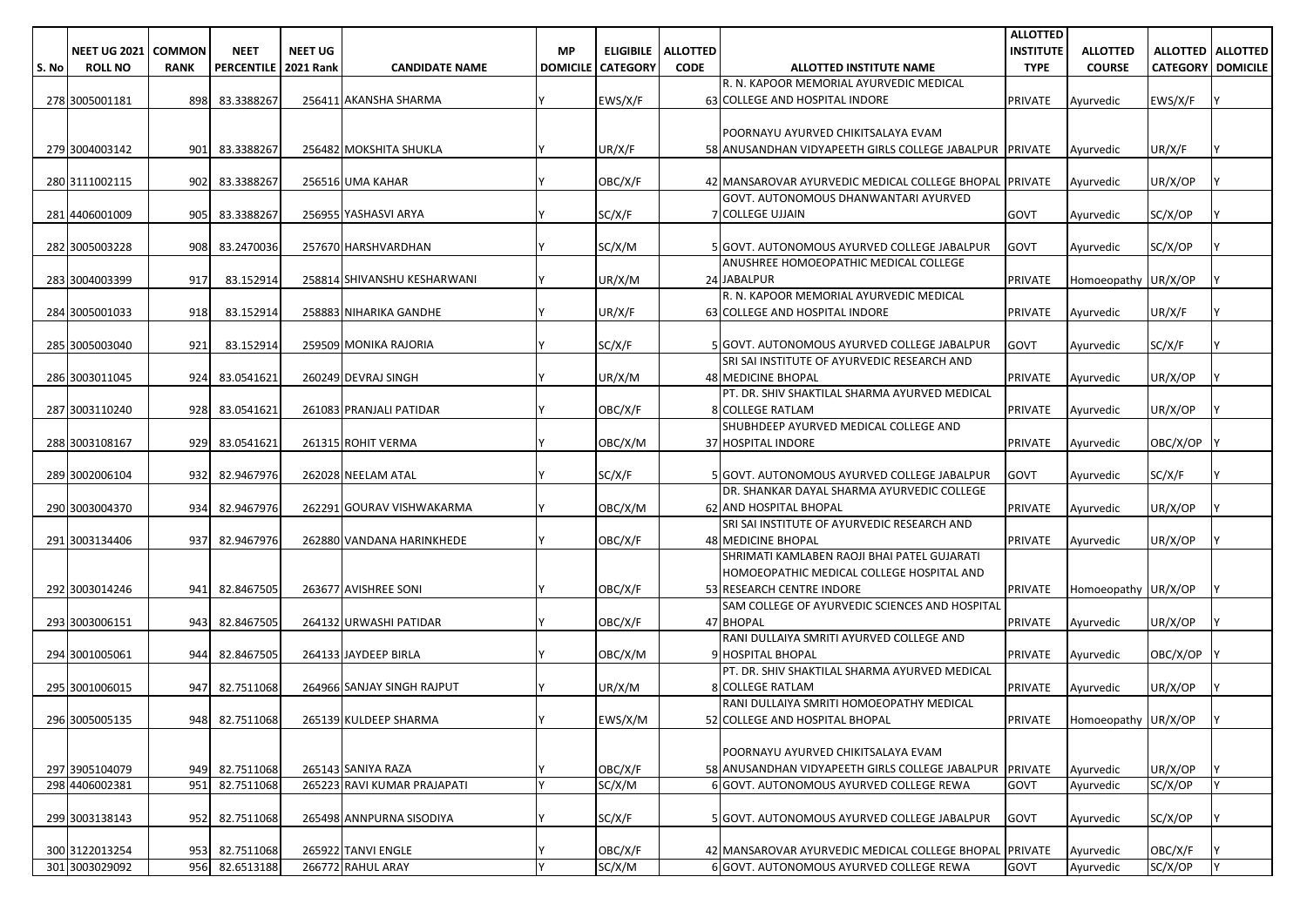|       |                     |               |                        |                |                             |           |                          |                 |                                                                                          | <b>ALLOTTED</b>  |                     |                          |                     |
|-------|---------------------|---------------|------------------------|----------------|-----------------------------|-----------|--------------------------|-----------------|------------------------------------------------------------------------------------------|------------------|---------------------|--------------------------|---------------------|
|       | <b>NEET UG 2021</b> | <b>COMMON</b> | <b>NEET</b>            | <b>NEET UG</b> |                             | <b>MP</b> | <b>ELIGIBILE</b>         | <b>ALLOTTED</b> |                                                                                          | <b>INSTITUTE</b> | <b>ALLOTTED</b>     |                          | ALLOTTED   ALLOTTED |
| S. No | <b>ROLL NO</b>      | <b>RANK</b>   | PERCENTILE   2021 Rank |                | <b>CANDIDATE NAME</b>       |           | <b>DOMICILE CATEGORY</b> | <b>CODE</b>     | ALLOTTED INSTITUTE NAME                                                                  | <b>TYPE</b>      | <b>COURSE</b>       | <b>CATEGORY DOMICILE</b> |                     |
|       |                     |               |                        |                |                             |           |                          |                 | R. N. KAPOOR MEMORIAL AYURVEDIC MEDICAL                                                  |                  |                     |                          |                     |
|       | 278 3005001181      | 8981          | 83.3388267             |                | 256411 AKANSHA SHARMA       |           | EWS/X/F                  |                 | 63 COLLEGE AND HOSPITAL INDORE                                                           | <b>PRIVATE</b>   | Ayurvedic           | EWS/X/F                  |                     |
|       |                     |               |                        |                |                             |           |                          |                 |                                                                                          |                  |                     |                          |                     |
|       |                     |               |                        |                |                             |           |                          |                 | POORNAYU AYURVED CHIKITSALAYA EVAM                                                       |                  |                     |                          |                     |
|       | 279 3004003142      | 901           | 83.3388267             |                | 256482 MOKSHITA SHUKLA      |           | UR/X/F                   |                 | 58 ANUSANDHAN VIDYAPEETH GIRLS COLLEGE JABALPUR PRIVATE                                  |                  | Ayurvedic           | UR/X/F                   |                     |
|       |                     |               |                        |                |                             |           |                          |                 |                                                                                          |                  |                     |                          |                     |
|       | 280 3111002115      | 902           | 83.3388267             |                | 256516 UMA KAHAR            |           | OBC/X/F                  |                 | 42 MANSAROVAR AYURVEDIC MEDICAL COLLEGE BHOPAL PRIVATE                                   |                  | Ayurvedic           | UR/X/OP                  |                     |
|       |                     |               |                        |                |                             |           |                          |                 | GOVT. AUTONOMOUS DHANWANTARI AYURVED                                                     |                  |                     |                          |                     |
|       | 281 4406001009      | 905           | 83.3388267             |                | 256955 YASHASVI ARYA        |           | SC/X/F                   |                 | 7 COLLEGE UJJAIN                                                                         | <b>GOVT</b>      | Ayurvedic           | SC/X/OP                  |                     |
|       | 282 3005003228      | 908           | 83.2470036             |                | 257670 HARSHVARDHAN         |           | SC/X/M                   |                 | 5 GOVT. AUTONOMOUS AYURVED COLLEGE JABALPUR                                              | <b>GOVT</b>      | Ayurvedic           | SC/X/OP                  |                     |
|       |                     |               |                        |                |                             |           |                          |                 | ANUSHREE HOMOEOPATHIC MEDICAL COLLEGE                                                    |                  |                     |                          |                     |
|       | 283 3004003399      | 917           | 83.152914              |                | 258814 SHIVANSHU KESHARWANI |           | UR/X/M                   |                 | 24 JABALPUR                                                                              | <b>PRIVATE</b>   | Homoeopathy UR/X/OP |                          |                     |
|       |                     |               |                        |                |                             |           |                          |                 | R. N. KAPOOR MEMORIAL AYURVEDIC MEDICAL                                                  |                  |                     |                          |                     |
|       | 284 3005001033      | 918           | 83.152914              |                | 258883 NIHARIKA GANDHE      |           | UR/X/F                   |                 | 63 COLLEGE AND HOSPITAL INDORE                                                           | <b>PRIVATE</b>   | Ayurvedic           | UR/X/F                   |                     |
|       |                     |               |                        |                |                             |           |                          |                 |                                                                                          |                  |                     |                          |                     |
|       | 285 3005003040      | 921           | 83.152914              |                | 259509 MONIKA RAJORIA       |           | SC/X/F                   |                 | 5 GOVT. AUTONOMOUS AYURVED COLLEGE JABALPUR                                              | <b>GOVT</b>      | Ayurvedic           | SC/X/F                   |                     |
|       |                     |               |                        |                |                             |           |                          |                 | SRI SAI INSTITUTE OF AYURVEDIC RESEARCH AND                                              |                  |                     |                          |                     |
|       | 286 3003011045      | 924           | 83.0541621             |                | 260249 DEVRAJ SINGH         |           | UR/X/M                   |                 | <b>48 MEDICINE BHOPAL</b>                                                                | <b>PRIVATE</b>   | Ayurvedic           | UR/X/OP                  |                     |
|       |                     |               |                        |                |                             |           |                          |                 | PT. DR. SHIV SHAKTILAL SHARMA AYURVED MEDICAL                                            |                  |                     |                          |                     |
|       | 287 3003110240      |               | 928 83.0541621         |                | 261083 PRANJALI PATIDAR     |           | OBC/X/F                  |                 | 8 COLLEGE RATLAM                                                                         | <b>PRIVATE</b>   | Ayurvedic           | UR/X/OP                  |                     |
|       |                     |               |                        |                |                             |           |                          |                 | SHUBHDEEP AYURVED MEDICAL COLLEGE AND                                                    |                  |                     |                          |                     |
|       | 288 3003108167      | 929           | 83.0541621             |                | 261315 ROHIT VERMA          |           | OBC/X/M                  |                 | 37 HOSPITAL INDORE                                                                       | <b>PRIVATE</b>   | Avurvedic           | OBC/X/OP                 |                     |
|       |                     |               |                        |                |                             |           |                          |                 |                                                                                          |                  |                     |                          |                     |
|       | 289 3002006104      | 932           | 82.9467976             |                | 262028 NEELAM ATAL          |           | SC/X/F                   |                 | 5 GOVT. AUTONOMOUS AYURVED COLLEGE JABALPUR                                              | <b>GOVT</b>      | Ayurvedic           | SC/X/F                   |                     |
|       |                     |               |                        |                |                             |           |                          |                 | DR. SHANKAR DAYAL SHARMA AYURVEDIC COLLEGE                                               |                  |                     |                          |                     |
|       | 290 3003004370      | 934           | 82.9467976             |                | 262291 GOURAV VISHWAKARMA   |           | OBC/X/M                  |                 | 62 AND HOSPITAL BHOPAL                                                                   | <b>PRIVATE</b>   | Ayurvedic           | UR/X/OP                  |                     |
|       |                     |               |                        |                |                             |           |                          |                 | SRI SAI INSTITUTE OF AYURVEDIC RESEARCH AND                                              |                  |                     |                          |                     |
|       | 291 3003134406      | 937           | 82.9467976             |                | 262880 VANDANA HARINKHEDE   |           | OBC/X/F                  |                 | 48 MEDICINE BHOPAL                                                                       | <b>PRIVATE</b>   | Ayurvedic           | UR/X/OP                  |                     |
|       |                     |               |                        |                |                             |           |                          |                 | SHRIMATI KAMLABEN RAOJI BHAI PATEL GUJARATI<br>HOMOEOPATHIC MEDICAL COLLEGE HOSPITAL AND |                  |                     |                          |                     |
|       | 292 3003014246      | 941           | 82.8467505             |                | 263677 AVISHREE SONI        |           | OBC/X/F                  |                 | 53 RESEARCH CENTRE INDORE                                                                | <b>PRIVATE</b>   | Homoeopathy UR/X/OP |                          |                     |
|       |                     |               |                        |                |                             |           |                          |                 | SAM COLLEGE OF AYURVEDIC SCIENCES AND HOSPITAL                                           |                  |                     |                          |                     |
|       | 293 3003006151      | 943           | 82.8467505             |                | 264132 URWASHI PATIDAR      |           | OBC/X/F                  |                 | 47 BHOPAL                                                                                | <b>PRIVATE</b>   | Ayurvedic           | UR/X/OP                  |                     |
|       |                     |               |                        |                |                             |           |                          |                 | RANI DULLAIYA SMRITI AYURVED COLLEGE AND                                                 |                  |                     |                          |                     |
|       | 294 3001005061      | 944           | 82.8467505             |                | 264133 JAYDEEP BIRLA        |           | OBC/X/M                  |                 | 9 HOSPITAL BHOPAL                                                                        | <b>PRIVATE</b>   | Ayurvedic           | OBC/X/OP                 |                     |
|       |                     |               |                        |                |                             |           |                          |                 | PT. DR. SHIV SHAKTILAL SHARMA AYURVED MEDICAL                                            |                  |                     |                          |                     |
|       | 295 3001006015      | 947           | 82.7511068             |                | 264966 SANJAY SINGH RAJPUT  |           | UR/X/M                   |                 | <b>8 COLLEGE RATLAM</b>                                                                  | <b>PRIVATE</b>   | Avurvedic           | UR/X/OP                  |                     |
|       |                     |               |                        |                |                             |           |                          |                 | RANI DULLAIYA SMRITI HOMOEOPATHY MEDICAL                                                 |                  |                     |                          |                     |
|       | 296 3005005135      |               | 948 82.7511068         |                | 265139 KULDEEP SHARMA       |           | EWS/X/M                  |                 | 52 COLLEGE AND HOSPITAL BHOPAL                                                           | <b>PRIVATE</b>   | Homoeopathy UR/X/OP |                          |                     |
|       |                     |               |                        |                |                             |           |                          |                 |                                                                                          |                  |                     |                          |                     |
|       |                     |               |                        |                |                             |           |                          |                 | POORNAYU AYURVED CHIKITSALAYA EVAM                                                       |                  |                     |                          |                     |
|       | 297 3905104079      |               | 949 82.7511068         |                | 265143 SANIYA RAZA          |           | OBC/X/F                  |                 | 58 ANUSANDHAN VIDYAPEETH GIRLS COLLEGE JABALPUR PRIVATE                                  |                  | Ayurvedic           | UR/X/OP                  |                     |
|       | 298 4406002381      | 951           | 82.7511068             |                | 265223 RAVI KUMAR PRAJAPATI |           | SC/X/M                   |                 | 6 GOVT. AUTONOMOUS AYURVED COLLEGE REWA                                                  | <b>GOVT</b>      | Ayurvedic           | SC/X/OP                  |                     |
|       |                     |               |                        |                |                             |           |                          |                 |                                                                                          |                  |                     |                          |                     |
|       | 299 3003138143      | 952           | 82.7511068             |                | 265498 ANNPURNA SISODIYA    |           | SC/X/F                   |                 | 5 GOVT. AUTONOMOUS AYURVED COLLEGE JABALPUR                                              | <b>GOVT</b>      | Ayurvedic           | SC/X/OP                  |                     |
|       |                     |               |                        |                |                             |           |                          |                 |                                                                                          |                  |                     |                          |                     |
|       | 300 3122013254      | 953           | 82.7511068             |                | 265922 TANVI ENGLE          |           | OBC/X/F                  |                 | 42 MANSAROVAR AYURVEDIC MEDICAL COLLEGE BHOPAL PRIVATE                                   |                  | Ayurvedic           | OBC/X/F                  |                     |
|       | 301 3003029092      |               | 956 82.6513188         |                | 266772 RAHUL ARAY           |           | SC/X/M                   |                 | 6 GOVT. AUTONOMOUS AYURVED COLLEGE REWA                                                  | <b>GOVT</b>      | Ayurvedic           | SC/X/OP                  |                     |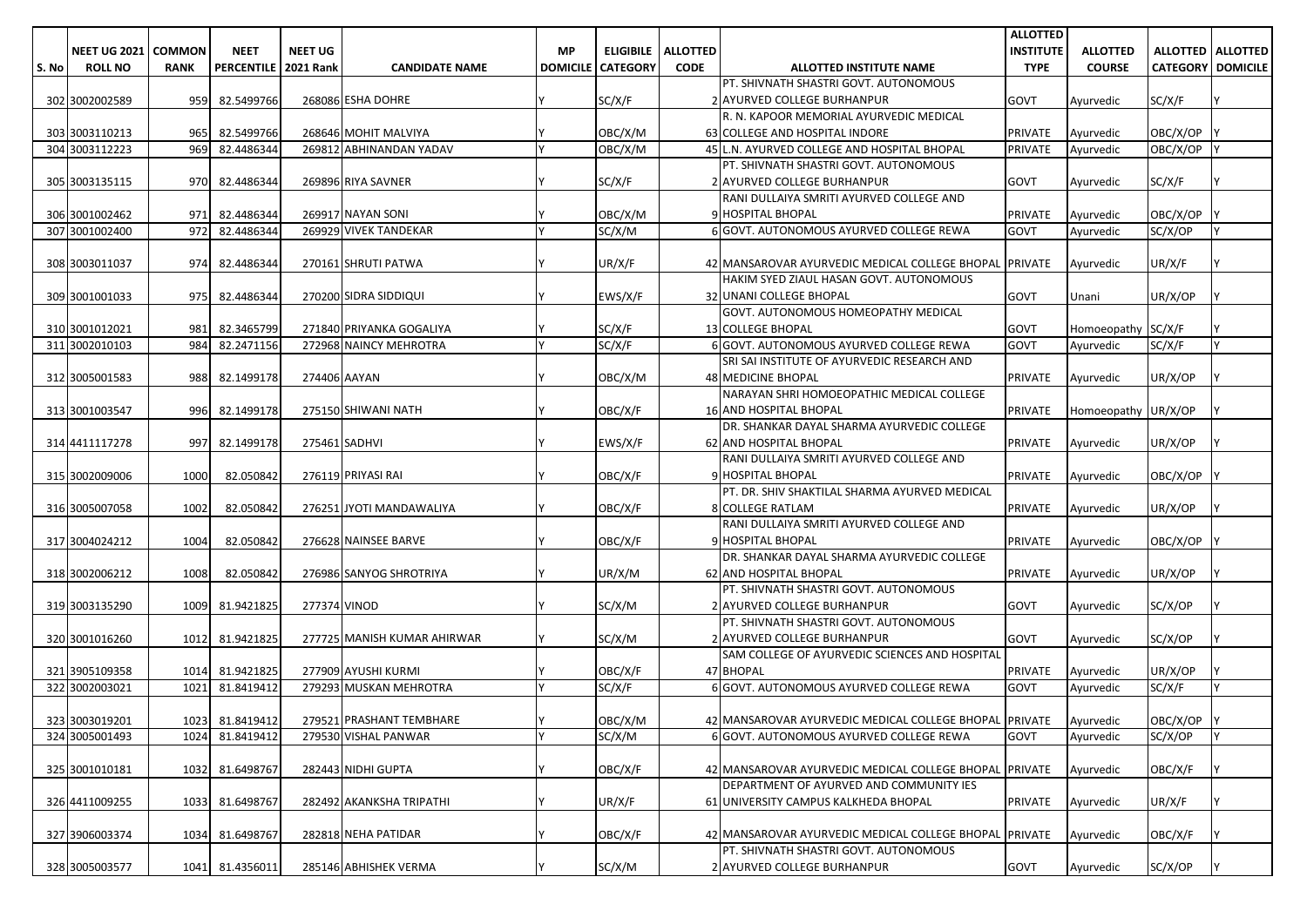|       |                              |             |                        |                |                             |           |                            |                 |                                                                        | <b>ALLOTTED</b>  |                     |                            |                     |
|-------|------------------------------|-------------|------------------------|----------------|-----------------------------|-----------|----------------------------|-----------------|------------------------------------------------------------------------|------------------|---------------------|----------------------------|---------------------|
|       | <b>NEET UG 2021   COMMON</b> |             | <b>NEET</b>            | <b>NEET UG</b> |                             | <b>MP</b> | <b>ELIGIBILE</b>           | <b>ALLOTTED</b> |                                                                        | <b>INSTITUTE</b> | <b>ALLOTTED</b>     |                            | ALLOTTED   ALLOTTED |
| S. No | <b>ROLL NO</b>               | <b>RANK</b> | PERCENTILE   2021 Rank |                | <b>CANDIDATE NAME</b>       |           | <b>DOMICILE   CATEGORY</b> | <b>CODE</b>     | ALLOTTED INSTITUTE NAME                                                | <b>TYPE</b>      | <b>COURSE</b>       | <b>CATEGORY   DOMICILE</b> |                     |
|       |                              |             |                        |                |                             |           |                            |                 | PT. SHIVNATH SHASTRI GOVT. AUTONOMOUS                                  |                  |                     |                            |                     |
|       | 302 3002002589               |             | 959 82.5499766         |                | 268086 ESHA DOHRE           |           | SC/X/F                     |                 | 2 AYURVED COLLEGE BURHANPUR                                            | GOVT             | Ayurvedic           | SC/X/F                     |                     |
|       |                              |             |                        |                |                             |           |                            |                 | R. N. KAPOOR MEMORIAL AYURVEDIC MEDICAL                                |                  |                     |                            |                     |
|       | 303 3003110213               | 965         | 82.5499766             |                | 268646 MOHIT MALVIYA        |           | OBC/X/M                    |                 | 63 COLLEGE AND HOSPITAL INDORE                                         | PRIVATE          | Ayurvedic           | OBC/X/OP                   |                     |
|       | 304 3003112223               | 969         | 82.4486344             |                | 269812 ABHINANDAN YADAV     |           | OBC/X/M                    |                 | 45 L.N. AYURVED COLLEGE AND HOSPITAL BHOPAL                            | PRIVATE          | Ayurvedic           | OBC/X/OP Y                 |                     |
|       |                              |             |                        |                |                             |           |                            |                 | PT. SHIVNATH SHASTRI GOVT. AUTONOMOUS                                  |                  |                     |                            |                     |
|       | 305 3003135115               | 970         | 82.4486344             |                | 269896 RIYA SAVNER          |           | SC/X/F                     |                 | 2 AYURVED COLLEGE BURHANPUR                                            | <b>GOVT</b>      | Ayurvedic           | SC/X/F                     |                     |
|       |                              |             |                        |                |                             |           |                            |                 | RANI DULLAIYA SMRITI AYURVED COLLEGE AND                               |                  |                     |                            |                     |
|       | 306 3001002462               | 971         | 82.4486344             |                | 269917 NAYAN SONI           |           | OBC/X/M                    |                 | 9 HOSPITAL BHOPAL                                                      | PRIVATE          | Ayurvedic           | OBC/X/OP                   |                     |
|       | 307 3001002400               | 972         | 82.4486344             |                | 269929 VIVEK TANDEKAR       |           | SC/X/M                     |                 | 6 GOVT. AUTONOMOUS AYURVED COLLEGE REWA                                | GOVT             | Ayurvedic           | SC/X/OP                    |                     |
|       |                              |             |                        |                |                             |           |                            |                 |                                                                        |                  |                     |                            |                     |
|       | 308 3003011037               | 974         | 82.4486344             |                | 270161 SHRUTI PATWA         |           | UR/X/F                     |                 | 42 MANSAROVAR AYURVEDIC MEDICAL COLLEGE BHOPAL PRIVATE                 |                  | Ayurvedic           | UR/X/F                     |                     |
|       |                              |             |                        |                |                             |           |                            |                 | HAKIM SYED ZIAUL HASAN GOVT. AUTONOMOUS                                |                  |                     |                            |                     |
|       | 309 3001001033               | 975         | 82.4486344             |                | 270200 SIDRA SIDDIQUI       |           | EWS/X/F                    |                 | 32 UNANI COLLEGE BHOPAL                                                | GOVT             | Unani               | UR/X/OP                    |                     |
|       |                              |             |                        |                |                             |           |                            |                 | GOVT. AUTONOMOUS HOMEOPATHY MEDICAL                                    |                  |                     |                            |                     |
|       | 310 3001012021               | 981         | 82.3465799             |                | 271840 PRIYANKA GOGALIYA    |           | SC/X/F                     |                 | 13 COLLEGE BHOPAL                                                      | GOVT             | Homoeopathy SC/X/F  |                            |                     |
|       | 311 3002010103               | 984         | 82.2471156             |                | 272968 NAINCY MEHROTRA      | Iν        | SC/X/F                     |                 | 6 GOVT. AUTONOMOUS AYURVED COLLEGE REWA                                | GOVT             | Avurvedic           | SC/X/F                     | IY.                 |
|       |                              |             |                        |                |                             |           |                            |                 | SRI SAI INSTITUTE OF AYURVEDIC RESEARCH AND                            |                  |                     |                            |                     |
|       | 312 3005001583               | 988         | 82.1499178             | 274406 AAYAN   |                             |           | OBC/X/M                    |                 | <b>48 MEDICINE BHOPAL</b>                                              | PRIVATE          | Ayurvedic           | UR/X/OP                    |                     |
|       |                              |             |                        |                |                             |           |                            |                 | NARAYAN SHRI HOMOEOPATHIC MEDICAL COLLEGE                              |                  |                     |                            |                     |
|       | 313 3001003547               |             | 996 82.1499178         |                | 275150 SHIWANI NATH         |           | OBC/X/F                    |                 | <b>16 AND HOSPITAL BHOPAL</b>                                          | PRIVATE          | Homoeopathy UR/X/OP |                            |                     |
|       |                              |             |                        |                |                             |           |                            |                 | DR. SHANKAR DAYAL SHARMA AYURVEDIC COLLEGE                             |                  |                     |                            |                     |
|       | 314 4411117278               | 997         | 82.1499178             |                | 275461 SADHVI               |           | EWS/X/F                    |                 | <b>62 AND HOSPITAL BHOPAL</b>                                          | PRIVATE          | Ayurvedic           | UR/X/OP                    |                     |
|       |                              |             |                        |                |                             |           |                            |                 | RANI DULLAIYA SMRITI AYURVED COLLEGE AND                               |                  |                     |                            |                     |
|       | 315 3002009006               | 1000        | 82.050842              |                | 276119 PRIYASI RAI          |           | OBC/X/F                    |                 | 9 HOSPITAL BHOPAL                                                      | PRIVATE          | Ayurvedic           | OBC/X/OP                   |                     |
|       |                              |             |                        |                |                             |           |                            |                 | PT. DR. SHIV SHAKTILAL SHARMA AYURVED MEDICAL                          |                  |                     |                            |                     |
|       | 316 3005007058               | 1002        | 82.050842              |                | 276251 JYOTI MANDAWALIYA    |           | OBC/X/F                    |                 | <b>8 COLLEGE RATLAM</b>                                                | PRIVATE          | Ayurvedic           | UR/X/OP                    |                     |
|       |                              |             |                        |                |                             |           |                            |                 | RANI DULLAIYA SMRITI AYURVED COLLEGE AND                               |                  |                     |                            |                     |
|       | 317 3004024212               | 1004        | 82.050842              |                | 276628 NAINSEE BARVE        |           | OBC/X/F                    |                 | 9 HOSPITAL BHOPAL                                                      | PRIVATE          | Ayurvedic           | OBC/X/OP                   |                     |
|       |                              |             |                        |                |                             |           |                            |                 | DR. SHANKAR DAYAL SHARMA AYURVEDIC COLLEGE                             |                  |                     |                            |                     |
|       | 318 3002006212               | 1008        | 82.050842              |                | 276986 SANYOG SHROTRIYA     |           | UR/X/M                     |                 | <b>62 AND HOSPITAL BHOPAL</b><br>PT. SHIVNATH SHASTRI GOVT. AUTONOMOUS | PRIVATE          | Ayurvedic           | UR/X/OP                    |                     |
|       | 319 3003135290               | 1009        | 81.9421825             | 277374 VINOD   |                             |           | SC/X/M                     |                 | 2 AYURVED COLLEGE BURHANPUR                                            | GOVT             | Ayurvedic           | SC/X/OP                    |                     |
|       |                              |             |                        |                |                             |           |                            |                 | PT. SHIVNATH SHASTRI GOVT. AUTONOMOUS                                  |                  |                     |                            |                     |
|       | 320 3001016260               | 1012        | 81.9421825             |                | 277725 MANISH KUMAR AHIRWAR |           | SC/X/M                     |                 | 2 AYURVED COLLEGE BURHANPUR                                            | GOVT             | Ayurvedic           | SC/X/OP                    |                     |
|       |                              |             |                        |                |                             |           |                            |                 | SAM COLLEGE OF AYURVEDIC SCIENCES AND HOSPITAL                         |                  |                     |                            |                     |
|       | 321 3905109358               | 1014        | 81.9421825             |                | 277909 AYUSHI KURMI         |           | OBC/X/F                    |                 | 47 BHOPAL                                                              | PRIVATE          | Ayurvedic           | UR/X/OP                    |                     |
|       | 322 3002003021               | 1021        | 81.8419412             |                | 279293 MUSKAN MEHROTRA      |           | SC/X/F                     |                 | 6 GOVT. AUTONOMOUS AYURVED COLLEGE REWA                                | GOVT             | Ayurvedic           | SC/X/F                     |                     |
|       |                              |             |                        |                |                             |           |                            |                 |                                                                        |                  |                     |                            |                     |
|       | 323 3003019201               |             | 1023 81.8419412        |                | 279521 PRASHANT TEMBHARE    |           | OBC/X/M                    |                 | 42 MANSAROVAR AYURVEDIC MEDICAL COLLEGE BHOPAL PRIVATE                 |                  | Avurvedic           | OBC/X/OP Y                 |                     |
|       | 324 3005001493               | 1024        | 81.8419412             |                | 279530 VISHAL PANWAR        | Y         | SC/X/M                     |                 | 6 GOVT. AUTONOMOUS AYURVED COLLEGE REWA                                | <b>GOVT</b>      | Ayurvedic           | SC/X/OP                    | I٢                  |
|       |                              |             |                        |                |                             |           |                            |                 |                                                                        |                  |                     |                            |                     |
|       | 325 3001010181               |             | 1032 81.6498767        |                | 282443 NIDHI GUPTA          |           | OBC/X/F                    |                 | 42 MANSAROVAR AYURVEDIC MEDICAL COLLEGE BHOPAL PRIVATE                 |                  | Ayurvedic           | OBC/X/F                    |                     |
|       |                              |             |                        |                |                             |           |                            |                 | DEPARTMENT OF AYURVED AND COMMUNITY IES                                |                  |                     |                            |                     |
|       | 326 4411009255               |             | 1033 81.6498767        |                | 282492 AKANKSHA TRIPATHI    |           | UR/X/F                     |                 | 61 UNIVERSITY CAMPUS KALKHEDA BHOPAL                                   | PRIVATE          | Ayurvedic           | UR/X/F                     |                     |
|       |                              |             |                        |                |                             |           |                            |                 |                                                                        |                  |                     |                            |                     |
|       | 327 3906003374               |             | 1034 81.6498767        |                | 282818 NEHA PATIDAR         |           | OBC/X/F                    |                 | 42 MANSAROVAR AYURVEDIC MEDICAL COLLEGE BHOPAL PRIVATE                 |                  | Ayurvedic           | OBC/X/F                    |                     |
|       |                              |             |                        |                |                             |           |                            |                 | PT. SHIVNATH SHASTRI GOVT. AUTONOMOUS                                  |                  |                     |                            |                     |
|       | 328 3005003577               |             | 1041 81.4356011        |                | 285146 ABHISHEK VERMA       | I٧        | SC/X/M                     |                 | 2 AYURVED COLLEGE BURHANPUR                                            | GOVT             | Ayurvedic           | SC/X/OP                    | I٢.                 |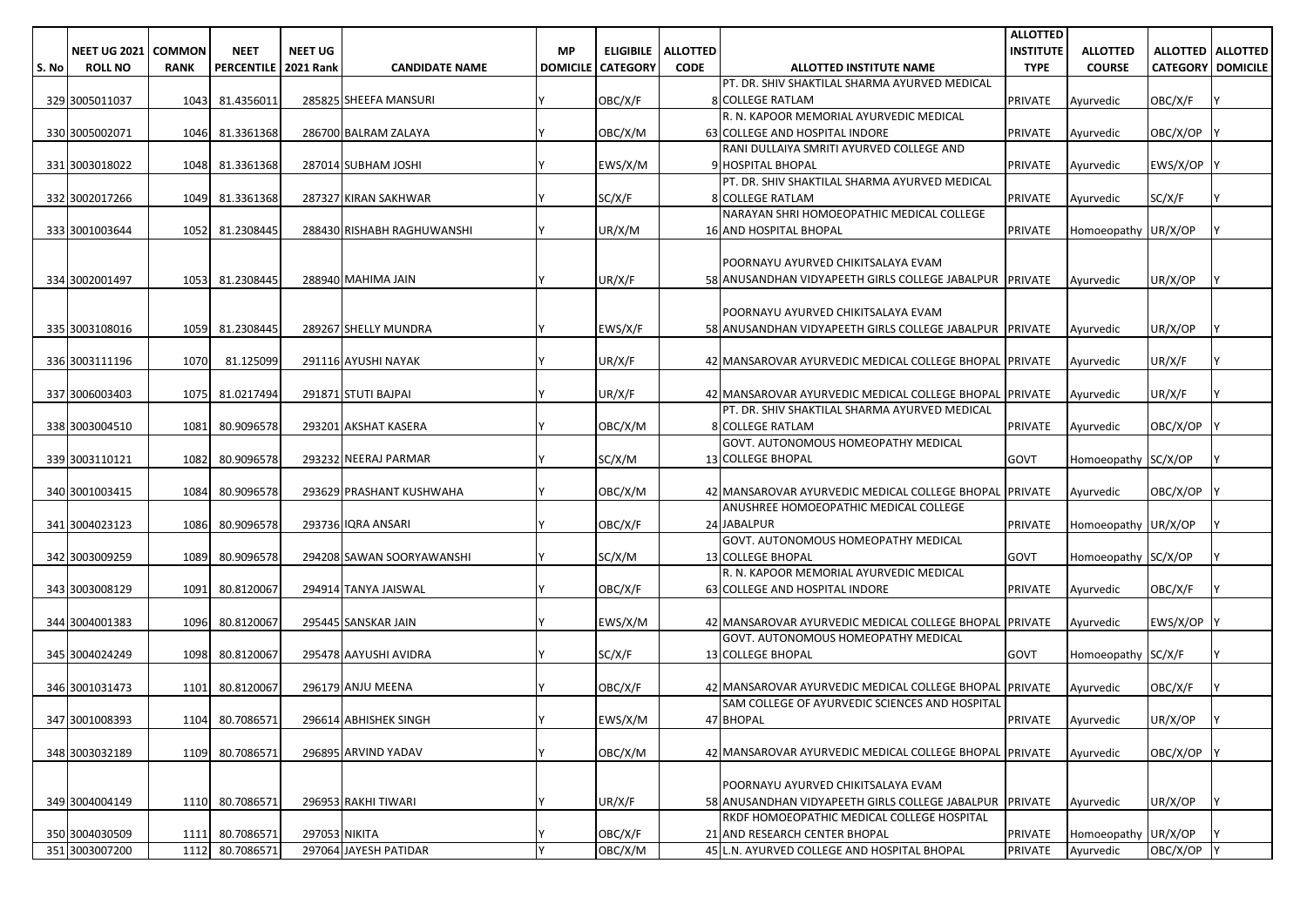|       |                       |               |                   |                  |                            |                 |                  |                 |                                                                                                         | <b>ALLOTTED</b>  |                     |                          |  |
|-------|-----------------------|---------------|-------------------|------------------|----------------------------|-----------------|------------------|-----------------|---------------------------------------------------------------------------------------------------------|------------------|---------------------|--------------------------|--|
|       | <b>NEET UG 2021  </b> | <b>COMMON</b> | <b>NEET</b>       | <b>NEET UG</b>   |                            | МP              | <b>ELIGIBILE</b> | <b>ALLOTTED</b> |                                                                                                         | <b>INSTITUTE</b> | <b>ALLOTTED</b>     | ALLOTTED   ALLOTTED      |  |
| S. No | <b>ROLL NO</b>        | <b>RANK</b>   | <b>PERCENTILE</b> | <b>2021 Rank</b> | <b>CANDIDATE NAME</b>      | <b>DOMICILE</b> | <b>CATEGORY</b>  | <b>CODE</b>     | ALLOTTED INSTITUTE NAME                                                                                 | <b>TYPE</b>      | <b>COURSE</b>       | <b>CATEGORY DOMICILE</b> |  |
|       |                       |               |                   |                  |                            |                 |                  |                 | PT. DR. SHIV SHAKTILAL SHARMA AYURVED MEDICAL                                                           |                  |                     |                          |  |
|       | 329 3005011037        |               | 1043 81.4356011   |                  | 285825 SHEEFA MANSURI      |                 | OBC/X/F          |                 | 8 COLLEGE RATLAM                                                                                        | <b>PRIVATE</b>   | Ayurvedic           | OBC/X/F                  |  |
|       |                       |               |                   |                  | 286700 BALRAM ZALAYA       |                 |                  |                 | R. N. KAPOOR MEMORIAL AYURVEDIC MEDICAL                                                                 |                  | Avurvedic           |                          |  |
|       | 330 3005002071        |               | 1046 81.3361368   |                  |                            |                 | OBC/X/M          |                 | 63 COLLEGE AND HOSPITAL INDORE<br>RANI DULLAIYA SMRITI AYURVED COLLEGE AND                              | <b>PRIVATE</b>   |                     | OBC/X/OP                 |  |
|       | 331 3003018022        |               | 1048 81.3361368   |                  | 287014 SUBHAM JOSHI        |                 | EWS/X/M          |                 | 9 HOSPITAL BHOPAL                                                                                       | PRIVATE          | Ayurvedic           | EWS/X/OP                 |  |
|       |                       |               |                   |                  |                            |                 |                  |                 | PT. DR. SHIV SHAKTILAL SHARMA AYURVED MEDICAL                                                           |                  |                     |                          |  |
|       | 332 3002017266        | 1049          | 81.3361368        |                  | 287327 KIRAN SAKHWAR       |                 | SC/X/F           |                 | <b>8 COLLEGE RATLAM</b>                                                                                 | <b>PRIVATE</b>   | Ayurvedic           | SC/X/F                   |  |
|       |                       |               |                   |                  |                            |                 |                  |                 | NARAYAN SHRI HOMOEOPATHIC MEDICAL COLLEGE                                                               |                  |                     |                          |  |
|       | 333 3001003644        | 1052          | 81.2308445        |                  | 288430 RISHABH RAGHUWANSHI |                 | UR/X/M           |                 | <b>16 AND HOSPITAL BHOPAL</b>                                                                           | <b>PRIVATE</b>   | Homoeopathy UR/X/OP |                          |  |
|       |                       |               |                   |                  |                            |                 |                  |                 |                                                                                                         |                  |                     |                          |  |
|       |                       |               |                   |                  |                            |                 |                  |                 | POORNAYU AYURVED CHIKITSALAYA EVAM                                                                      |                  |                     |                          |  |
|       | 334 3002001497        | 1053          | 81.2308445        |                  | 288940 MAHIMA JAIN         |                 | UR/X/F           |                 | 58 ANUSANDHAN VIDYAPEETH GIRLS COLLEGE JABALPUR PRIVATE                                                 |                  | Ayurvedic           | UR/X/OP                  |  |
|       |                       |               |                   |                  |                            |                 |                  |                 |                                                                                                         |                  |                     |                          |  |
|       |                       |               |                   |                  |                            |                 |                  |                 | POORNAYU AYURVED CHIKITSALAYA EVAM                                                                      |                  |                     |                          |  |
|       | 335 3003108016        |               | 1059 81.2308445   |                  | 289267 SHELLY MUNDRA       |                 | EWS/X/F          |                 | 58 ANUSANDHAN VIDYAPEETH GIRLS COLLEGE JABALPUR PRIVATE                                                 |                  | Ayurvedic           | UR/X/OP                  |  |
|       |                       |               |                   |                  |                            |                 |                  |                 |                                                                                                         |                  |                     |                          |  |
|       | 336 3003111196        | 1070          | 81.125099         |                  | 291116 AYUSHI NAYAK        |                 | UR/X/F           |                 | 42 MANSAROVAR AYURVEDIC MEDICAL COLLEGE BHOPAL PRIVATE                                                  |                  | Ayurvedic           | UR/X/F                   |  |
|       |                       |               |                   |                  |                            |                 |                  |                 |                                                                                                         |                  |                     |                          |  |
|       | 337 3006003403        |               | 1075 81.0217494   |                  | 291871 STUTI BAJPAI        |                 | UR/X/F           |                 | 42 MANSAROVAR AYURVEDIC MEDICAL COLLEGE BHOPAL PRIVATE<br>PT. DR. SHIV SHAKTILAL SHARMA AYURVED MEDICAL |                  | Ayurvedic           | UR/X/F                   |  |
|       | 338 3003004510        | 1081          | 80.9096578        |                  | 293201 AKSHAT KASERA       |                 | OBC/X/M          |                 | <b>8 COLLEGE RATLAM</b>                                                                                 | <b>PRIVATE</b>   | Avurvedic           | OBC/X/OP                 |  |
|       |                       |               |                   |                  |                            |                 |                  |                 | GOVT. AUTONOMOUS HOMEOPATHY MEDICAL                                                                     |                  |                     |                          |  |
|       | 339 3003110121        | 1082          | 80.9096578        |                  | 293232 NEERAJ PARMAR       |                 | SC/X/M           |                 | <b>13 COLLEGE BHOPAL</b>                                                                                | <b>GOVT</b>      | Homoeopathy SC/X/OP |                          |  |
|       |                       |               |                   |                  |                            |                 |                  |                 |                                                                                                         |                  |                     |                          |  |
|       | 340 3001003415        | 1084          | 80.9096578        |                  | 293629 PRASHANT KUSHWAHA   |                 | OBC/X/M          |                 | 42 MANSAROVAR AYURVEDIC MEDICAL COLLEGE BHOPAL PRIVATE                                                  |                  | Ayurvedic           | OBC/X/OP                 |  |
|       |                       |               |                   |                  |                            |                 |                  |                 | ANUSHREE HOMOEOPATHIC MEDICAL COLLEGE                                                                   |                  |                     |                          |  |
|       | 341 3004023123        | 1086          | 80.9096578        |                  | 293736 IQRA ANSARI         |                 | OBC/X/F          |                 | 24 JABALPUR                                                                                             | <b>PRIVATE</b>   | Homoeopathy UR/X/OP |                          |  |
|       |                       |               |                   |                  |                            |                 |                  |                 | GOVT. AUTONOMOUS HOMEOPATHY MEDICAL                                                                     |                  |                     |                          |  |
|       | 342 3003009259        | 1089          | 80.9096578        |                  | 294208 SAWAN SOORYAWANSHI  |                 | SC/X/M           |                 | <b>13 COLLEGE BHOPAL</b>                                                                                | <b>GOVT</b>      | Homoeopathy SC/X/OP |                          |  |
|       |                       |               |                   |                  |                            |                 |                  |                 | R. N. KAPOOR MEMORIAL AYURVEDIC MEDICAL                                                                 |                  |                     |                          |  |
|       | 343 3003008129        | 1091          | 80.8120067        |                  | 294914 TANYA JAISWAL       |                 | OBC/X/F          |                 | 63 COLLEGE AND HOSPITAL INDORE                                                                          | <b>PRIVATE</b>   | Ayurvedic           | OBC/X/F                  |  |
|       |                       |               |                   |                  |                            |                 |                  |                 |                                                                                                         |                  |                     |                          |  |
|       | 344 3004001383        | 1096          | 80.8120067        |                  | 295445 SANSKAR JAIN        |                 | EWS/X/M          |                 | 42 MANSAROVAR AYURVEDIC MEDICAL COLLEGE BHOPAL PRIVATE<br>GOVT. AUTONOMOUS HOMEOPATHY MEDICAL           |                  | Ayurvedic           | EWS/X/OP                 |  |
|       | 345 3004024249        |               | 1098 80.8120067   |                  | 295478 AAYUSHI AVIDRA      |                 | SC/X/F           |                 | 13 COLLEGE BHOPAL                                                                                       | <b>GOVT</b>      | Homoeopathy SC/X/F  |                          |  |
|       |                       |               |                   |                  |                            |                 |                  |                 |                                                                                                         |                  |                     |                          |  |
|       | 346 3001031473        | 1101          | 80.8120067        |                  | 296179 ANJU MEENA          |                 | OBC/X/F          |                 | 42 MANSAROVAR AYURVEDIC MEDICAL COLLEGE BHOPAL PRIVATE                                                  |                  | Ayurvedic           | OBC/X/F                  |  |
|       |                       |               |                   |                  |                            |                 |                  |                 | SAM COLLEGE OF AYURVEDIC SCIENCES AND HOSPITAL                                                          |                  |                     |                          |  |
|       | 347 3001008393        |               | 1104 80.7086571   |                  | 296614 ABHISHEK SINGH      |                 | EWS/X/M          |                 | 47 BHOPAL                                                                                               | PRIVATE          | Ayurvedic           | UR/X/OP                  |  |
|       |                       |               |                   |                  |                            |                 |                  |                 |                                                                                                         |                  |                     |                          |  |
|       | 348 3003032189        | 1109          | 80.7086571        |                  | 296895 ARVIND YADAV        |                 | OBC/X/M          |                 | 42 MANSAROVAR AYURVEDIC MEDICAL COLLEGE BHOPAL PRIVATE                                                  |                  | Avurvedic           | OBC/X/OP                 |  |
|       |                       |               |                   |                  |                            |                 |                  |                 |                                                                                                         |                  |                     |                          |  |
|       |                       |               |                   |                  |                            |                 |                  |                 | POORNAYU AYURVED CHIKITSALAYA EVAM                                                                      |                  |                     |                          |  |
|       | 349 3004004149        |               | 1110 80.7086571   |                  | 296953 RAKHI TIWARI        |                 | UR/X/F           |                 | 58 ANUSANDHAN VIDYAPEETH GIRLS COLLEGE JABALPUR PRIVATE                                                 |                  | Ayurvedic           | UR/X/OP                  |  |
|       |                       |               |                   |                  |                            |                 |                  |                 | RKDF HOMOEOPATHIC MEDICAL COLLEGE HOSPITAL                                                              |                  |                     |                          |  |
|       | 350 3004030509        | 1111          | 80.7086571        | 297053 NIKITA    |                            |                 | OBC/X/F          |                 | 21 AND RESEARCH CENTER BHOPAL                                                                           | <b>PRIVATE</b>   | Homoeopathy         | UR/X/OP                  |  |
|       | 351 3003007200        | 1112          | 80.7086571        |                  | 297064 JAYESH PATIDAR      |                 | OBC/X/M          |                 | 45 L.N. AYURVED COLLEGE AND HOSPITAL BHOPAL                                                             | <b>PRIVATE</b>   | Ayurvedic           | OBC/X/OP Y               |  |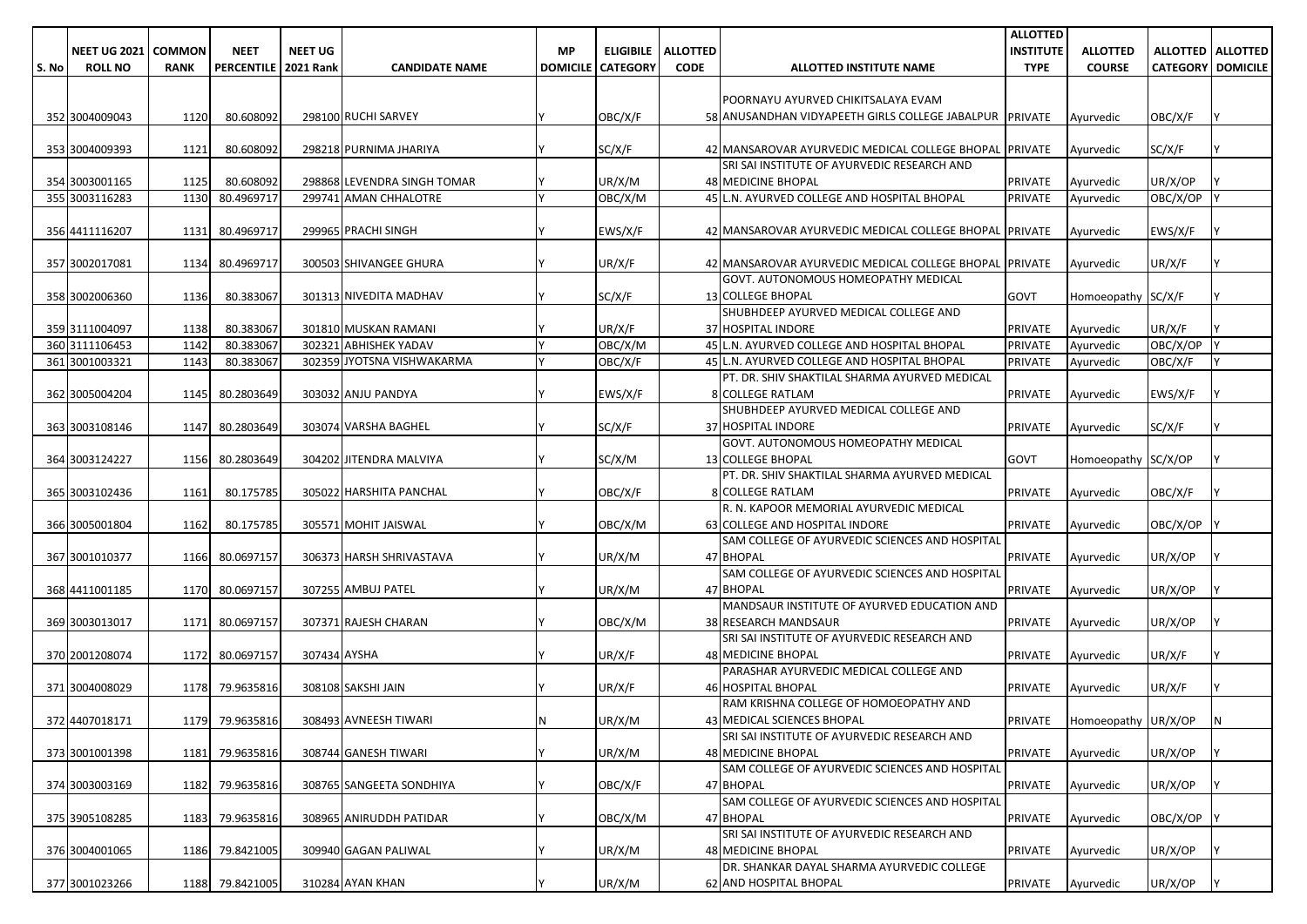|       |                     |               |                             |                |                             |    |                          |                 |                                                         | <b>ALLOTTED</b>  |                             |                          |                     |
|-------|---------------------|---------------|-----------------------------|----------------|-----------------------------|----|--------------------------|-----------------|---------------------------------------------------------|------------------|-----------------------------|--------------------------|---------------------|
|       | <b>NEET UG 2021</b> | <b>COMMON</b> | <b>NEET</b>                 | <b>NEET UG</b> |                             | МP | <b>ELIGIBILE</b>         | <b>ALLOTTED</b> |                                                         | <b>INSTITUTE</b> | <b>ALLOTTED</b>             |                          | ALLOTTED   ALLOTTED |
| S. No | <b>ROLL NO</b>      | <b>RANK</b>   | <b>PERCENTILE 2021 Rank</b> |                | <b>CANDIDATE NAME</b>       |    | <b>DOMICILE CATEGORY</b> | <b>CODE</b>     | ALLOTTED INSTITUTE NAME                                 | <b>TYPE</b>      | <b>COURSE</b>               | <b>CATEGORY DOMICILE</b> |                     |
|       |                     |               |                             |                |                             |    |                          |                 |                                                         |                  |                             |                          |                     |
|       |                     |               |                             |                |                             |    |                          |                 | POORNAYU AYURVED CHIKITSALAYA EVAM                      |                  |                             |                          |                     |
|       | 352 3004009043      | 1120          | 80.608092                   |                | 298100 RUCHI SARVEY         |    | OBC/X/F                  |                 | 58 ANUSANDHAN VIDYAPEETH GIRLS COLLEGE JABALPUR PRIVATE |                  | Avurvedic                   | OBC/X/F                  |                     |
|       |                     |               |                             |                |                             |    |                          |                 |                                                         |                  |                             |                          |                     |
|       | 353 3004009393      | 1121          | 80.608092                   |                | 298218 PURNIMA JHARIYA      |    | SC/X/F                   |                 | 42 MANSAROVAR AYURVEDIC MEDICAL COLLEGE BHOPAL PRIVATE  |                  | Ayurvedic                   | SC/X/F                   |                     |
|       |                     |               |                             |                |                             |    |                          |                 | SRI SAI INSTITUTE OF AYURVEDIC RESEARCH AND             |                  |                             |                          |                     |
|       | 354 3003001165      | 1125          | 80.608092                   |                | 298868 LEVENDRA SINGH TOMAR |    | UR/X/M                   |                 | <b>48 MEDICINE BHOPAL</b>                               | <b>PRIVATE</b>   | Ayurvedic                   | UR/X/OP                  |                     |
|       | 355 3003116283      | 1130          | 80.4969717                  |                | 299741 AMAN CHHALOTRE       |    | OBC/X/M                  |                 | 45 L.N. AYURVED COLLEGE AND HOSPITAL BHOPAL             | <b>PRIVATE</b>   | Avurvedic                   | OBC/X/OP                 |                     |
|       |                     |               |                             |                |                             |    |                          |                 |                                                         |                  |                             |                          |                     |
|       | 356 4411116207      | 1131          | 80.4969717                  |                | 299965 PRACHI SINGH         |    | EWS/X/F                  |                 | 42 MANSAROVAR AYURVEDIC MEDICAL COLLEGE BHOPAL PRIVATE  |                  | Ayurvedic                   | EWS/X/F                  |                     |
|       |                     |               |                             |                |                             |    |                          |                 |                                                         |                  |                             |                          |                     |
|       | 357 3002017081      | 1134          | 80.4969717                  |                | 300503 SHIVANGEE GHURA      |    | UR/X/F                   |                 | 42 MANSAROVAR AYURVEDIC MEDICAL COLLEGE BHOPAL PRIVATE  |                  | Ayurvedic                   | UR/X/F                   |                     |
|       |                     |               |                             |                |                             |    |                          |                 | GOVT. AUTONOMOUS HOMEOPATHY MEDICAL                     |                  |                             |                          |                     |
|       | 358 3002006360      | 1136          | 80.383067                   |                | 301313 NIVEDITA MADHAV      |    | SC/X/F                   |                 | 13 COLLEGE BHOPAL                                       | <b>GOVT</b>      | Homoeopathy SC/X/F          |                          |                     |
|       |                     |               |                             |                |                             |    |                          |                 | SHUBHDEEP AYURVED MEDICAL COLLEGE AND                   |                  |                             |                          |                     |
|       | 359 3111004097      | 1138          | 80.383067                   |                | 301810 MUSKAN RAMANI        |    | UR/X/F                   |                 | <b>37 HOSPITAL INDORE</b>                               | <b>PRIVATE</b>   | Ayurvedic                   | UR/X/F                   |                     |
|       | 360 3111106453      | 1142          | 80.383067                   |                | 302321 ABHISHEK YADAV       |    | OBC/X/M                  |                 | 45 L.N. AYURVED COLLEGE AND HOSPITAL BHOPAL             | <b>PRIVATE</b>   | Ayurvedic                   | OBC/X/OP                 |                     |
|       | 361 3001003321      | 1143          | 80.383067                   |                | 302359 JYOTSNA VISHWAKARMA  |    | OBC/X/F                  |                 | 45 L.N. AYURVED COLLEGE AND HOSPITAL BHOPAL             | <b>PRIVATE</b>   | Ayurvedic                   | OBC/X/F                  |                     |
|       |                     |               |                             |                |                             |    |                          |                 | PT. DR. SHIV SHAKTILAL SHARMA AYURVED MEDICAL           |                  |                             |                          |                     |
|       | 362 3005004204      | 1145          | 80.2803649                  |                | 303032 ANJU PANDYA          |    | EWS/X/F                  |                 | <b>8 COLLEGE RATLAM</b>                                 | <b>PRIVATE</b>   | Ayurvedic                   | EWS/X/F                  |                     |
|       |                     |               |                             |                |                             |    |                          |                 | SHUBHDEEP AYURVED MEDICAL COLLEGE AND                   |                  |                             |                          |                     |
|       | 363 3003108146      | 1147          | 80.2803649                  |                | 303074 VARSHA BAGHEL        |    | SC/X/F                   |                 | 37 HOSPITAL INDORE                                      | <b>PRIVATE</b>   | Ayurvedic                   | SC/X/F                   |                     |
|       |                     |               |                             |                |                             |    |                          |                 | GOVT. AUTONOMOUS HOMEOPATHY MEDICAL                     |                  |                             |                          |                     |
|       | 364 3003124227      | 1156          | 80.2803649                  |                | 304202 JITENDRA MALVIYA     |    | SC/X/M                   |                 | <b>13 COLLEGE BHOPAL</b>                                | <b>GOVT</b>      | Homoeopathy SC/X/OP         |                          |                     |
|       |                     |               |                             |                |                             |    |                          |                 | PT. DR. SHIV SHAKTILAL SHARMA AYURVED MEDICAL           |                  |                             |                          |                     |
|       | 365 3003102436      | 1161          | 80.175785                   |                | 305022 HARSHITA PANCHAL     |    | OBC/X/F                  |                 | <b>8 COLLEGE RATLAM</b>                                 | <b>PRIVATE</b>   | Ayurvedic                   | OBC/X/F                  |                     |
|       |                     |               |                             |                |                             |    |                          |                 | R. N. KAPOOR MEMORIAL AYURVEDIC MEDICAL                 |                  |                             |                          |                     |
|       | 366 3005001804      | 1162          | 80.175785                   |                | 305571 MOHIT JAISWAL        |    | OBC/X/M                  |                 | 63 COLLEGE AND HOSPITAL INDORE                          | <b>PRIVATE</b>   | Ayurvedic                   | OBC/X/OP                 |                     |
|       |                     |               |                             |                |                             |    |                          |                 | SAM COLLEGE OF AYURVEDIC SCIENCES AND HOSPITAL          |                  |                             |                          |                     |
|       | 367 3001010377      | 1166          | 80.0697157                  |                | 306373 HARSH SHRIVASTAVA    |    | UR/X/M                   |                 | 47 BHOPAL                                               | <b>PRIVATE</b>   | Ayurvedic                   | UR/X/OP                  |                     |
|       |                     |               |                             |                |                             |    |                          |                 | SAM COLLEGE OF AYURVEDIC SCIENCES AND HOSPITAL          |                  |                             |                          |                     |
|       | 368 4411001185      | 1170          | 80.0697157                  |                | 307255 AMBUJ PATEL          |    | UR/X/M                   |                 | 47 BHOPAL                                               | <b>PRIVATE</b>   | Ayurvedic                   | UR/X/OP                  |                     |
|       |                     |               |                             |                |                             |    |                          |                 | MANDSAUR INSTITUTE OF AYURVED EDUCATION AND             |                  |                             |                          |                     |
|       | 369 3003013017      | 1171          | 80.0697157                  |                | 307371 RAJESH CHARAN        |    | OBC/X/M                  |                 | 38 RESEARCH MANDSAUR                                    | <b>PRIVATE</b>   | Ayurvedic                   | UR/X/OP                  |                     |
|       |                     |               |                             |                |                             |    |                          |                 | SRI SAI INSTITUTE OF AYURVEDIC RESEARCH AND             |                  |                             |                          |                     |
|       | 370 2001208074      | 1172          | 80.0697157                  | 307434 AYSHA   |                             |    | UR/X/F                   |                 | 48 MEDICINE BHOPAL                                      | <b>PRIVATE</b>   | Ayurvedic                   | UR/X/F                   |                     |
|       |                     |               |                             |                |                             |    |                          |                 | PARASHAR AYURVEDIC MEDICAL COLLEGE AND                  |                  |                             |                          |                     |
|       | 371 3004008029      |               | 1178 79.9635816             |                | 308108 SAKSHI JAIN          |    | UR/X/F                   |                 | <b>46 HOSPITAL BHOPAL</b>                               | <b>PRIVATE</b>   | Ayurvedic                   | UR/X/F                   |                     |
|       |                     |               |                             |                |                             |    |                          |                 | RAM KRISHNA COLLEGE OF HOMOEOPATHY AND                  |                  |                             |                          |                     |
|       | 372 4407018171      |               | 1179 79.9635816             |                | 308493 AVNEESH TIWARI       |    | UR/X/M                   |                 | 43 MEDICAL SCIENCES BHOPAL                              |                  | PRIVATE Homoeopathy UR/X/OP |                          | N                   |
|       |                     |               |                             |                |                             |    |                          |                 | SRI SAI INSTITUTE OF AYURVEDIC RESEARCH AND             |                  |                             |                          |                     |
|       | 373 3001001398      |               | 1181 79.9635816             |                | 308744 GANESH TIWARI        |    | UR/X/M                   |                 | <b>48 MEDICINE BHOPAL</b>                               | <b>PRIVATE</b>   | Ayurvedic                   | UR/X/OP                  |                     |
|       |                     |               |                             |                |                             |    |                          |                 | SAM COLLEGE OF AYURVEDIC SCIENCES AND HOSPITAL          |                  |                             |                          |                     |
|       | 374 3003003169      |               | 1182 79.9635816             |                | 308765 SANGEETA SONDHIYA    |    | OBC/X/F                  |                 | 47 BHOPAL                                               | PRIVATE          | Ayurvedic                   | UR/X/OP                  |                     |
|       |                     |               |                             |                |                             |    |                          |                 | SAM COLLEGE OF AYURVEDIC SCIENCES AND HOSPITAL          |                  |                             |                          |                     |
|       | 375 3905108285      |               | 1183 79.9635816             |                | 308965 ANIRUDDH PATIDAR     |    | OBC/X/M                  |                 | 47 BHOPAL                                               | <b>PRIVATE</b>   | Ayurvedic                   | OBC/X/OP                 |                     |
|       |                     |               |                             |                |                             |    |                          |                 | SRI SAI INSTITUTE OF AYURVEDIC RESEARCH AND             |                  |                             |                          |                     |
|       | 376 3004001065      |               | 1186 79.8421005             |                | 309940 GAGAN PALIWAL        |    | UR/X/M                   |                 | <b>48 MEDICINE BHOPAL</b>                               | <b>PRIVATE</b>   | Ayurvedic                   | UR/X/OP                  |                     |
|       |                     |               |                             |                |                             |    |                          |                 | DR. SHANKAR DAYAL SHARMA AYURVEDIC COLLEGE              |                  |                             |                          |                     |
|       | 377 3001023266      |               | 1188 79.8421005             |                | 310284 AYAN KHAN            |    | UR/X/M                   |                 | 62 AND HOSPITAL BHOPAL                                  | PRIVATE          | Ayurvedic                   | UR/X/OP                  |                     |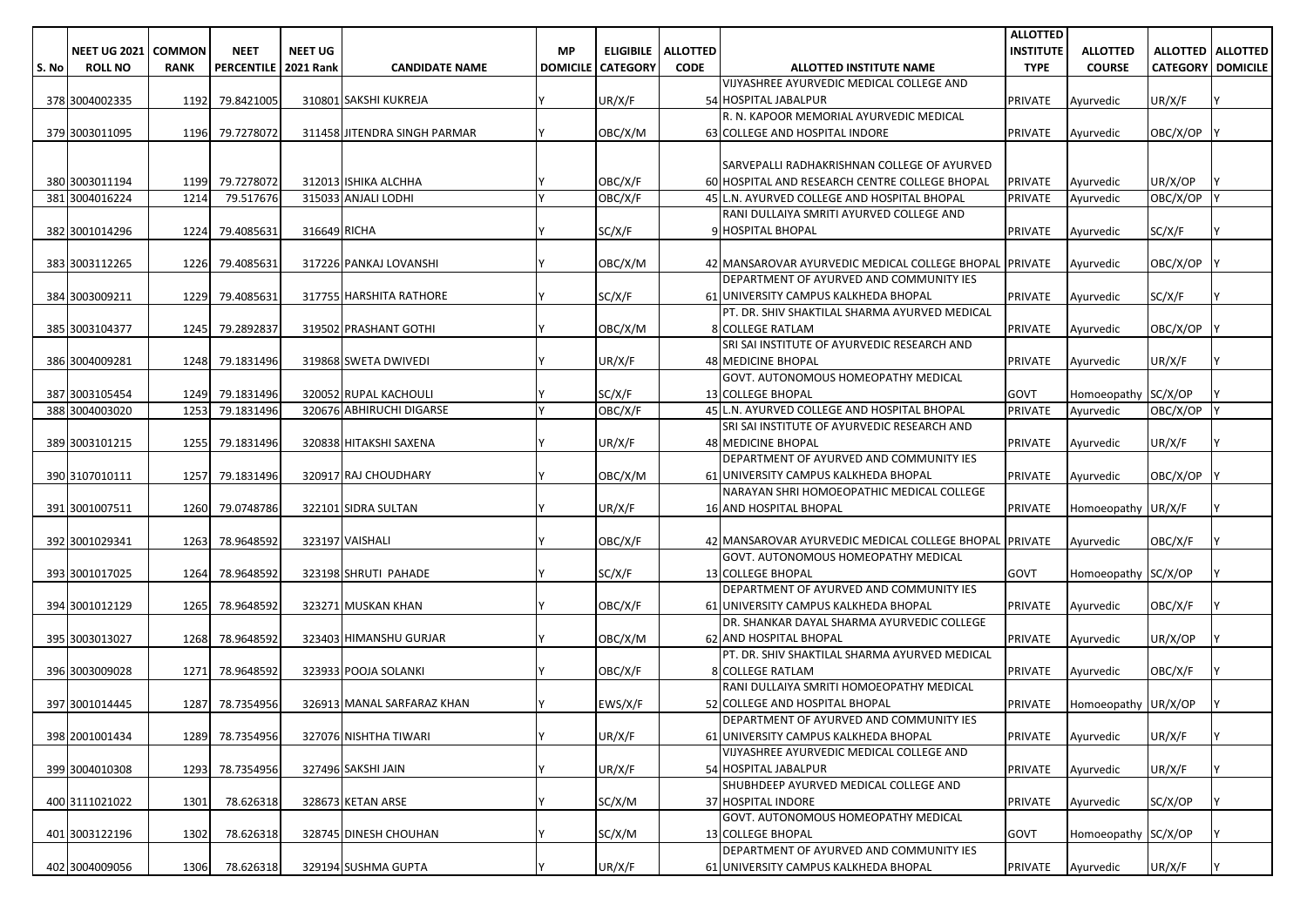|       |                     |               |                        |                |                              |           |                            |                 |                                                                     | <b>ALLOTTED</b>  |                     |                            |                     |
|-------|---------------------|---------------|------------------------|----------------|------------------------------|-----------|----------------------------|-----------------|---------------------------------------------------------------------|------------------|---------------------|----------------------------|---------------------|
|       | <b>NEET UG 2021</b> | <b>COMMON</b> | <b>NEET</b>            | <b>NEET UG</b> |                              | <b>MP</b> | <b>ELIGIBILE</b>           | <b>ALLOTTED</b> |                                                                     | <b>INSTITUTE</b> | <b>ALLOTTED</b>     |                            | ALLOTTED   ALLOTTED |
| S. No | <b>ROLL NO</b>      | <b>RANK</b>   | PERCENTILE   2021 Rank |                | <b>CANDIDATE NAME</b>        |           | <b>DOMICILE   CATEGORY</b> | <b>CODE</b>     | ALLOTTED INSTITUTE NAME                                             | <b>TYPE</b>      | <b>COURSE</b>       | <b>CATEGORY   DOMICILE</b> |                     |
|       |                     |               |                        |                |                              |           |                            |                 | VIJYASHREE AYURVEDIC MEDICAL COLLEGE AND                            |                  |                     |                            |                     |
|       | 378 3004002335      |               | 1192 79.8421005        |                | 310801 SAKSHI KUKREJA        |           | UR/X/F                     |                 | 54 HOSPITAL JABALPUR                                                | PRIVATE          | Ayurvedic           | UR/X/F                     |                     |
|       |                     |               |                        |                |                              |           |                            |                 | R. N. KAPOOR MEMORIAL AYURVEDIC MEDICAL                             |                  |                     |                            |                     |
|       | 379 3003011095      |               | 1196 79.7278072        |                | 311458 JITENDRA SINGH PARMAR |           | OBC/X/M                    |                 | 63 COLLEGE AND HOSPITAL INDORE                                      | PRIVATE          | Ayurvedic           | OBC/X/OP                   |                     |
|       |                     |               |                        |                |                              |           |                            |                 |                                                                     |                  |                     |                            |                     |
|       |                     |               |                        |                |                              |           |                            |                 | SARVEPALLI RADHAKRISHNAN COLLEGE OF AYURVED                         |                  |                     |                            |                     |
|       | 380 3003011194      |               | 1199 79.7278072        |                | 312013 ISHIKA ALCHHA         |           | OBC/X/F                    |                 | 60 HOSPITAL AND RESEARCH CENTRE COLLEGE BHOPAL                      | <b>PRIVATE</b>   | Ayurvedic           | UR/X/OP                    |                     |
|       | 381 3004016224      | 1214          | 79.517676              |                | 315033 ANJALI LODHI          |           | OBC/X/F                    |                 | 45 L.N. AYURVED COLLEGE AND HOSPITAL BHOPAL                         | <b>PRIVATE</b>   | Ayurvedic           | OBC/X/OP                   |                     |
|       |                     |               |                        |                |                              |           |                            |                 | RANI DULLAIYA SMRITI AYURVED COLLEGE AND                            |                  |                     |                            |                     |
|       | 382 3001014296      | 1224          | 79.4085631             | 316649 RICHA   |                              |           | SC/X/F                     |                 | 9 HOSPITAL BHOPAL                                                   | <b>PRIVATE</b>   | Ayurvedic           | SC/X/F                     |                     |
|       |                     |               |                        |                |                              |           |                            |                 |                                                                     |                  |                     |                            |                     |
|       | 383 3003112265      |               | 1226 79.4085631        |                | 317226 PANKAJ LOVANSHI       |           | OBC/X/M                    |                 | 42 MANSAROVAR AYURVEDIC MEDICAL COLLEGE BHOPAL PRIVATE              |                  | Ayurvedic           | OBC/X/OP                   |                     |
|       |                     |               |                        |                |                              |           |                            |                 | DEPARTMENT OF AYURVED AND COMMUNITY IES                             |                  |                     |                            |                     |
|       | 384 3003009211      |               | 1229 79.4085631        |                | 317755 HARSHITA RATHORE      |           | SC/X/F                     |                 | 61 UNIVERSITY CAMPUS KALKHEDA BHOPAL                                | PRIVATE          | Ayurvedic           | SC/X/F                     |                     |
|       |                     |               |                        |                |                              |           |                            |                 | PT. DR. SHIV SHAKTILAL SHARMA AYURVED MEDICAL                       |                  |                     |                            |                     |
|       | 385 3003104377      |               | 1245 79.2892837        |                | 319502 PRASHANT GOTHI        |           | OBC/X/M                    |                 | <b>8 COLLEGE RATLAM</b>                                             | <b>PRIVATE</b>   | Ayurvedic           | OBC/X/OP                   |                     |
|       |                     |               |                        |                |                              |           |                            |                 | SRI SAI INSTITUTE OF AYURVEDIC RESEARCH AND                         |                  |                     |                            |                     |
|       | 386 3004009281      |               | 1248 79.1831496        |                | 319868 SWETA DWIVEDI         |           | UR/X/F                     |                 | 48 MEDICINE BHOPAL                                                  | PRIVATE          | Ayurvedic           | UR/X/F                     |                     |
|       |                     |               |                        |                |                              |           |                            |                 | GOVT. AUTONOMOUS HOMEOPATHY MEDICAL                                 |                  |                     |                            |                     |
|       | 387 3003105454      |               | 1249 79.1831496        |                | 320052 RUPAL KACHOULI        |           | SC/X/F                     |                 | 13 COLLEGE BHOPAL                                                   | <b>GOVT</b>      | Homoeopathy SC/X/OP |                            |                     |
|       | 388 3004003020      | 1253          | 79.1831496             |                | 320676 ABHIRUCHI DIGARSE     |           | OBC/X/F                    |                 | 45 L.N. AYURVED COLLEGE AND HOSPITAL BHOPAL                         | <b>PRIVATE</b>   | Ayurvedic           | OBC/X/OP                   |                     |
|       |                     |               |                        |                |                              |           |                            |                 | SRI SAI INSTITUTE OF AYURVEDIC RESEARCH AND                         |                  |                     |                            |                     |
|       | 389 3003101215      |               | 1255 79.1831496        |                | 320838 HITAKSHI SAXENA       |           | UR/X/F                     |                 | <b>48 MEDICINE BHOPAL</b>                                           | <b>PRIVATE</b>   | Avurvedic           | UR/X/F                     |                     |
|       |                     |               |                        |                |                              |           |                            |                 | DEPARTMENT OF AYURVED AND COMMUNITY IES                             |                  |                     |                            |                     |
|       | 390 3107010111      | 1257          | 79.1831496             |                | 320917 RAJ CHOUDHARY         |           | OBC/X/M                    |                 | 61 UNIVERSITY CAMPUS KALKHEDA BHOPAL                                | PRIVATE          | Ayurvedic           | OBC/X/OP                   |                     |
|       | 391 3001007511      |               | 1260 79.0748786        |                | 322101 SIDRA SULTAN          |           | UR/X/F                     |                 | NARAYAN SHRI HOMOEOPATHIC MEDICAL COLLEGE<br>16 AND HOSPITAL BHOPAL | <b>PRIVATE</b>   |                     |                            |                     |
|       |                     |               |                        |                |                              |           |                            |                 |                                                                     |                  | Homoeopathy UR/X/F  |                            |                     |
|       | 392 3001029341      |               | 1263 78.9648592        |                | 323197 VAISHALI              |           | OBC/X/F                    |                 | 42 MANSAROVAR AYURVEDIC MEDICAL COLLEGE BHOPAL PRIVATE              |                  | Ayurvedic           | OBC/X/F                    |                     |
|       |                     |               |                        |                |                              |           |                            |                 | GOVT. AUTONOMOUS HOMEOPATHY MEDICAL                                 |                  |                     |                            |                     |
|       | 393 3001017025      |               | 1264 78.9648592        |                | 323198 SHRUTI PAHADE         |           | SC/X/F                     |                 | 13 COLLEGE BHOPAL                                                   | <b>GOVT</b>      | Homoeopathy SC/X/OP |                            |                     |
|       |                     |               |                        |                |                              |           |                            |                 | DEPARTMENT OF AYURVED AND COMMUNITY IES                             |                  |                     |                            |                     |
|       | 394 3001012129      |               | 1265 78.9648592        |                | 323271 MUSKAN KHAN           |           | OBC/X/F                    |                 | 61 UNIVERSITY CAMPUS KALKHEDA BHOPAL                                | PRIVATE          | Ayurvedic           | OBC/X/F                    |                     |
|       |                     |               |                        |                |                              |           |                            |                 | DR. SHANKAR DAYAL SHARMA AYURVEDIC COLLEGE                          |                  |                     |                            |                     |
|       | 395 3003013027      |               | 1268 78.9648592        |                | 323403 HIMANSHU GURJAR       |           | OBC/X/M                    |                 | 62 AND HOSPITAL BHOPAL                                              | <b>PRIVATE</b>   | Ayurvedic           | UR/X/OP                    |                     |
|       |                     |               |                        |                |                              |           |                            |                 | PT. DR. SHIV SHAKTILAL SHARMA AYURVED MEDICAL                       |                  |                     |                            |                     |
|       | 396 3003009028      |               | 1271 78.9648592        |                | 323933 POOJA SOLANKI         |           | OBC/X/F                    |                 | <b>8 COLLEGE RATLAM</b>                                             | <b>PRIVATE</b>   | Ayurvedic           | OBC/X/F                    |                     |
|       |                     |               |                        |                |                              |           |                            |                 | RANI DULLAIYA SMRITI HOMOEOPATHY MEDICAL                            |                  |                     |                            |                     |
|       | 397 3001014445      |               | 1287 78.7354956        |                | 326913 MANAL SARFARAZ KHAN   |           | EWS/X/F                    |                 | 52 COLLEGE AND HOSPITAL BHOPAL                                      | <b>PRIVATE</b>   | Homoeopathy UR/X/OP |                            |                     |
|       |                     |               |                        |                |                              |           |                            |                 | DEPARTMENT OF AYURVED AND COMMUNITY JES                             |                  |                     |                            |                     |
|       | 398 2001001434      |               | 1289 78.7354956        |                | 327076 NISHTHA TIWARI        |           | UR/X/F                     |                 | 61 UNIVERSITY CAMPUS KALKHEDA BHOPAL                                | <b>PRIVATE</b>   | Ayurvedic           | UR/X/F                     |                     |
|       |                     |               |                        |                |                              |           |                            |                 | VIJYASHREE AYURVEDIC MEDICAL COLLEGE AND                            |                  |                     |                            |                     |
|       | 399 3004010308      |               | 1293 78.7354956        |                | 327496 SAKSHI JAIN           |           | UR/X/F                     |                 | 54 HOSPITAL JABALPUR                                                | PRIVATE          | Ayurvedic           | UR/X/F                     |                     |
|       |                     |               |                        |                |                              |           |                            |                 | SHUBHDEEP AYURVED MEDICAL COLLEGE AND                               |                  |                     |                            |                     |
|       | 400 3111021022      | 1301          | 78.626318              |                | 328673 KETAN ARSE            |           | SC/X/M                     |                 | 37 HOSPITAL INDORE                                                  | PRIVATE          | Ayurvedic           | SC/X/OP                    |                     |
|       |                     |               |                        |                |                              |           |                            |                 | GOVT. AUTONOMOUS HOMEOPATHY MEDICAL                                 |                  |                     |                            |                     |
|       | 401 3003122196      | 1302          | 78.626318              |                | 328745 DINESH CHOUHAN        |           | SC/X/M                     |                 | 13 COLLEGE BHOPAL                                                   | <b>GOVT</b>      | Homoeopathy SC/X/OP |                            |                     |
|       |                     |               |                        |                |                              |           |                            |                 | DEPARTMENT OF AYURVED AND COMMUNITY IES                             |                  |                     |                            |                     |
|       | 402 3004009056      | 1306          | 78.626318              |                | 329194 SUSHMA GUPTA          |           | UR/X/F                     |                 | 61 UNIVERSITY CAMPUS KALKHEDA BHOPAL                                | PRIVATE          | Ayurvedic           | UR/X/F                     | Y                   |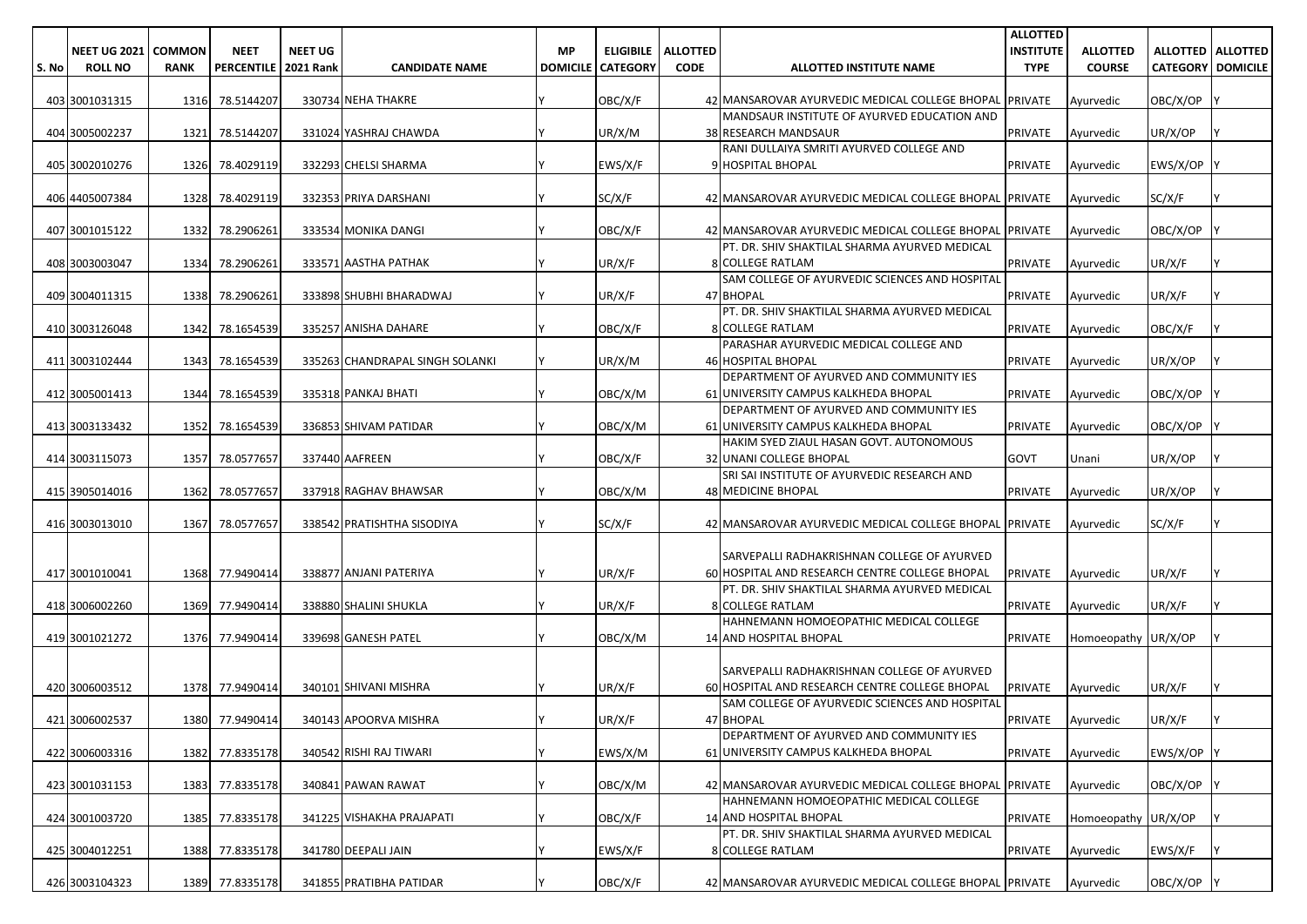|       |                     |               |                        |                |                                 |           |                            |                 |                                                                                                         | <b>ALLOTTED</b>  |                     |                            |                     |
|-------|---------------------|---------------|------------------------|----------------|---------------------------------|-----------|----------------------------|-----------------|---------------------------------------------------------------------------------------------------------|------------------|---------------------|----------------------------|---------------------|
|       | <b>NEET UG 2021</b> | <b>COMMON</b> | <b>NEET</b>            | <b>NEET UG</b> |                                 | <b>MP</b> | <b>ELIGIBILE</b>           | <b>ALLOTTED</b> |                                                                                                         | <b>INSTITUTE</b> | <b>ALLOTTED</b>     |                            | ALLOTTED   ALLOTTED |
| S. No | <b>ROLL NO</b>      | <b>RANK</b>   | PERCENTILE   2021 Rank |                | <b>CANDIDATE NAME</b>           |           | <b>DOMICILE   CATEGORY</b> | <b>CODE</b>     | ALLOTTED INSTITUTE NAME                                                                                 | <b>TYPE</b>      | <b>COURSE</b>       | <b>CATEGORY   DOMICILE</b> |                     |
|       | 403 3001031315      |               | 1316 78.5144207        |                | 330734 NEHA THAKRE              |           | OBC/X/F                    |                 | 42 MANSAROVAR AYURVEDIC MEDICAL COLLEGE BHOPAL PRIVATE                                                  |                  | Ayurvedic           | OBC/X/OP                   |                     |
|       |                     |               |                        |                |                                 |           |                            |                 | MANDSAUR INSTITUTE OF AYURVED EDUCATION AND                                                             |                  |                     |                            |                     |
|       | 404 3005002237      | 1321          | 78.5144207             |                | 331024 YASHRAJ CHAWDA           |           | UR/X/M                     |                 | 38 RESEARCH MANDSAUR                                                                                    | <b>PRIVATE</b>   | Ayurvedic           | UR/X/OP                    |                     |
|       |                     |               |                        |                |                                 |           |                            |                 | RANI DULLAIYA SMRITI AYURVED COLLEGE AND                                                                |                  |                     |                            |                     |
|       | 405 3002010276      |               | 1326 78.4029119        |                | 332293 CHELSI SHARMA            |           | EWS/X/F                    |                 | 9 HOSPITAL BHOPAL                                                                                       | <b>PRIVATE</b>   | Ayurvedic           | EWS/X/OP                   |                     |
|       |                     |               |                        |                |                                 |           |                            |                 |                                                                                                         |                  |                     |                            |                     |
|       | 406 4405007384      |               | 1328 78.4029119        |                | 332353 PRIYA DARSHANI           |           | SC/X/F                     |                 | 42 MANSAROVAR AYURVEDIC MEDICAL COLLEGE BHOPAL PRIVATE                                                  |                  | Ayurvedic           | SC/X/F                     |                     |
|       |                     |               |                        |                |                                 |           |                            |                 |                                                                                                         |                  |                     |                            |                     |
|       | 407 3001015122      | 1332          | 78.2906261             |                | 333534 MONIKA DANGI             |           | OBC/X/F                    |                 | 42 MANSAROVAR AYURVEDIC MEDICAL COLLEGE BHOPAL PRIVATE<br>PT. DR. SHIV SHAKTILAL SHARMA AYURVED MEDICAL |                  | Ayurvedic           | OBC/X/OP                   |                     |
|       | 408 3003003047      | 1334          | 78.2906261             |                | 333571 AASTHA PATHAK            |           | UR/X/F                     |                 | <b>8 COLLEGE RATLAM</b>                                                                                 | <b>PRIVATE</b>   | Ayurvedic           | UR/X/F                     |                     |
|       |                     |               |                        |                |                                 |           |                            |                 | SAM COLLEGE OF AYURVEDIC SCIENCES AND HOSPITAL                                                          |                  |                     |                            |                     |
|       | 409 3004011315      |               | 1338 78.2906261        |                | 333898 SHUBHI BHARADWAJ         |           | UR/X/F                     |                 | 47 BHOPAL                                                                                               | <b>PRIVATE</b>   | Ayurvedic           | UR/X/F                     |                     |
|       |                     |               |                        |                |                                 |           |                            |                 | PT. DR. SHIV SHAKTILAL SHARMA AYURVED MEDICAL                                                           |                  |                     |                            |                     |
|       | 410 3003126048      | 1342          | 78.1654539             |                | 335257 ANISHA DAHARE            |           | OBC/X/F                    |                 | <b>8 COLLEGE RATLAM</b>                                                                                 | <b>PRIVATE</b>   | Ayurvedic           | OBC/X/F                    |                     |
|       |                     |               |                        |                |                                 |           |                            |                 | PARASHAR AYURVEDIC MEDICAL COLLEGE AND                                                                  |                  |                     |                            |                     |
|       | 411 3003102444      | 1343          | 78.1654539             |                | 335263 CHANDRAPAL SINGH SOLANKI |           | UR/X/M                     |                 | <b>46 HOSPITAL BHOPAL</b>                                                                               | <b>PRIVATE</b>   | Avurvedic           | UR/X/OP                    |                     |
|       |                     |               |                        |                |                                 |           |                            |                 | DEPARTMENT OF AYURVED AND COMMUNITY IES                                                                 |                  |                     |                            |                     |
|       | 412 3005001413      | 1344          | 78.1654539             |                | 335318 PANKAJ BHATI             |           | OBC/X/M                    |                 | 61 UNIVERSITY CAMPUS KALKHEDA BHOPAL                                                                    | <b>PRIVATE</b>   | Ayurvedic           | OBC/X/OP                   |                     |
|       |                     |               |                        |                |                                 |           |                            |                 | DEPARTMENT OF AYURVED AND COMMUNITY IES                                                                 |                  |                     |                            |                     |
|       | 413 3003133432      |               | 1352 78.1654539        |                | 336853 SHIVAM PATIDAR           |           | OBC/X/M                    |                 | 61 UNIVERSITY CAMPUS KALKHEDA BHOPAL                                                                    | <b>PRIVATE</b>   | Avurvedic           | OBC/X/OP                   |                     |
|       |                     |               |                        |                |                                 |           |                            |                 | HAKIM SYED ZIAUL HASAN GOVT. AUTONOMOUS                                                                 |                  |                     |                            |                     |
|       | 414 3003115073      | 1357          | 78.0577657             |                | 337440 AAFREEN                  |           | OBC/X/F                    |                 | 32 UNANI COLLEGE BHOPAL                                                                                 | <b>GOVT</b>      | Unani               | UR/X/OP                    |                     |
|       |                     |               |                        |                |                                 |           |                            |                 | SRI SAI INSTITUTE OF AYURVEDIC RESEARCH AND                                                             |                  |                     |                            |                     |
|       | 415 3905014016      | 1362          | 78.0577657             |                | 337918 RAGHAV BHAWSAR           |           | OBC/X/M                    |                 | <b>48 MEDICINE BHOPAL</b>                                                                               | <b>PRIVATE</b>   | Ayurvedic           | UR/X/OP                    |                     |
|       | 416 3003013010      | 1367          | 78.0577657             |                | 338542 PRATISHTHA SISODIYA      |           | SC/X/F                     |                 | 42 MANSAROVAR AYURVEDIC MEDICAL COLLEGE BHOPAL PRIVATE                                                  |                  | Ayurvedic           | SC/X/F                     |                     |
|       |                     |               |                        |                |                                 |           |                            |                 |                                                                                                         |                  |                     |                            |                     |
|       |                     |               |                        |                |                                 |           |                            |                 | SARVEPALLI RADHAKRISHNAN COLLEGE OF AYURVED                                                             |                  |                     |                            |                     |
|       | 417 3001010041      |               | 1368 77.9490414        |                | 338877 ANJANI PATERIYA          |           | UR/X/F                     |                 | 60 HOSPITAL AND RESEARCH CENTRE COLLEGE BHOPAL                                                          | <b>PRIVATE</b>   | Ayurvedic           | UR/X/F                     |                     |
|       |                     |               |                        |                |                                 |           |                            |                 | PT. DR. SHIV SHAKTILAL SHARMA AYURVED MEDICAL                                                           |                  |                     |                            |                     |
|       | 418 3006002260      |               | 1369 77.9490414        |                | 338880 SHALINI SHUKLA           |           | UR/X/F                     |                 | 8 COLLEGE RATLAM                                                                                        | <b>PRIVATE</b>   | Ayurvedic           | UR/X/F                     |                     |
|       |                     |               |                        |                |                                 |           |                            |                 | HAHNEMANN HOMOEOPATHIC MEDICAL COLLEGE                                                                  |                  |                     |                            |                     |
|       | 419 3001021272      |               | 1376 77.9490414        |                | 339698 GANESH PATEL             |           | OBC/X/M                    |                 | <b>14 AND HOSPITAL BHOPAL</b>                                                                           | <b>PRIVATE</b>   | Homoeopathy UR/X/OP |                            |                     |
|       |                     |               |                        |                |                                 |           |                            |                 |                                                                                                         |                  |                     |                            |                     |
|       | 420 3006003512      |               |                        |                | 340101 SHIVANI MISHRA           |           |                            |                 | SARVEPALLI RADHAKRISHNAN COLLEGE OF AYURVED                                                             |                  |                     |                            |                     |
|       |                     |               | 1378 77.9490414        |                |                                 |           | UR/X/F                     |                 | 60 HOSPITAL AND RESEARCH CENTRE COLLEGE BHOPAL<br>SAM COLLEGE OF AYURVEDIC SCIENCES AND HOSPITAL        | <b>PRIVATE</b>   | Ayurvedic           | UR/X/F                     |                     |
|       | 421 3006002537      |               | 1380 77.9490414        |                | 340143 APOORVA MISHRA           |           | UR/X/F                     |                 | 47 BHOPAL                                                                                               | PRIVATE          | Ayurvedic           | UR/X/F                     |                     |
|       |                     |               |                        |                |                                 |           |                            |                 | DEPARTMENT OF AYURVED AND COMMUNITY IES                                                                 |                  |                     |                            |                     |
|       | 422 3006003316      |               | 1382 77.8335178        |                | 340542 RISHI RAJ TIWARI         |           | EWS/X/M                    |                 | 61 UNIVERSITY CAMPUS KALKHEDA BHOPAL                                                                    | <b>PRIVATE</b>   | Ayurvedic           | EWS/X/OP                   |                     |
|       |                     |               |                        |                |                                 |           |                            |                 |                                                                                                         |                  |                     |                            |                     |
|       | 423 3001031153      |               | 1383 77.8335178        |                | 340841 PAWAN RAWAT              |           | OBC/X/M                    |                 | 42 MANSAROVAR AYURVEDIC MEDICAL COLLEGE BHOPAL PRIVATE                                                  |                  | Ayurvedic           | OBC/X/OP                   |                     |
|       |                     |               |                        |                |                                 |           |                            |                 | HAHNEMANN HOMOEOPATHIC MEDICAL COLLEGE                                                                  |                  |                     |                            |                     |
|       | 424 3001003720      |               | 1385 77.8335178        |                | 341225 VISHAKHA PRAJAPATI       |           | OBC/X/F                    |                 | 14 AND HOSPITAL BHOPAL                                                                                  | <b>PRIVATE</b>   | Homoeopathy UR/X/OP |                            |                     |
|       |                     |               |                        |                |                                 |           |                            |                 | PT. DR. SHIV SHAKTILAL SHARMA AYURVED MEDICAL                                                           |                  |                     |                            |                     |
|       | 425 3004012251      |               | 1388 77.8335178        |                | 341780 DEEPALI JAIN             |           | EWS/X/F                    |                 | <b>8 COLLEGE RATLAM</b>                                                                                 | <b>PRIVATE</b>   | Ayurvedic           | EWS/X/F                    |                     |
|       |                     |               |                        |                |                                 |           |                            |                 |                                                                                                         |                  |                     |                            |                     |
|       | 426 3003104323      |               | 1389 77.8335178        |                | 341855 PRATIBHA PATIDAR         |           | OBC/X/F                    |                 | 42 MANSAROVAR AYURVEDIC MEDICAL COLLEGE BHOPAL PRIVATE                                                  |                  | Ayurvedic           | OBC/X/OP Y                 |                     |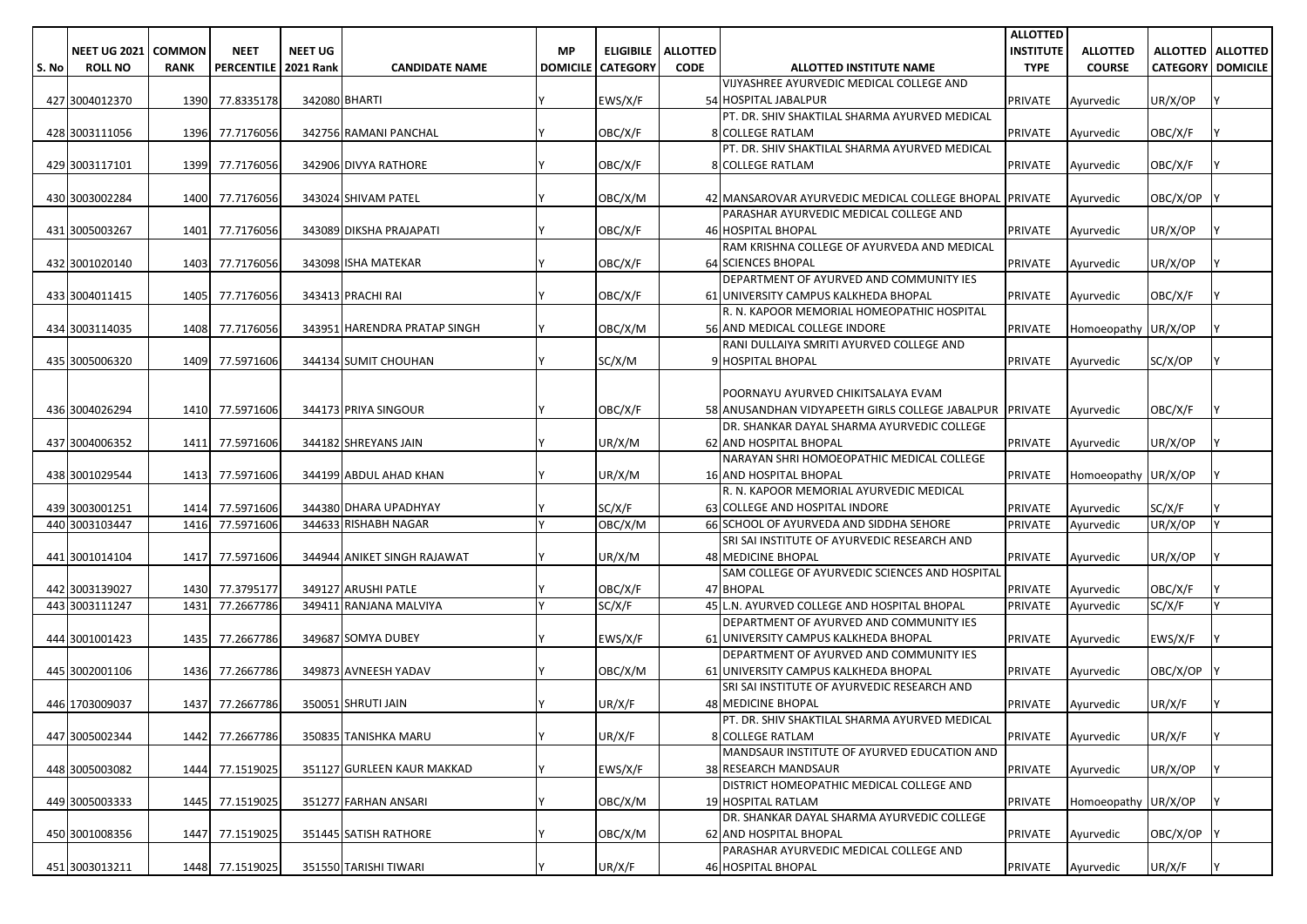|       |                     |               |                   |                  |                              |                 |                  |                 |                                                         | <b>ALLOTTED</b>  |                     |                          |                     |
|-------|---------------------|---------------|-------------------|------------------|------------------------------|-----------------|------------------|-----------------|---------------------------------------------------------|------------------|---------------------|--------------------------|---------------------|
|       | <b>NEET UG 2021</b> | <b>COMMON</b> | <b>NEET</b>       | <b>NEET UG</b>   |                              | <b>MP</b>       | <b>ELIGIBILE</b> | <b>ALLOTTED</b> |                                                         | <b>INSTITUTE</b> | <b>ALLOTTED</b>     |                          | ALLOTTED   ALLOTTED |
| S. No | <b>ROLL NO</b>      | <b>RANK</b>   | <b>PERCENTILE</b> | <b>2021 Rank</b> | <b>CANDIDATE NAME</b>        | <b>DOMICILE</b> | <b>CATEGORY</b>  | <b>CODE</b>     | ALLOTTED INSTITUTE NAME                                 | <b>TYPE</b>      | <b>COURSE</b>       | <b>CATEGORY DOMICILE</b> |                     |
|       |                     |               |                   |                  |                              |                 |                  |                 | VIJYASHREE AYURVEDIC MEDICAL COLLEGE AND                |                  |                     |                          |                     |
|       | 427 3004012370      |               | 1390 77.8335178   |                  | 342080 BHARTI                |                 | EWS/X/F          |                 | 54 HOSPITAL JABALPUR                                    | PRIVATE          | Ayurvedic           | UR/X/OP                  |                     |
|       |                     |               |                   |                  |                              |                 |                  |                 | PT. DR. SHIV SHAKTILAL SHARMA AYURVED MEDICAL           |                  |                     |                          |                     |
|       | 428 3003111056      |               | 1396 77.7176056   |                  | 342756 RAMANI PANCHAL        |                 | OBC/X/F          |                 | <b>8 COLLEGE RATLAM</b>                                 | <b>PRIVATE</b>   | Ayurvedic           | OBC/X/F                  |                     |
|       |                     |               |                   |                  |                              |                 |                  |                 | PT. DR. SHIV SHAKTILAL SHARMA AYURVED MEDICAL           |                  |                     |                          |                     |
|       | 429 3003117101      |               | 1399 77.7176056   |                  | 342906 DIVYA RATHORE         |                 | OBC/X/F          |                 | <b>8 COLLEGE RATLAM</b>                                 | <b>PRIVATE</b>   | Ayurvedic           | OBC/X/F                  |                     |
|       |                     |               |                   |                  |                              |                 |                  |                 |                                                         |                  |                     |                          |                     |
|       | 430 3003002284      |               | 1400 77.7176056   |                  | 343024 SHIVAM PATEL          |                 | OBC/X/M          |                 | 42 MANSAROVAR AYURVEDIC MEDICAL COLLEGE BHOPAL PRIVATE  |                  | Ayurvedic           | OBC/X/OP                 |                     |
|       |                     |               |                   |                  |                              |                 |                  |                 | PARASHAR AYURVEDIC MEDICAL COLLEGE AND                  |                  |                     |                          |                     |
|       | 431 3005003267      | 1401          | 77.7176056        |                  | 343089 DIKSHA PRAJAPATI      |                 | OBC/X/F          |                 | <b>46 HOSPITAL BHOPAL</b>                               | <b>PRIVATE</b>   | Ayurvedic           | UR/X/OP                  |                     |
|       |                     |               |                   |                  |                              |                 |                  |                 | RAM KRISHNA COLLEGE OF AYURVEDA AND MEDICAL             |                  |                     |                          |                     |
|       | 432 3001020140      |               | 1403 77.7176056   |                  | 343098 ISHA MATEKAR          |                 | OBC/X/F          |                 | <b>64 SCIENCES BHOPAL</b>                               | <b>PRIVATE</b>   | Ayurvedic           | UR/X/OP                  |                     |
|       |                     |               |                   |                  |                              |                 |                  |                 | DEPARTMENT OF AYURVED AND COMMUNITY IES                 |                  |                     |                          |                     |
|       | 433 3004011415      |               | 1405 77.7176056   |                  | 343413 PRACHI RAI            |                 | OBC/X/F          |                 | 61 UNIVERSITY CAMPUS KALKHEDA BHOPAL                    | <b>PRIVATE</b>   | Ayurvedic           | OBC/X/F                  |                     |
|       |                     |               |                   |                  |                              |                 |                  |                 | R. N. KAPOOR MEMORIAL HOMEOPATHIC HOSPITAL              |                  |                     |                          |                     |
|       | 434 3003114035      |               | 1408 77.7176056   |                  | 343951 HARENDRA PRATAP SINGH |                 | OBC/X/M          |                 | 56 AND MEDICAL COLLEGE INDORE                           | <b>PRIVATE</b>   | Homoeopathy UR/X/OP |                          |                     |
|       |                     |               |                   |                  |                              |                 |                  |                 | RANI DULLAIYA SMRITI AYURVED COLLEGE AND                |                  |                     |                          |                     |
|       | 435 3005006320      | 1409          | 77.5971606        |                  | 344134 SUMIT CHOUHAN         |                 | SC/X/M           |                 | 9 HOSPITAL BHOPAL                                       | <b>PRIVATE</b>   | Ayurvedic           | SC/X/OP                  |                     |
|       |                     |               |                   |                  |                              |                 |                  |                 |                                                         |                  |                     |                          |                     |
|       |                     |               |                   |                  |                              |                 |                  |                 | POORNAYU AYURVED CHIKITSALAYA EVAM                      |                  |                     |                          |                     |
|       | 436 3004026294      |               | 1410 77.5971606   |                  | 344173 PRIYA SINGOUR         |                 | OBC/X/F          |                 | 58 ANUSANDHAN VIDYAPEETH GIRLS COLLEGE JABALPUR PRIVATE |                  | Ayurvedic           | OBC/X/F                  |                     |
|       |                     |               |                   |                  |                              |                 |                  |                 | DR. SHANKAR DAYAL SHARMA AYURVEDIC COLLEGE              |                  |                     |                          |                     |
|       | 437 3004006352      | 1411          | 77.5971606        |                  | 344182 SHREYANS JAIN         |                 | UR/X/M           |                 | <b>62 AND HOSPITAL BHOPAL</b>                           | <b>PRIVATE</b>   | Ayurvedic           | UR/X/OP                  |                     |
|       |                     |               |                   |                  |                              |                 |                  |                 | NARAYAN SHRI HOMOEOPATHIC MEDICAL COLLEGE               |                  |                     |                          |                     |
|       | 438 3001029544      |               | 1413 77.5971606   |                  | 344199 ABDUL AHAD KHAN       |                 | UR/X/M           |                 | <b>16 AND HOSPITAL BHOPAL</b>                           | <b>PRIVATE</b>   | Homoeopathy UR/X/OP |                          |                     |
|       |                     |               |                   |                  |                              |                 |                  |                 | R. N. KAPOOR MEMORIAL AYURVEDIC MEDICAL                 |                  |                     |                          |                     |
|       | 439 3003001251      |               | 1414 77.5971606   |                  | 344380 DHARA UPADHYAY        |                 | SC/X/F           |                 | 63 COLLEGE AND HOSPITAL INDORE                          | <b>PRIVATE</b>   | Ayurvedic           | SC/X/F                   |                     |
|       | 440 3003103447      | 1416          | 77.5971606        |                  | 344633 RISHABH NAGAR         |                 | OBC/X/M          |                 | 66 SCHOOL OF AYURVEDA AND SIDDHA SEHORE                 | <b>PRIVATE</b>   | Ayurvedic           | UR/X/OP                  |                     |
|       |                     |               |                   |                  |                              |                 |                  |                 | SRI SAI INSTITUTE OF AYURVEDIC RESEARCH AND             |                  |                     |                          |                     |
|       | 441 3001014104      | 1417          | 77.5971606        |                  | 344944 ANIKET SINGH RAJAWAT  |                 | UR/X/M           |                 | <b>48 MEDICINE BHOPAL</b>                               | <b>PRIVATE</b>   | Ayurvedic           | UR/X/OP                  |                     |
|       |                     |               |                   |                  |                              |                 |                  |                 | SAM COLLEGE OF AYURVEDIC SCIENCES AND HOSPITAL          |                  |                     |                          |                     |
|       | 442 3003139027      |               | 1430 77.3795177   |                  | 349127 ARUSHI PATLE          |                 | OBC/X/F          |                 | 47 BHOPAL                                               | <b>PRIVATE</b>   | Ayurvedic           | OBC/X/F                  |                     |
|       | 443 3003111247      | 1431          | 77.2667786        |                  | 349411 RANJANA MALVIYA       | Iν              | SC/X/F           |                 | 45 L.N. AYURVED COLLEGE AND HOSPITAL BHOPAL             | <b>PRIVATE</b>   | Ayurvedic           | SC/X/F                   | Υ                   |
|       |                     |               |                   |                  |                              |                 |                  |                 | DEPARTMENT OF AYURVED AND COMMUNITY IES                 |                  |                     |                          |                     |
|       | 444 3001001423      | 1435          | 77.2667786        |                  | 349687 SOMYA DUBEY           |                 | EWS/X/F          |                 | 61 UNIVERSITY CAMPUS KALKHEDA BHOPAL                    | <b>PRIVATE</b>   | Ayurvedic           | EWS/X/F                  |                     |
|       |                     |               |                   |                  |                              |                 |                  |                 | DEPARTMENT OF AYURVED AND COMMUNITY IES                 |                  |                     |                          |                     |
|       | 445 3002001106      |               | 1436 77.2667786   |                  | 349873 AVNEESH YADAV         |                 | OBC/X/M          |                 | 61 UNIVERSITY CAMPUS KALKHEDA BHOPAL                    | <b>PRIVATE</b>   | Ayurvedic           | OBC/X/OP                 |                     |
|       |                     |               |                   |                  |                              |                 |                  |                 | SRI SAI INSTITUTE OF AYURVEDIC RESEARCH AND             |                  |                     |                          |                     |
|       | 446 1703009037      | 1437          | 77.2667786        |                  | 350051 SHRUTI JAIN           |                 | UR/X/F           |                 | 48 MEDICINE BHOPAL                                      | <b>PRIVATE</b>   | Ayurvedic           | UR/X/F                   |                     |
|       |                     |               |                   |                  |                              |                 |                  |                 | PT. DR. SHIV SHAKTILAL SHARMA AYURVED MEDICAL           |                  |                     |                          |                     |
|       | 447 3005002344      |               | 1442 77.2667786   |                  | 350835 TANISHKA MARU         | I٧              | UR/X/F           |                 | 8 COLLEGE RATLAM                                        | <b>PRIVATE</b>   | Ayurvedic           | UR/X/F                   | Y                   |
|       |                     |               |                   |                  |                              |                 |                  |                 | MANDSAUR INSTITUTE OF AYURVED EDUCATION AND             |                  |                     |                          |                     |
|       | 448 3005003082      |               | 1444 77.1519025   |                  | 351127 GURLEEN KAUR MAKKAD   |                 | EWS/X/F          |                 | 38 RESEARCH MANDSAUR                                    | <b>PRIVATE</b>   | Ayurvedic           | UR/X/OP                  |                     |
|       |                     |               |                   |                  |                              |                 |                  |                 | DISTRICT HOMEOPATHIC MEDICAL COLLEGE AND                |                  |                     |                          |                     |
|       | 449 3005003333      |               | 1445 77.1519025   |                  | 351277 FARHAN ANSARI         |                 | OBC/X/M          |                 | 19 HOSPITAL RATLAM                                      | <b>PRIVATE</b>   | Homoeopathy UR/X/OP |                          |                     |
|       |                     |               |                   |                  |                              |                 |                  |                 | DR. SHANKAR DAYAL SHARMA AYURVEDIC COLLEGE              |                  |                     |                          |                     |
|       | 450 3001008356      |               | 1447 77.1519025   |                  | 351445 SATISH RATHORE        |                 | OBC/X/M          |                 | 62 AND HOSPITAL BHOPAL                                  | <b>PRIVATE</b>   | Ayurvedic           | OBC/X/OP                 |                     |
|       |                     |               |                   |                  |                              |                 |                  |                 | PARASHAR AYURVEDIC MEDICAL COLLEGE AND                  |                  |                     |                          |                     |
|       | 451 3003013211      |               | 1448 77.1519025   |                  | 351550 TARISHI TIWARI        |                 | UR/X/F           |                 | 46 HOSPITAL BHOPAL                                      | PRIVATE          | Ayurvedic           | UR/X/F                   |                     |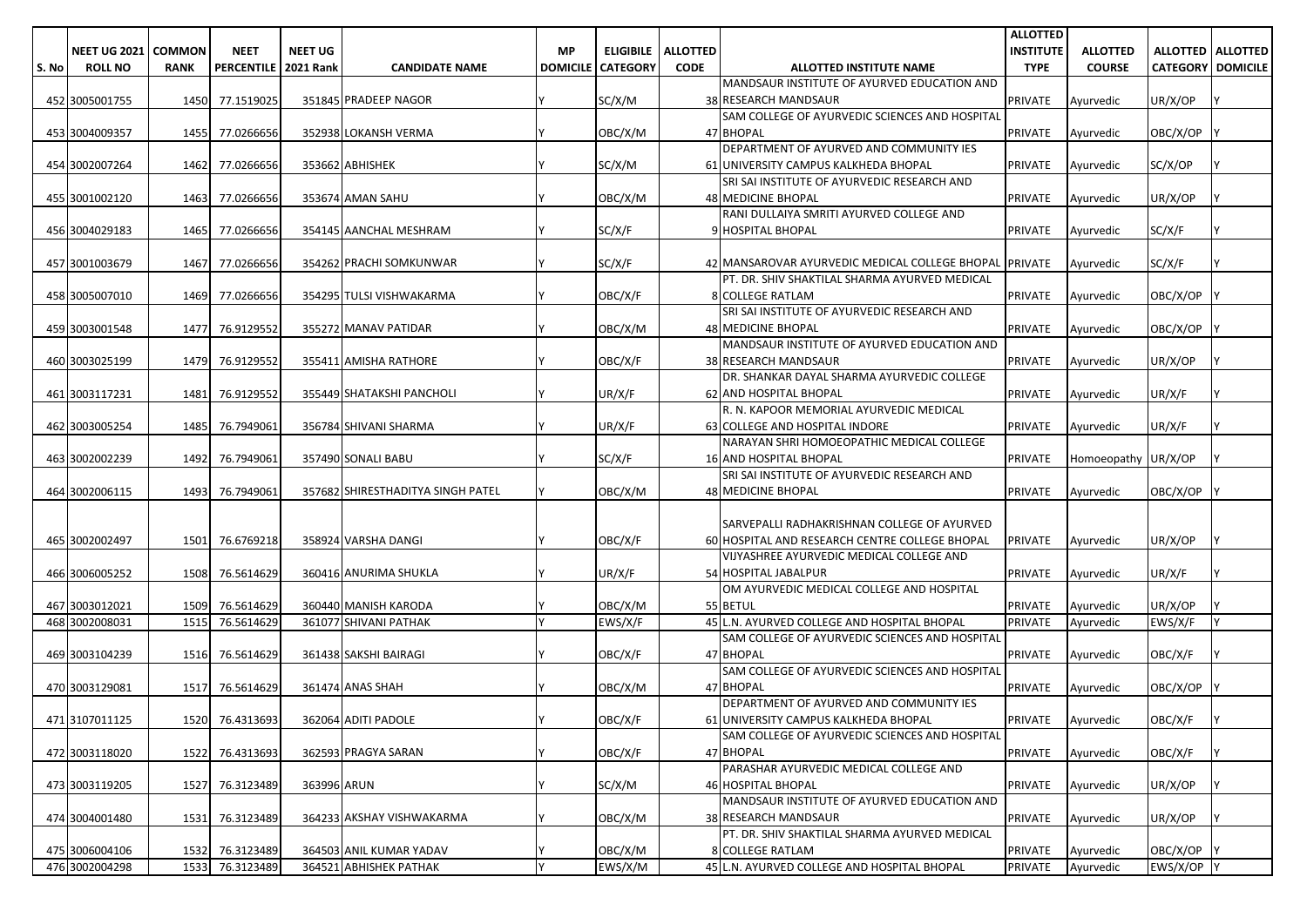|       |                     |               |                   |                  |                                   |                 |                  |                 |                                                                                            | <b>ALLOTTED</b>  |                     |                          |                     |
|-------|---------------------|---------------|-------------------|------------------|-----------------------------------|-----------------|------------------|-----------------|--------------------------------------------------------------------------------------------|------------------|---------------------|--------------------------|---------------------|
|       | <b>NEET UG 2021</b> | <b>COMMON</b> | <b>NEET</b>       | <b>NEET UG</b>   |                                   | <b>MP</b>       | <b>ELIGIBILE</b> | <b>ALLOTTED</b> |                                                                                            | <b>INSTITUTE</b> | <b>ALLOTTED</b>     |                          | ALLOTTED   ALLOTTED |
| S. No | <b>ROLL NO</b>      | <b>RANK</b>   | <b>PERCENTILE</b> | <b>2021 Rank</b> | <b>CANDIDATE NAME</b>             | <b>DOMICILE</b> | <b>CATEGORY</b>  | <b>CODE</b>     | ALLOTTED INSTITUTE NAME                                                                    | <b>TYPE</b>      | <b>COURSE</b>       | <b>CATEGORY DOMICILE</b> |                     |
|       |                     |               |                   |                  |                                   |                 |                  |                 | MANDSAUR INSTITUTE OF AYURVED EDUCATION AND                                                |                  |                     |                          |                     |
|       | 452 3005001755      |               | 1450 77.1519025   |                  | 351845 PRADEEP NAGOR              |                 | SC/X/M           |                 | 38 RESEARCH MANDSAUR                                                                       | <b>PRIVATE</b>   | Ayurvedic           | UR/X/OP                  |                     |
|       |                     |               |                   |                  |                                   |                 |                  |                 | SAM COLLEGE OF AYURVEDIC SCIENCES AND HOSPITAL                                             |                  |                     |                          |                     |
|       | 453 3004009357      |               | 1455 77.0266656   |                  | 352938 LOKANSH VERMA              |                 | OBC/X/M          |                 | 47 BHOPAL                                                                                  | <b>PRIVATE</b>   | Ayurvedic           | OBC/X/OP                 |                     |
|       |                     |               |                   |                  | 353662 ABHISHEK                   |                 | SC/X/M           |                 | DEPARTMENT OF AYURVED AND COMMUNITY IES<br>61 UNIVERSITY CAMPUS KALKHEDA BHOPAL            |                  |                     | SC/X/OP                  |                     |
|       | 454 3002007264      | 1462          | 77.0266656        |                  |                                   |                 |                  |                 | SRI SAI INSTITUTE OF AYURVEDIC RESEARCH AND                                                | <b>PRIVATE</b>   | Ayurvedic           |                          |                     |
|       | 455 3001002120      | 1463          | 77.0266656        |                  | 353674 AMAN SAHU                  |                 | OBC/X/M          |                 | <b>48 MEDICINE BHOPAL</b>                                                                  | <b>PRIVATE</b>   | Ayurvedic           | UR/X/OP                  |                     |
|       |                     |               |                   |                  |                                   |                 |                  |                 | RANI DULLAIYA SMRITI AYURVED COLLEGE AND                                                   |                  |                     |                          |                     |
|       | 456 3004029183      | 1465          | 77.0266656        |                  | 354145 AANCHAL MESHRAM            |                 | SC/X/F           |                 | 9 HOSPITAL BHOPAL                                                                          | <b>PRIVATE</b>   | Ayurvedic           | SC/X/F                   |                     |
|       |                     |               |                   |                  |                                   |                 |                  |                 |                                                                                            |                  |                     |                          |                     |
|       | 457 3001003679      |               | 1467 77.0266656   |                  | 354262 PRACHI SOMKUNWAR           |                 | SC/X/F           |                 | 42 MANSAROVAR AYURVEDIC MEDICAL COLLEGE BHOPAL PRIVATE                                     |                  | Ayurvedic           | SC/X/F                   |                     |
|       |                     |               |                   |                  |                                   |                 |                  |                 | PT. DR. SHIV SHAKTILAL SHARMA AYURVED MEDICAL                                              |                  |                     |                          |                     |
|       | 458 3005007010      | 1469          | 77.0266656        |                  | 354295 TULSI VISHWAKARMA          |                 | OBC/X/F          |                 | <b>8 COLLEGE RATLAM</b>                                                                    | <b>PRIVATE</b>   | Ayurvedic           | OBC/X/OP                 |                     |
|       |                     |               |                   |                  |                                   |                 |                  |                 | SRI SAI INSTITUTE OF AYURVEDIC RESEARCH AND                                                |                  |                     |                          |                     |
|       | 459 3003001548      | 1477          | 76.9129552        |                  | 355272 MANAV PATIDAR              |                 | OBC/X/M          |                 | <b>48 MEDICINE BHOPAL</b>                                                                  | <b>PRIVATE</b>   | Ayurvedic           | OBC/X/OP                 |                     |
|       | 460 3003025199      | 1479          | 76.9129552        |                  | 355411 AMISHA RATHORE             |                 | OBC/X/F          |                 | MANDSAUR INSTITUTE OF AYURVED EDUCATION AND                                                | <b>PRIVATE</b>   |                     |                          |                     |
|       |                     |               |                   |                  |                                   |                 |                  |                 | <b>38 RESEARCH MANDSAUR</b><br>DR. SHANKAR DAYAL SHARMA AYURVEDIC COLLEGE                  |                  | Ayurvedic           | UR/X/OP                  |                     |
|       | 461 3003117231      | 1481          | 76.9129552        |                  | 355449 SHATAKSHI PANCHOLI         |                 | UR/X/F           |                 | <b>62 AND HOSPITAL BHOPAL</b>                                                              | <b>PRIVATE</b>   | Ayurvedic           | UR/X/F                   |                     |
|       |                     |               |                   |                  |                                   |                 |                  |                 | R. N. KAPOOR MEMORIAL AYURVEDIC MEDICAL                                                    |                  |                     |                          |                     |
|       | 462 3003005254      | 1485          | 76.7949061        |                  | 356784 SHIVANI SHARMA             |                 | UR/X/F           |                 | 63 COLLEGE AND HOSPITAL INDORE                                                             | PRIVATE          | Ayurvedic           | UR/X/F                   |                     |
|       |                     |               |                   |                  |                                   |                 |                  |                 | NARAYAN SHRI HOMOEOPATHIC MEDICAL COLLEGE                                                  |                  |                     |                          |                     |
|       | 463 3002002239      | 1492          | 76.7949061        |                  | 357490 SONALI BABU                |                 | SC/X/F           |                 | <b>16 AND HOSPITAL BHOPAL</b>                                                              | <b>PRIVATE</b>   | Homoeopathy UR/X/OP |                          |                     |
|       |                     |               |                   |                  |                                   |                 |                  |                 | SRI SAI INSTITUTE OF AYURVEDIC RESEARCH AND                                                |                  |                     |                          |                     |
|       | 464 3002006115      | 1493          | 76.7949061        |                  | 357682 SHIRESTHADITYA SINGH PATEL |                 | OBC/X/M          |                 | <b>48 MEDICINE BHOPAL</b>                                                                  | <b>PRIVATE</b>   | Ayurvedic           | OBC/X/OP                 |                     |
|       |                     |               |                   |                  |                                   |                 |                  |                 |                                                                                            |                  |                     |                          |                     |
|       |                     |               |                   |                  |                                   |                 |                  |                 | SARVEPALLI RADHAKRISHNAN COLLEGE OF AYURVED                                                |                  |                     |                          |                     |
|       | 465 3002002497      | 1501          | 76.6769218        |                  | 358924 VARSHA DANGI               |                 | OBC/X/F          |                 | 60 HOSPITAL AND RESEARCH CENTRE COLLEGE BHOPAL<br>VIJYASHREE AYURVEDIC MEDICAL COLLEGE AND | <b>PRIVATE</b>   | Ayurvedic           | UR/X/OP                  |                     |
|       | 466 3006005252      | 1508          | 76.5614629        |                  | 360416 ANURIMA SHUKLA             |                 | UR/X/F           |                 | 54 HOSPITAL JABALPUR                                                                       | <b>PRIVATE</b>   | Ayurvedic           | UR/X/F                   |                     |
|       |                     |               |                   |                  |                                   |                 |                  |                 | OM AYURVEDIC MEDICAL COLLEGE AND HOSPITAL                                                  |                  |                     |                          |                     |
|       | 467 3003012021      | 1509          | 76.5614629        |                  | 360440 MANISH KARODA              |                 | OBC/X/M          |                 | 55 BETUL                                                                                   | <b>PRIVATE</b>   | Ayurvedic           | UR/X/OP                  |                     |
|       | 468 3002008031      | 1515          | 76.5614629        |                  | 361077 SHIVANI PATHAK             |                 | EWS/X/F          |                 | 45 L.N. AYURVED COLLEGE AND HOSPITAL BHOPAL                                                | <b>PRIVATE</b>   | Ayurvedic           | EWS/X/F                  |                     |
|       |                     |               |                   |                  |                                   |                 |                  |                 | SAM COLLEGE OF AYURVEDIC SCIENCES AND HOSPITAL                                             |                  |                     |                          |                     |
|       | 469 3003104239      |               | 1516 76.5614629   |                  | 361438 SAKSHI BAIRAGI             |                 | OBC/X/F          |                 | 47 BHOPAL                                                                                  | <b>PRIVATE</b>   | Ayurvedic           | OBC/X/F                  |                     |
|       |                     |               |                   |                  |                                   |                 |                  |                 | SAM COLLEGE OF AYURVEDIC SCIENCES AND HOSPITAL                                             |                  |                     |                          |                     |
|       | 470 3003129081      | 1517          | 76.5614629        |                  | 361474 ANAS SHAH                  |                 | OBC/X/M          |                 | 47 BHOPAL                                                                                  | <b>PRIVATE</b>   | Ayurvedic           | OBC/X/OP                 |                     |
|       |                     |               |                   |                  |                                   |                 |                  |                 | DEPARTMENT OF AYURVED AND COMMUNITY IES                                                    |                  |                     |                          |                     |
|       | 471 3107011125      |               | 1520 76.4313693   |                  | 362064 ADITI PADOLE               |                 | OBC/X/F          |                 | 61 UNIVERSITY CAMPUS KALKHEDA BHOPAL                                                       | PRIVATE          | Ayurvedic           | OBC/X/F                  |                     |
|       |                     |               |                   |                  |                                   |                 |                  |                 | SAM COLLEGE OF AYURVEDIC SCIENCES AND HOSPITAL                                             |                  |                     |                          |                     |
|       | 472 3003118020      |               | 1522 76.4313693   |                  | 362593 PRAGYA SARAN               |                 | OBC/X/F          |                 | 47 BHOPAL<br>PARASHAR AYURVEDIC MEDICAL COLLEGE AND                                        | PRIVATE          | Ayurvedic           | OBC/X/F                  |                     |
|       | 473 3003119205      |               | 1527 76.3123489   | 363996 ARUN      |                                   |                 | SC/X/M           |                 | <b>46 HOSPITAL BHOPAL</b>                                                                  | <b>PRIVATE</b>   | Ayurvedic           | UR/X/OP                  |                     |
|       |                     |               |                   |                  |                                   |                 |                  |                 | MANDSAUR INSTITUTE OF AYURVED EDUCATION AND                                                |                  |                     |                          |                     |
|       | 474 3004001480      | 1531          | 76.3123489        |                  | 364233 AKSHAY VISHWAKARMA         |                 | OBC/X/M          |                 | <b>38 RESEARCH MANDSAUR</b>                                                                | PRIVATE          | Ayurvedic           | UR/X/OP                  |                     |
|       |                     |               |                   |                  |                                   |                 |                  |                 | PT. DR. SHIV SHAKTILAL SHARMA AYURVED MEDICAL                                              |                  |                     |                          |                     |
|       | 475 3006004106      |               | 1532 76.3123489   |                  | 364503 ANIL KUMAR YADAV           |                 | OBC/X/M          |                 | 8 COLLEGE RATLAM                                                                           | PRIVATE          | Ayurvedic           | OBC/X/OP                 |                     |
|       | 476 3002004298      |               | 1533 76.3123489   |                  | 364521 ABHISHEK PATHAK            | I۷              | EWS/X/M          |                 | 45 L.N. AYURVED COLLEGE AND HOSPITAL BHOPAL                                                | PRIVATE          | Ayurvedic           | EWS/X/OP Y               |                     |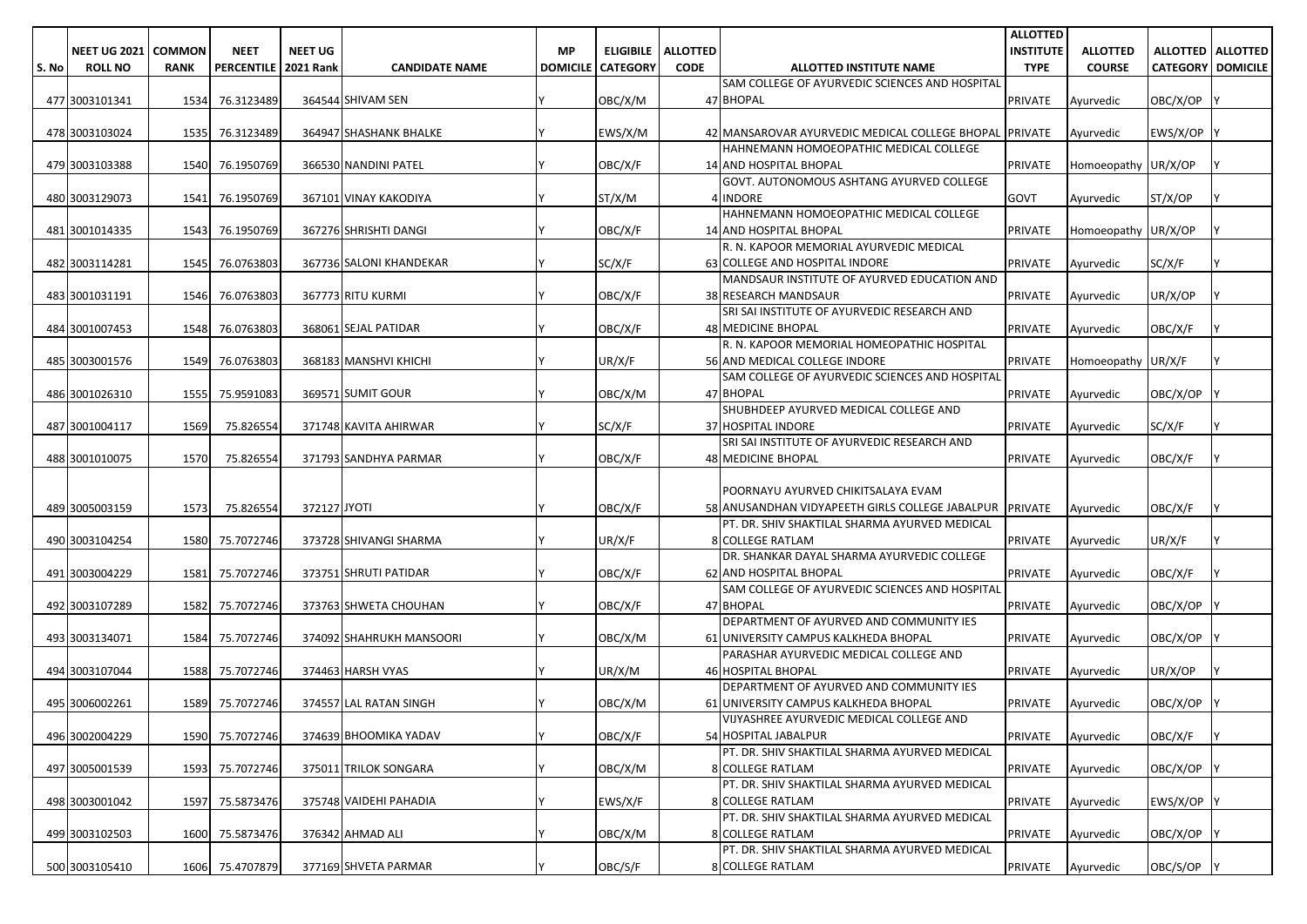|       |                              |             |                   |                  |                          |           |                            |                 |                                                         | <b>ALLOTTED</b>  |                     |                          |                            |
|-------|------------------------------|-------------|-------------------|------------------|--------------------------|-----------|----------------------------|-----------------|---------------------------------------------------------|------------------|---------------------|--------------------------|----------------------------|
|       | <b>NEET UG 2021   COMMON</b> |             | <b>NEET</b>       | <b>NEET UG</b>   |                          | <b>MP</b> | <b>ELIGIBILE</b>           | <b>ALLOTTED</b> |                                                         | <b>INSTITUTE</b> | <b>ALLOTTED</b>     |                          | <b>ALLOTTED   ALLOTTED</b> |
| S. No | <b>ROLL NO</b>               | <b>RANK</b> | <b>PERCENTILE</b> | <b>2021 Rank</b> | <b>CANDIDATE NAME</b>    |           | <b>DOMICILE   CATEGORY</b> | <b>CODE</b>     | ALLOTTED INSTITUTE NAME                                 | <b>TYPE</b>      | <b>COURSE</b>       | <b>CATEGORY DOMICILE</b> |                            |
|       |                              |             |                   |                  |                          |           |                            |                 | SAM COLLEGE OF AYURVEDIC SCIENCES AND HOSPITAL          |                  |                     |                          |                            |
|       | 477 3003101341               |             | 1534 76.3123489   |                  | 364544 SHIVAM SEN        |           | OBC/X/M                    |                 | 47 BHOPAL                                               | <b>PRIVATE</b>   | Ayurvedic           | OBC/X/OP                 |                            |
|       |                              |             |                   |                  |                          |           |                            |                 |                                                         |                  |                     |                          |                            |
|       | 478 3003103024               |             | 1535 76.3123489   |                  | 364947 SHASHANK BHALKE   |           | EWS/X/M                    |                 | 42 MANSAROVAR AYURVEDIC MEDICAL COLLEGE BHOPAL PRIVATE  |                  | Ayurvedic           | EWS/X/OP Y               |                            |
|       |                              |             |                   |                  |                          |           |                            |                 | HAHNEMANN HOMOEOPATHIC MEDICAL COLLEGE                  |                  |                     |                          |                            |
|       | 479 3003103388               |             | 1540 76.1950769   |                  | 366530 NANDINI PATEL     |           | OBC/X/F                    |                 | 14 AND HOSPITAL BHOPAL                                  | <b>PRIVATE</b>   | Homoeopathy UR/X/OP |                          |                            |
|       |                              |             |                   |                  |                          |           |                            |                 | GOVT. AUTONOMOUS ASHTANG AYURVED COLLEGE                |                  |                     |                          |                            |
|       | 480 3003129073               |             | 1541 76.1950769   |                  | 367101 VINAY KAKODIYA    |           | ST/X/M                     |                 | 4 INDORE                                                | GOVT             | Avurvedic           | ST/X/OP                  |                            |
|       |                              |             |                   |                  |                          |           |                            |                 | HAHNEMANN HOMOEOPATHIC MEDICAL COLLEGE                  |                  |                     |                          |                            |
|       | 481 3001014335               |             | 1543 76.1950769   |                  | 367276 SHRISHTI DANGI    |           | OBC/X/F                    |                 | 14 AND HOSPITAL BHOPAL                                  | PRIVATE          | Homoeopathy UR/X/OP |                          |                            |
|       |                              |             |                   |                  |                          |           |                            |                 | R. N. KAPOOR MEMORIAL AYURVEDIC MEDICAL                 |                  |                     |                          |                            |
|       | 482 3003114281               |             | 1545 76.0763803   |                  | 367736 SALONI KHANDEKAR  |           | SC/X/F                     |                 | 63 COLLEGE AND HOSPITAL INDORE                          | PRIVATE          | Ayurvedic           | SC/X/F                   |                            |
|       |                              |             |                   |                  |                          |           |                            |                 | MANDSAUR INSTITUTE OF AYURVED EDUCATION AND             |                  |                     |                          |                            |
|       | 483 3001031191               |             | 1546 76.0763803   |                  | 367773 RITU KURMI        |           | OBC/X/F                    |                 | <b>38 RESEARCH MANDSAUR</b>                             | PRIVATE          | Ayurvedic           | UR/X/OP                  |                            |
|       |                              |             |                   |                  |                          |           |                            |                 | SRI SAI INSTITUTE OF AYURVEDIC RESEARCH AND             |                  |                     |                          |                            |
|       | 484 3001007453               |             | 1548 76.0763803   |                  | 368061 SEJAL PATIDAR     |           | OBC/X/F                    |                 | <b>48 MEDICINE BHOPAL</b>                               | <b>PRIVATE</b>   | Ayurvedic           | OBC/X/F                  |                            |
|       |                              |             |                   |                  |                          |           |                            |                 | R. N. KAPOOR MEMORIAL HOMEOPATHIC HOSPITAL              |                  |                     |                          |                            |
|       | 485 3003001576               |             | 1549 76.0763803   |                  | 368183 MANSHVI KHICHI    |           | UR/X/F                     |                 | 56 AND MEDICAL COLLEGE INDORE                           | PRIVATE          | Homoeopathy UR/X/F  |                          |                            |
|       |                              |             |                   |                  |                          |           |                            |                 | SAM COLLEGE OF AYURVEDIC SCIENCES AND HOSPITAL          |                  |                     |                          |                            |
|       | 486 3001026310               |             | 1555 75.9591083   |                  | 369571 SUMIT GOUR        |           | OBC/X/M                    |                 | 47 BHOPAL                                               | PRIVATE          | Ayurvedic           | OBC/X/OP                 |                            |
|       |                              |             |                   |                  |                          |           |                            |                 | SHUBHDEEP AYURVED MEDICAL COLLEGE AND                   |                  |                     |                          |                            |
|       | 487 3001004117               | 1569        | 75.826554         |                  | 371748 KAVITA AHIRWAR    |           | SC/X/F                     |                 | <b>37 HOSPITAL INDORE</b>                               | PRIVATE          | Ayurvedic           | SC/X/F                   |                            |
|       |                              |             |                   |                  |                          |           |                            |                 | SRI SAI INSTITUTE OF AYURVEDIC RESEARCH AND             |                  |                     |                          |                            |
|       | 488 3001010075               | 1570        | 75.826554         |                  | 371793 SANDHYA PARMAR    |           | OBC/X/F                    |                 | <b>48 MEDICINE BHOPAL</b>                               | PRIVATE          | Ayurvedic           | OBC/X/F                  |                            |
|       |                              |             |                   |                  |                          |           |                            |                 |                                                         |                  |                     |                          |                            |
|       |                              |             |                   |                  |                          |           |                            |                 | POORNAYU AYURVED CHIKITSALAYA EVAM                      |                  |                     |                          |                            |
|       | 489 3005003159               | 1573        | 75.826554         | 372127 JYOTI     |                          |           | OBC/X/F                    |                 | 58 ANUSANDHAN VIDYAPEETH GIRLS COLLEGE JABALPUR PRIVATE |                  | Ayurvedic           | OBC/X/F                  |                            |
|       |                              |             |                   |                  |                          |           |                            |                 | PT. DR. SHIV SHAKTILAL SHARMA AYURVED MEDICAL           |                  |                     |                          |                            |
|       | 490 3003104254               |             | 1580 75.7072746   |                  | 373728 SHIVANGI SHARMA   |           | UR/X/F                     |                 | <b>8 COLLEGE RATLAM</b>                                 | PRIVATE          | Ayurvedic           | UR/X/F                   |                            |
|       |                              |             |                   |                  |                          |           |                            |                 | DR. SHANKAR DAYAL SHARMA AYURVEDIC COLLEGE              |                  |                     |                          |                            |
|       | 491 3003004229               | 1581        | 75.7072746        |                  | 373751 SHRUTI PATIDAR    |           | OBC/X/F                    |                 | <b>62 AND HOSPITAL BHOPAL</b>                           | <b>PRIVATE</b>   | Ayurvedic           | OBC/X/F                  |                            |
|       |                              |             |                   |                  |                          |           |                            |                 | SAM COLLEGE OF AYURVEDIC SCIENCES AND HOSPITAL          |                  |                     |                          |                            |
|       | 492 3003107289               |             | 1582 75.7072746   |                  | 373763 SHWETA CHOUHAN    |           | OBC/X/F                    |                 | 47 BHOPAL<br>DEPARTMENT OF AYURVED AND COMMUNITY IES    | PRIVATE          | Ayurvedic           | OBC/X/OP                 |                            |
|       |                              |             |                   |                  |                          |           |                            |                 | 61 UNIVERSITY CAMPUS KALKHEDA BHOPAL                    |                  |                     |                          |                            |
|       | 493 3003134071               |             | 1584 75.7072746   |                  | 374092 SHAHRUKH MANSOORI |           | OBC/X/M                    |                 | PARASHAR AYURVEDIC MEDICAL COLLEGE AND                  | PRIVATE          | Ayurvedic           | OBC/X/OP                 |                            |
|       | 494 3003107044               |             | 1588 75.7072746   |                  | 374463 HARSH VYAS        |           | UR/X/M                     |                 | <b>46 HOSPITAL BHOPAL</b>                               | PRIVATE          |                     | UR/X/OP                  |                            |
|       |                              |             |                   |                  |                          |           |                            |                 | DEPARTMENT OF AYURVED AND COMMUNITY IES                 |                  | Ayurvedic           |                          |                            |
|       | 495 3006002261               |             | 1589 75.7072746   |                  | 374557 LAL RATAN SINGH   |           | OBC/X/M                    |                 | 61 UNIVERSITY CAMPUS KALKHEDA BHOPAL                    | PRIVATE          | Ayurvedic           | OBC/X/OP                 |                            |
|       |                              |             |                   |                  |                          |           |                            |                 | VIJYASHREE AYURVEDIC MEDICAL COLLEGE AND                |                  |                     |                          |                            |
|       | 496 3002004229               |             | 1590 75.7072746   |                  | 374639 BHOOMIKA YADAV    | I۷        | OBC/X/F                    |                 | 54 HOSPITAL JABALPUR                                    | PRIVATE          | Ayurvedic           | OBC/X/F                  | I٢                         |
|       |                              |             |                   |                  |                          |           |                            |                 | PT. DR. SHIV SHAKTILAL SHARMA AYURVED MEDICAL           |                  |                     |                          |                            |
|       | 497 3005001539               |             | 1593 75.7072746   |                  | 375011 TRILOK SONGARA    |           | OBC/X/M                    |                 | 8 COLLEGE RATLAM                                        | PRIVATE          | Ayurvedic           | OBC/X/OP                 |                            |
|       |                              |             |                   |                  |                          |           |                            |                 | PT. DR. SHIV SHAKTILAL SHARMA AYURVED MEDICAL           |                  |                     |                          |                            |
|       | 498 3003001042               |             | 1597 75.5873476   |                  | 375748 VAIDEHI PAHADIA   |           | EWS/X/F                    |                 | <b>8 COLLEGE RATLAM</b>                                 | PRIVATE          | Ayurvedic           | EWS/X/OP Y               |                            |
|       |                              |             |                   |                  |                          |           |                            |                 | PT. DR. SHIV SHAKTILAL SHARMA AYURVED MEDICAL           |                  |                     |                          |                            |
|       | 499 3003102503               |             | 1600 75.5873476   |                  | 376342 AHMAD ALI         |           | OBC/X/M                    |                 | <b>8 COLLEGE RATLAM</b>                                 | PRIVATE          | Ayurvedic           | OBC/X/OP                 |                            |
|       |                              |             |                   |                  |                          |           |                            |                 | PT. DR. SHIV SHAKTILAL SHARMA AYURVED MEDICAL           |                  |                     |                          |                            |
|       | 500 3003105410               |             | 1606 75.4707879   |                  | 377169 SHVETA PARMAR     |           | OBC/S/F                    |                 | 8 COLLEGE RATLAM                                        | PRIVATE          | Ayurvedic           | OBC/S/OP Y               |                            |
|       |                              |             |                   |                  |                          |           |                            |                 |                                                         |                  |                     |                          |                            |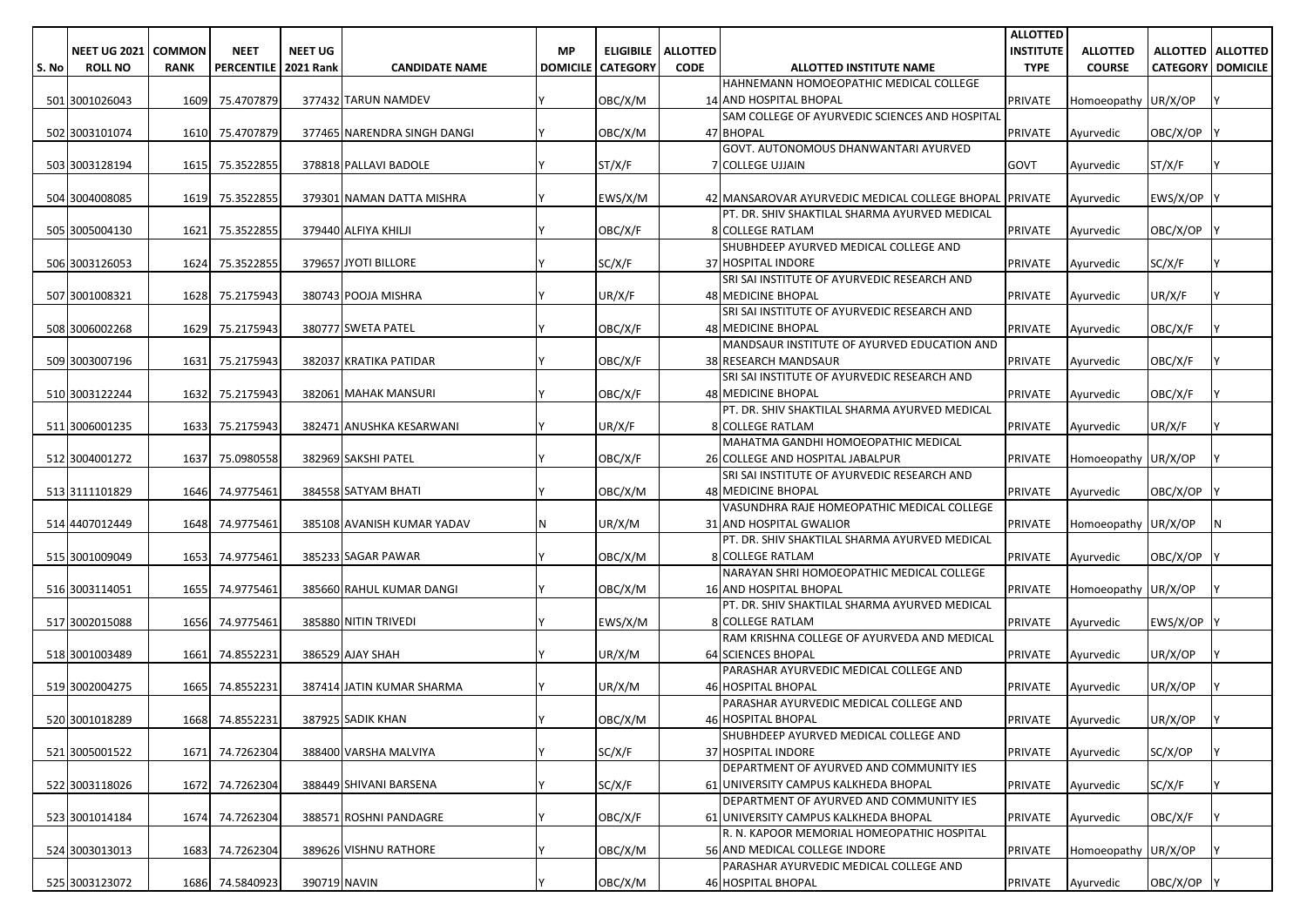|       |                       |             |                        |                |                             |           |                          |                 |                                                        | <b>ALLOTTED</b>   |                     |                            |     |
|-------|-----------------------|-------------|------------------------|----------------|-----------------------------|-----------|--------------------------|-----------------|--------------------------------------------------------|-------------------|---------------------|----------------------------|-----|
|       | NEET UG 2021   COMMON |             | <b>NEET</b>            | <b>NEET UG</b> |                             | <b>MP</b> | <b>ELIGIBILE</b>         | <b>ALLOTTED</b> |                                                        | <b>INSTITUTE</b>  | <b>ALLOTTED</b>     | <b>ALLOTTED   ALLOTTED</b> |     |
| S. No | <b>ROLL NO</b>        | <b>RANK</b> | PERCENTILE   2021 Rank |                | <b>CANDIDATE NAME</b>       |           | <b>DOMICILE CATEGORY</b> | <b>CODE</b>     | ALLOTTED INSTITUTE NAME                                | <b>TYPE</b>       | <b>COURSE</b>       | <b>CATEGORY DOMICILE</b>   |     |
|       |                       |             |                        |                |                             |           |                          |                 | HAHNEMANN HOMOEOPATHIC MEDICAL COLLEGE                 |                   |                     |                            |     |
|       | 501 3001026043        | 1609        | 75.4707879             |                | 377432 TARUN NAMDEV         |           | OBC/X/M                  |                 | 14 AND HOSPITAL BHOPAL                                 | PRIVATE           | Homoeopathy UR/X/OP |                            |     |
|       |                       |             |                        |                |                             |           |                          |                 | SAM COLLEGE OF AYURVEDIC SCIENCES AND HOSPITAL         |                   |                     |                            |     |
|       | 502 3003101074        | 1610        | 75.4707879             |                | 377465 NARENDRA SINGH DANGI |           | OBC/X/M                  |                 | 47 BHOPAL                                              | <b>PRIVATE</b>    | Ayurvedic           | OBC/X/OP                   |     |
|       |                       |             |                        |                |                             |           |                          |                 | GOVT. AUTONOMOUS DHANWANTARI AYURVED                   |                   |                     |                            |     |
|       | 503 3003128194        | 1615        | 75.3522855             |                | 378818 PALLAVI BADOLE       |           | ST/X/F                   |                 | <b>COLLEGE UJJAIN</b>                                  | GOVT              | Ayurvedic           | ST/X/F                     |     |
|       |                       |             |                        |                |                             |           |                          |                 |                                                        |                   |                     |                            |     |
|       | 504 3004008085        | 1619        | 75.3522855             |                | 379301 NAMAN DATTA MISHRA   |           | EWS/X/M                  |                 | 42 MANSAROVAR AYURVEDIC MEDICAL COLLEGE BHOPAL PRIVATE |                   | Ayurvedic           | EWS/X/OP                   |     |
|       |                       |             |                        |                |                             |           |                          |                 | PT. DR. SHIV SHAKTILAL SHARMA AYURVED MEDICAL          |                   |                     |                            |     |
|       | 505 3005004130        | 1621        | 75.3522855             |                | 379440 ALFIYA KHILJI        |           | OBC/X/F                  |                 | <b>8 COLLEGE RATLAM</b>                                | <b>PRIVATE</b>    | Ayurvedic           | OBC/X/OP                   |     |
|       |                       |             |                        |                |                             |           |                          |                 | SHUBHDEEP AYURVED MEDICAL COLLEGE AND                  |                   |                     |                            |     |
|       | 506 3003126053        | 1624        | 75.3522855             |                | 379657 JYOTI BILLORE        |           | SC/X/F                   |                 | 37 HOSPITAL INDORE                                     | PRIVATE           | Ayurvedic           | SC/X/F                     |     |
|       |                       |             |                        |                |                             |           |                          |                 | SRI SAI INSTITUTE OF AYURVEDIC RESEARCH AND            |                   |                     |                            |     |
|       | 507 3001008321        | 1628        | 75.2175943             |                | 380743 POOJA MISHRA         |           | UR/X/F                   |                 | <b>48 MEDICINE BHOPAL</b>                              | <b>PRIVATE</b>    | Ayurvedic           | UR/X/F                     |     |
|       |                       |             |                        |                |                             |           |                          |                 | SRI SAI INSTITUTE OF AYURVEDIC RESEARCH AND            |                   |                     |                            |     |
|       | 508 3006002268        | 1629        | 75.2175943             |                | 380777 SWETA PATEL          |           | OBC/X/F                  |                 | <b>48 MEDICINE BHOPAL</b>                              | PRIVATE           | Ayurvedic           | OBC/X/F                    |     |
|       |                       |             |                        |                |                             |           |                          |                 | MANDSAUR INSTITUTE OF AYURVED EDUCATION AND            |                   |                     |                            |     |
|       | 509 3003007196        | 1631        | 75.2175943             |                | 382037 KRATIKA PATIDAR      |           | OBC/X/F                  |                 | <b>38 RESEARCH MANDSAUR</b>                            | <b>PRIVATE</b>    | Ayurvedic           | OBC/X/F                    |     |
|       |                       |             |                        |                |                             |           |                          |                 | SRI SAI INSTITUTE OF AYURVEDIC RESEARCH AND            |                   |                     |                            |     |
|       | 510 3003122244        | 1632        | 75.2175943             |                | 382061 MAHAK MANSURI        |           | OBC/X/F                  |                 | <b>48 MEDICINE BHOPAL</b>                              | <b>PRIVATE</b>    | Ayurvedic           | OBC/X/F                    |     |
|       |                       |             |                        |                |                             |           |                          |                 | PT. DR. SHIV SHAKTILAL SHARMA AYURVED MEDICAL          |                   |                     |                            |     |
|       | 511 3006001235        | 1633        | 75.2175943             |                | 382471 ANUSHKA KESARWANI    |           | UR/X/F                   |                 | <b>8 COLLEGE RATLAM</b>                                | <b>PRIVATE</b>    | Ayurvedic           | UR/X/F                     |     |
|       |                       |             |                        |                |                             |           |                          |                 | MAHATMA GANDHI HOMOEOPATHIC MEDICAL                    |                   |                     |                            |     |
|       | 512 3004001272        | 1637        | 75.0980558             |                | 382969 SAKSHI PATEL         |           | OBC/X/F                  |                 | 26 COLLEGE AND HOSPITAL JABALPUR                       | PRIVATE           | Homoeopathy UR/X/OP |                            |     |
|       |                       |             |                        |                |                             |           |                          |                 | SRI SAI INSTITUTE OF AYURVEDIC RESEARCH AND            |                   |                     |                            |     |
|       | 513 3111101829        | 1646        | 74.9775461             |                | 384558 SATYAM BHATI         |           | OBC/X/M                  |                 | 48 MEDICINE BHOPAL                                     | <b>PRIVATE</b>    | Ayurvedic           | OBC/X/OP                   |     |
|       |                       |             |                        |                |                             |           |                          |                 | VASUNDHRA RAJE HOMEOPATHIC MEDICAL COLLEGE             |                   |                     |                            |     |
|       | 514 4407012449        | 1648        | 74.9775461             |                | 385108 AVANISH KUMAR YADAV  | N         | UR/X/M                   |                 | 31 AND HOSPITAL GWALIOR                                | <b>PRIVATE</b>    | Homoeopathy UR/X/OP |                            | IN. |
|       |                       |             |                        |                |                             |           |                          |                 | PT. DR. SHIV SHAKTILAL SHARMA AYURVED MEDICAL          |                   |                     |                            |     |
|       | 515 3001009049        | 1653        | 74.9775461             |                | 385233 SAGAR PAWAR          |           | OBC/X/M                  |                 | <b>8 COLLEGE RATLAM</b>                                | <b>PRIVATE</b>    | Ayurvedic           | OBC/X/OP                   |     |
|       |                       |             |                        |                |                             |           |                          |                 | NARAYAN SHRI HOMOEOPATHIC MEDICAL COLLEGE              |                   |                     |                            |     |
|       | 516 3003114051        | 1655        | 74.9775461             |                | 385660 RAHUL KUMAR DANGI    |           | OBC/X/M                  |                 | <b>16 AND HOSPITAL BHOPAL</b>                          | <b>PRIVATE</b>    | Homoeopathy UR/X/OP |                            |     |
|       |                       |             |                        |                |                             |           |                          |                 | PT. DR. SHIV SHAKTILAL SHARMA AYURVED MEDICAL          |                   |                     |                            |     |
|       | 517 3002015088        | 1656        | 74.9775461             |                | 385880 NITIN TRIVEDI        |           | EWS/X/M                  |                 | <b>8 COLLEGE RATLAM</b>                                | <b>PRIVATE</b>    | Ayurvedic           | EWS/X/OP                   |     |
|       |                       |             |                        |                |                             |           |                          |                 | RAM KRISHNA COLLEGE OF AYURVEDA AND MEDICAL            |                   |                     |                            |     |
|       | 518 3001003489        | 1661        | 74.8552231             |                | 386529 AJAY SHAH            |           | UR/X/M                   |                 | 64 SCIENCES BHOPAL                                     | PRIVATE           | Ayurvedic           | UR/X/OP                    |     |
|       |                       |             |                        |                |                             |           |                          |                 | PARASHAR AYURVEDIC MEDICAL COLLEGE AND                 |                   |                     |                            |     |
|       | 519 3002004275        | 1665        | 74.8552231             |                | 387414 JATIN KUMAR SHARMA   |           | UR/X/M                   |                 | 46 HOSPITAL BHOPAL                                     | <b>PRIVATE</b>    | Avurvedic           | UR/X/OP                    |     |
|       |                       |             |                        |                |                             |           |                          |                 | PARASHAR AYURVEDIC MEDICAL COLLEGE AND                 |                   |                     |                            |     |
|       | 520 3001018289        |             | 1668 74.8552231        |                | 387925 SADIK KHAN           |           | OBC/X/M                  |                 | 46 HOSPITAL BHOPAL                                     | PRIVATE Avurvedic |                     | UR/X/OP                    |     |
|       |                       |             |                        |                |                             |           |                          |                 | SHUBHDEEP AYURVED MEDICAL COLLEGE AND                  |                   |                     |                            |     |
|       | 521 3005001522        | 1671        | 74.7262304             |                | 388400 VARSHA MALVIYA       |           | SC/X/F                   |                 | 37 HOSPITAL INDORE                                     | PRIVATE           | Ayurvedic           | SC/X/OP                    |     |
|       |                       |             |                        |                |                             |           |                          |                 | DEPARTMENT OF AYURVED AND COMMUNITY IES                |                   |                     |                            |     |
|       | 522 3003118026        | 1672        | 74.7262304             |                | 388449 SHIVANI BARSENA      |           | SC/X/F                   |                 | 61 UNIVERSITY CAMPUS KALKHEDA BHOPAL                   | <b>PRIVATE</b>    | Ayurvedic           | SC/X/F                     |     |
|       |                       |             |                        |                |                             |           |                          |                 | DEPARTMENT OF AYURVED AND COMMUNITY IES                |                   |                     |                            |     |
|       | 523 3001014184        | 1674        | 74.7262304             |                | 388571 ROSHNI PANDAGRE      |           | OBC/X/F                  |                 | 61 UNIVERSITY CAMPUS KALKHEDA BHOPAL                   | PRIVATE           | Ayurvedic           | OBC/X/F                    |     |
|       |                       |             |                        |                |                             |           |                          |                 | R. N. KAPOOR MEMORIAL HOMEOPATHIC HOSPITAL             |                   |                     |                            |     |
|       | 524 3003013013        | 1683        | 74.7262304             |                | 389626 VISHNU RATHORE       |           | OBC/X/M                  |                 | 56 AND MEDICAL COLLEGE INDORE                          | <b>PRIVATE</b>    | Homoeopathy UR/X/OP |                            |     |
|       |                       |             |                        |                |                             |           |                          |                 | PARASHAR AYURVEDIC MEDICAL COLLEGE AND                 |                   |                     |                            |     |
|       | 525 3003123072        |             | 1686 74.5840923        | 390719 NAVIN   |                             |           | OBC/X/M                  |                 | 46 HOSPITAL BHOPAL                                     | PRIVATE           | Ayurvedic           | OBC/X/OP                   |     |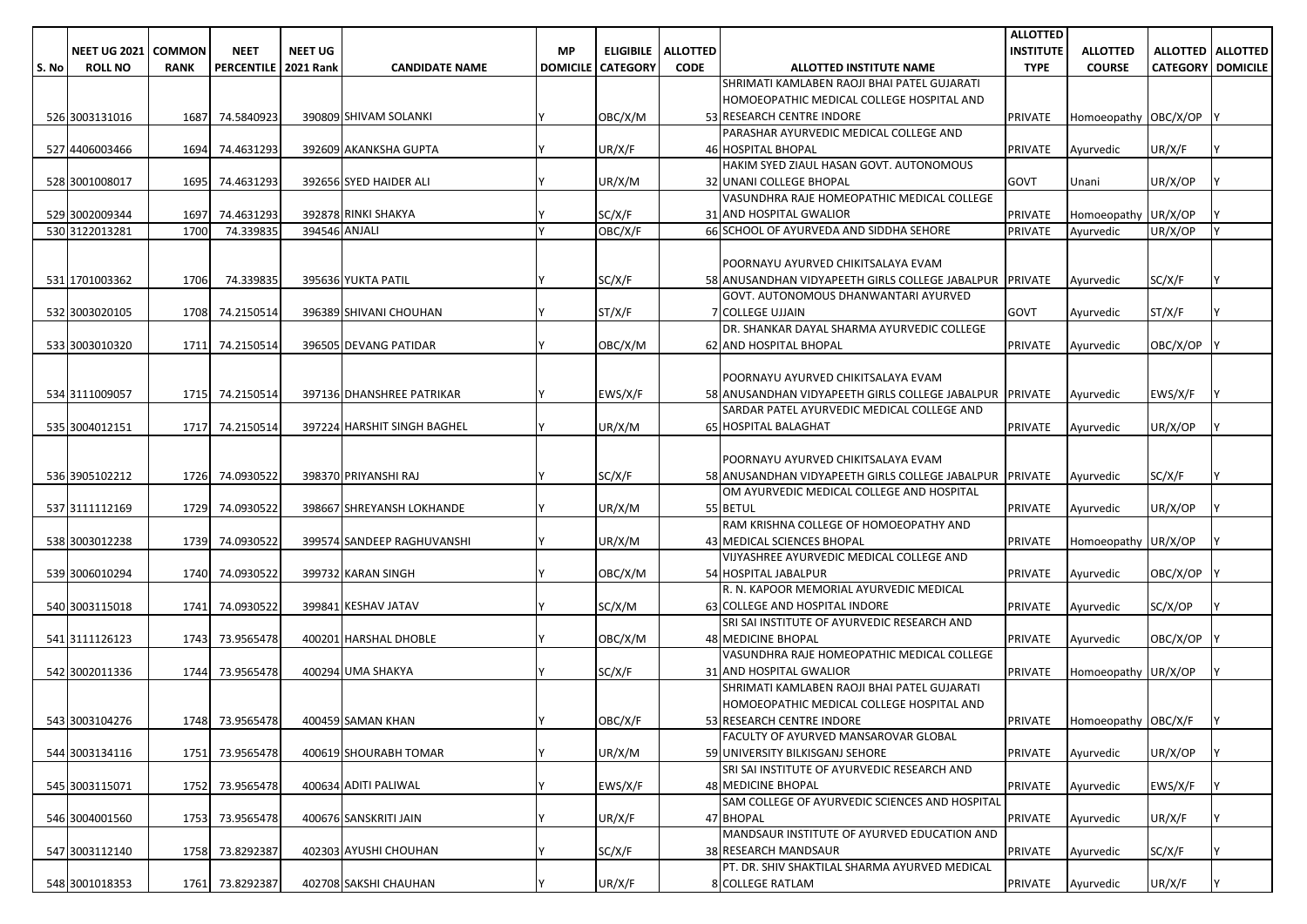|       |                     |               |                        |                |                             |           |                          |                 |                                                                                                | <b>ALLOTTED</b>  |                             |                          |                            |
|-------|---------------------|---------------|------------------------|----------------|-----------------------------|-----------|--------------------------|-----------------|------------------------------------------------------------------------------------------------|------------------|-----------------------------|--------------------------|----------------------------|
|       | <b>NEET UG 2021</b> | <b>COMMON</b> | <b>NEET</b>            | <b>NEET UG</b> |                             | <b>MP</b> | <b>ELIGIBILE</b>         | <b>ALLOTTED</b> |                                                                                                | <b>INSTITUTE</b> | <b>ALLOTTED</b>             |                          | <b>ALLOTTED   ALLOTTED</b> |
| S. No | <b>ROLL NO</b>      | <b>RANK</b>   | PERCENTILE   2021 Rank |                | <b>CANDIDATE NAME</b>       |           | <b>DOMICILE CATEGORY</b> | <b>CODE</b>     | <b>ALLOTTED INSTITUTE NAME</b>                                                                 | <b>TYPE</b>      | <b>COURSE</b>               | <b>CATEGORY DOMICILE</b> |                            |
|       |                     |               |                        |                |                             |           |                          |                 | SHRIMATI KAMLABEN RAOJI BHAI PATEL GUJARATI                                                    |                  |                             |                          |                            |
|       |                     |               |                        |                |                             |           |                          |                 | HOMOEOPATHIC MEDICAL COLLEGE HOSPITAL AND                                                      |                  |                             |                          |                            |
|       | 526 3003131016      | 1687          | 74.5840923             |                | 390809 SHIVAM SOLANKI       |           | OBC/X/M                  |                 | 53 RESEARCH CENTRE INDORE                                                                      | <b>PRIVATE</b>   | Homoeopathy OBC/X/OP        |                          |                            |
|       |                     |               |                        |                |                             |           |                          |                 | PARASHAR AYURVEDIC MEDICAL COLLEGE AND                                                         |                  |                             |                          |                            |
|       | 527 4406003466      |               | 1694 74.4631293        |                | 392609 AKANKSHA GUPTA       |           | UR/X/F                   |                 | <b>46 HOSPITAL BHOPAL</b>                                                                      | <b>PRIVATE</b>   | Ayurvedic                   | UR/X/F                   |                            |
|       |                     |               |                        |                |                             |           |                          |                 | HAKIM SYED ZIAUL HASAN GOVT. AUTONOMOUS                                                        |                  |                             |                          |                            |
|       | 528 3001008017      | 1695          | 74.4631293             |                | 392656 SYED HAIDER ALI      |           | UR/X/M                   |                 | 32 UNANI COLLEGE BHOPAL                                                                        | <b>GOVT</b>      | Unani                       | UR/X/OP                  |                            |
|       |                     |               |                        |                |                             |           |                          |                 | VASUNDHRA RAJE HOMEOPATHIC MEDICAL COLLEGE                                                     |                  |                             |                          |                            |
|       | 529 3002009344      | 1697          | 74.4631293             |                | 392878 RINKI SHAKYA         |           | SC/X/F                   |                 | 31 AND HOSPITAL GWALIOR                                                                        | <b>PRIVATE</b>   | Homoeopathy UR/X/OP         |                          |                            |
|       | 530 3122013281      | 1700          | 74.339835              | 394546 ANJALI  |                             |           | OBC/X/F                  |                 | 66 SCHOOL OF AYURVEDA AND SIDDHA SEHORE                                                        | <b>PRIVATE</b>   | Avurvedic                   | UR/X/OP                  |                            |
|       |                     |               |                        |                |                             |           |                          |                 |                                                                                                |                  |                             |                          |                            |
|       |                     |               |                        |                |                             |           |                          |                 | POORNAYU AYURVED CHIKITSALAYA EVAM                                                             |                  |                             |                          |                            |
|       | 531 1701003362      | 1706          | 74.339835              |                | 395636 YUKTA PATIL          |           | SC/X/F                   |                 | 58 ANUSANDHAN VIDYAPEETH GIRLS COLLEGE JABALPUR PRIVATE                                        |                  | Ayurvedic                   | SC/X/F                   |                            |
|       |                     |               |                        |                |                             |           |                          |                 | GOVT. AUTONOMOUS DHANWANTARI AYURVED                                                           |                  |                             |                          |                            |
|       | 532 3003020105      |               | 1708 74.2150514        |                | 396389 SHIVANI CHOUHAN      |           | ST/X/F                   |                 | 7 COLLEGE UJJAIN                                                                               | <b>GOVT</b>      | Ayurvedic                   | ST/X/F                   |                            |
|       |                     |               |                        |                |                             |           |                          |                 | DR. SHANKAR DAYAL SHARMA AYURVEDIC COLLEGE                                                     |                  |                             |                          |                            |
|       | 533 3003010320      |               | 1711 74.2150514        |                | 396505 DEVANG PATIDAR       |           | OBC/X/M                  |                 | 62 AND HOSPITAL BHOPAL                                                                         | <b>PRIVATE</b>   | Ayurvedic                   | OBC/X/OP                 |                            |
|       |                     |               |                        |                |                             |           |                          |                 |                                                                                                |                  |                             |                          |                            |
|       |                     |               |                        |                |                             |           |                          |                 | POORNAYU AYURVED CHIKITSALAYA EVAM                                                             |                  |                             |                          |                            |
|       | 534 3111009057      |               | 1715 74.2150514        |                | 397136 DHANSHREE PATRIKAR   |           | EWS/X/F                  |                 | 58 ANUSANDHAN VIDYAPEETH GIRLS COLLEGE JABALPUR PRIVATE                                        |                  | Ayurvedic                   | EWS/X/F                  |                            |
|       |                     |               |                        |                |                             |           |                          |                 | SARDAR PATEL AYURVEDIC MEDICAL COLLEGE AND                                                     |                  |                             |                          |                            |
|       | 535 3004012151      |               | 1717 74.2150514        |                | 397224 HARSHIT SINGH BAGHEL |           | UR/X/M                   |                 | 65 HOSPITAL BALAGHAT                                                                           | <b>PRIVATE</b>   | Avurvedic                   | UR/X/OP                  |                            |
|       |                     |               |                        |                |                             |           |                          |                 |                                                                                                |                  |                             |                          |                            |
|       | 536 3905102212      |               | 1726 74.0930522        |                | 398370 PRIYANSHI RAJ        |           | SC/X/F                   |                 | POORNAYU AYURVED CHIKITSALAYA EVAM<br>58 ANUSANDHAN VIDYAPEETH GIRLS COLLEGE JABALPUR TPRIVATE |                  | Avurvedic                   | SC/X/F                   |                            |
|       |                     |               |                        |                |                             |           |                          |                 | OM AYURVEDIC MEDICAL COLLEGE AND HOSPITAL                                                      |                  |                             |                          |                            |
|       | 537 3111112169      |               | 1729 74.0930522        |                | 398667 SHREYANSH LOKHANDE   |           | UR/X/M                   |                 | 55 BETUL                                                                                       | <b>PRIVATE</b>   | Ayurvedic                   | UR/X/OP                  |                            |
|       |                     |               |                        |                |                             |           |                          |                 | RAM KRISHNA COLLEGE OF HOMOEOPATHY AND                                                         |                  |                             |                          |                            |
|       | 538 3003012238      |               | 1739 74.0930522        |                | 399574 SANDEEP RAGHUVANSHI  |           | UR/X/M                   |                 | 43 MEDICAL SCIENCES BHOPAL                                                                     | <b>PRIVATE</b>   | Homoeopathy UR/X/OP         |                          |                            |
|       |                     |               |                        |                |                             |           |                          |                 | VIJYASHREE AYURVEDIC MEDICAL COLLEGE AND                                                       |                  |                             |                          |                            |
|       | 539 3006010294      |               | 1740 74.0930522        |                | 399732 KARAN SINGH          |           | OBC/X/M                  |                 | 54 HOSPITAL JABALPUR                                                                           | <b>PRIVATE</b>   | Ayurvedic                   | OBC/X/OP                 |                            |
|       |                     |               |                        |                |                             |           |                          |                 | R. N. KAPOOR MEMORIAL AYURVEDIC MEDICAL                                                        |                  |                             |                          |                            |
|       | 540 3003115018      |               | 1741 74.0930522        |                | 399841 KESHAV JATAV         |           | SC/X/M                   |                 | 63 COLLEGE AND HOSPITAL INDORE                                                                 | <b>PRIVATE</b>   | Ayurvedic                   | SC/X/OP                  |                            |
|       |                     |               |                        |                |                             |           |                          |                 | SRI SAI INSTITUTE OF AYURVEDIC RESEARCH AND                                                    |                  |                             |                          |                            |
|       | 541 3111126123      |               | 1743 73.9565478        |                | 400201 HARSHAL DHOBLE       |           | OBC/X/M                  |                 | 48 MEDICINE BHOPAL                                                                             | PRIVATE          | Ayurvedic                   | OBC/X/OP                 |                            |
|       |                     |               |                        |                |                             |           |                          |                 | VASUNDHRA RAJE HOMEOPATHIC MEDICAL COLLEGE                                                     |                  |                             |                          |                            |
|       | 542 3002011336      |               | 1744 73.9565478        |                | 400294 UMA SHAKYA           |           | SC/X/F                   |                 | 31 AND HOSPITAL GWALIOR                                                                        | <b>PRIVATE</b>   | Homoeopathy UR/X/OP         |                          |                            |
|       |                     |               |                        |                |                             |           |                          |                 | SHRIMATI KAMLABEN RAOJI BHAI PATEL GUJARATI                                                    |                  |                             |                          |                            |
|       |                     |               |                        |                |                             |           |                          |                 | HOMOEOPATHIC MEDICAL COLLEGE HOSPITAL AND                                                      |                  |                             |                          |                            |
|       | 543 3003104276      |               | 1748 73.9565478        |                | 400459 SAMAN KHAN           |           | OBC/X/F                  |                 | 53 RESEARCH CENTRE INDORE                                                                      |                  | PRIVATE Homoeopathy OBC/X/F |                          | IY.                        |
|       |                     |               |                        |                |                             |           |                          |                 | <b>FACULTY OF AYURVED MANSAROVAR GLOBAL</b>                                                    |                  |                             |                          |                            |
|       | 544 3003134116      |               | 1751 73.9565478        |                | 400619 SHOURABH TOMAR       |           | UR/X/M                   |                 | 59 UNIVERSITY BILKISGANJ SEHORE                                                                | <b>PRIVATE</b>   | Ayurvedic                   | UR/X/OP                  |                            |
|       |                     |               |                        |                |                             |           |                          |                 | SRI SAI INSTITUTE OF AYURVEDIC RESEARCH AND                                                    |                  |                             |                          |                            |
|       | 545 3003115071      |               | 1752 73.9565478        |                | 400634 ADITI PALIWAL        |           | EWS/X/F                  |                 | <b>48 MEDICINE BHOPAL</b>                                                                      | <b>PRIVATE</b>   | Ayurvedic                   | EWS/X/F                  |                            |
|       |                     |               |                        |                |                             |           |                          |                 | SAM COLLEGE OF AYURVEDIC SCIENCES AND HOSPITAL                                                 |                  |                             |                          |                            |
|       | 546 3004001560      |               | 1753 73.9565478        |                | 400676 SANSKRITI JAIN       |           | UR/X/F                   |                 | 47 BHOPAL                                                                                      | <b>PRIVATE</b>   | Ayurvedic                   | UR/X/F                   |                            |
|       |                     |               |                        |                |                             |           |                          |                 | MANDSAUR INSTITUTE OF AYURVED EDUCATION AND                                                    |                  |                             |                          |                            |
|       | 547 3003112140      |               | 1758 73.8292387        |                | 402303 AYUSHI CHOUHAN       |           | SC/X/F                   |                 | <b>38 RESEARCH MANDSAUR</b>                                                                    | PRIVATE          | Ayurvedic                   | SC/X/F                   |                            |
|       |                     |               |                        |                |                             |           |                          |                 | PT. DR. SHIV SHAKTILAL SHARMA AYURVED MEDICAL                                                  |                  |                             |                          |                            |
|       | 548 3001018353      |               | 1761 73.8292387        |                | 402708 SAKSHI CHAUHAN       |           | UR/X/F                   |                 | 8 COLLEGE RATLAM                                                                               | PRIVATE          | Ayurvedic                   | UR/X/F                   |                            |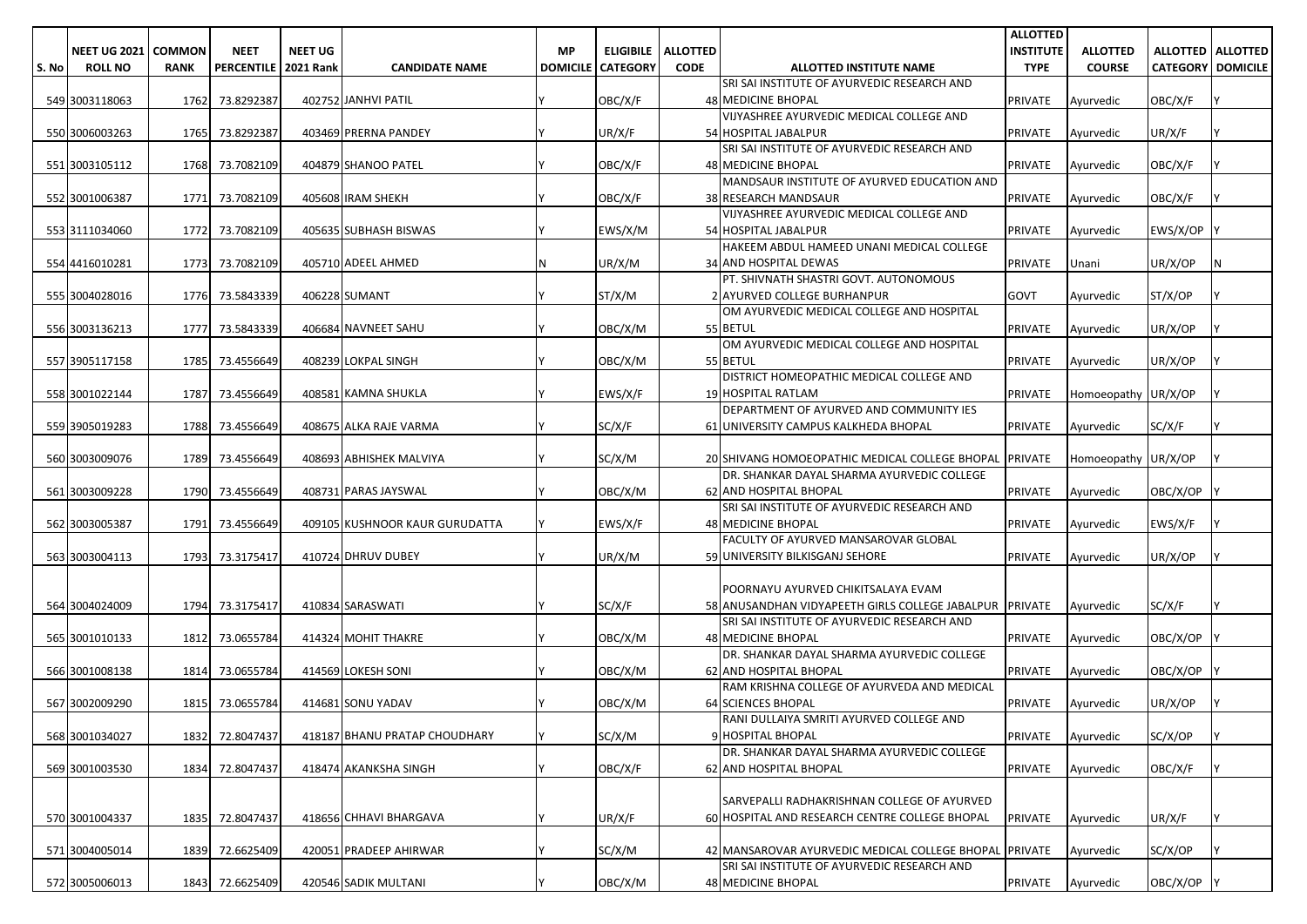|       |                       |             |                        |                |                                |    |                          |                             |                                                                | <b>ALLOTTED</b>  |                     |                            |   |
|-------|-----------------------|-------------|------------------------|----------------|--------------------------------|----|--------------------------|-----------------------------|----------------------------------------------------------------|------------------|---------------------|----------------------------|---|
|       | NEET UG 2021   COMMON |             | <b>NEET</b>            | <b>NEET UG</b> |                                | МP |                          | <b>ELIGIBILE   ALLOTTED</b> |                                                                | <b>INSTITUTE</b> | <b>ALLOTTED</b>     | <b>ALLOTTED   ALLOTTED</b> |   |
| S. No | <b>ROLL NO</b>        | <b>RANK</b> | PERCENTILE   2021 Rank |                | <b>CANDIDATE NAME</b>          |    | <b>DOMICILE CATEGORY</b> | <b>CODE</b>                 | <b>ALLOTTED INSTITUTE NAME</b>                                 | <b>TYPE</b>      | <b>COURSE</b>       | <b>CATEGORY DOMICILE</b>   |   |
|       |                       |             |                        |                |                                |    |                          |                             | SRI SAI INSTITUTE OF AYURVEDIC RESEARCH AND                    |                  |                     |                            |   |
|       | 549 3003118063        | 1762        | 73.8292387             |                | 402752 JANHVI PATIL            |    | OBC/X/F                  |                             | 48 MEDICINE BHOPAL                                             | <b>PRIVATE</b>   | Ayurvedic           | OBC/X/F                    |   |
|       |                       |             |                        |                |                                |    |                          |                             | VIJYASHREE AYURVEDIC MEDICAL COLLEGE AND                       |                  |                     |                            |   |
|       | 550 3006003263        | 1765        | 73.8292387             |                | 403469 PRERNA PANDEY           |    | UR/X/F                   |                             | 54 HOSPITAL JABALPUR                                           | <b>PRIVATE</b>   | Ayurvedic           | UR/X/F                     |   |
|       |                       |             |                        |                |                                |    |                          |                             | SRI SAI INSTITUTE OF AYURVEDIC RESEARCH AND                    |                  |                     |                            |   |
|       | 551 3003105112        | 1768        | 73.7082109             |                | 404879 SHANOO PATEL            |    | OBC/X/F                  |                             | 48 MEDICINE BHOPAL                                             | <b>PRIVATE</b>   | Ayurvedic           | OBC/X/F                    |   |
|       |                       |             |                        |                |                                |    |                          |                             | MANDSAUR INSTITUTE OF AYURVED EDUCATION AND                    |                  |                     |                            |   |
|       | 552 3001006387        | 1771        | 73.7082109             |                | 405608 IRAM SHEKH              |    | OBC/X/F                  |                             | 38 RESEARCH MANDSAUR                                           | <b>PRIVATE</b>   | Ayurvedic           | OBC/X/F                    |   |
|       |                       |             |                        |                |                                |    |                          |                             | VIJYASHREE AYURVEDIC MEDICAL COLLEGE AND                       |                  |                     |                            |   |
|       | 553 3111034060        | 1772        | 73.7082109             |                | 405635 SUBHASH BISWAS          |    | EWS/X/M                  |                             | 54 HOSPITAL JABALPUR                                           | <b>PRIVATE</b>   | Avurvedic           | EWS/X/OP                   |   |
|       |                       |             |                        |                |                                |    |                          |                             | HAKEEM ABDUL HAMEED UNANI MEDICAL COLLEGE                      |                  |                     |                            |   |
|       | 554 4416010281        | 1773        | 73.7082109             |                | 405710 ADEEL AHMED             |    | UR/X/M                   |                             | 34 AND HOSPITAL DEWAS<br>PT. SHIVNATH SHASTRI GOVT. AUTONOMOUS | <b>PRIVATE</b>   | Unani               | UR/X/OP                    | N |
|       |                       | 1776        | 73.5843339             |                |                                |    | ST/X/M                   |                             | 2 AYURVED COLLEGE BURHANPUR                                    |                  |                     |                            |   |
|       | 555 3004028016        |             |                        |                | 406228 SUMANT                  |    |                          |                             | OM AYURVEDIC MEDICAL COLLEGE AND HOSPITAL                      | <b>GOVT</b>      | Ayurvedic           | ST/X/OP                    |   |
|       | 556 3003136213        | 1777        | 73.5843339             |                | 406684 NAVNEET SAHU            |    | OBC/X/M                  |                             | 55 BETUL                                                       | <b>PRIVATE</b>   | Ayurvedic           | UR/X/OP                    |   |
|       |                       |             |                        |                |                                |    |                          |                             | OM AYURVEDIC MEDICAL COLLEGE AND HOSPITAL                      |                  |                     |                            |   |
|       | 557 3905117158        | 1785        | 73.4556649             |                | 408239 LOKPAL SINGH            |    | OBC/X/M                  |                             | 55 BETUL                                                       | <b>PRIVATE</b>   | Ayurvedic           | UR/X/OP                    |   |
|       |                       |             |                        |                |                                |    |                          |                             | DISTRICT HOMEOPATHIC MEDICAL COLLEGE AND                       |                  |                     |                            |   |
|       | 558 3001022144        | 1787        | 73.4556649             |                | 408581 KAMNA SHUKLA            |    | EWS/X/F                  |                             | <b>19 HOSPITAL RATLAM</b>                                      | <b>PRIVATE</b>   | Homoeopathy UR/X/OP |                            |   |
|       |                       |             |                        |                |                                |    |                          |                             | DEPARTMENT OF AYURVED AND COMMUNITY IES                        |                  |                     |                            |   |
|       | 559 3905019283        | 1788        | 73.4556649             |                | 408675 ALKA RAJE VARMA         |    | SC/X/F                   |                             | 61 UNIVERSITY CAMPUS KALKHEDA BHOPAL                           | PRIVATE          | Ayurvedic           | SC/X/F                     |   |
|       |                       |             |                        |                |                                |    |                          |                             |                                                                |                  |                     |                            |   |
|       | 560 3003009076        | 1789        | 73.4556649             |                | 408693 ABHISHEK MALVIYA        |    | SC/X/M                   |                             | 20 SHIVANG HOMOEOPATHIC MEDICAL COLLEGE BHOPAL PRIVATE         |                  | Homoeopathy UR/X/OP |                            |   |
|       |                       |             |                        |                |                                |    |                          |                             | DR. SHANKAR DAYAL SHARMA AYURVEDIC COLLEGE                     |                  |                     |                            |   |
|       | 561 3003009228        | 1790        | 73.4556649             |                | 408731 PARAS JAYSWAL           |    | OBC/X/M                  |                             | <b>62 AND HOSPITAL BHOPAL</b>                                  | PRIVATE          | Ayurvedic           | OBC/X/OP                   |   |
|       |                       |             |                        |                |                                |    |                          |                             | SRI SAI INSTITUTE OF AYURVEDIC RESEARCH AND                    |                  |                     |                            |   |
|       | 562 3003005387        | 1791        | 73.4556649             |                | 409105 KUSHNOOR KAUR GURUDATTA |    | EWS/X/F                  |                             | <b>48 MEDICINE BHOPAL</b>                                      | <b>PRIVATE</b>   | Ayurvedic           | EWS/X/F                    |   |
|       |                       |             |                        |                |                                |    |                          |                             | FACULTY OF AYURVED MANSAROVAR GLOBAL                           |                  |                     |                            |   |
|       | 563 3003004113        | 1793        | 73.3175417             |                | 410724 DHRUV DUBEY             |    | UR/X/M                   |                             | 59 UNIVERSITY BILKISGANJ SEHORE                                | <b>PRIVATE</b>   | Ayurvedic           | UR/X/OP                    |   |
|       |                       |             |                        |                |                                |    |                          |                             |                                                                |                  |                     |                            |   |
|       |                       |             |                        |                |                                |    |                          |                             | POORNAYU AYURVED CHIKITSALAYA EVAM                             |                  |                     |                            |   |
|       | 564 3004024009        | 1794        | 73.3175417             |                | 410834 SARASWATI               |    | SC/X/F                   |                             | 58 ANUSANDHAN VIDYAPEETH GIRLS COLLEGE JABALPUR PRIVATE        |                  | Ayurvedic           | SC/X/F                     |   |
|       |                       |             |                        |                |                                |    |                          |                             | SRI SAI INSTITUTE OF AYURVEDIC RESEARCH AND                    |                  |                     |                            |   |
|       | 565 3001010133        | 1812        | 73.0655784             |                | 414324 MOHIT THAKRE            |    | OBC/X/M                  |                             | 48 MEDICINE BHOPAL                                             | PRIVATE          | Ayurvedic           | OBC/X/OP                   |   |
|       |                       |             |                        |                |                                |    |                          |                             | DR. SHANKAR DAYAL SHARMA AYURVEDIC COLLEGE                     |                  |                     |                            |   |
|       | 566 3001008138        | 1814        | 73.0655784             |                | 414569 LOKESH SONI             |    | OBC/X/M                  |                             | <b>62 AND HOSPITAL BHOPAL</b>                                  | <b>PRIVATE</b>   | Ayurvedic           | OBC/X/OP                   |   |
|       |                       |             |                        |                |                                |    |                          |                             | RAM KRISHNA COLLEGE OF AYURVEDA AND MEDICAL                    |                  |                     |                            |   |
|       | 567 3002009290        | 1815        | 73.0655784             |                | 414681 SONU YADAV              |    | OBC/X/M                  |                             | <b>64 SCIENCES BHOPAL</b>                                      | <b>PRIVATE</b>   | Ayurvedic           | UR/X/OP                    |   |
|       |                       |             |                        |                |                                |    |                          |                             | RANI DULLAIYA SMRITI AYURVED COLLEGE AND                       |                  |                     |                            |   |
|       | 568 3001034027        |             | 1832 72.8047437        |                | 418187 BHANU PRATAP CHOUDHARY  |    | SC/X/M                   |                             | 9 HOSPITAL BHOPAL                                              | <b>PRIVATE</b>   | Ayurvedic           | SC/X/OP                    |   |
|       |                       |             |                        |                |                                |    |                          |                             | DR. SHANKAR DAYAL SHARMA AYURVEDIC COLLEGE                     |                  |                     |                            |   |
|       | 569 3001003530        | 1834        | 72.8047437             |                | 418474 AKANKSHA SINGH          |    | OBC/X/F                  |                             | 62 AND HOSPITAL BHOPAL                                         | PRIVATE          | Ayurvedic           | OBC/X/F                    |   |
|       |                       |             |                        |                |                                |    |                          |                             |                                                                |                  |                     |                            |   |
|       |                       |             |                        |                |                                |    |                          |                             | SARVEPALLI RADHAKRISHNAN COLLEGE OF AYURVED                    |                  |                     |                            |   |
|       | 570 3001004337        | 1835        | 72.8047437             |                | 418656 CHHAVI BHARGAVA         |    | UR/X/F                   |                             | 60 HOSPITAL AND RESEARCH CENTRE COLLEGE BHOPAL                 | <b>PRIVATE</b>   | Ayurvedic           | UR/X/F                     |   |
|       |                       |             |                        |                |                                |    |                          |                             |                                                                |                  |                     |                            |   |
|       | 571 3004005014        | 1839        | 72.6625409             |                | 420051 PRADEEP AHIRWAR         |    | SC/X/M                   |                             | 42 MANSAROVAR AYURVEDIC MEDICAL COLLEGE BHOPAL PRIVATE         |                  | Ayurvedic           | SC/X/OP                    |   |
|       |                       |             |                        |                |                                |    |                          |                             | SRI SAI INSTITUTE OF AYURVEDIC RESEARCH AND                    |                  |                     |                            |   |
|       | 572 3005006013        |             | 1843 72.6625409        |                | 420546 SADIK MULTANI           |    | OBC/X/M                  |                             | 48 MEDICINE BHOPAL                                             | PRIVATE          | Ayurvedic           | OBC/X/OP Y                 |   |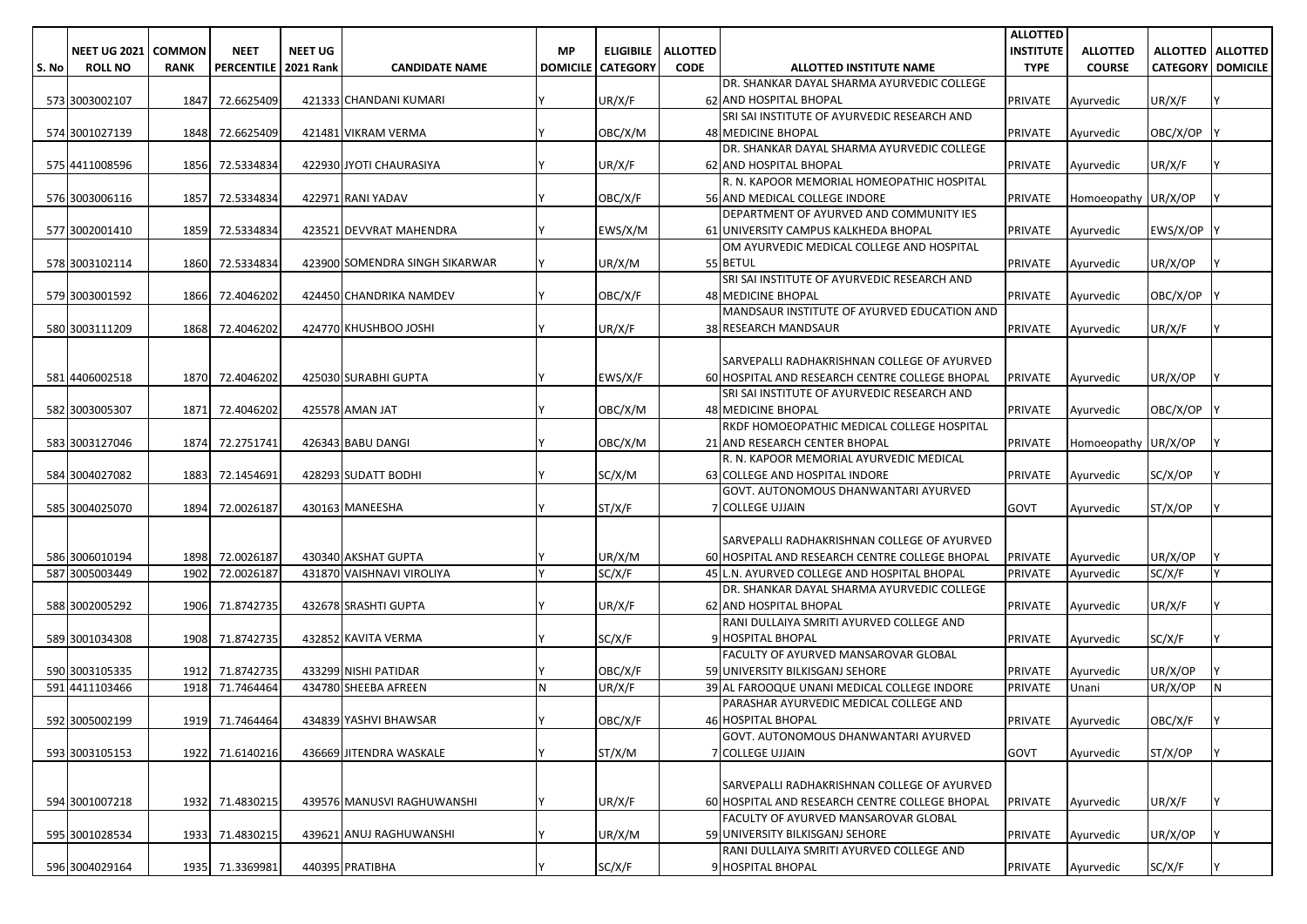| <b>NEET UG</b><br><b>ALLOTTED   ALLOTTED</b><br>NEET UG 2021 COMMON<br><b>NEET</b><br><b>MP</b><br><b>ELIGIBILE</b><br><b>ALLOTTED</b><br><b>INSTITUTE</b><br><b>ALLOTTED</b><br><b>CODE</b><br><b>CATEGORY DOMICILE</b><br>S. No<br><b>ROLL NO</b><br>PERCENTILE   2021 Rank<br><b>CANDIDATE NAME</b><br><b>DOMICILE   CATEGORY</b><br><b>ALLOTTED INSTITUTE NAME</b><br><b>TYPE</b><br><b>COURSE</b><br><b>RANK</b><br>DR. SHANKAR DAYAL SHARMA AYURVEDIC COLLEGE<br>UR/X/F<br>UR/X/F<br>573 3003002107<br>1847<br>72.6625409<br>421333 CHANDANI KUMARI<br>62 AND HOSPITAL BHOPAL<br>PRIVATE<br>Ayurvedic<br>SRI SAI INSTITUTE OF AYURVEDIC RESEARCH AND<br>574 3001027139<br>1848<br>72.6625409<br>421481 VIKRAM VERMA<br>OBC/X/M<br><b>48 MEDICINE BHOPAL</b><br><b>PRIVATE</b><br>OBC/X/OP<br>Ayurvedic<br>DR. SHANKAR DAYAL SHARMA AYURVEDIC COLLEGE<br>422930 JYOTI CHAURASIYA<br>UR/X/F<br>62 AND HOSPITAL BHOPAL<br>575 4411008596<br>1856<br>72.5334834<br><b>PRIVATE</b><br>UR/X/F<br>Ayurvedic<br>R. N. KAPOOR MEMORIAL HOMEOPATHIC HOSPITAL<br>1857<br>OBC/X/F<br>576 3003006116<br>72.5334834<br>422971 RANI YADAV<br>56 AND MEDICAL COLLEGE INDORE<br><b>PRIVATE</b><br>Homoeopathy UR/X/OP<br>DEPARTMENT OF AYURVED AND COMMUNITY IES<br>EWS/X/M<br>577 3002001410<br>1859<br>72.5334834<br>423521 DEVVRAT MAHENDRA<br><b>PRIVATE</b><br>EWS/X/OP<br>61 UNIVERSITY CAMPUS KALKHEDA BHOPAL<br>Ayurvedic<br>OM AYURVEDIC MEDICAL COLLEGE AND HOSPITAL<br>578 3003102114<br>UR/X/OP<br>1860<br>72.5334834<br>UR/X/M<br>55 BETUL<br><b>PRIVATE</b><br>423900 SOMENDRA SINGH SIKARWAR<br>Ayurvedic<br>SRI SAI INSTITUTE OF AYURVEDIC RESEARCH AND<br>579 3003001592<br>1866<br>72.4046202<br>OBC/X/F<br><b>48 MEDICINE BHOPAL</b><br><b>PRIVATE</b><br>OBC/X/OP<br>424450 CHANDRIKA NAMDEV<br>Ayurvedic<br>MANDSAUR INSTITUTE OF AYURVED EDUCATION AND<br>580 3003111209<br>1868<br>UR/X/F<br>UR/X/F<br>72.4046202<br>424770 KHUSHBOO JOSHI<br><b>38 RESEARCH MANDSAUR</b><br><b>PRIVATE</b><br>Ayurvedic<br>SARVEPALLI RADHAKRISHNAN COLLEGE OF AYURVED<br>581 4406002518<br>425030 SURABHI GUPTA<br>EWS/X/F<br>60 HOSPITAL AND RESEARCH CENTRE COLLEGE BHOPAL<br>UR/X/OP<br>1870<br>72.4046202<br><b>PRIVATE</b><br>Ayurvedic<br>SRI SAI INSTITUTE OF AYURVEDIC RESEARCH AND<br>72.4046202<br>425578 AMAN JAT<br>OBC/X/M<br>48 MEDICINE BHOPAL<br><b>PRIVATE</b><br>OBC/X/OP<br>582 3003005307<br>1871<br>Ayurvedic<br>RKDF HOMOEOPATHIC MEDICAL COLLEGE HOSPITAL<br>426343 BABU DANGI<br>21 AND RESEARCH CENTER BHOPAL<br>72.2751741<br>OBC/X/M<br>PRIVATE<br>Homoeopathy UR/X/OP<br>583 3003127046<br>1874<br>R. N. KAPOOR MEMORIAL AYURVEDIC MEDICAL<br>584 3004027082<br>1883<br>72.1454691<br>428293 SUDATT BODHI<br>SC/X/M<br>63 COLLEGE AND HOSPITAL INDORE<br><b>PRIVATE</b><br>SC/X/OP<br>Ayurvedic<br>GOVT. AUTONOMOUS DHANWANTARI AYURVED<br>430163 MANEESHA<br><b>COLLEGE UJJAIN</b><br>585 3004025070<br>1894<br>72.0026187<br>ST/X/F<br>ST/X/OP<br>GOVT<br>Ayurvedic<br>SARVEPALLI RADHAKRISHNAN COLLEGE OF AYURVED<br>586 3006010194<br>72.0026187<br>430340 AKSHAT GUPTA<br>UR/X/M<br>UR/X/OP<br>1898<br>60 HOSPITAL AND RESEARCH CENTRE COLLEGE BHOPAL<br><b>PRIVATE</b><br>Ayurvedic<br>SC/X/F<br>587 3005003449<br>72.0026187<br>$\vee$<br>SC/X/F<br>1902<br>431870 VAISHNAVI VIROLIYA<br>45 L.N. AYURVED COLLEGE AND HOSPITAL BHOPAL<br><b>PRIVATE</b><br>Ayurvedic<br>DR. SHANKAR DAYAL SHARMA AYURVEDIC COLLEGE<br>588 3002005292<br>1906<br>71.8742735<br>432678 SRASHTI GUPTA<br>UR/X/F<br><b>PRIVATE</b><br>UR/X/F<br>62 AND HOSPITAL BHOPAL<br>Ayurvedic<br>RANI DULLAIYA SMRITI AYURVED COLLEGE AND<br>SC/X/F<br>589 3001034308<br>1908<br>71.8742735<br><b>HOSPITAL BHOPAL</b><br><b>PRIVATE</b><br>SC/X/F<br>432852 KAVITA VERMA<br>Ayurvedic<br>FACULTY OF AYURVED MANSAROVAR GLOBAL<br>590 3003105335<br>71.8742735<br>433299 NISHI PATIDAR<br>OBC/X/F<br>59 UNIVERSITY BILKISGANJ SEHORE<br>PRIVATE<br>UR/X/OP<br>1912<br>Ayurvedic<br>591 4411103466<br>434780 SHEEBA AFREEN<br>UR/X/F<br>39 AL FAROOQUE UNANI MEDICAL COLLEGE INDORE<br>N<br>1918<br>71.7464464<br>N<br><b>PRIVATE</b><br>Unani<br>UR/X/OP<br>PARASHAR AYURVEDIC MEDICAL COLLEGE AND<br><b>46 HOSPITAL BHOPAL</b><br>592 3005002199<br>1919 71.7464464<br>434839 YASHVI BHAWSAR<br>OBC/X/F<br>PRIVATE Avurvedic<br>OBC/X/F<br>GOVT. AUTONOMOUS DHANWANTARI AYURVED<br>ST/X/M<br>7 COLLEGE UJJAIN<br>593 3003105153<br>1922<br>71.6140216<br>436669 JITENDRA WASKALE<br><b>GOVT</b><br>ST/X/OP<br>Ayurvedic<br>SARVEPALLI RADHAKRISHNAN COLLEGE OF AYURVED<br>594 3001007218<br>1932<br>71.4830215<br>439576 MANUSVI RAGHUWANSHI<br>UR/X/F<br>60 HOSPITAL AND RESEARCH CENTRE COLLEGE BHOPAL<br><b>PRIVATE</b><br>UR/X/F<br>Ayurvedic<br>FACULTY OF AYURVED MANSAROVAR GLOBAL<br>595 3001028534<br>1933<br>71.4830215<br>UR/X/M<br>59 UNIVERSITY BILKISGANJ SEHORE<br>PRIVATE<br>UR/X/OP<br>439621 ANUJ RAGHUWANSHI<br>Ayurvedic<br>RANI DULLAIYA SMRITI AYURVED COLLEGE AND<br>596 3004029164<br>1935 71.3369981<br>440395 PRATIBHA<br>SC/X/F<br>9 HOSPITAL BHOPAL<br>PRIVATE<br>SC/X/F<br>Ayurvedic |  |  |  |  |  | <b>ALLOTTED</b> |  |  |
|---------------------------------------------------------------------------------------------------------------------------------------------------------------------------------------------------------------------------------------------------------------------------------------------------------------------------------------------------------------------------------------------------------------------------------------------------------------------------------------------------------------------------------------------------------------------------------------------------------------------------------------------------------------------------------------------------------------------------------------------------------------------------------------------------------------------------------------------------------------------------------------------------------------------------------------------------------------------------------------------------------------------------------------------------------------------------------------------------------------------------------------------------------------------------------------------------------------------------------------------------------------------------------------------------------------------------------------------------------------------------------------------------------------------------------------------------------------------------------------------------------------------------------------------------------------------------------------------------------------------------------------------------------------------------------------------------------------------------------------------------------------------------------------------------------------------------------------------------------------------------------------------------------------------------------------------------------------------------------------------------------------------------------------------------------------------------------------------------------------------------------------------------------------------------------------------------------------------------------------------------------------------------------------------------------------------------------------------------------------------------------------------------------------------------------------------------------------------------------------------------------------------------------------------------------------------------------------------------------------------------------------------------------------------------------------------------------------------------------------------------------------------------------------------------------------------------------------------------------------------------------------------------------------------------------------------------------------------------------------------------------------------------------------------------------------------------------------------------------------------------------------------------------------------------------------------------------------------------------------------------------------------------------------------------------------------------------------------------------------------------------------------------------------------------------------------------------------------------------------------------------------------------------------------------------------------------------------------------------------------------------------------------------------------------------------------------------------------------------------------------------------------------------------------------------------------------------------------------------------------------------------------------------------------------------------------------------------------------------------------------------------------------------------------------------------------------------------------------------------------------------------------------------------------------------------------------------------------------------------------------------------------------------------------------------------------------------------------------------------------------------------------------------------------------------------------------------------------------------------------------------------------------------------------------------------------------------------------------------------------------------------------------------------------------------------------------------------------------------------------------------------------------------------------------------------------------------------------------------------------------------------------------------------------------------------------------------------------------------------------------------------------------------------------------------------------------------------------------------------------|--|--|--|--|--|-----------------|--|--|
|                                                                                                                                                                                                                                                                                                                                                                                                                                                                                                                                                                                                                                                                                                                                                                                                                                                                                                                                                                                                                                                                                                                                                                                                                                                                                                                                                                                                                                                                                                                                                                                                                                                                                                                                                                                                                                                                                                                                                                                                                                                                                                                                                                                                                                                                                                                                                                                                                                                                                                                                                                                                                                                                                                                                                                                                                                                                                                                                                                                                                                                                                                                                                                                                                                                                                                                                                                                                                                                                                                                                                                                                                                                                                                                                                                                                                                                                                                                                                                                                                                                                                                                                                                                                                                                                                                                                                                                                                                                                                                                                                                                                                                                                                                                                                                                                                                                                                                                                                                                                                                                                                                                     |  |  |  |  |  |                 |  |  |
|                                                                                                                                                                                                                                                                                                                                                                                                                                                                                                                                                                                                                                                                                                                                                                                                                                                                                                                                                                                                                                                                                                                                                                                                                                                                                                                                                                                                                                                                                                                                                                                                                                                                                                                                                                                                                                                                                                                                                                                                                                                                                                                                                                                                                                                                                                                                                                                                                                                                                                                                                                                                                                                                                                                                                                                                                                                                                                                                                                                                                                                                                                                                                                                                                                                                                                                                                                                                                                                                                                                                                                                                                                                                                                                                                                                                                                                                                                                                                                                                                                                                                                                                                                                                                                                                                                                                                                                                                                                                                                                                                                                                                                                                                                                                                                                                                                                                                                                                                                                                                                                                                                                     |  |  |  |  |  |                 |  |  |
|                                                                                                                                                                                                                                                                                                                                                                                                                                                                                                                                                                                                                                                                                                                                                                                                                                                                                                                                                                                                                                                                                                                                                                                                                                                                                                                                                                                                                                                                                                                                                                                                                                                                                                                                                                                                                                                                                                                                                                                                                                                                                                                                                                                                                                                                                                                                                                                                                                                                                                                                                                                                                                                                                                                                                                                                                                                                                                                                                                                                                                                                                                                                                                                                                                                                                                                                                                                                                                                                                                                                                                                                                                                                                                                                                                                                                                                                                                                                                                                                                                                                                                                                                                                                                                                                                                                                                                                                                                                                                                                                                                                                                                                                                                                                                                                                                                                                                                                                                                                                                                                                                                                     |  |  |  |  |  |                 |  |  |
|                                                                                                                                                                                                                                                                                                                                                                                                                                                                                                                                                                                                                                                                                                                                                                                                                                                                                                                                                                                                                                                                                                                                                                                                                                                                                                                                                                                                                                                                                                                                                                                                                                                                                                                                                                                                                                                                                                                                                                                                                                                                                                                                                                                                                                                                                                                                                                                                                                                                                                                                                                                                                                                                                                                                                                                                                                                                                                                                                                                                                                                                                                                                                                                                                                                                                                                                                                                                                                                                                                                                                                                                                                                                                                                                                                                                                                                                                                                                                                                                                                                                                                                                                                                                                                                                                                                                                                                                                                                                                                                                                                                                                                                                                                                                                                                                                                                                                                                                                                                                                                                                                                                     |  |  |  |  |  |                 |  |  |
|                                                                                                                                                                                                                                                                                                                                                                                                                                                                                                                                                                                                                                                                                                                                                                                                                                                                                                                                                                                                                                                                                                                                                                                                                                                                                                                                                                                                                                                                                                                                                                                                                                                                                                                                                                                                                                                                                                                                                                                                                                                                                                                                                                                                                                                                                                                                                                                                                                                                                                                                                                                                                                                                                                                                                                                                                                                                                                                                                                                                                                                                                                                                                                                                                                                                                                                                                                                                                                                                                                                                                                                                                                                                                                                                                                                                                                                                                                                                                                                                                                                                                                                                                                                                                                                                                                                                                                                                                                                                                                                                                                                                                                                                                                                                                                                                                                                                                                                                                                                                                                                                                                                     |  |  |  |  |  |                 |  |  |
|                                                                                                                                                                                                                                                                                                                                                                                                                                                                                                                                                                                                                                                                                                                                                                                                                                                                                                                                                                                                                                                                                                                                                                                                                                                                                                                                                                                                                                                                                                                                                                                                                                                                                                                                                                                                                                                                                                                                                                                                                                                                                                                                                                                                                                                                                                                                                                                                                                                                                                                                                                                                                                                                                                                                                                                                                                                                                                                                                                                                                                                                                                                                                                                                                                                                                                                                                                                                                                                                                                                                                                                                                                                                                                                                                                                                                                                                                                                                                                                                                                                                                                                                                                                                                                                                                                                                                                                                                                                                                                                                                                                                                                                                                                                                                                                                                                                                                                                                                                                                                                                                                                                     |  |  |  |  |  |                 |  |  |
|                                                                                                                                                                                                                                                                                                                                                                                                                                                                                                                                                                                                                                                                                                                                                                                                                                                                                                                                                                                                                                                                                                                                                                                                                                                                                                                                                                                                                                                                                                                                                                                                                                                                                                                                                                                                                                                                                                                                                                                                                                                                                                                                                                                                                                                                                                                                                                                                                                                                                                                                                                                                                                                                                                                                                                                                                                                                                                                                                                                                                                                                                                                                                                                                                                                                                                                                                                                                                                                                                                                                                                                                                                                                                                                                                                                                                                                                                                                                                                                                                                                                                                                                                                                                                                                                                                                                                                                                                                                                                                                                                                                                                                                                                                                                                                                                                                                                                                                                                                                                                                                                                                                     |  |  |  |  |  |                 |  |  |
|                                                                                                                                                                                                                                                                                                                                                                                                                                                                                                                                                                                                                                                                                                                                                                                                                                                                                                                                                                                                                                                                                                                                                                                                                                                                                                                                                                                                                                                                                                                                                                                                                                                                                                                                                                                                                                                                                                                                                                                                                                                                                                                                                                                                                                                                                                                                                                                                                                                                                                                                                                                                                                                                                                                                                                                                                                                                                                                                                                                                                                                                                                                                                                                                                                                                                                                                                                                                                                                                                                                                                                                                                                                                                                                                                                                                                                                                                                                                                                                                                                                                                                                                                                                                                                                                                                                                                                                                                                                                                                                                                                                                                                                                                                                                                                                                                                                                                                                                                                                                                                                                                                                     |  |  |  |  |  |                 |  |  |
|                                                                                                                                                                                                                                                                                                                                                                                                                                                                                                                                                                                                                                                                                                                                                                                                                                                                                                                                                                                                                                                                                                                                                                                                                                                                                                                                                                                                                                                                                                                                                                                                                                                                                                                                                                                                                                                                                                                                                                                                                                                                                                                                                                                                                                                                                                                                                                                                                                                                                                                                                                                                                                                                                                                                                                                                                                                                                                                                                                                                                                                                                                                                                                                                                                                                                                                                                                                                                                                                                                                                                                                                                                                                                                                                                                                                                                                                                                                                                                                                                                                                                                                                                                                                                                                                                                                                                                                                                                                                                                                                                                                                                                                                                                                                                                                                                                                                                                                                                                                                                                                                                                                     |  |  |  |  |  |                 |  |  |
|                                                                                                                                                                                                                                                                                                                                                                                                                                                                                                                                                                                                                                                                                                                                                                                                                                                                                                                                                                                                                                                                                                                                                                                                                                                                                                                                                                                                                                                                                                                                                                                                                                                                                                                                                                                                                                                                                                                                                                                                                                                                                                                                                                                                                                                                                                                                                                                                                                                                                                                                                                                                                                                                                                                                                                                                                                                                                                                                                                                                                                                                                                                                                                                                                                                                                                                                                                                                                                                                                                                                                                                                                                                                                                                                                                                                                                                                                                                                                                                                                                                                                                                                                                                                                                                                                                                                                                                                                                                                                                                                                                                                                                                                                                                                                                                                                                                                                                                                                                                                                                                                                                                     |  |  |  |  |  |                 |  |  |
|                                                                                                                                                                                                                                                                                                                                                                                                                                                                                                                                                                                                                                                                                                                                                                                                                                                                                                                                                                                                                                                                                                                                                                                                                                                                                                                                                                                                                                                                                                                                                                                                                                                                                                                                                                                                                                                                                                                                                                                                                                                                                                                                                                                                                                                                                                                                                                                                                                                                                                                                                                                                                                                                                                                                                                                                                                                                                                                                                                                                                                                                                                                                                                                                                                                                                                                                                                                                                                                                                                                                                                                                                                                                                                                                                                                                                                                                                                                                                                                                                                                                                                                                                                                                                                                                                                                                                                                                                                                                                                                                                                                                                                                                                                                                                                                                                                                                                                                                                                                                                                                                                                                     |  |  |  |  |  |                 |  |  |
|                                                                                                                                                                                                                                                                                                                                                                                                                                                                                                                                                                                                                                                                                                                                                                                                                                                                                                                                                                                                                                                                                                                                                                                                                                                                                                                                                                                                                                                                                                                                                                                                                                                                                                                                                                                                                                                                                                                                                                                                                                                                                                                                                                                                                                                                                                                                                                                                                                                                                                                                                                                                                                                                                                                                                                                                                                                                                                                                                                                                                                                                                                                                                                                                                                                                                                                                                                                                                                                                                                                                                                                                                                                                                                                                                                                                                                                                                                                                                                                                                                                                                                                                                                                                                                                                                                                                                                                                                                                                                                                                                                                                                                                                                                                                                                                                                                                                                                                                                                                                                                                                                                                     |  |  |  |  |  |                 |  |  |
|                                                                                                                                                                                                                                                                                                                                                                                                                                                                                                                                                                                                                                                                                                                                                                                                                                                                                                                                                                                                                                                                                                                                                                                                                                                                                                                                                                                                                                                                                                                                                                                                                                                                                                                                                                                                                                                                                                                                                                                                                                                                                                                                                                                                                                                                                                                                                                                                                                                                                                                                                                                                                                                                                                                                                                                                                                                                                                                                                                                                                                                                                                                                                                                                                                                                                                                                                                                                                                                                                                                                                                                                                                                                                                                                                                                                                                                                                                                                                                                                                                                                                                                                                                                                                                                                                                                                                                                                                                                                                                                                                                                                                                                                                                                                                                                                                                                                                                                                                                                                                                                                                                                     |  |  |  |  |  |                 |  |  |
|                                                                                                                                                                                                                                                                                                                                                                                                                                                                                                                                                                                                                                                                                                                                                                                                                                                                                                                                                                                                                                                                                                                                                                                                                                                                                                                                                                                                                                                                                                                                                                                                                                                                                                                                                                                                                                                                                                                                                                                                                                                                                                                                                                                                                                                                                                                                                                                                                                                                                                                                                                                                                                                                                                                                                                                                                                                                                                                                                                                                                                                                                                                                                                                                                                                                                                                                                                                                                                                                                                                                                                                                                                                                                                                                                                                                                                                                                                                                                                                                                                                                                                                                                                                                                                                                                                                                                                                                                                                                                                                                                                                                                                                                                                                                                                                                                                                                                                                                                                                                                                                                                                                     |  |  |  |  |  |                 |  |  |
|                                                                                                                                                                                                                                                                                                                                                                                                                                                                                                                                                                                                                                                                                                                                                                                                                                                                                                                                                                                                                                                                                                                                                                                                                                                                                                                                                                                                                                                                                                                                                                                                                                                                                                                                                                                                                                                                                                                                                                                                                                                                                                                                                                                                                                                                                                                                                                                                                                                                                                                                                                                                                                                                                                                                                                                                                                                                                                                                                                                                                                                                                                                                                                                                                                                                                                                                                                                                                                                                                                                                                                                                                                                                                                                                                                                                                                                                                                                                                                                                                                                                                                                                                                                                                                                                                                                                                                                                                                                                                                                                                                                                                                                                                                                                                                                                                                                                                                                                                                                                                                                                                                                     |  |  |  |  |  |                 |  |  |
|                                                                                                                                                                                                                                                                                                                                                                                                                                                                                                                                                                                                                                                                                                                                                                                                                                                                                                                                                                                                                                                                                                                                                                                                                                                                                                                                                                                                                                                                                                                                                                                                                                                                                                                                                                                                                                                                                                                                                                                                                                                                                                                                                                                                                                                                                                                                                                                                                                                                                                                                                                                                                                                                                                                                                                                                                                                                                                                                                                                                                                                                                                                                                                                                                                                                                                                                                                                                                                                                                                                                                                                                                                                                                                                                                                                                                                                                                                                                                                                                                                                                                                                                                                                                                                                                                                                                                                                                                                                                                                                                                                                                                                                                                                                                                                                                                                                                                                                                                                                                                                                                                                                     |  |  |  |  |  |                 |  |  |
|                                                                                                                                                                                                                                                                                                                                                                                                                                                                                                                                                                                                                                                                                                                                                                                                                                                                                                                                                                                                                                                                                                                                                                                                                                                                                                                                                                                                                                                                                                                                                                                                                                                                                                                                                                                                                                                                                                                                                                                                                                                                                                                                                                                                                                                                                                                                                                                                                                                                                                                                                                                                                                                                                                                                                                                                                                                                                                                                                                                                                                                                                                                                                                                                                                                                                                                                                                                                                                                                                                                                                                                                                                                                                                                                                                                                                                                                                                                                                                                                                                                                                                                                                                                                                                                                                                                                                                                                                                                                                                                                                                                                                                                                                                                                                                                                                                                                                                                                                                                                                                                                                                                     |  |  |  |  |  |                 |  |  |
|                                                                                                                                                                                                                                                                                                                                                                                                                                                                                                                                                                                                                                                                                                                                                                                                                                                                                                                                                                                                                                                                                                                                                                                                                                                                                                                                                                                                                                                                                                                                                                                                                                                                                                                                                                                                                                                                                                                                                                                                                                                                                                                                                                                                                                                                                                                                                                                                                                                                                                                                                                                                                                                                                                                                                                                                                                                                                                                                                                                                                                                                                                                                                                                                                                                                                                                                                                                                                                                                                                                                                                                                                                                                                                                                                                                                                                                                                                                                                                                                                                                                                                                                                                                                                                                                                                                                                                                                                                                                                                                                                                                                                                                                                                                                                                                                                                                                                                                                                                                                                                                                                                                     |  |  |  |  |  |                 |  |  |
|                                                                                                                                                                                                                                                                                                                                                                                                                                                                                                                                                                                                                                                                                                                                                                                                                                                                                                                                                                                                                                                                                                                                                                                                                                                                                                                                                                                                                                                                                                                                                                                                                                                                                                                                                                                                                                                                                                                                                                                                                                                                                                                                                                                                                                                                                                                                                                                                                                                                                                                                                                                                                                                                                                                                                                                                                                                                                                                                                                                                                                                                                                                                                                                                                                                                                                                                                                                                                                                                                                                                                                                                                                                                                                                                                                                                                                                                                                                                                                                                                                                                                                                                                                                                                                                                                                                                                                                                                                                                                                                                                                                                                                                                                                                                                                                                                                                                                                                                                                                                                                                                                                                     |  |  |  |  |  |                 |  |  |
|                                                                                                                                                                                                                                                                                                                                                                                                                                                                                                                                                                                                                                                                                                                                                                                                                                                                                                                                                                                                                                                                                                                                                                                                                                                                                                                                                                                                                                                                                                                                                                                                                                                                                                                                                                                                                                                                                                                                                                                                                                                                                                                                                                                                                                                                                                                                                                                                                                                                                                                                                                                                                                                                                                                                                                                                                                                                                                                                                                                                                                                                                                                                                                                                                                                                                                                                                                                                                                                                                                                                                                                                                                                                                                                                                                                                                                                                                                                                                                                                                                                                                                                                                                                                                                                                                                                                                                                                                                                                                                                                                                                                                                                                                                                                                                                                                                                                                                                                                                                                                                                                                                                     |  |  |  |  |  |                 |  |  |
|                                                                                                                                                                                                                                                                                                                                                                                                                                                                                                                                                                                                                                                                                                                                                                                                                                                                                                                                                                                                                                                                                                                                                                                                                                                                                                                                                                                                                                                                                                                                                                                                                                                                                                                                                                                                                                                                                                                                                                                                                                                                                                                                                                                                                                                                                                                                                                                                                                                                                                                                                                                                                                                                                                                                                                                                                                                                                                                                                                                                                                                                                                                                                                                                                                                                                                                                                                                                                                                                                                                                                                                                                                                                                                                                                                                                                                                                                                                                                                                                                                                                                                                                                                                                                                                                                                                                                                                                                                                                                                                                                                                                                                                                                                                                                                                                                                                                                                                                                                                                                                                                                                                     |  |  |  |  |  |                 |  |  |
|                                                                                                                                                                                                                                                                                                                                                                                                                                                                                                                                                                                                                                                                                                                                                                                                                                                                                                                                                                                                                                                                                                                                                                                                                                                                                                                                                                                                                                                                                                                                                                                                                                                                                                                                                                                                                                                                                                                                                                                                                                                                                                                                                                                                                                                                                                                                                                                                                                                                                                                                                                                                                                                                                                                                                                                                                                                                                                                                                                                                                                                                                                                                                                                                                                                                                                                                                                                                                                                                                                                                                                                                                                                                                                                                                                                                                                                                                                                                                                                                                                                                                                                                                                                                                                                                                                                                                                                                                                                                                                                                                                                                                                                                                                                                                                                                                                                                                                                                                                                                                                                                                                                     |  |  |  |  |  |                 |  |  |
|                                                                                                                                                                                                                                                                                                                                                                                                                                                                                                                                                                                                                                                                                                                                                                                                                                                                                                                                                                                                                                                                                                                                                                                                                                                                                                                                                                                                                                                                                                                                                                                                                                                                                                                                                                                                                                                                                                                                                                                                                                                                                                                                                                                                                                                                                                                                                                                                                                                                                                                                                                                                                                                                                                                                                                                                                                                                                                                                                                                                                                                                                                                                                                                                                                                                                                                                                                                                                                                                                                                                                                                                                                                                                                                                                                                                                                                                                                                                                                                                                                                                                                                                                                                                                                                                                                                                                                                                                                                                                                                                                                                                                                                                                                                                                                                                                                                                                                                                                                                                                                                                                                                     |  |  |  |  |  |                 |  |  |
|                                                                                                                                                                                                                                                                                                                                                                                                                                                                                                                                                                                                                                                                                                                                                                                                                                                                                                                                                                                                                                                                                                                                                                                                                                                                                                                                                                                                                                                                                                                                                                                                                                                                                                                                                                                                                                                                                                                                                                                                                                                                                                                                                                                                                                                                                                                                                                                                                                                                                                                                                                                                                                                                                                                                                                                                                                                                                                                                                                                                                                                                                                                                                                                                                                                                                                                                                                                                                                                                                                                                                                                                                                                                                                                                                                                                                                                                                                                                                                                                                                                                                                                                                                                                                                                                                                                                                                                                                                                                                                                                                                                                                                                                                                                                                                                                                                                                                                                                                                                                                                                                                                                     |  |  |  |  |  |                 |  |  |
|                                                                                                                                                                                                                                                                                                                                                                                                                                                                                                                                                                                                                                                                                                                                                                                                                                                                                                                                                                                                                                                                                                                                                                                                                                                                                                                                                                                                                                                                                                                                                                                                                                                                                                                                                                                                                                                                                                                                                                                                                                                                                                                                                                                                                                                                                                                                                                                                                                                                                                                                                                                                                                                                                                                                                                                                                                                                                                                                                                                                                                                                                                                                                                                                                                                                                                                                                                                                                                                                                                                                                                                                                                                                                                                                                                                                                                                                                                                                                                                                                                                                                                                                                                                                                                                                                                                                                                                                                                                                                                                                                                                                                                                                                                                                                                                                                                                                                                                                                                                                                                                                                                                     |  |  |  |  |  |                 |  |  |
|                                                                                                                                                                                                                                                                                                                                                                                                                                                                                                                                                                                                                                                                                                                                                                                                                                                                                                                                                                                                                                                                                                                                                                                                                                                                                                                                                                                                                                                                                                                                                                                                                                                                                                                                                                                                                                                                                                                                                                                                                                                                                                                                                                                                                                                                                                                                                                                                                                                                                                                                                                                                                                                                                                                                                                                                                                                                                                                                                                                                                                                                                                                                                                                                                                                                                                                                                                                                                                                                                                                                                                                                                                                                                                                                                                                                                                                                                                                                                                                                                                                                                                                                                                                                                                                                                                                                                                                                                                                                                                                                                                                                                                                                                                                                                                                                                                                                                                                                                                                                                                                                                                                     |  |  |  |  |  |                 |  |  |
|                                                                                                                                                                                                                                                                                                                                                                                                                                                                                                                                                                                                                                                                                                                                                                                                                                                                                                                                                                                                                                                                                                                                                                                                                                                                                                                                                                                                                                                                                                                                                                                                                                                                                                                                                                                                                                                                                                                                                                                                                                                                                                                                                                                                                                                                                                                                                                                                                                                                                                                                                                                                                                                                                                                                                                                                                                                                                                                                                                                                                                                                                                                                                                                                                                                                                                                                                                                                                                                                                                                                                                                                                                                                                                                                                                                                                                                                                                                                                                                                                                                                                                                                                                                                                                                                                                                                                                                                                                                                                                                                                                                                                                                                                                                                                                                                                                                                                                                                                                                                                                                                                                                     |  |  |  |  |  |                 |  |  |
|                                                                                                                                                                                                                                                                                                                                                                                                                                                                                                                                                                                                                                                                                                                                                                                                                                                                                                                                                                                                                                                                                                                                                                                                                                                                                                                                                                                                                                                                                                                                                                                                                                                                                                                                                                                                                                                                                                                                                                                                                                                                                                                                                                                                                                                                                                                                                                                                                                                                                                                                                                                                                                                                                                                                                                                                                                                                                                                                                                                                                                                                                                                                                                                                                                                                                                                                                                                                                                                                                                                                                                                                                                                                                                                                                                                                                                                                                                                                                                                                                                                                                                                                                                                                                                                                                                                                                                                                                                                                                                                                                                                                                                                                                                                                                                                                                                                                                                                                                                                                                                                                                                                     |  |  |  |  |  |                 |  |  |
|                                                                                                                                                                                                                                                                                                                                                                                                                                                                                                                                                                                                                                                                                                                                                                                                                                                                                                                                                                                                                                                                                                                                                                                                                                                                                                                                                                                                                                                                                                                                                                                                                                                                                                                                                                                                                                                                                                                                                                                                                                                                                                                                                                                                                                                                                                                                                                                                                                                                                                                                                                                                                                                                                                                                                                                                                                                                                                                                                                                                                                                                                                                                                                                                                                                                                                                                                                                                                                                                                                                                                                                                                                                                                                                                                                                                                                                                                                                                                                                                                                                                                                                                                                                                                                                                                                                                                                                                                                                                                                                                                                                                                                                                                                                                                                                                                                                                                                                                                                                                                                                                                                                     |  |  |  |  |  |                 |  |  |
|                                                                                                                                                                                                                                                                                                                                                                                                                                                                                                                                                                                                                                                                                                                                                                                                                                                                                                                                                                                                                                                                                                                                                                                                                                                                                                                                                                                                                                                                                                                                                                                                                                                                                                                                                                                                                                                                                                                                                                                                                                                                                                                                                                                                                                                                                                                                                                                                                                                                                                                                                                                                                                                                                                                                                                                                                                                                                                                                                                                                                                                                                                                                                                                                                                                                                                                                                                                                                                                                                                                                                                                                                                                                                                                                                                                                                                                                                                                                                                                                                                                                                                                                                                                                                                                                                                                                                                                                                                                                                                                                                                                                                                                                                                                                                                                                                                                                                                                                                                                                                                                                                                                     |  |  |  |  |  |                 |  |  |
|                                                                                                                                                                                                                                                                                                                                                                                                                                                                                                                                                                                                                                                                                                                                                                                                                                                                                                                                                                                                                                                                                                                                                                                                                                                                                                                                                                                                                                                                                                                                                                                                                                                                                                                                                                                                                                                                                                                                                                                                                                                                                                                                                                                                                                                                                                                                                                                                                                                                                                                                                                                                                                                                                                                                                                                                                                                                                                                                                                                                                                                                                                                                                                                                                                                                                                                                                                                                                                                                                                                                                                                                                                                                                                                                                                                                                                                                                                                                                                                                                                                                                                                                                                                                                                                                                                                                                                                                                                                                                                                                                                                                                                                                                                                                                                                                                                                                                                                                                                                                                                                                                                                     |  |  |  |  |  |                 |  |  |
|                                                                                                                                                                                                                                                                                                                                                                                                                                                                                                                                                                                                                                                                                                                                                                                                                                                                                                                                                                                                                                                                                                                                                                                                                                                                                                                                                                                                                                                                                                                                                                                                                                                                                                                                                                                                                                                                                                                                                                                                                                                                                                                                                                                                                                                                                                                                                                                                                                                                                                                                                                                                                                                                                                                                                                                                                                                                                                                                                                                                                                                                                                                                                                                                                                                                                                                                                                                                                                                                                                                                                                                                                                                                                                                                                                                                                                                                                                                                                                                                                                                                                                                                                                                                                                                                                                                                                                                                                                                                                                                                                                                                                                                                                                                                                                                                                                                                                                                                                                                                                                                                                                                     |  |  |  |  |  |                 |  |  |
|                                                                                                                                                                                                                                                                                                                                                                                                                                                                                                                                                                                                                                                                                                                                                                                                                                                                                                                                                                                                                                                                                                                                                                                                                                                                                                                                                                                                                                                                                                                                                                                                                                                                                                                                                                                                                                                                                                                                                                                                                                                                                                                                                                                                                                                                                                                                                                                                                                                                                                                                                                                                                                                                                                                                                                                                                                                                                                                                                                                                                                                                                                                                                                                                                                                                                                                                                                                                                                                                                                                                                                                                                                                                                                                                                                                                                                                                                                                                                                                                                                                                                                                                                                                                                                                                                                                                                                                                                                                                                                                                                                                                                                                                                                                                                                                                                                                                                                                                                                                                                                                                                                                     |  |  |  |  |  |                 |  |  |
|                                                                                                                                                                                                                                                                                                                                                                                                                                                                                                                                                                                                                                                                                                                                                                                                                                                                                                                                                                                                                                                                                                                                                                                                                                                                                                                                                                                                                                                                                                                                                                                                                                                                                                                                                                                                                                                                                                                                                                                                                                                                                                                                                                                                                                                                                                                                                                                                                                                                                                                                                                                                                                                                                                                                                                                                                                                                                                                                                                                                                                                                                                                                                                                                                                                                                                                                                                                                                                                                                                                                                                                                                                                                                                                                                                                                                                                                                                                                                                                                                                                                                                                                                                                                                                                                                                                                                                                                                                                                                                                                                                                                                                                                                                                                                                                                                                                                                                                                                                                                                                                                                                                     |  |  |  |  |  |                 |  |  |
|                                                                                                                                                                                                                                                                                                                                                                                                                                                                                                                                                                                                                                                                                                                                                                                                                                                                                                                                                                                                                                                                                                                                                                                                                                                                                                                                                                                                                                                                                                                                                                                                                                                                                                                                                                                                                                                                                                                                                                                                                                                                                                                                                                                                                                                                                                                                                                                                                                                                                                                                                                                                                                                                                                                                                                                                                                                                                                                                                                                                                                                                                                                                                                                                                                                                                                                                                                                                                                                                                                                                                                                                                                                                                                                                                                                                                                                                                                                                                                                                                                                                                                                                                                                                                                                                                                                                                                                                                                                                                                                                                                                                                                                                                                                                                                                                                                                                                                                                                                                                                                                                                                                     |  |  |  |  |  |                 |  |  |
|                                                                                                                                                                                                                                                                                                                                                                                                                                                                                                                                                                                                                                                                                                                                                                                                                                                                                                                                                                                                                                                                                                                                                                                                                                                                                                                                                                                                                                                                                                                                                                                                                                                                                                                                                                                                                                                                                                                                                                                                                                                                                                                                                                                                                                                                                                                                                                                                                                                                                                                                                                                                                                                                                                                                                                                                                                                                                                                                                                                                                                                                                                                                                                                                                                                                                                                                                                                                                                                                                                                                                                                                                                                                                                                                                                                                                                                                                                                                                                                                                                                                                                                                                                                                                                                                                                                                                                                                                                                                                                                                                                                                                                                                                                                                                                                                                                                                                                                                                                                                                                                                                                                     |  |  |  |  |  |                 |  |  |
|                                                                                                                                                                                                                                                                                                                                                                                                                                                                                                                                                                                                                                                                                                                                                                                                                                                                                                                                                                                                                                                                                                                                                                                                                                                                                                                                                                                                                                                                                                                                                                                                                                                                                                                                                                                                                                                                                                                                                                                                                                                                                                                                                                                                                                                                                                                                                                                                                                                                                                                                                                                                                                                                                                                                                                                                                                                                                                                                                                                                                                                                                                                                                                                                                                                                                                                                                                                                                                                                                                                                                                                                                                                                                                                                                                                                                                                                                                                                                                                                                                                                                                                                                                                                                                                                                                                                                                                                                                                                                                                                                                                                                                                                                                                                                                                                                                                                                                                                                                                                                                                                                                                     |  |  |  |  |  |                 |  |  |
|                                                                                                                                                                                                                                                                                                                                                                                                                                                                                                                                                                                                                                                                                                                                                                                                                                                                                                                                                                                                                                                                                                                                                                                                                                                                                                                                                                                                                                                                                                                                                                                                                                                                                                                                                                                                                                                                                                                                                                                                                                                                                                                                                                                                                                                                                                                                                                                                                                                                                                                                                                                                                                                                                                                                                                                                                                                                                                                                                                                                                                                                                                                                                                                                                                                                                                                                                                                                                                                                                                                                                                                                                                                                                                                                                                                                                                                                                                                                                                                                                                                                                                                                                                                                                                                                                                                                                                                                                                                                                                                                                                                                                                                                                                                                                                                                                                                                                                                                                                                                                                                                                                                     |  |  |  |  |  |                 |  |  |
|                                                                                                                                                                                                                                                                                                                                                                                                                                                                                                                                                                                                                                                                                                                                                                                                                                                                                                                                                                                                                                                                                                                                                                                                                                                                                                                                                                                                                                                                                                                                                                                                                                                                                                                                                                                                                                                                                                                                                                                                                                                                                                                                                                                                                                                                                                                                                                                                                                                                                                                                                                                                                                                                                                                                                                                                                                                                                                                                                                                                                                                                                                                                                                                                                                                                                                                                                                                                                                                                                                                                                                                                                                                                                                                                                                                                                                                                                                                                                                                                                                                                                                                                                                                                                                                                                                                                                                                                                                                                                                                                                                                                                                                                                                                                                                                                                                                                                                                                                                                                                                                                                                                     |  |  |  |  |  |                 |  |  |
|                                                                                                                                                                                                                                                                                                                                                                                                                                                                                                                                                                                                                                                                                                                                                                                                                                                                                                                                                                                                                                                                                                                                                                                                                                                                                                                                                                                                                                                                                                                                                                                                                                                                                                                                                                                                                                                                                                                                                                                                                                                                                                                                                                                                                                                                                                                                                                                                                                                                                                                                                                                                                                                                                                                                                                                                                                                                                                                                                                                                                                                                                                                                                                                                                                                                                                                                                                                                                                                                                                                                                                                                                                                                                                                                                                                                                                                                                                                                                                                                                                                                                                                                                                                                                                                                                                                                                                                                                                                                                                                                                                                                                                                                                                                                                                                                                                                                                                                                                                                                                                                                                                                     |  |  |  |  |  |                 |  |  |
|                                                                                                                                                                                                                                                                                                                                                                                                                                                                                                                                                                                                                                                                                                                                                                                                                                                                                                                                                                                                                                                                                                                                                                                                                                                                                                                                                                                                                                                                                                                                                                                                                                                                                                                                                                                                                                                                                                                                                                                                                                                                                                                                                                                                                                                                                                                                                                                                                                                                                                                                                                                                                                                                                                                                                                                                                                                                                                                                                                                                                                                                                                                                                                                                                                                                                                                                                                                                                                                                                                                                                                                                                                                                                                                                                                                                                                                                                                                                                                                                                                                                                                                                                                                                                                                                                                                                                                                                                                                                                                                                                                                                                                                                                                                                                                                                                                                                                                                                                                                                                                                                                                                     |  |  |  |  |  |                 |  |  |
|                                                                                                                                                                                                                                                                                                                                                                                                                                                                                                                                                                                                                                                                                                                                                                                                                                                                                                                                                                                                                                                                                                                                                                                                                                                                                                                                                                                                                                                                                                                                                                                                                                                                                                                                                                                                                                                                                                                                                                                                                                                                                                                                                                                                                                                                                                                                                                                                                                                                                                                                                                                                                                                                                                                                                                                                                                                                                                                                                                                                                                                                                                                                                                                                                                                                                                                                                                                                                                                                                                                                                                                                                                                                                                                                                                                                                                                                                                                                                                                                                                                                                                                                                                                                                                                                                                                                                                                                                                                                                                                                                                                                                                                                                                                                                                                                                                                                                                                                                                                                                                                                                                                     |  |  |  |  |  |                 |  |  |
|                                                                                                                                                                                                                                                                                                                                                                                                                                                                                                                                                                                                                                                                                                                                                                                                                                                                                                                                                                                                                                                                                                                                                                                                                                                                                                                                                                                                                                                                                                                                                                                                                                                                                                                                                                                                                                                                                                                                                                                                                                                                                                                                                                                                                                                                                                                                                                                                                                                                                                                                                                                                                                                                                                                                                                                                                                                                                                                                                                                                                                                                                                                                                                                                                                                                                                                                                                                                                                                                                                                                                                                                                                                                                                                                                                                                                                                                                                                                                                                                                                                                                                                                                                                                                                                                                                                                                                                                                                                                                                                                                                                                                                                                                                                                                                                                                                                                                                                                                                                                                                                                                                                     |  |  |  |  |  |                 |  |  |
|                                                                                                                                                                                                                                                                                                                                                                                                                                                                                                                                                                                                                                                                                                                                                                                                                                                                                                                                                                                                                                                                                                                                                                                                                                                                                                                                                                                                                                                                                                                                                                                                                                                                                                                                                                                                                                                                                                                                                                                                                                                                                                                                                                                                                                                                                                                                                                                                                                                                                                                                                                                                                                                                                                                                                                                                                                                                                                                                                                                                                                                                                                                                                                                                                                                                                                                                                                                                                                                                                                                                                                                                                                                                                                                                                                                                                                                                                                                                                                                                                                                                                                                                                                                                                                                                                                                                                                                                                                                                                                                                                                                                                                                                                                                                                                                                                                                                                                                                                                                                                                                                                                                     |  |  |  |  |  |                 |  |  |
|                                                                                                                                                                                                                                                                                                                                                                                                                                                                                                                                                                                                                                                                                                                                                                                                                                                                                                                                                                                                                                                                                                                                                                                                                                                                                                                                                                                                                                                                                                                                                                                                                                                                                                                                                                                                                                                                                                                                                                                                                                                                                                                                                                                                                                                                                                                                                                                                                                                                                                                                                                                                                                                                                                                                                                                                                                                                                                                                                                                                                                                                                                                                                                                                                                                                                                                                                                                                                                                                                                                                                                                                                                                                                                                                                                                                                                                                                                                                                                                                                                                                                                                                                                                                                                                                                                                                                                                                                                                                                                                                                                                                                                                                                                                                                                                                                                                                                                                                                                                                                                                                                                                     |  |  |  |  |  |                 |  |  |
|                                                                                                                                                                                                                                                                                                                                                                                                                                                                                                                                                                                                                                                                                                                                                                                                                                                                                                                                                                                                                                                                                                                                                                                                                                                                                                                                                                                                                                                                                                                                                                                                                                                                                                                                                                                                                                                                                                                                                                                                                                                                                                                                                                                                                                                                                                                                                                                                                                                                                                                                                                                                                                                                                                                                                                                                                                                                                                                                                                                                                                                                                                                                                                                                                                                                                                                                                                                                                                                                                                                                                                                                                                                                                                                                                                                                                                                                                                                                                                                                                                                                                                                                                                                                                                                                                                                                                                                                                                                                                                                                                                                                                                                                                                                                                                                                                                                                                                                                                                                                                                                                                                                     |  |  |  |  |  |                 |  |  |
|                                                                                                                                                                                                                                                                                                                                                                                                                                                                                                                                                                                                                                                                                                                                                                                                                                                                                                                                                                                                                                                                                                                                                                                                                                                                                                                                                                                                                                                                                                                                                                                                                                                                                                                                                                                                                                                                                                                                                                                                                                                                                                                                                                                                                                                                                                                                                                                                                                                                                                                                                                                                                                                                                                                                                                                                                                                                                                                                                                                                                                                                                                                                                                                                                                                                                                                                                                                                                                                                                                                                                                                                                                                                                                                                                                                                                                                                                                                                                                                                                                                                                                                                                                                                                                                                                                                                                                                                                                                                                                                                                                                                                                                                                                                                                                                                                                                                                                                                                                                                                                                                                                                     |  |  |  |  |  |                 |  |  |
|                                                                                                                                                                                                                                                                                                                                                                                                                                                                                                                                                                                                                                                                                                                                                                                                                                                                                                                                                                                                                                                                                                                                                                                                                                                                                                                                                                                                                                                                                                                                                                                                                                                                                                                                                                                                                                                                                                                                                                                                                                                                                                                                                                                                                                                                                                                                                                                                                                                                                                                                                                                                                                                                                                                                                                                                                                                                                                                                                                                                                                                                                                                                                                                                                                                                                                                                                                                                                                                                                                                                                                                                                                                                                                                                                                                                                                                                                                                                                                                                                                                                                                                                                                                                                                                                                                                                                                                                                                                                                                                                                                                                                                                                                                                                                                                                                                                                                                                                                                                                                                                                                                                     |  |  |  |  |  |                 |  |  |
|                                                                                                                                                                                                                                                                                                                                                                                                                                                                                                                                                                                                                                                                                                                                                                                                                                                                                                                                                                                                                                                                                                                                                                                                                                                                                                                                                                                                                                                                                                                                                                                                                                                                                                                                                                                                                                                                                                                                                                                                                                                                                                                                                                                                                                                                                                                                                                                                                                                                                                                                                                                                                                                                                                                                                                                                                                                                                                                                                                                                                                                                                                                                                                                                                                                                                                                                                                                                                                                                                                                                                                                                                                                                                                                                                                                                                                                                                                                                                                                                                                                                                                                                                                                                                                                                                                                                                                                                                                                                                                                                                                                                                                                                                                                                                                                                                                                                                                                                                                                                                                                                                                                     |  |  |  |  |  |                 |  |  |
|                                                                                                                                                                                                                                                                                                                                                                                                                                                                                                                                                                                                                                                                                                                                                                                                                                                                                                                                                                                                                                                                                                                                                                                                                                                                                                                                                                                                                                                                                                                                                                                                                                                                                                                                                                                                                                                                                                                                                                                                                                                                                                                                                                                                                                                                                                                                                                                                                                                                                                                                                                                                                                                                                                                                                                                                                                                                                                                                                                                                                                                                                                                                                                                                                                                                                                                                                                                                                                                                                                                                                                                                                                                                                                                                                                                                                                                                                                                                                                                                                                                                                                                                                                                                                                                                                                                                                                                                                                                                                                                                                                                                                                                                                                                                                                                                                                                                                                                                                                                                                                                                                                                     |  |  |  |  |  |                 |  |  |
|                                                                                                                                                                                                                                                                                                                                                                                                                                                                                                                                                                                                                                                                                                                                                                                                                                                                                                                                                                                                                                                                                                                                                                                                                                                                                                                                                                                                                                                                                                                                                                                                                                                                                                                                                                                                                                                                                                                                                                                                                                                                                                                                                                                                                                                                                                                                                                                                                                                                                                                                                                                                                                                                                                                                                                                                                                                                                                                                                                                                                                                                                                                                                                                                                                                                                                                                                                                                                                                                                                                                                                                                                                                                                                                                                                                                                                                                                                                                                                                                                                                                                                                                                                                                                                                                                                                                                                                                                                                                                                                                                                                                                                                                                                                                                                                                                                                                                                                                                                                                                                                                                                                     |  |  |  |  |  |                 |  |  |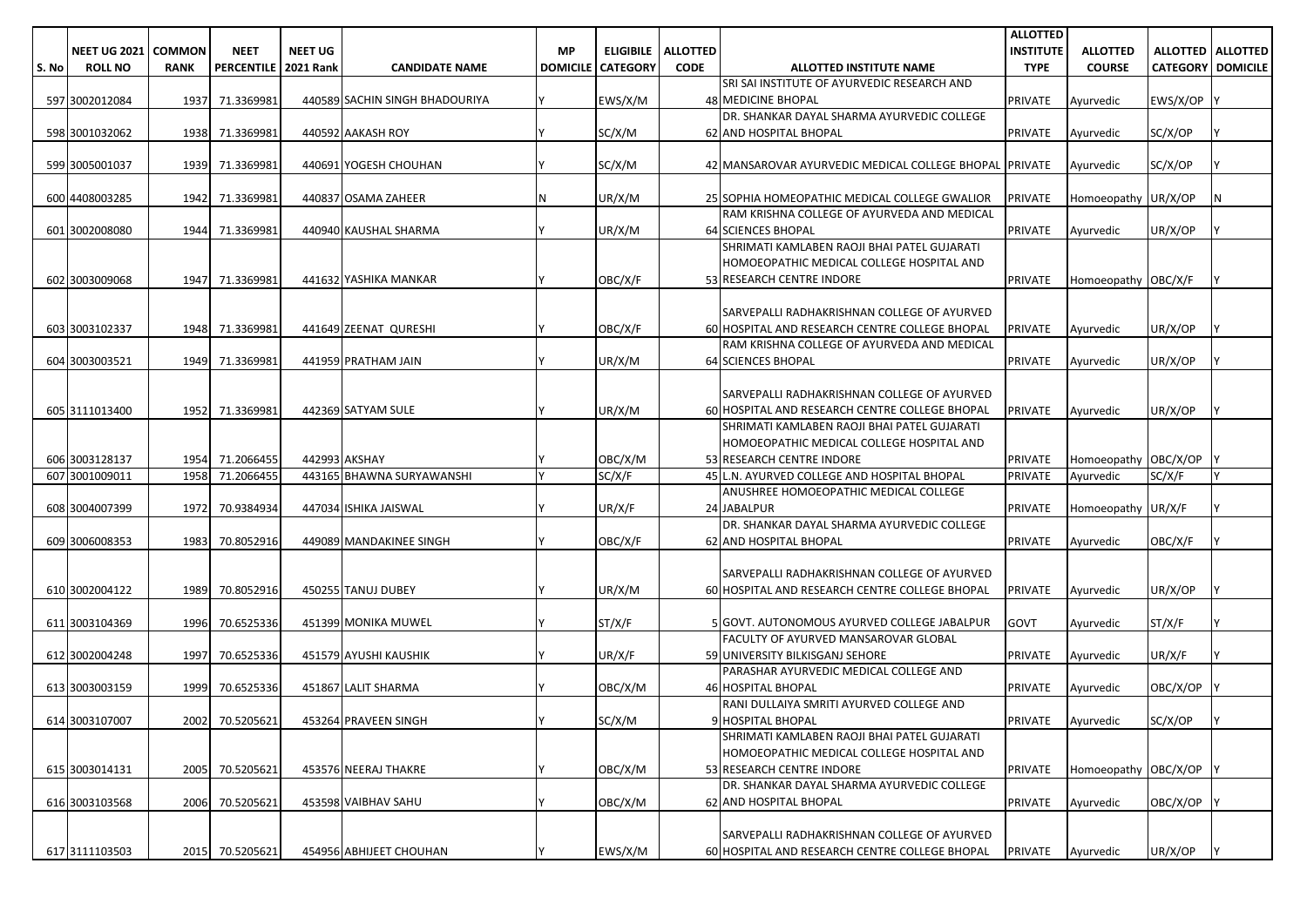|       |                     |               |                   |                  |                                |                 |                  |                 |                                                        | <b>ALLOTTED</b>  |                      |                          |                     |
|-------|---------------------|---------------|-------------------|------------------|--------------------------------|-----------------|------------------|-----------------|--------------------------------------------------------|------------------|----------------------|--------------------------|---------------------|
|       | <b>NEET UG 2021</b> | <b>COMMON</b> | <b>NEET</b>       | <b>NEET UG</b>   |                                | <b>MP</b>       | <b>ELIGIBILE</b> | <b>ALLOTTED</b> |                                                        | <b>INSTITUTE</b> | <b>ALLOTTED</b>      |                          | ALLOTTED   ALLOTTED |
| S. No | <b>ROLL NO</b>      | <b>RANK</b>   | <b>PERCENTILE</b> | <b>2021 Rank</b> | <b>CANDIDATE NAME</b>          | <b>DOMICILE</b> | <b>CATEGORY</b>  | <b>CODE</b>     | ALLOTTED INSTITUTE NAME                                | <b>TYPE</b>      | <b>COURSE</b>        | <b>CATEGORY DOMICILE</b> |                     |
|       |                     |               |                   |                  |                                |                 |                  |                 | SRI SAI INSTITUTE OF AYURVEDIC RESEARCH AND            |                  |                      |                          |                     |
|       | 597 3002012084      |               | 1937 71.3369981   |                  | 440589 SACHIN SINGH BHADOURIYA |                 | EWS/X/M          |                 | 48 MEDICINE BHOPAL                                     | PRIVATE          | Ayurvedic            | EWS/X/OP                 |                     |
|       |                     |               |                   |                  |                                |                 |                  |                 | DR. SHANKAR DAYAL SHARMA AYURVEDIC COLLEGE             |                  |                      |                          |                     |
|       | 598 3001032062      |               | 1938 71.3369981   |                  | 440592 AAKASH ROY              |                 | SC/X/M           |                 | 62 AND HOSPITAL BHOPAL                                 | <b>PRIVATE</b>   | Ayurvedic            | SC/X/OP                  |                     |
|       |                     |               |                   |                  |                                |                 |                  |                 |                                                        |                  |                      |                          |                     |
|       | 599 3005001037      |               | 1939 71.3369981   |                  | 440691 YOGESH CHOUHAN          |                 | SC/X/M           |                 | 42 MANSAROVAR AYURVEDIC MEDICAL COLLEGE BHOPAL PRIVATE |                  | Ayurvedic            | SC/X/OP                  |                     |
|       |                     |               |                   |                  |                                |                 |                  |                 |                                                        |                  |                      |                          |                     |
|       | 600 4408003285      | 1942          | 71.3369981        |                  | 440837 OSAMA ZAHEER            |                 | UR/X/M           |                 | 25 SOPHIA HOMEOPATHIC MEDICAL COLLEGE GWALIOR          | <b>PRIVATE</b>   | Homoeopathy UR/X/OP  |                          | N                   |
|       |                     |               |                   |                  |                                |                 |                  |                 | RAM KRISHNA COLLEGE OF AYURVEDA AND MEDICAL            |                  |                      |                          |                     |
|       | 601 3002008080      | 1944          | 71.3369981        |                  | 440940 KAUSHAL SHARMA          |                 | UR/X/M           |                 | <b>64 SCIENCES BHOPAL</b>                              | <b>PRIVATE</b>   | Ayurvedic            | UR/X/OP                  |                     |
|       |                     |               |                   |                  |                                |                 |                  |                 | SHRIMATI KAMLABEN RAOJI BHAI PATEL GUJARATI            |                  |                      |                          |                     |
|       |                     |               |                   |                  |                                |                 |                  |                 | HOMOEOPATHIC MEDICAL COLLEGE HOSPITAL AND              |                  |                      |                          |                     |
|       | 602 3003009068      | 1947          | 71.3369981        |                  | 441632 YASHIKA MANKAR          |                 | OBC/X/F          |                 | 53 RESEARCH CENTRE INDORE                              | <b>PRIVATE</b>   | Homoeopathy OBC/X/F  |                          |                     |
|       |                     |               |                   |                  |                                |                 |                  |                 |                                                        |                  |                      |                          |                     |
|       |                     |               |                   |                  |                                |                 |                  |                 | SARVEPALLI RADHAKRISHNAN COLLEGE OF AYURVED            |                  |                      |                          |                     |
|       | 603 3003102337      |               | 1948 71.3369981   |                  | 441649 ZEENAT QURESHI          |                 | OBC/X/F          |                 | 60 HOSPITAL AND RESEARCH CENTRE COLLEGE BHOPAL         | <b>PRIVATE</b>   | Ayurvedic            | UR/X/OP                  |                     |
|       |                     |               |                   |                  |                                |                 |                  |                 | RAM KRISHNA COLLEGE OF AYURVEDA AND MEDICAL            |                  |                      |                          |                     |
|       | 604 3003003521      | 1949          | 71.3369981        |                  | 441959 PRATHAM JAIN            |                 | UR/X/M           |                 | <b>64 SCIENCES BHOPAL</b>                              | <b>PRIVATE</b>   | Ayurvedic            | UR/X/OP                  |                     |
|       |                     |               |                   |                  |                                |                 |                  |                 |                                                        |                  |                      |                          |                     |
|       |                     |               |                   |                  |                                |                 |                  |                 | SARVEPALLI RADHAKRISHNAN COLLEGE OF AYURVED            |                  |                      |                          |                     |
|       | 605 3111013400      |               | 1952 71.3369981   |                  | 442369 SATYAM SULE             |                 | UR/X/M           |                 | 60 HOSPITAL AND RESEARCH CENTRE COLLEGE BHOPAL         | <b>PRIVATE</b>   | Avurvedic            | UR/X/OP                  |                     |
|       |                     |               |                   |                  |                                |                 |                  |                 | SHRIMATI KAMLABEN RAOJI BHAI PATEL GUJARATI            |                  |                      |                          |                     |
|       |                     |               |                   |                  |                                |                 |                  |                 | HOMOEOPATHIC MEDICAL COLLEGE HOSPITAL AND              |                  |                      |                          |                     |
|       | 606 3003128137      |               | 1954 71.2066455   |                  | 442993 AKSHAY                  |                 | OBC/X/M          |                 | 53 RESEARCH CENTRE INDORE                              | <b>PRIVATE</b>   | Homoeopathy OBC/X/OP |                          |                     |
|       | 607 3001009011      | 1958          | 71.2066455        |                  | 443165 BHAWNA SURYAWANSHI      |                 | SC/X/F           |                 | 45 L.N. AYURVED COLLEGE AND HOSPITAL BHOPAL            | <b>PRIVATE</b>   | Ayurvedic            | SC/X/F                   | V                   |
|       |                     |               |                   |                  |                                |                 |                  |                 | ANUSHREE HOMOEOPATHIC MEDICAL COLLEGE                  |                  |                      |                          |                     |
|       | 608 3004007399      | 1972          | 70.9384934        |                  | 447034 ISHIKA JAISWAL          |                 | UR/X/F           |                 | 24 JABALPUR                                            | <b>PRIVATE</b>   | Homoeopathy UR/X/F   |                          |                     |
|       |                     |               |                   |                  |                                |                 |                  |                 | DR. SHANKAR DAYAL SHARMA AYURVEDIC COLLEGE             |                  |                      |                          |                     |
|       | 609 3006008353      | 1983          | 70.8052916        |                  | 449089 MANDAKINEE SINGH        |                 | OBC/X/F          |                 | <b>62 AND HOSPITAL BHOPAL</b>                          | <b>PRIVATE</b>   | Ayurvedic            | OBC/X/F                  |                     |
|       |                     |               |                   |                  |                                |                 |                  |                 |                                                        |                  |                      |                          |                     |
|       |                     |               |                   |                  |                                |                 |                  |                 | SARVEPALLI RADHAKRISHNAN COLLEGE OF AYURVED            |                  |                      |                          |                     |
|       | 610 3002004122      | 1989          | 70.8052916        |                  | 450255 TANUJ DUBEY             |                 | UR/X/M           |                 | 60 HOSPITAL AND RESEARCH CENTRE COLLEGE BHOPAL         | <b>PRIVATE</b>   | Ayurvedic            | UR/X/OP                  |                     |
|       |                     |               |                   |                  |                                |                 |                  |                 |                                                        |                  |                      |                          |                     |
|       | 611 3003104369      | 1996          | 70.6525336        |                  | 451399 MONIKA MUWEL            |                 | ST/X/F           |                 | 5 GOVT. AUTONOMOUS AYURVED COLLEGE JABALPUR            | <b>GOVT</b>      | Ayurvedic            | ST/X/F                   |                     |
|       |                     |               |                   |                  |                                |                 |                  |                 | FACULTY OF AYURVED MANSAROVAR GLOBAL                   |                  |                      |                          |                     |
|       | 612 3002004248      | 1997          | 70.6525336        |                  | 451579 AYUSHI KAUSHIK          |                 | UR/X/F           |                 | 59 UNIVERSITY BILKISGANJ SEHORE                        | <b>PRIVATE</b>   | Ayurvedic            | UR/X/F                   |                     |
|       |                     |               |                   |                  |                                |                 |                  |                 | PARASHAR AYURVEDIC MEDICAL COLLEGE AND                 |                  |                      |                          |                     |
|       | 613 3003003159      | 1999          | 70.6525336        |                  | 451867 LALIT SHARMA            |                 | OBC/X/M          |                 | <b>46 HOSPITAL BHOPAL</b>                              | <b>PRIVATE</b>   | Ayurvedic            | OBC/X/OP                 |                     |
|       |                     |               |                   |                  |                                |                 |                  |                 | RANI DULLAIYA SMRITI AYURVED COLLEGE AND               |                  |                      |                          |                     |
|       | 614 3003107007      |               | 2002 70.5205621   |                  | 453264 PRAVEEN SINGH           |                 | SC/X/M           |                 | 9 HOSPITAL BHOPAL                                      | <b>PRIVATE</b>   | Avurvedic            | SC/X/OP                  |                     |
|       |                     |               |                   |                  |                                |                 |                  |                 | SHRIMATI KAMLABEN RAOJI BHAI PATEL GUJARATI            |                  |                      |                          |                     |
|       |                     |               |                   |                  |                                |                 |                  |                 | HOMOEOPATHIC MEDICAL COLLEGE HOSPITAL AND              |                  |                      |                          |                     |
|       | 615 3003014131      | 2005          | 70.5205621        |                  | 453576 NEERAJ THAKRE           |                 | OBC/X/M          |                 | 53 RESEARCH CENTRE INDORE                              | <b>PRIVATE</b>   | Homoeopathy OBC/X/OP |                          |                     |
|       |                     |               |                   |                  |                                |                 |                  |                 | DR. SHANKAR DAYAL SHARMA AYURVEDIC COLLEGE             |                  |                      |                          |                     |
|       |                     |               |                   |                  |                                |                 |                  |                 | 62 AND HOSPITAL BHOPAL                                 |                  |                      | OBC/X/OP                 |                     |
|       | 616 3003103568      | 2006          | 70.5205621        |                  | 453598 VAIBHAV SAHU            |                 | OBC/X/M          |                 |                                                        | <b>PRIVATE</b>   | Ayurvedic            |                          |                     |
|       |                     |               |                   |                  |                                |                 |                  |                 | SARVEPALLI RADHAKRISHNAN COLLEGE OF AYURVED            |                  |                      |                          |                     |
|       |                     |               |                   |                  |                                |                 |                  |                 |                                                        |                  |                      |                          |                     |
|       | 617 3111103503      |               | 2015 70.5205621   |                  | 454956 ABHIJEET CHOUHAN        |                 | EWS/X/M          |                 | 60 HOSPITAL AND RESEARCH CENTRE COLLEGE BHOPAL         | PRIVATE          | Ayurvedic            | UR/X/OP                  |                     |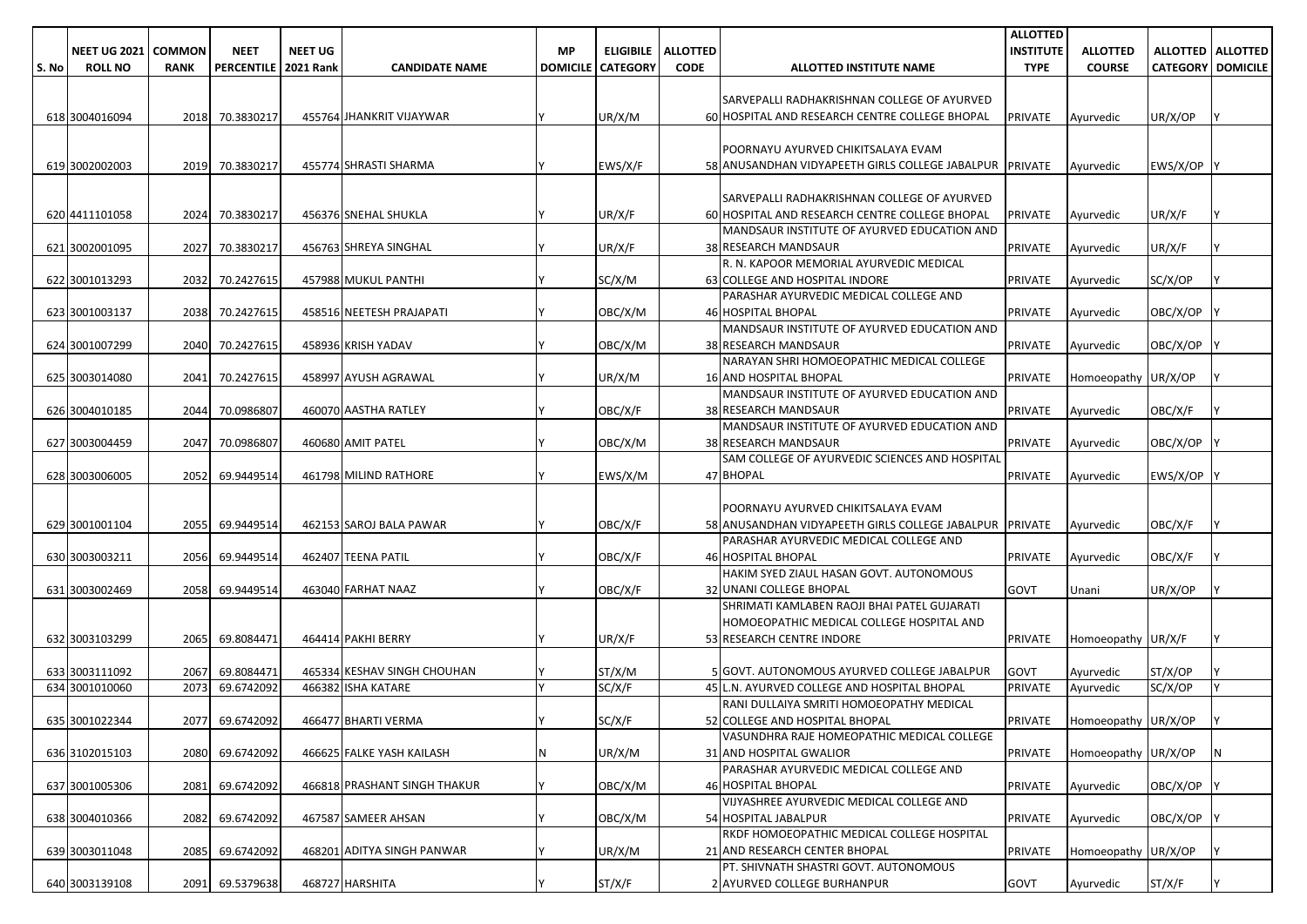|       |                     |               |                        |                |                              |    |                            |                 |                                                         | <b>ALLOTTED</b>  |                             |                          |                     |
|-------|---------------------|---------------|------------------------|----------------|------------------------------|----|----------------------------|-----------------|---------------------------------------------------------|------------------|-----------------------------|--------------------------|---------------------|
|       | <b>NEET UG 2021</b> | <b>COMMON</b> | <b>NEET</b>            | <b>NEET UG</b> |                              | МP | <b>ELIGIBILE</b>           | <b>ALLOTTED</b> |                                                         | <b>INSTITUTE</b> | <b>ALLOTTED</b>             |                          | ALLOTTED   ALLOTTED |
| S. No | <b>ROLL NO</b>      | <b>RANK</b>   | PERCENTILE   2021 Rank |                | <b>CANDIDATE NAME</b>        |    | <b>DOMICILE   CATEGORY</b> | <b>CODE</b>     | ALLOTTED INSTITUTE NAME                                 | <b>TYPE</b>      | <b>COURSE</b>               | <b>CATEGORY DOMICILE</b> |                     |
|       |                     |               |                        |                |                              |    |                            |                 |                                                         |                  |                             |                          |                     |
|       |                     |               |                        |                |                              |    |                            |                 | SARVEPALLI RADHAKRISHNAN COLLEGE OF AYURVED             |                  |                             |                          |                     |
|       | 618 3004016094      |               | 2018 70.3830217        |                | 455764 JHANKRIT VIJAYWAR     |    | UR/X/M                     |                 | 60 HOSPITAL AND RESEARCH CENTRE COLLEGE BHOPAL          | <b>PRIVATE</b>   | Ayurvedic                   | UR/X/OP                  |                     |
|       |                     |               |                        |                |                              |    |                            |                 |                                                         |                  |                             |                          |                     |
|       |                     |               |                        |                |                              |    |                            |                 | POORNAYU AYURVED CHIKITSALAYA EVAM                      |                  |                             |                          |                     |
|       | 619 3002002003      |               | 2019 70.3830217        |                | 455774 SHRASTI SHARMA        |    | EWS/X/F                    |                 | 58 ANUSANDHAN VIDYAPEETH GIRLS COLLEGE JABALPUR PRIVATE |                  | Ayurvedic                   | EWS/X/OP                 |                     |
|       |                     |               |                        |                |                              |    |                            |                 |                                                         |                  |                             |                          |                     |
|       |                     |               |                        |                |                              |    |                            |                 |                                                         |                  |                             |                          |                     |
|       |                     |               |                        |                |                              |    |                            |                 | SARVEPALLI RADHAKRISHNAN COLLEGE OF AYURVED             |                  |                             |                          |                     |
|       | 620 4411101058      |               | 2024 70.3830217        |                | 456376 SNEHAL SHUKLA         |    | UR/X/F                     |                 | 60 HOSPITAL AND RESEARCH CENTRE COLLEGE BHOPAL          | <b>PRIVATE</b>   | Ayurvedic                   | UR/X/F                   |                     |
|       |                     |               |                        |                |                              |    |                            |                 | MANDSAUR INSTITUTE OF AYURVED EDUCATION AND             |                  |                             |                          |                     |
|       | 621 3002001095      | 2027          | 70.3830217             |                | 456763 SHREYA SINGHAL        |    | UR/X/F                     |                 | 38 RESEARCH MANDSAUR                                    | <b>PRIVATE</b>   | Ayurvedic                   | UR/X/F                   |                     |
|       |                     |               |                        |                |                              |    |                            |                 | R. N. KAPOOR MEMORIAL AYURVEDIC MEDICAL                 |                  |                             |                          |                     |
|       | 622 3001013293      |               | 2032 70.2427615        |                | 457988 MUKUL PANTHI          |    | SC/X/M                     |                 | 63 COLLEGE AND HOSPITAL INDORE                          | <b>PRIVATE</b>   | Ayurvedic                   | SC/X/OP                  |                     |
|       |                     |               |                        |                |                              |    |                            |                 | PARASHAR AYURVEDIC MEDICAL COLLEGE AND                  |                  |                             |                          |                     |
|       | 623 3001003137      |               | 2038 70.2427615        |                | 458516 NEETESH PRAJAPATI     |    | OBC/X/M                    |                 | <b>46 HOSPITAL BHOPAL</b>                               | PRIVATE          | Ayurvedic                   | OBC/X/OP                 |                     |
|       |                     |               |                        |                |                              |    |                            |                 | MANDSAUR INSTITUTE OF AYURVED EDUCATION AND             |                  |                             |                          |                     |
|       | 624 3001007299      |               | 2040 70.2427615        |                | 458936 KRISH YADAV           |    | OBC/X/M                    |                 | 38 RESEARCH MANDSAUR                                    | <b>PRIVATE</b>   | Ayurvedic                   | OBC/X/OP                 |                     |
|       |                     |               |                        |                |                              |    |                            |                 | NARAYAN SHRI HOMOEOPATHIC MEDICAL COLLEGE               |                  |                             |                          |                     |
|       | 625 3003014080      | 2041          | 70.2427615             |                | 458997 AYUSH AGRAWAL         |    | UR/X/M                     |                 | <b>16 AND HOSPITAL BHOPAL</b>                           | <b>PRIVATE</b>   | Homoeopathy UR/X/OP         |                          |                     |
|       |                     |               |                        |                |                              |    |                            |                 | MANDSAUR INSTITUTE OF AYURVED EDUCATION AND             |                  |                             |                          |                     |
|       | 626 3004010185      |               | 2044 70.0986807        |                | 460070 AASTHA RATLEY         |    | OBC/X/F                    |                 | <b>38 RESEARCH MANDSAUR</b>                             | <b>PRIVATE</b>   | Ayurvedic                   | OBC/X/F                  |                     |
|       |                     |               |                        |                |                              |    |                            |                 | MANDSAUR INSTITUTE OF AYURVED EDUCATION AND             |                  |                             |                          |                     |
|       | 627 3003004459      | 2047          | 70.0986807             |                | 460680 AMIT PATEL            |    | OBC/X/M                    |                 | <b>38 RESEARCH MANDSAUR</b>                             | <b>PRIVATE</b>   | Ayurvedic                   | OBC/X/OP                 |                     |
|       |                     |               |                        |                |                              |    |                            |                 | SAM COLLEGE OF AYURVEDIC SCIENCES AND HOSPITAL          |                  |                             |                          |                     |
|       | 628 3003006005      | 2052          | 69.9449514             |                | 461798 MILIND RATHORE        |    | EWS/X/M                    |                 | 47 BHOPAL                                               | <b>PRIVATE</b>   | Ayurvedic                   | EWS/X/OP                 |                     |
|       |                     |               |                        |                |                              |    |                            |                 |                                                         |                  |                             |                          |                     |
|       |                     |               |                        |                |                              |    |                            |                 | POORNAYU AYURVED CHIKITSALAYA EVAM                      |                  |                             |                          |                     |
|       |                     | 2055          |                        |                | 462153 SAROJ BALA PAWAR      |    | OBC/X/F                    |                 |                                                         |                  |                             |                          |                     |
|       | 629 3001001104      |               | 69.9449514             |                |                              |    |                            |                 | 58 ANUSANDHAN VIDYAPEETH GIRLS COLLEGE JABALPUR PRIVATE |                  | Ayurvedic                   | OBC/X/F                  |                     |
|       |                     |               |                        |                |                              |    |                            |                 | PARASHAR AYURVEDIC MEDICAL COLLEGE AND                  |                  |                             |                          |                     |
|       | 630 3003003211      | 2056          | 69.9449514             |                | 462407 TEENA PATIL           |    | OBC/X/F                    |                 | <b>46 HOSPITAL BHOPAL</b>                               | <b>PRIVATE</b>   | Ayurvedic                   | OBC/X/F                  |                     |
|       |                     |               |                        |                |                              |    |                            |                 | HAKIM SYED ZIAUL HASAN GOVT. AUTONOMOUS                 |                  |                             |                          |                     |
|       | 631 3003002469      | 2058          | 69.9449514             |                | 463040 FARHAT NAAZ           |    | OBC/X/F                    |                 | 32 UNANI COLLEGE BHOPAL                                 | <b>GOVT</b>      | Unani                       | UR/X/OP                  |                     |
|       |                     |               |                        |                |                              |    |                            |                 | SHRIMATI KAMLABEN RAOJI BHAI PATEL GUJARATI             |                  |                             |                          |                     |
|       |                     |               |                        |                |                              |    |                            |                 | HOMOEOPATHIC MEDICAL COLLEGE HOSPITAL AND               |                  |                             |                          |                     |
|       | 632 3003103299      | 2065          | 69.8084471             |                | 464414 PAKHI BERRY           |    | UR/X/F                     |                 | 53 RESEARCH CENTRE INDORE                               | <b>PRIVATE</b>   | Homoeopathy UR/X/F          |                          |                     |
|       |                     |               |                        |                |                              |    |                            |                 |                                                         |                  |                             |                          |                     |
|       | 633 3003111092      | 2067          | 69.8084471             |                | 465334 KESHAV SINGH CHOUHAN  |    | ST/X/M                     |                 | 5 GOVT. AUTONOMOUS AYURVED COLLEGE JABALPUR             | GOVT             | Ayurvedic                   | ST/X/OP                  |                     |
|       | 634 3001010060      | 2073          | 69.6742092             |                | 466382 ISHA KATARE           |    | SC/X/F                     |                 | 45 L.N. AYURVED COLLEGE AND HOSPITAL BHOPAL             | <b>PRIVATE</b>   | Ayurvedic                   | SC/X/OP                  |                     |
|       |                     |               |                        |                |                              |    |                            |                 | RANI DULLAIYA SMRITI HOMOEOPATHY MEDICAL                |                  |                             |                          |                     |
|       | 635 3001022344      |               | 2077 69.6742092        |                | 466477 BHARTI VERMA          |    | SC/X/F                     |                 | 52 COLLEGE AND HOSPITAL BHOPAL                          |                  | PRIVATE Homoeopathy UR/X/OP |                          |                     |
|       |                     |               |                        |                |                              |    |                            |                 | VASUNDHRA RAJE HOMEOPATHIC MEDICAL COLLEGE              |                  |                             |                          |                     |
|       | 636 3102015103      |               | 2080 69.6742092        |                | 466625 FALKE YASH KAILASH    | N  | UR/X/M                     |                 | 31 AND HOSPITAL GWALIOR                                 | <b>PRIVATE</b>   | Homoeopathy UR/X/OP         |                          | IN.                 |
|       |                     |               |                        |                |                              |    |                            |                 | PARASHAR AYURVEDIC MEDICAL COLLEGE AND                  |                  |                             |                          |                     |
|       | 637 3001005306      | 2081          | 69.6742092             |                | 466818 PRASHANT SINGH THAKUR |    | OBC/X/M                    |                 | <b>46 HOSPITAL BHOPAL</b>                               | <b>PRIVATE</b>   | Ayurvedic                   | OBC/X/OP                 |                     |
|       |                     |               |                        |                |                              |    |                            |                 | VIJYASHREE AYURVEDIC MEDICAL COLLEGE AND                |                  |                             |                          |                     |
|       | 638 3004010366      |               | 2082 69.6742092        |                | 467587 SAMEER AHSAN          |    | OBC/X/M                    |                 | 54 HOSPITAL JABALPUR                                    | <b>PRIVATE</b>   | Ayurvedic                   | OBC/X/OP                 |                     |
|       |                     |               |                        |                |                              |    |                            |                 | RKDF HOMOEOPATHIC MEDICAL COLLEGE HOSPITAL              |                  |                             |                          |                     |
|       | 639 3003011048      |               | 2085 69.6742092        |                | 468201 ADITYA SINGH PANWAR   |    | UR/X/M                     |                 | 21 AND RESEARCH CENTER BHOPAL                           | <b>PRIVATE</b>   | Homoeopathy UR/X/OP         |                          |                     |
|       |                     |               |                        |                |                              |    |                            |                 | PT. SHIVNATH SHASTRI GOVT. AUTONOMOUS                   |                  |                             |                          |                     |
|       | 640 3003139108      |               | 2091 69.5379638        |                | 468727 HARSHITA              |    | ST/X/F                     |                 | 2 AYURVED COLLEGE BURHANPUR                             | GOVT             | Ayurvedic                   | ST/X/F                   |                     |
|       |                     |               |                        |                |                              |    |                            |                 |                                                         |                  |                             |                          |                     |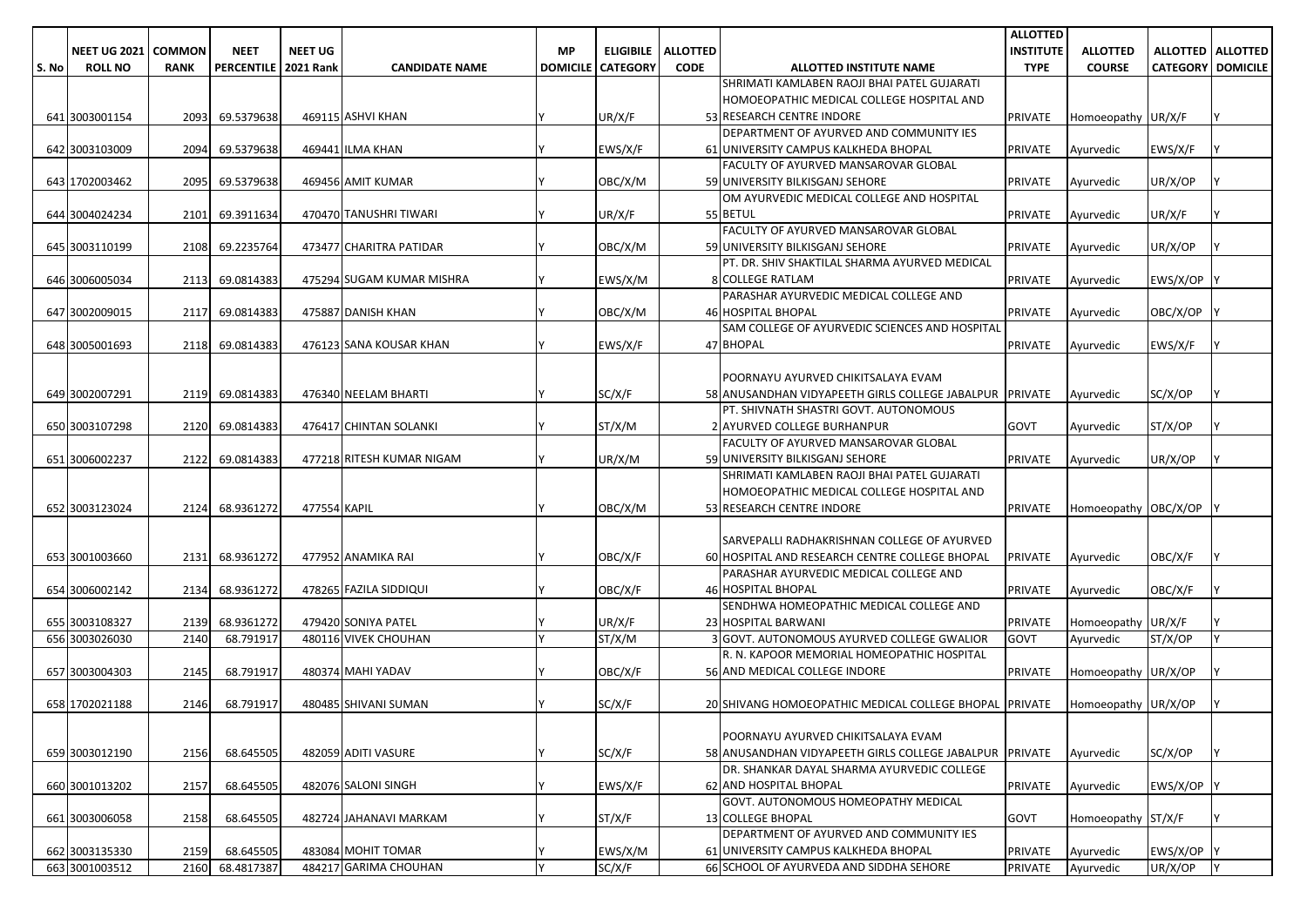|       |                              |             |                   |                  |                           |           |                          |                 |                                                                            | <b>ALLOTTED</b>  |                      |                 |                     |
|-------|------------------------------|-------------|-------------------|------------------|---------------------------|-----------|--------------------------|-----------------|----------------------------------------------------------------------------|------------------|----------------------|-----------------|---------------------|
|       | <b>NEET UG 2021   COMMON</b> |             | <b>NEET</b>       | <b>NEET UG</b>   |                           | <b>MP</b> | <b>ELIGIBILE</b>         | <b>ALLOTTED</b> |                                                                            | <b>INSTITUTE</b> | <b>ALLOTTED</b>      |                 | ALLOTTED   ALLOTTED |
| S. No | <b>ROLL NO</b>               | <b>RANK</b> | <b>PERCENTILE</b> | <b>2021 Rank</b> | <b>CANDIDATE NAME</b>     |           | <b>DOMICILE CATEGORY</b> | <b>CODE</b>     | ALLOTTED INSTITUTE NAME                                                    | <b>TYPE</b>      | <b>COURSE</b>        | <b>CATEGORY</b> | <b>DOMICILE</b>     |
|       |                              |             |                   |                  |                           |           |                          |                 | SHRIMATI KAMLABEN RAOJI BHAI PATEL GUJARATI                                |                  |                      |                 |                     |
|       |                              |             |                   |                  |                           |           |                          |                 | HOMOEOPATHIC MEDICAL COLLEGE HOSPITAL AND                                  |                  |                      |                 |                     |
|       | 641 3003001154               | 2093        | 69.5379638        |                  | 469115 ASHVI KHAN         |           | UR/X/F                   |                 | 53 RESEARCH CENTRE INDORE                                                  | PRIVATE          | Homoeopathy UR/X/F   |                 | l Y                 |
|       |                              |             |                   |                  |                           |           |                          |                 | DEPARTMENT OF AYURVED AND COMMUNITY IES                                    |                  |                      |                 |                     |
|       | 642 3003103009               | 2094        | 69.5379638        |                  | 469441 ILMA KHAN          |           | EWS/X/F                  |                 | 61 UNIVERSITY CAMPUS KALKHEDA BHOPAL                                       | PRIVATE          | Ayurvedic            | EWS/X/F         |                     |
|       |                              |             |                   |                  |                           |           |                          |                 | <b>FACULTY OF AYURVED MANSAROVAR GLOBAL</b>                                |                  |                      |                 |                     |
|       | 643 1702003462               | 2095        | 69.5379638        |                  | 469456 AMIT KUMAR         |           | OBC/X/M                  |                 | 59 UNIVERSITY BILKISGANJ SEHORE                                            | PRIVATE          | Ayurvedic            | UR/X/OP         |                     |
|       |                              |             |                   |                  |                           |           |                          |                 | OM AYURVEDIC MEDICAL COLLEGE AND HOSPITAL                                  |                  |                      |                 |                     |
|       | 644 3004024234               | 2101        | 69.3911634        |                  | 470470 TANUSHRI TIWARI    |           | UR/X/F                   |                 | 55 BETUL                                                                   | PRIVATE          | Ayurvedic            | UR/X/F          |                     |
|       |                              |             |                   |                  |                           |           |                          |                 | FACULTY OF AYURVED MANSAROVAR GLOBAL                                       |                  |                      |                 |                     |
|       | 645 3003110199               |             | 2108 69.2235764   |                  | 473477 CHARITRA PATIDAR   |           | OBC/X/M                  |                 | 59 UNIVERSITY BILKISGANJ SEHORE                                            | PRIVATE          | Ayurvedic            | UR/X/OP         |                     |
|       |                              |             |                   |                  |                           |           |                          |                 | PT. DR. SHIV SHAKTILAL SHARMA AYURVED MEDICAL                              |                  |                      |                 |                     |
|       | 646 3006005034               | 2113        | 69.0814383        |                  | 475294 SUGAM KUMAR MISHRA |           | EWS/X/M                  |                 | <b>8 COLLEGE RATLAM</b>                                                    | PRIVATE          | Ayurvedic            | EWS/X/OP Y      |                     |
|       |                              |             |                   |                  |                           |           |                          |                 | PARASHAR AYURVEDIC MEDICAL COLLEGE AND                                     |                  |                      |                 |                     |
|       | 647 3002009015               | 2117        | 69.0814383        |                  | 475887 DANISH KHAN        |           | OBC/X/M                  |                 | <b>46 HOSPITAL BHOPAL</b>                                                  | PRIVATE          | Ayurvedic            | OBC/X/OP        |                     |
|       |                              |             |                   |                  |                           |           |                          |                 | SAM COLLEGE OF AYURVEDIC SCIENCES AND HOSPITAL                             |                  |                      |                 |                     |
|       | 648 3005001693               | 2118        | 69.0814383        |                  | 476123 SANA KOUSAR KHAN   |           | EWS/X/F                  |                 | 47 BHOPAL                                                                  | PRIVATE          | Ayurvedic            | EWS/X/F         |                     |
|       |                              |             |                   |                  |                           |           |                          |                 |                                                                            |                  |                      |                 |                     |
|       |                              |             |                   |                  |                           |           |                          |                 | POORNAYU AYURVED CHIKITSALAYA EVAM                                         |                  |                      |                 |                     |
|       | 649 3002007291               |             | 2119 69.0814383   |                  | 476340 NEELAM BHARTI      |           | SC/X/F                   |                 | 58 ANUSANDHAN VIDYAPEETH GIRLS COLLEGE JABALPUR PRIVATE                    |                  | Ayurvedic            | SC/X/OP         |                     |
|       |                              |             |                   |                  |                           |           |                          |                 | PT. SHIVNATH SHASTRI GOVT. AUTONOMOUS                                      |                  |                      |                 |                     |
|       | 650 3003107298               | 2120        | 69.0814383        |                  | 476417 CHINTAN SOLANKI    |           | ST/X/M                   |                 | 2 AYURVED COLLEGE BURHANPUR<br><b>FACULTY OF AYURVED MANSAROVAR GLOBAL</b> | GOVT             | Ayurvedic            | ST/X/OP         |                     |
|       |                              |             |                   |                  |                           |           |                          |                 | 59 UNIVERSITY BILKISGANJ SEHORE                                            |                  |                      |                 |                     |
|       | 651 3006002237               | 2122        | 69.0814383        |                  | 477218 RITESH KUMAR NIGAM |           | UR/X/M                   |                 | SHRIMATI KAMLABEN RAOJI BHAI PATEL GUJARATI                                | PRIVATE          | Ayurvedic            | UR/X/OP         |                     |
|       |                              |             |                   |                  |                           |           |                          |                 | HOMOEOPATHIC MEDICAL COLLEGE HOSPITAL AND                                  |                  |                      |                 |                     |
|       | 652 3003123024               |             | 2124 68.9361272   | 477554 KAPIL     |                           |           | OBC/X/M                  |                 | 53 RESEARCH CENTRE INDORE                                                  | PRIVATE          | Homoeopathy OBC/X/OP |                 |                     |
|       |                              |             |                   |                  |                           |           |                          |                 |                                                                            |                  |                      |                 |                     |
|       |                              |             |                   |                  |                           |           |                          |                 | SARVEPALLI RADHAKRISHNAN COLLEGE OF AYURVED                                |                  |                      |                 |                     |
|       | 653 3001003660               | 2131        | 68.9361272        |                  | 477952 ANAMIKA RAI        |           | OBC/X/F                  |                 | 60 HOSPITAL AND RESEARCH CENTRE COLLEGE BHOPAL                             | PRIVATE          | Ayurvedic            | OBC/X/F         |                     |
|       |                              |             |                   |                  |                           |           |                          |                 | PARASHAR AYURVEDIC MEDICAL COLLEGE AND                                     |                  |                      |                 |                     |
|       | 654 3006002142               | 2134        | 68.9361272        |                  | 478265 FAZILA SIDDIQUI    |           | OBC/X/F                  |                 | <b>46 HOSPITAL BHOPAL</b>                                                  | PRIVATE          | Ayurvedic            | OBC/X/F         | Y                   |
|       |                              |             |                   |                  |                           |           |                          |                 | SENDHWA HOMEOPATHIC MEDICAL COLLEGE AND                                    |                  |                      |                 |                     |
|       | 655 3003108327               | 2139        | 68.9361272        |                  | 479420 SONIYA PATEL       |           | UR/X/F                   |                 | 23 HOSPITAL BARWANI                                                        | PRIVATE          | Homoeopathy UR/X/F   |                 |                     |
|       | 656 3003026030               | 2140        | 68.791917         |                  | 480116 VIVEK CHOUHAN      | I٧        | ST/X/M                   |                 | 3 GOVT. AUTONOMOUS AYURVED COLLEGE GWALIOR                                 | GOVT             | Ayurvedic            | ST/X/OP         | Y                   |
|       |                              |             |                   |                  |                           |           |                          |                 | R. N. KAPOOR MEMORIAL HOMEOPATHIC HOSPITAL                                 |                  |                      |                 |                     |
|       | 657 3003004303               | 2145        | 68.791917         |                  | 480374 MAHI YADAV         |           | OBC/X/F                  |                 | 56 AND MEDICAL COLLEGE INDORE                                              | PRIVATE          | Homoeopathy UR/X/OP  |                 |                     |
|       |                              |             |                   |                  |                           |           |                          |                 |                                                                            |                  |                      |                 |                     |
|       | 658 1702021188               | 2146        | 68.791917         |                  | 480485 SHIVANI SUMAN      |           | SC/X/F                   |                 | 20 SHIVANG HOMOEOPATHIC MEDICAL COLLEGE BHOPAL PRIVATE                     |                  | Homoeopathy UR/X/OP  |                 |                     |
|       |                              |             |                   |                  |                           |           |                          |                 |                                                                            |                  |                      |                 |                     |
|       |                              |             |                   |                  |                           |           |                          |                 | POORNAYU AYURVED CHIKITSALAYA EVAM                                         |                  |                      |                 |                     |
|       | 659 3003012190               | 2156        | 68.645505         |                  | 482059 ADITI VASURE       |           | SC/X/F                   |                 | 58 ANUSANDHAN VIDYAPEETH GIRLS COLLEGE JABALPUR                            | <b>PRIVATE</b>   | Ayurvedic            | SC/X/OP         | Y                   |
|       |                              |             |                   |                  |                           |           |                          |                 | DR. SHANKAR DAYAL SHARMA AYURVEDIC COLLEGE                                 |                  |                      |                 |                     |
|       | 660 3001013202               | 2157        | 68.645505         |                  | 482076 SALONI SINGH       |           | EWS/X/F                  |                 | 62 AND HOSPITAL BHOPAL                                                     | PRIVATE          | Ayurvedic            | EWS/X/OP Y      |                     |
|       |                              |             |                   |                  |                           |           |                          |                 | GOVT. AUTONOMOUS HOMEOPATHY MEDICAL                                        |                  |                      |                 |                     |
|       | 661 3003006058               | 2158        | 68.645505         |                  | 482724 JAHANAVI MARKAM    |           | ST/X/F                   |                 | <b>13 COLLEGE BHOPAL</b>                                                   | <b>GOVT</b>      | Homoeopathy ST/X/F   |                 |                     |
|       |                              |             |                   |                  |                           |           |                          |                 | DEPARTMENT OF AYURVED AND COMMUNITY IES                                    |                  |                      |                 |                     |
|       | 662 3003135330               | 2159        | 68.645505         |                  | 483084 MOHIT TOMAR        |           | EWS/X/M                  |                 | 61 UNIVERSITY CAMPUS KALKHEDA BHOPAL                                       | PRIVATE          | Ayurvedic            | EWS/X/OP Y      |                     |
|       | 663 3001003512               | 2160        | 68.4817387        |                  | 484217 GARIMA CHOUHAN     | I۷        | SC/X/F                   |                 | 66 SCHOOL OF AYURVEDA AND SIDDHA SEHORE                                    | PRIVATE          | Ayurvedic            | UR/X/OP         | Y                   |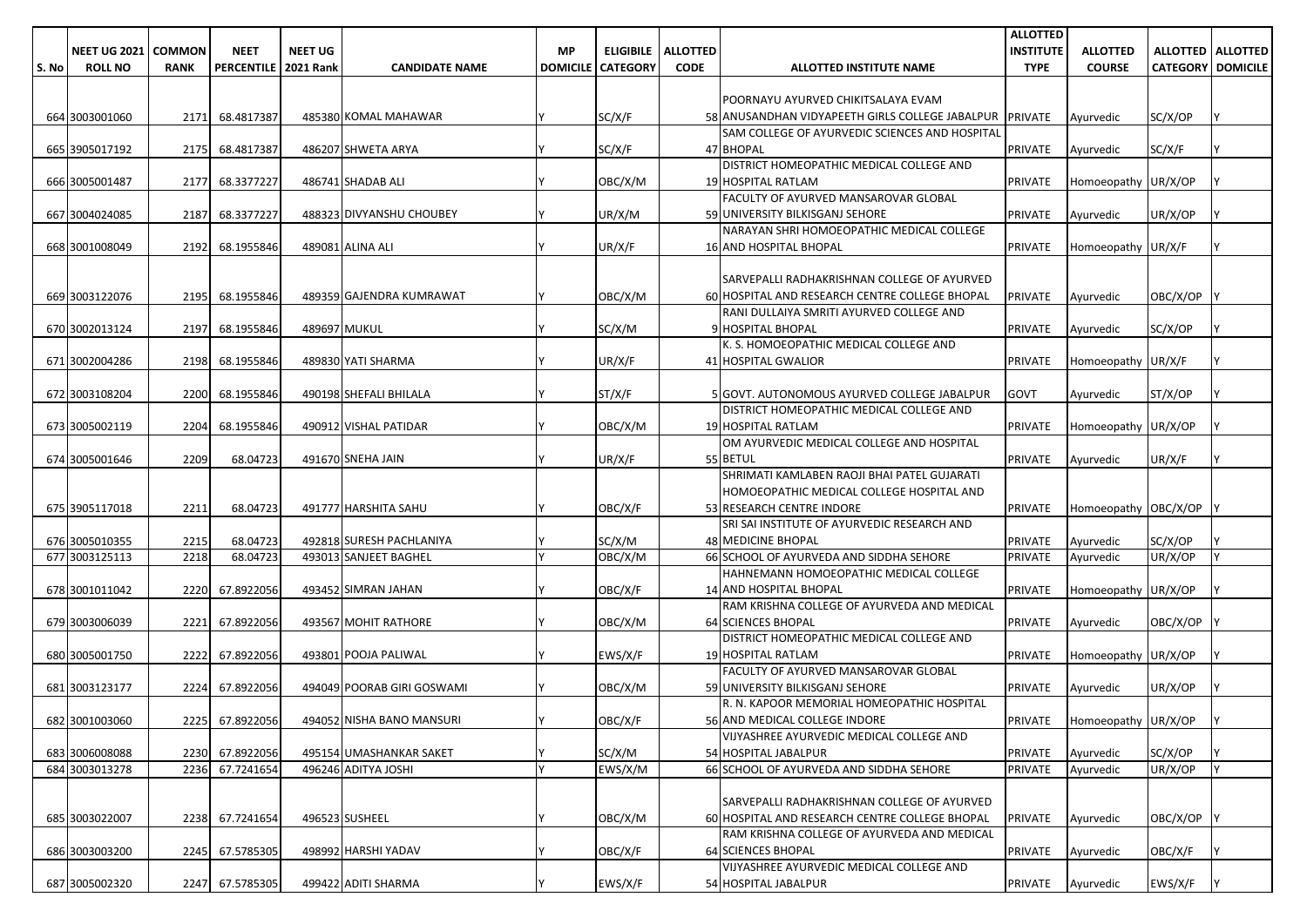|       |                     |               |                        |                |                            |           |                          |                 |                                                                 | <b>ALLOTTED</b>  |                             |                          |                     |
|-------|---------------------|---------------|------------------------|----------------|----------------------------|-----------|--------------------------|-----------------|-----------------------------------------------------------------|------------------|-----------------------------|--------------------------|---------------------|
|       | <b>NEET UG 2021</b> | <b>COMMON</b> | <b>NEET</b>            | <b>NEET UG</b> |                            | <b>MP</b> | <b>ELIGIBILE</b>         | <b>ALLOTTED</b> |                                                                 | <b>INSTITUTE</b> | <b>ALLOTTED</b>             |                          | ALLOTTED   ALLOTTED |
| S. No | <b>ROLL NO</b>      | <b>RANK</b>   | PERCENTILE   2021 Rank |                | <b>CANDIDATE NAME</b>      |           | <b>DOMICILE CATEGORY</b> | <b>CODE</b>     | ALLOTTED INSTITUTE NAME                                         | <b>TYPE</b>      | <b>COURSE</b>               | <b>CATEGORY DOMICILE</b> |                     |
|       |                     |               |                        |                |                            |           |                          |                 |                                                                 |                  |                             |                          |                     |
|       |                     |               |                        |                |                            |           |                          |                 | POORNAYU AYURVED CHIKITSALAYA EVAM                              |                  |                             |                          |                     |
|       | 664 3003001060      | 2171          | 68.4817387             |                | 485380 KOMAL MAHAWAR       |           | SC/X/F                   |                 | 58 ANUSANDHAN VIDYAPEETH GIRLS COLLEGE JABALPUR PRIVATE         |                  | Ayurvedic                   | SC/X/OP                  |                     |
|       |                     |               |                        |                |                            |           |                          |                 | SAM COLLEGE OF AYURVEDIC SCIENCES AND HOSPITAL                  |                  |                             |                          |                     |
|       | 665 3905017192      | 2175          | 68.4817387             |                | 486207 SHWETA ARYA         |           | SC/X/F                   |                 | 47 BHOPAL                                                       | <b>PRIVATE</b>   | Ayurvedic                   | SC/X/F                   |                     |
|       |                     | 2177          | 68.3377227             |                | 486741 SHADAB ALI          |           |                          |                 | DISTRICT HOMEOPATHIC MEDICAL COLLEGE AND<br>19 HOSPITAL RATLAM  |                  |                             |                          |                     |
|       | 666 3005001487      |               |                        |                |                            |           | OBC/X/M                  |                 | FACULTY OF AYURVED MANSAROVAR GLOBAL                            | <b>PRIVATE</b>   | Homoeopathy UR/X/OP         |                          |                     |
|       | 667 3004024085      | 2187          | 68.3377227             |                | 488323 DIVYANSHU CHOUBEY   |           | UR/X/M                   |                 | 59 UNIVERSITY BILKISGANJ SEHORE                                 | <b>PRIVATE</b>   | Ayurvedic                   | UR/X/OP                  |                     |
|       |                     |               |                        |                |                            |           |                          |                 | NARAYAN SHRI HOMOEOPATHIC MEDICAL COLLEGE                       |                  |                             |                          |                     |
|       | 668 3001008049      | 2192          | 68.1955846             |                | 489081 ALINA ALI           |           | UR/X/F                   |                 | <b>16 AND HOSPITAL BHOPAL</b>                                   | <b>PRIVATE</b>   | Homoeopathy UR/X/F          |                          |                     |
|       |                     |               |                        |                |                            |           |                          |                 |                                                                 |                  |                             |                          |                     |
|       |                     |               |                        |                |                            |           |                          |                 | SARVEPALLI RADHAKRISHNAN COLLEGE OF AYURVED                     |                  |                             |                          |                     |
|       | 669 3003122076      | 2195          | 68.1955846             |                | 489359 GAJENDRA KUMRAWAT   |           | OBC/X/M                  |                 | 60 HOSPITAL AND RESEARCH CENTRE COLLEGE BHOPAL                  | <b>PRIVATE</b>   | Ayurvedic                   | OBC/X/OP                 |                     |
|       |                     |               |                        |                |                            |           |                          |                 | RANI DULLAIYA SMRITI AYURVED COLLEGE AND                        |                  |                             |                          |                     |
|       | 670 3002013124      | 2197          | 68.1955846             |                | 489697 MUKUL               |           | SC/X/M                   |                 | 9 HOSPITAL BHOPAL                                               | <b>PRIVATE</b>   | Ayurvedic                   | SC/X/OP                  |                     |
|       |                     |               |                        |                |                            |           |                          |                 | K. S. HOMOEOPATHIC MEDICAL COLLEGE AND                          |                  |                             |                          |                     |
|       | 671 3002004286      | 2198          | 68.1955846             |                | 489830 YATI SHARMA         |           | UR/X/F                   |                 | 41 HOSPITAL GWALIOR                                             | <b>PRIVATE</b>   | Homoeopathy UR/X/F          |                          |                     |
|       |                     |               |                        |                |                            |           |                          |                 |                                                                 |                  |                             |                          |                     |
|       | 672 3003108204      | 2200          | 68.1955846             |                | 490198 SHEFALI BHILALA     |           | ST/X/F                   |                 | 5 GOVT. AUTONOMOUS AYURVED COLLEGE JABALPUR                     | <b>GOVT</b>      | Ayurvedic                   | ST/X/OP                  |                     |
|       |                     |               |                        |                |                            |           |                          |                 | DISTRICT HOMEOPATHIC MEDICAL COLLEGE AND                        |                  |                             |                          |                     |
|       | 673 3005002119      | 2204          | 68.1955846             |                | 490912 VISHAL PATIDAR      |           | OBC/X/M                  |                 | 19 HOSPITAL RATLAM<br>OM AYURVEDIC MEDICAL COLLEGE AND HOSPITAL | <b>PRIVATE</b>   | Homoeopathy UR/X/OP         |                          |                     |
|       | 674 3005001646      | 2209          | 68.04723               |                | 491670 SNEHA JAIN          |           | UR/X/F                   |                 | 55 BETUL                                                        | <b>PRIVATE</b>   | Avurvedic                   | UR/X/F                   |                     |
|       |                     |               |                        |                |                            |           |                          |                 | SHRIMATI KAMLABEN RAOJI BHAI PATEL GUJARATI                     |                  |                             |                          |                     |
|       |                     |               |                        |                |                            |           |                          |                 | HOMOEOPATHIC MEDICAL COLLEGE HOSPITAL AND                       |                  |                             |                          |                     |
|       | 675 3905117018      | 2211          | 68.04723               |                | 491777 HARSHITA SAHU       |           | OBC/X/F                  |                 | 53 RESEARCH CENTRE INDORE                                       | <b>PRIVATE</b>   | Homoeopathy OBC/X/OP        |                          |                     |
|       |                     |               |                        |                |                            |           |                          |                 | SRI SAI INSTITUTE OF AYURVEDIC RESEARCH AND                     |                  |                             |                          |                     |
|       | 676 3005010355      | 2215          | 68.04723               |                | 492818 SURESH PACHLANIYA   |           | SC/X/M                   |                 | <b>48 MEDICINE BHOPAL</b>                                       | <b>PRIVATE</b>   | Ayurvedic                   | SC/X/OP                  |                     |
|       | 677 3003125113      | 2218          | 68.04723               |                | 493013 SANJEET BAGHEL      |           | OBC/X/M                  |                 | 66 SCHOOL OF AYURVEDA AND SIDDHA SEHORE                         | <b>PRIVATE</b>   | Ayurvedic                   | UR/X/OP                  |                     |
|       |                     |               |                        |                |                            |           |                          |                 | HAHNEMANN HOMOEOPATHIC MEDICAL COLLEGE                          |                  |                             |                          |                     |
|       | 678 3001011042      | 2220          | 67.8922056             |                | 493452 SIMRAN JAHAN        |           | OBC/X/F                  |                 | 14 AND HOSPITAL BHOPAL                                          | <b>PRIVATE</b>   | Homoeopathy UR/X/OP         |                          |                     |
|       |                     |               |                        |                |                            |           |                          |                 | RAM KRISHNA COLLEGE OF AYURVEDA AND MEDICAL                     |                  |                             |                          |                     |
|       | 679 3003006039      | 2221          | 67.8922056             |                | 493567 MOHIT RATHORE       |           | OBC/X/M                  |                 | <b>64 SCIENCES BHOPAL</b>                                       | <b>PRIVATE</b>   | Ayurvedic                   | OBC/X/OP                 |                     |
|       |                     |               |                        |                |                            |           |                          |                 | DISTRICT HOMEOPATHIC MEDICAL COLLEGE AND                        |                  |                             |                          |                     |
|       | 680 3005001750      | 2222          | 67.8922056             |                | 493801 POOJA PALIWAL       |           | EWS/X/F                  |                 | 19 HOSPITAL RATLAM<br>FACULTY OF AYURVED MANSAROVAR GLOBAL      | <b>PRIVATE</b>   | Homoeopathy UR/X/OP         |                          |                     |
|       | 681 3003123177      | 2224          | 67.8922056             |                | 494049 POORAB GIRI GOSWAMI |           | OBC/X/M                  |                 | 59 UNIVERSITY BILKISGANJ SEHORE                                 | <b>PRIVATE</b>   | Ayurvedic                   | UR/X/OP                  |                     |
|       |                     |               |                        |                |                            |           |                          |                 | R. N. KAPOOR MEMORIAL HOMEOPATHIC HOSPITAL                      |                  |                             |                          |                     |
|       | 682 3001003060      |               | 2225 67.8922056        |                | 494052 NISHA BANO MANSURI  | I۷        | OBC/X/F                  |                 | 56 AND MEDICAL COLLEGE INDORE                                   |                  | PRIVATE Homoeopathy UR/X/OP |                          |                     |
|       |                     |               |                        |                |                            |           |                          |                 | VIJYASHREE AYURVEDIC MEDICAL COLLEGE AND                        |                  |                             |                          |                     |
|       | 683 3006008088      |               | 2230 67.8922056        |                | 495154 UMASHANKAR SAKET    |           | SC/X/M                   |                 | 54 HOSPITAL JABALPUR                                            | PRIVATE          | Ayurvedic                   | SC/X/OP                  |                     |
|       | 684 3003013278      | 2236          | 67.7241654             |                | 496246 ADITYA JOSHI        |           | EWS/X/M                  |                 | 66 SCHOOL OF AYURVEDA AND SIDDHA SEHORE                         | PRIVATE          | Ayurvedic                   | UR/X/OP                  |                     |
|       |                     |               |                        |                |                            |           |                          |                 |                                                                 |                  |                             |                          |                     |
|       |                     |               |                        |                |                            |           |                          |                 | SARVEPALLI RADHAKRISHNAN COLLEGE OF AYURVED                     |                  |                             |                          |                     |
|       | 685 3003022007      |               | 2238 67.7241654        |                | 496523 SUSHEEL             |           | OBC/X/M                  |                 | 60 HOSPITAL AND RESEARCH CENTRE COLLEGE BHOPAL                  | <b>PRIVATE</b>   | Ayurvedic                   | OBC/X/OP Y               |                     |
|       |                     |               |                        |                |                            |           |                          |                 | RAM KRISHNA COLLEGE OF AYURVEDA AND MEDICAL                     |                  |                             |                          |                     |
|       | 686 3003003200      |               | 2245 67.5785305        |                | 498992 HARSHI YADAV        |           | OBC/X/F                  |                 | 64 SCIENCES BHOPAL                                              | <b>PRIVATE</b>   | Ayurvedic                   | OBC/X/F                  |                     |
|       |                     |               |                        |                |                            |           |                          |                 | VIJYASHREE AYURVEDIC MEDICAL COLLEGE AND                        |                  |                             |                          |                     |
|       | 687 3005002320      |               | 2247 67.5785305        |                | 499422 ADITI SHARMA        |           | EWS/X/F                  |                 | 54 HOSPITAL JABALPUR                                            | PRIVATE          | Ayurvedic                   | EWS/X/F                  |                     |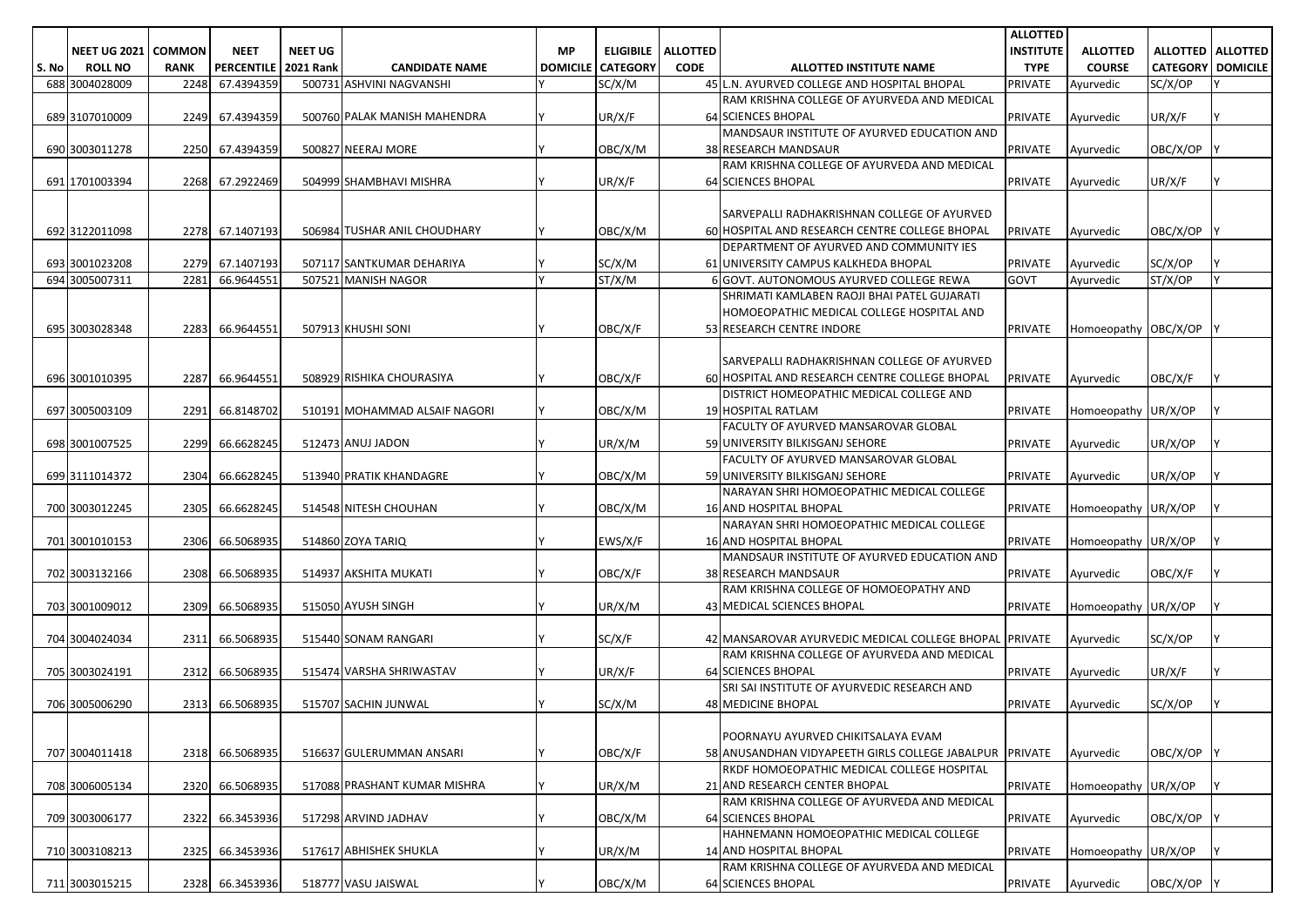|       |                     |               |                        |                |                               |           |                          |                 |                                                         | <b>ALLOTTED</b>  |                      |                          |  |
|-------|---------------------|---------------|------------------------|----------------|-------------------------------|-----------|--------------------------|-----------------|---------------------------------------------------------|------------------|----------------------|--------------------------|--|
|       | <b>NEET UG 2021</b> | <b>COMMON</b> | <b>NEET</b>            | <b>NEET UG</b> |                               | <b>MP</b> | <b>ELIGIBILE</b>         | <b>ALLOTTED</b> |                                                         | <b>INSTITUTE</b> | <b>ALLOTTED</b>      | <b>ALLOTTED ALLOTTED</b> |  |
| S. No | <b>ROLL NO</b>      | <b>RANK</b>   | PERCENTILE   2021 Rank |                | <b>CANDIDATE NAME</b>         |           | <b>DOMICILE CATEGORY</b> | <b>CODE</b>     | ALLOTTED INSTITUTE NAME                                 | <b>TYPE</b>      | <b>COURSE</b>        | <b>CATEGORY DOMICILE</b> |  |
|       | 688 3004028009      | 2248          | 67.4394359             |                | 500731 ASHVINI NAGVANSHI      |           | SC/X/M                   |                 | 45 L.N. AYURVED COLLEGE AND HOSPITAL BHOPAL             | <b>PRIVATE</b>   | Avurvedic            | SC/X/OP                  |  |
|       |                     |               |                        |                |                               |           |                          |                 | RAM KRISHNA COLLEGE OF AYURVEDA AND MEDICAL             |                  |                      |                          |  |
|       | 689 3107010009      | 2249          | 67.4394359             |                | 500760 PALAK MANISH MAHENDRA  |           | UR/X/F                   |                 | <b>64 SCIENCES BHOPAL</b>                               | <b>PRIVATE</b>   | Ayurvedic            | UR/X/F                   |  |
|       |                     |               |                        |                |                               |           |                          |                 | MANDSAUR INSTITUTE OF AYURVED EDUCATION AND             |                  |                      |                          |  |
|       | 690 3003011278      | 2250          | 67.4394359             |                | 500827 NEERAJ MORE            |           | OBC/X/M                  |                 | <b>38 RESEARCH MANDSAUR</b>                             | <b>PRIVATE</b>   | Ayurvedic            | OBC/X/OP                 |  |
|       |                     |               |                        |                |                               |           |                          |                 | RAM KRISHNA COLLEGE OF AYURVEDA AND MEDICAL             |                  |                      |                          |  |
|       | 691 1701003394      | 2268          | 67.2922469             |                | 504999 SHAMBHAVI MISHRA       |           | UR/X/F                   |                 | <b>64 SCIENCES BHOPAL</b>                               | <b>PRIVATE</b>   | Ayurvedic            | UR/X/F                   |  |
|       |                     |               |                        |                |                               |           |                          |                 |                                                         |                  |                      |                          |  |
|       |                     |               |                        |                |                               |           |                          |                 |                                                         |                  |                      |                          |  |
|       |                     |               |                        |                |                               |           |                          |                 | SARVEPALLI RADHAKRISHNAN COLLEGE OF AYURVED             |                  |                      |                          |  |
|       | 692 3122011098      |               | 2278 67.1407193        |                | 506984 TUSHAR ANIL CHOUDHARY  |           | OBC/X/M                  |                 | 60 HOSPITAL AND RESEARCH CENTRE COLLEGE BHOPAL          | <b>PRIVATE</b>   | Avurvedic            | OBC/X/OP                 |  |
|       |                     |               |                        |                |                               |           |                          |                 | DEPARTMENT OF AYURVED AND COMMUNITY IES                 |                  |                      |                          |  |
|       | 693 3001023208      |               | 2279 67.1407193        |                | 507117 SANTKUMAR DEHARIYA     |           | SC/X/M                   |                 | 61 UNIVERSITY CAMPUS KALKHEDA BHOPAL                    | <b>PRIVATE</b>   | Ayurvedic            | SC/X/OP                  |  |
|       | 694 3005007311      | 2281          | 66.9644551             |                | 507521 MANISH NAGOR           | Ιv        | ST/X/M                   |                 | 6 GOVT. AUTONOMOUS AYURVED COLLEGE REWA                 | <b>GOVT</b>      | Ayurvedic            | ST/X/OP                  |  |
|       |                     |               |                        |                |                               |           |                          |                 | SHRIMATI KAMLABEN RAOJI BHAI PATEL GUJARATI             |                  |                      |                          |  |
|       |                     |               |                        |                |                               |           |                          |                 | HOMOEOPATHIC MEDICAL COLLEGE HOSPITAL AND               |                  |                      |                          |  |
|       | 695 3003028348      | 2283          | 66.9644551             |                | 507913 KHUSHI SONI            |           | OBC/X/F                  |                 | 53 RESEARCH CENTRE INDORE                               | <b>PRIVATE</b>   | Homoeopathy OBC/X/OP |                          |  |
|       |                     |               |                        |                |                               |           |                          |                 |                                                         |                  |                      |                          |  |
|       |                     |               |                        |                |                               |           |                          |                 | <b>SARVEPALLI RADHAKRISHNAN COLLEGE OF AYURVED</b>      |                  |                      |                          |  |
|       | 696 3001010395      | 2287          | 66.9644551             |                | 508929 RISHIKA CHOURASIYA     |           | OBC/X/F                  |                 | 60 HOSPITAL AND RESEARCH CENTRE COLLEGE BHOPAL          | <b>PRIVATE</b>   | Ayurvedic            | OBC/X/F                  |  |
|       |                     |               |                        |                |                               |           |                          |                 | DISTRICT HOMEOPATHIC MEDICAL COLLEGE AND                |                  |                      |                          |  |
|       | 697 3005003109      | 2291          | 66.8148702             |                | 510191 MOHAMMAD ALSAIF NAGORI |           | OBC/X/M                  |                 | 19 HOSPITAL RATLAM                                      | <b>PRIVATE</b>   | Homoeopathy UR/X/OP  |                          |  |
|       |                     |               |                        |                |                               |           |                          |                 | FACULTY OF AYURVED MANSAROVAR GLOBAL                    |                  |                      |                          |  |
|       | 698 3001007525      | 2299          | 66.6628245             |                | 512473 ANUJ JADON             |           | UR/X/M                   |                 | 59 UNIVERSITY BILKISGANJ SEHORE                         | <b>PRIVATE</b>   | Avurvedic            | UR/X/OP                  |  |
|       |                     |               |                        |                |                               |           |                          |                 | FACULTY OF AYURVED MANSAROVAR GLOBAL                    |                  |                      |                          |  |
|       | 699 3111014372      | 2304          | 66.6628245             |                | 513940 PRATIK KHANDAGRE       |           | OBC/X/M                  |                 | 59 UNIVERSITY BILKISGANJ SEHORE                         | <b>PRIVATE</b>   | Ayurvedic            | UR/X/OP                  |  |
|       |                     |               |                        |                |                               |           |                          |                 | NARAYAN SHRI HOMOEOPATHIC MEDICAL COLLEGE               |                  |                      |                          |  |
|       | 700 3003012245      | 2305          | 66.6628245             |                | 514548 NITESH CHOUHAN         |           | OBC/X/M                  |                 | 16 AND HOSPITAL BHOPAL                                  | <b>PRIVATE</b>   | Homoeopathy UR/X/OP  |                          |  |
|       |                     |               |                        |                |                               |           |                          |                 | NARAYAN SHRI HOMOEOPATHIC MEDICAL COLLEGE               |                  |                      |                          |  |
|       | 701 3001010153      | 2306          | 66.5068935             |                | 514860 ZOYA TARIQ             |           | EWS/X/F                  |                 | <b>16 AND HOSPITAL BHOPAL</b>                           | <b>PRIVATE</b>   | Homoeopathy UR/X/OP  |                          |  |
|       |                     |               |                        |                |                               |           |                          |                 | MANDSAUR INSTITUTE OF AYURVED EDUCATION AND             |                  |                      |                          |  |
|       | 702 3003132166      | 2308          | 66.5068935             |                | 514937 AKSHITA MUKATI         |           | OBC/X/F                  |                 | 38 RESEARCH MANDSAUR                                    | <b>PRIVATE</b>   | Ayurvedic            | OBC/X/F                  |  |
|       |                     |               |                        |                |                               |           |                          |                 | RAM KRISHNA COLLEGE OF HOMOEOPATHY AND                  |                  |                      |                          |  |
|       |                     |               |                        |                |                               |           |                          |                 |                                                         |                  |                      |                          |  |
|       | 703 3001009012      | 2309          | 66.5068935             |                | 515050 AYUSH SINGH            |           | UR/X/M                   |                 | 43 MEDICAL SCIENCES BHOPAL                              | <b>PRIVATE</b>   | Homoeopathy UR/X/OP  |                          |  |
|       |                     |               |                        |                |                               |           |                          |                 |                                                         |                  |                      |                          |  |
|       | 704 3004024034      | 2311          | 66.5068935             |                | 515440 SONAM RANGARI          |           | SC/X/F                   |                 | 42 MANSAROVAR AYURVEDIC MEDICAL COLLEGE BHOPAL PRIVATE  |                  | Ayurvedic            | SC/X/OP                  |  |
|       |                     |               |                        |                |                               |           |                          |                 | RAM KRISHNA COLLEGE OF AYURVEDA AND MEDICAL             |                  |                      |                          |  |
|       | 705 3003024191      | 2312          | 66.5068935             |                | 515474 VARSHA SHRIWASTAV      |           | UR/X/F                   |                 | <b>64 SCIENCES BHOPAL</b>                               | <b>PRIVATE</b>   | Avurvedic            | UR/X/F                   |  |
|       |                     |               |                        |                |                               |           |                          |                 | SRI SAI INSTITUTE OF AYURVEDIC RESEARCH AND             |                  |                      |                          |  |
|       | 706 3005006290      | 2313          | 66.5068935             |                | 515707 SACHIN JUNWAL          |           | SC/X/M                   |                 | <b>48 MEDICINE BHOPAL</b>                               | <b>PRIVATE</b>   | Ayurvedic            | SC/X/OP                  |  |
|       |                     |               |                        |                |                               |           |                          |                 |                                                         |                  |                      |                          |  |
|       |                     |               |                        |                |                               |           |                          |                 | POORNAYU AYURVED CHIKITSALAYA EVAM                      |                  |                      |                          |  |
|       | 707 3004011418      |               | 2318 66.5068935        |                | 516637 GULERUMMAN ANSARI      |           | OBC/X/F                  |                 | 58 ANUSANDHAN VIDYAPEETH GIRLS COLLEGE JABALPUR PRIVATE |                  | Ayurvedic            | OBC/X/OP                 |  |
|       |                     |               |                        |                |                               |           |                          |                 | RKDF HOMOEOPATHIC MEDICAL COLLEGE HOSPITAL              |                  |                      |                          |  |
|       | 708 3006005134      | 2320          | 66.5068935             |                | 517088 PRASHANT KUMAR MISHRA  |           | UR/X/M                   |                 | 21 AND RESEARCH CENTER BHOPAL                           | <b>PRIVATE</b>   | Homoeopathy UR/X/OP  |                          |  |
|       |                     |               |                        |                |                               |           |                          |                 | RAM KRISHNA COLLEGE OF AYURVEDA AND MEDICAL             |                  |                      |                          |  |
|       | 709 3003006177      | 2322          | 66.3453936             |                | 517298 ARVIND JADHAV          |           | OBC/X/M                  |                 | 64 SCIENCES BHOPAL                                      | <b>PRIVATE</b>   | Avurvedic            | OBC/X/OP                 |  |
|       |                     |               |                        |                |                               |           |                          |                 | HAHNEMANN HOMOEOPATHIC MEDICAL COLLEGE                  |                  |                      |                          |  |
|       | 710 3003108213      | 2325          | 66.3453936             |                | 517617 ABHISHEK SHUKLA        |           | UR/X/M                   |                 | 14 AND HOSPITAL BHOPAL                                  | <b>PRIVATE</b>   | Homoeopathy UR/X/OP  |                          |  |
|       |                     |               |                        |                |                               |           |                          |                 | RAM KRISHNA COLLEGE OF AYURVEDA AND MEDICAL             |                  |                      |                          |  |
|       | 711 3003015215      |               | 2328 66.3453936        |                | 518777 VASU JAISWAL           |           | OBC/X/M                  |                 | 64 SCIENCES BHOPAL                                      | PRIVATE          | Ayurvedic            | OBC/X/OP Y               |  |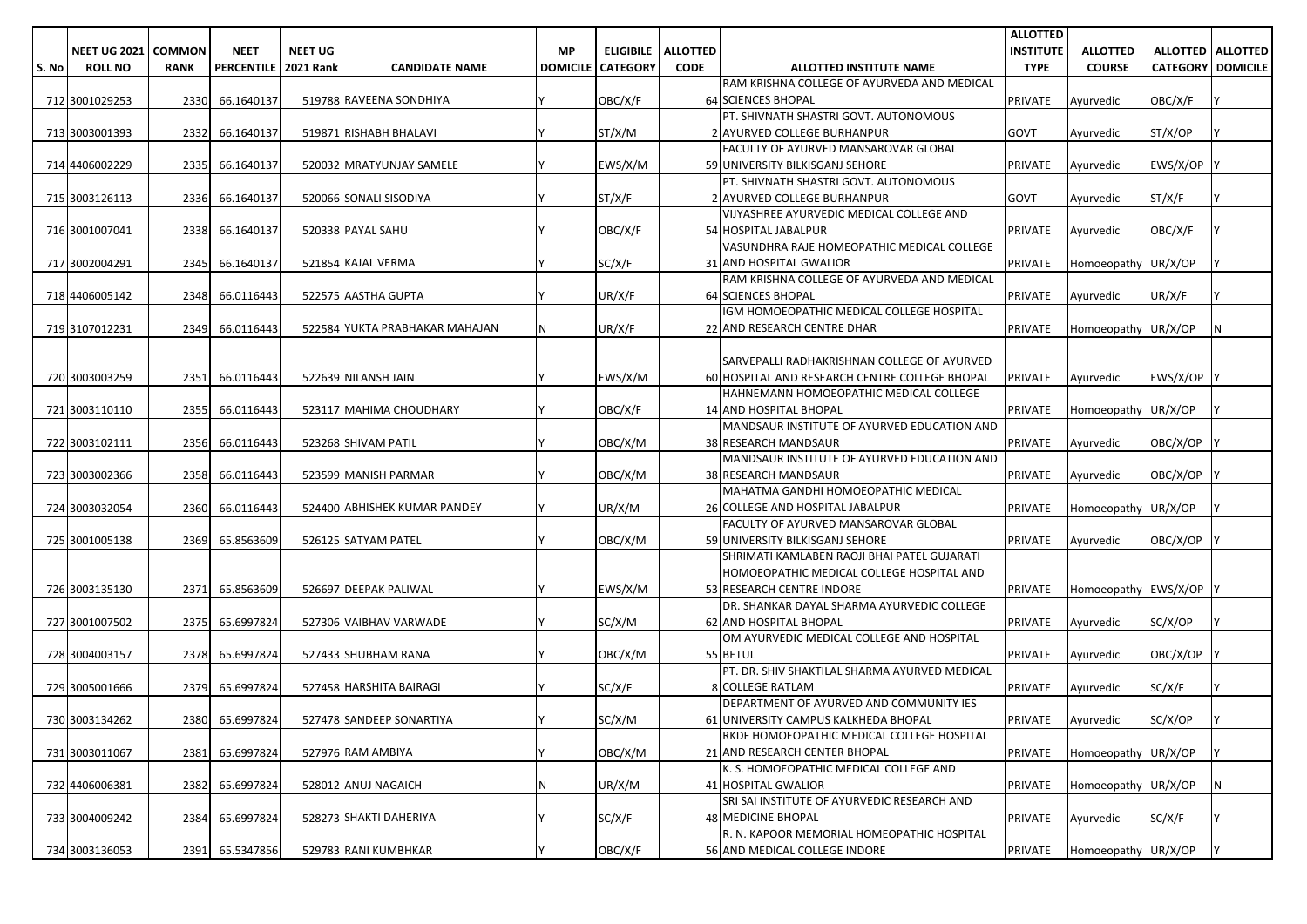|       |                     |               |                   |                  |                                |                 |                  |                 |                                                                             | <b>ALLOTTED</b>  |                        |                          |                     |
|-------|---------------------|---------------|-------------------|------------------|--------------------------------|-----------------|------------------|-----------------|-----------------------------------------------------------------------------|------------------|------------------------|--------------------------|---------------------|
|       | <b>NEET UG 2021</b> | <b>COMMON</b> | <b>NEET</b>       | <b>NEET UG</b>   |                                | <b>MP</b>       | <b>ELIGIBILE</b> | <b>ALLOTTED</b> |                                                                             | <b>INSTITUTE</b> | <b>ALLOTTED</b>        |                          | ALLOTTED   ALLOTTED |
| S. No | <b>ROLL NO</b>      | <b>RANK</b>   | <b>PERCENTILE</b> | <b>2021 Rank</b> | <b>CANDIDATE NAME</b>          | <b>DOMICILE</b> | <b>CATEGORY</b>  | <b>CODE</b>     | ALLOTTED INSTITUTE NAME                                                     | <b>TYPE</b>      | <b>COURSE</b>          | <b>CATEGORY DOMICILE</b> |                     |
|       |                     |               |                   |                  |                                |                 |                  |                 | RAM KRISHNA COLLEGE OF AYURVEDA AND MEDICAL                                 |                  |                        |                          |                     |
|       | 712 3001029253      | 2330          | 66.1640137        |                  | 519788 RAVEENA SONDHIYA        |                 | OBC/X/F          |                 | <b>64 SCIENCES BHOPAL</b>                                                   | <b>PRIVATE</b>   | Ayurvedic              | OBC/X/F                  |                     |
|       |                     |               |                   |                  |                                |                 |                  |                 | PT. SHIVNATH SHASTRI GOVT. AUTONOMOUS                                       |                  |                        |                          |                     |
|       | 713 3003001393      | 2332          | 66.1640137        |                  | 519871 RISHABH BHALAVI         |                 | ST/X/M           |                 | 2 AYURVED COLLEGE BURHANPUR                                                 | <b>GOVT</b>      | Ayurvedic              | ST/X/OP                  |                     |
|       |                     |               |                   |                  |                                |                 |                  |                 | FACULTY OF AYURVED MANSAROVAR GLOBAL                                        |                  |                        |                          |                     |
|       | 714 4406002229      | 2335          | 66.1640137        |                  | 520032 MRATYUNJAY SAMELE       |                 | EWS/X/M          |                 | 59 UNIVERSITY BILKISGANJ SEHORE                                             | <b>PRIVATE</b>   | Ayurvedic              | EWS/X/OP                 |                     |
|       |                     |               |                   |                  |                                |                 |                  |                 | PT. SHIVNATH SHASTRI GOVT. AUTONOMOUS                                       |                  |                        |                          |                     |
|       | 715 3003126113      | 2336          | 66.1640137        |                  | 520066 SONALI SISODIYA         |                 | ST/X/F           |                 | 2 AYURVED COLLEGE BURHANPUR                                                 | <b>GOVT</b>      | Ayurvedic              | ST/X/F                   |                     |
|       |                     |               |                   |                  |                                |                 |                  |                 | VIJYASHREE AYURVEDIC MEDICAL COLLEGE AND                                    |                  |                        |                          |                     |
|       | 716 3001007041      | 2338          | 66.1640137        |                  | 520338 PAYAL SAHU              |                 | OBC/X/F          |                 | 54 HOSPITAL JABALPUR                                                        | PRIVATE          | Ayurvedic              | OBC/X/F                  |                     |
|       |                     |               |                   |                  |                                |                 |                  |                 | VASUNDHRA RAJE HOMEOPATHIC MEDICAL COLLEGE                                  |                  |                        |                          |                     |
|       | 717 3002004291      | 2345          | 66.1640137        |                  | 521854 KAJAL VERMA             |                 | SC/X/F           |                 | 31 AND HOSPITAL GWALIOR                                                     | <b>PRIVATE</b>   | Homoeopathy UR/X/OP    |                          |                     |
|       |                     |               |                   |                  |                                |                 |                  |                 | RAM KRISHNA COLLEGE OF AYURVEDA AND MEDICAL                                 |                  |                        |                          |                     |
|       | 718 4406005142      | 2348          | 66.0116443        |                  | 522575 AASTHA GUPTA            |                 | UR/X/F           |                 | <b>64 SCIENCES BHOPAL</b>                                                   | <b>PRIVATE</b>   | Ayurvedic              | UR/X/F                   |                     |
|       |                     |               |                   |                  |                                |                 |                  |                 | IGM HOMOEOPATHIC MEDICAL COLLEGE HOSPITAL                                   |                  |                        |                          |                     |
|       | 719 3107012231      | 2349          | 66.0116443        |                  | 522584 YUKTA PRABHAKAR MAHAJAN |                 | UR/X/F           |                 | 22 AND RESEARCH CENTRE DHAR                                                 | <b>PRIVATE</b>   | Homoeopathy UR/X/OP    |                          | N                   |
|       |                     |               |                   |                  |                                |                 |                  |                 |                                                                             |                  |                        |                          |                     |
|       |                     |               |                   |                  |                                |                 |                  |                 | SARVEPALLI RADHAKRISHNAN COLLEGE OF AYURVED                                 |                  |                        |                          |                     |
|       | 720 3003003259      | 2351          | 66.0116443        |                  | 522639 NILANSH JAIN            |                 | EWS/X/M          |                 | 60 HOSPITAL AND RESEARCH CENTRE COLLEGE BHOPAL                              | <b>PRIVATE</b>   | Ayurvedic              | EWS/X/OP Y               |                     |
|       |                     |               |                   |                  |                                |                 |                  |                 | HAHNEMANN HOMOEOPATHIC MEDICAL COLLEGE                                      |                  |                        |                          |                     |
|       | 721 3003110110      | 2355          | 66.0116443        |                  | 523117 MAHIMA CHOUDHARY        |                 | OBC/X/F          |                 | 14 AND HOSPITAL BHOPAL                                                      | <b>PRIVATE</b>   | Homoeopathy UR/X/OP    |                          |                     |
|       |                     |               |                   |                  |                                |                 |                  |                 | MANDSAUR INSTITUTE OF AYURVED EDUCATION AND                                 |                  |                        |                          |                     |
|       | 722 3003102111      | 2356          | 66.0116443        |                  | 523268 SHIVAM PATIL            |                 | OBC/X/M          |                 | 38 RESEARCH MANDSAUR                                                        | <b>PRIVATE</b>   | Ayurvedic              | OBC/X/OP                 |                     |
|       |                     |               |                   |                  |                                |                 |                  |                 | MANDSAUR INSTITUTE OF AYURVED EDUCATION AND                                 |                  |                        |                          |                     |
|       | 723 3003002366      | 2358          | 66.0116443        |                  | 523599 MANISH PARMAR           |                 | OBC/X/M          |                 | 38 RESEARCH MANDSAUR                                                        | <b>PRIVATE</b>   | Ayurvedic              | OBC/X/OP                 |                     |
|       |                     |               |                   |                  |                                |                 |                  |                 | MAHATMA GANDHI HOMOEOPATHIC MEDICAL                                         |                  |                        |                          |                     |
|       | 724 3003032054      | 2360          | 66.0116443        |                  | 524400 ABHISHEK KUMAR PANDEY   |                 | UR/X/M           |                 | 26 COLLEGE AND HOSPITAL JABALPUR                                            | <b>PRIVATE</b>   | Homoeopathy UR/X/OP    |                          |                     |
|       |                     |               |                   |                  |                                |                 |                  |                 | FACULTY OF AYURVED MANSAROVAR GLOBAL                                        |                  |                        |                          |                     |
|       | 725 3001005138      | 2369          | 65.8563609        |                  | 526125 SATYAM PATEL            |                 | OBC/X/M          |                 | 59 UNIVERSITY BILKISGANJ SEHORE                                             | <b>PRIVATE</b>   | Ayurvedic              | OBC/X/OP                 |                     |
|       |                     |               |                   |                  |                                |                 |                  |                 | SHRIMATI KAMLABEN RAOJI BHAI PATEL GUJARATI                                 |                  |                        |                          |                     |
|       |                     |               |                   |                  |                                |                 |                  |                 | HOMOEOPATHIC MEDICAL COLLEGE HOSPITAL AND                                   |                  |                        |                          |                     |
|       | 726 3003135130      | 2371          | 65.8563609        |                  | 526697 DEEPAK PALIWAL          |                 | EWS/X/M          |                 | 53 RESEARCH CENTRE INDORE                                                   | <b>PRIVATE</b>   | Homoeopathy EWS/X/OP Y |                          |                     |
|       |                     |               |                   |                  |                                |                 |                  |                 | DR. SHANKAR DAYAL SHARMA AYURVEDIC COLLEGE                                  |                  |                        |                          |                     |
|       | 727 3001007502      | 2375          | 65.6997824        |                  | 527306 VAIBHAV VARWADE         |                 | SC/X/M           |                 | <b>62 AND HOSPITAL BHOPAL</b>                                               | <b>PRIVATE</b>   | Ayurvedic              | SC/X/OP                  |                     |
|       |                     |               |                   |                  |                                |                 |                  |                 | OM AYURVEDIC MEDICAL COLLEGE AND HOSPITAL                                   |                  |                        |                          |                     |
|       | 728 3004003157      |               | 2378 65.6997824   |                  | 527433 SHUBHAM RANA            |                 | OBC/X/M          |                 | 55 BETUL                                                                    | <b>PRIVATE</b>   | Ayurvedic              | OBC/X/OP                 |                     |
|       |                     |               |                   |                  |                                |                 | SC/X/F           |                 | PT. DR. SHIV SHAKTILAL SHARMA AYURVED MEDICAL                               |                  |                        | SC/X/F                   |                     |
|       | 729 3005001666      | 2379          | 65.6997824        |                  | 527458 HARSHITA BAIRAGI        |                 |                  |                 | <b>8 COLLEGE RATLAM</b><br>DEPARTMENT OF AYURVED AND COMMUNITY IES          | <b>PRIVATE</b>   | Ayurvedic              |                          |                     |
|       | 730 3003134262      |               | 2380 65.6997824   |                  | 527478 SANDEEP SONARTIYA       |                 | SC/X/M           |                 | 61 UNIVERSITY CAMPUS KALKHEDA BHOPAL                                        | PRIVATE          |                        | SC/X/OP                  |                     |
|       |                     |               |                   |                  |                                |                 |                  |                 |                                                                             |                  | Ayurvedic              |                          |                     |
|       | 731 3003011067      | 2381          | 65.6997824        |                  | 527976 RAM AMBIYA              |                 | OBC/X/M          |                 | RKDF HOMOEOPATHIC MEDICAL COLLEGE HOSPITAL<br>21 AND RESEARCH CENTER BHOPAL | PRIVATE          | Homoeopathy UR/X/OP    |                          |                     |
|       |                     |               |                   |                  |                                |                 |                  |                 | K. S. HOMOEOPATHIC MEDICAL COLLEGE AND                                      |                  |                        |                          |                     |
|       | 732 4406006381      | 2382          | 65.6997824        |                  | 528012 ANUJ NAGAICH            | N               | UR/X/M           |                 | 41 HOSPITAL GWALIOR                                                         | <b>PRIVATE</b>   | Homoeopathy UR/X/OP    |                          | N                   |
|       |                     |               |                   |                  |                                |                 |                  |                 | SRI SAI INSTITUTE OF AYURVEDIC RESEARCH AND                                 |                  |                        |                          |                     |
|       | 733 3004009242      | 2384          | 65.6997824        |                  | 528273 SHAKTI DAHERIYA         |                 | SC/X/F           |                 | <b>48 MEDICINE BHOPAL</b>                                                   | <b>PRIVATE</b>   | Ayurvedic              | SC/X/F                   |                     |
|       |                     |               |                   |                  |                                |                 |                  |                 | R. N. KAPOOR MEMORIAL HOMEOPATHIC HOSPITAL                                  |                  |                        |                          |                     |
|       | 734 3003136053      |               | 2391 65.5347856   |                  | 529783 RANI KUMBHKAR           |                 | OBC/X/F          |                 | 56 AND MEDICAL COLLEGE INDORE                                               | PRIVATE          | Homoeopathy UR/X/OP    |                          |                     |
|       |                     |               |                   |                  |                                |                 |                  |                 |                                                                             |                  |                        |                          |                     |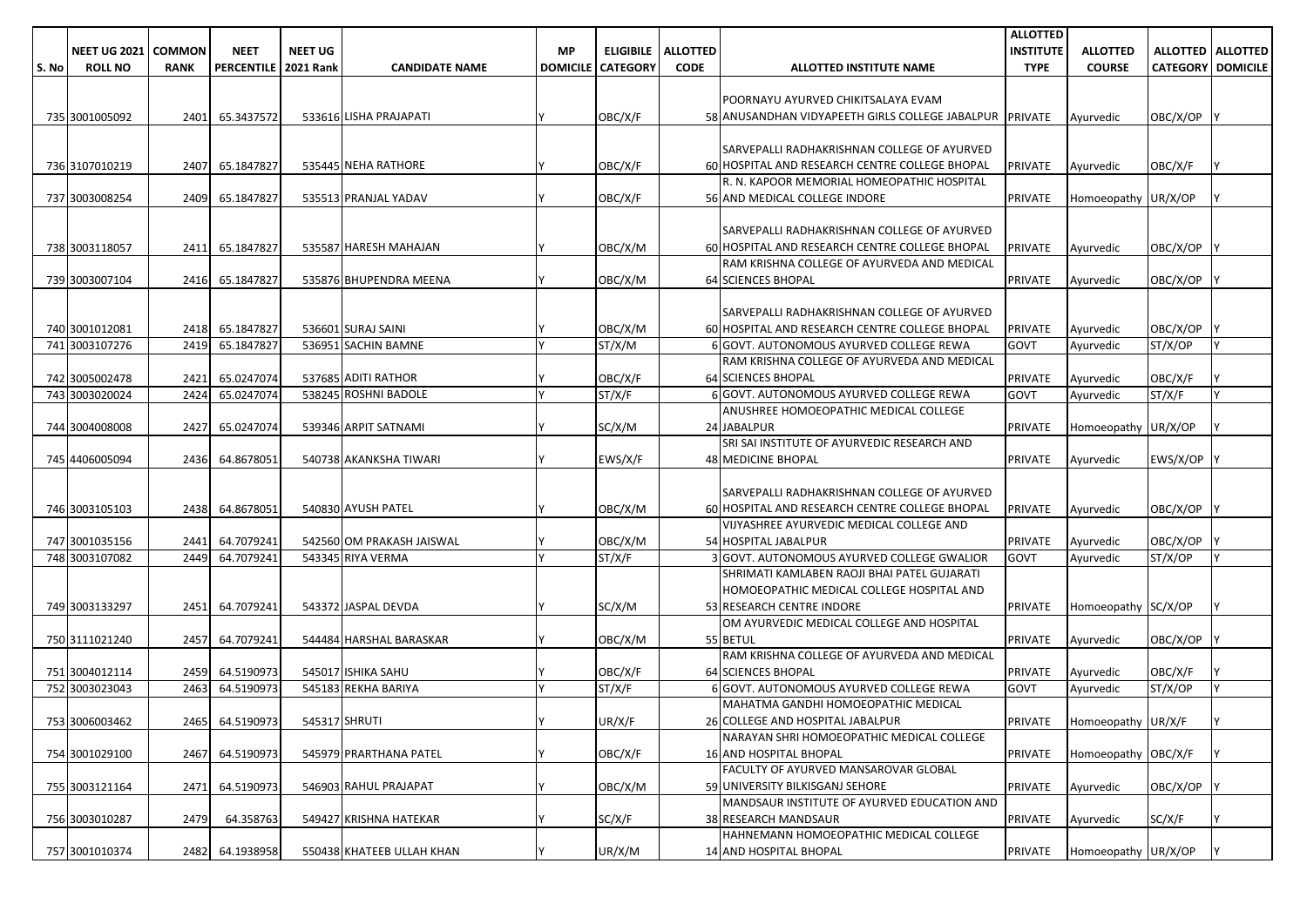|       |                     |             |                   |                  |                           |                 |                  |                 |                                                         | <b>ALLOTTED</b>  |                            |                          |                     |
|-------|---------------------|-------------|-------------------|------------------|---------------------------|-----------------|------------------|-----------------|---------------------------------------------------------|------------------|----------------------------|--------------------------|---------------------|
|       | <b>NEET UG 2021</b> | COMMON      | <b>NEET</b>       | <b>NEET UG</b>   |                           | <b>MP</b>       | <b>ELIGIBILE</b> | <b>ALLOTTED</b> |                                                         | <b>INSTITUTE</b> | <b>ALLOTTED</b>            |                          | ALLOTTED   ALLOTTED |
| S. No | <b>ROLL NO</b>      | <b>RANK</b> | <b>PERCENTILE</b> | <b>2021 Rank</b> | <b>CANDIDATE NAME</b>     | <b>DOMICILE</b> | <b>CATEGORY</b>  | <b>CODE</b>     | ALLOTTED INSTITUTE NAME                                 | <b>TYPE</b>      | <b>COURSE</b>              | <b>CATEGORY DOMICILE</b> |                     |
|       |                     |             |                   |                  |                           |                 |                  |                 |                                                         |                  |                            |                          |                     |
|       |                     |             |                   |                  |                           |                 |                  |                 | POORNAYU AYURVED CHIKITSALAYA EVAM                      |                  |                            |                          |                     |
|       | 735 3001005092      | 2401        | 65.3437572        |                  | 533616 LISHA PRAJAPATI    |                 | OBC/X/F          |                 | 58 ANUSANDHAN VIDYAPEETH GIRLS COLLEGE JABALPUR PRIVATE |                  | Ayurvedic                  | OBC/X/OP                 |                     |
|       |                     |             |                   |                  |                           |                 |                  |                 |                                                         |                  |                            |                          |                     |
|       |                     |             |                   |                  |                           |                 |                  |                 | SARVEPALLI RADHAKRISHNAN COLLEGE OF AYURVED             |                  |                            |                          |                     |
|       | 736 3107010219      | 2407        | 65.1847827        |                  | 535445 NEHA RATHORE       |                 | OBC/X/F          |                 | 60 HOSPITAL AND RESEARCH CENTRE COLLEGE BHOPAL          | <b>PRIVATE</b>   | Ayurvedic                  | OBC/X/F                  |                     |
|       |                     |             |                   |                  |                           |                 |                  |                 | R. N. KAPOOR MEMORIAL HOMEOPATHIC HOSPITAL              |                  |                            |                          |                     |
|       | 737 3003008254      | 2409        | 65.1847827        |                  | 535513 PRANJAL YADAV      |                 | OBC/X/F          |                 | 56 AND MEDICAL COLLEGE INDORE                           | <b>PRIVATE</b>   | Homoeopathy UR/X/OP        |                          |                     |
|       |                     |             |                   |                  |                           |                 |                  |                 |                                                         |                  |                            |                          |                     |
|       |                     |             |                   |                  |                           |                 |                  |                 | SARVEPALLI RADHAKRISHNAN COLLEGE OF AYURVED             |                  |                            |                          |                     |
|       | 738 3003118057      | 2411        | 65.1847827        |                  | 535587 HARESH MAHAJAN     |                 | OBC/X/M          |                 | 60 HOSPITAL AND RESEARCH CENTRE COLLEGE BHOPAL          | <b>PRIVATE</b>   | Ayurvedic                  | OBC/X/OP                 |                     |
|       |                     |             |                   |                  |                           |                 |                  |                 | RAM KRISHNA COLLEGE OF AYURVEDA AND MEDICAL             |                  |                            |                          |                     |
|       | 739 3003007104      | 2416        | 65.1847827        |                  | 535876 BHUPENDRA MEENA    |                 | OBC/X/M          |                 | <b>64 SCIENCES BHOPAL</b>                               | <b>PRIVATE</b>   | Ayurvedic                  | OBC/X/OP                 |                     |
|       |                     |             |                   |                  |                           |                 |                  |                 |                                                         |                  |                            |                          |                     |
|       |                     |             |                   |                  |                           |                 |                  |                 | SARVEPALLI RADHAKRISHNAN COLLEGE OF AYURVED             |                  |                            |                          |                     |
|       | 740 3001012081      |             | 2418 65.1847827   |                  | 536601 SURAJ SAINI        |                 | OBC/X/M          |                 | 60 HOSPITAL AND RESEARCH CENTRE COLLEGE BHOPAL          | <b>PRIVATE</b>   | Ayurvedic                  | OBC/X/OP                 |                     |
|       | 741 3003107276      | 2419        | 65.1847827        |                  | 536951 SACHIN BAMNE       |                 | ST/X/M           |                 | 6 GOVT. AUTONOMOUS AYURVED COLLEGE REWA                 | <b>GOVT</b>      | Ayurvedic                  | ST/X/OP                  |                     |
|       |                     |             |                   |                  |                           |                 |                  |                 | RAM KRISHNA COLLEGE OF AYURVEDA AND MEDICAL             |                  |                            |                          |                     |
|       | 742 3005002478      | 2421        | 65.0247074        |                  | 537685 ADITI RATHOR       |                 | OBC/X/F          |                 | <b>64 SCIENCES BHOPAL</b>                               | <b>PRIVATE</b>   | Ayurvedic                  | OBC/X/F                  |                     |
|       | 743 3003020024      | 2424        | 65.0247074        |                  | 538245 ROSHNI BADOLE      |                 | ST/X/F           |                 | 6 GOVT. AUTONOMOUS AYURVED COLLEGE REWA                 | GOVT             | Ayurvedic                  | ST/X/F                   |                     |
|       |                     |             |                   |                  |                           |                 |                  |                 | ANUSHREE HOMOEOPATHIC MEDICAL COLLEGE                   |                  |                            |                          |                     |
|       | 744 3004008008      | 2427        | 65.0247074        |                  | 539346 ARPIT SATNAMI      |                 | SC/X/M           |                 | 24 JABALPUR                                             | <b>PRIVATE</b>   | Homoeopathy UR/X/OP        |                          |                     |
|       |                     |             |                   |                  |                           |                 |                  |                 | SRI SAI INSTITUTE OF AYURVEDIC RESEARCH AND             |                  |                            |                          |                     |
|       | 745 4406005094      | 2436        | 64.8678051        |                  | 540738 AKANKSHA TIWARI    |                 | EWS/X/F          |                 | 48 MEDICINE BHOPAL                                      | <b>PRIVATE</b>   | Ayurvedic                  | EWS/X/OP Y               |                     |
|       |                     |             |                   |                  |                           |                 |                  |                 |                                                         |                  |                            |                          |                     |
|       |                     |             |                   |                  |                           |                 |                  |                 | SARVEPALLI RADHAKRISHNAN COLLEGE OF AYURVED             |                  |                            |                          |                     |
|       | 746 3003105103      |             | 2438 64.8678051   |                  | 540830 AYUSH PATEL        |                 | OBC/X/M          |                 | 60 HOSPITAL AND RESEARCH CENTRE COLLEGE BHOPAL          | <b>PRIVATE</b>   | Ayurvedic                  | OBC/X/OP                 |                     |
|       |                     |             |                   |                  |                           |                 |                  |                 | VIJYASHREE AYURVEDIC MEDICAL COLLEGE AND                |                  |                            |                          |                     |
|       | 747 3001035156      | 2441        | 64.7079241        |                  | 542560 OM PRAKASH JAISWAL |                 | OBC/X/M          |                 | 54 HOSPITAL JABALPUR                                    | <b>PRIVATE</b>   | Ayurvedic                  | OBC/X/OP                 |                     |
|       | 748 3003107082      | 2449        | 64.7079241        |                  | 543345 RIYA VERMA         |                 | ST/X/F           |                 | 3 GOVT. AUTONOMOUS AYURVED COLLEGE GWALIOR              | GOVT             | Ayurvedic                  | ST/X/OP                  |                     |
|       |                     |             |                   |                  |                           |                 |                  |                 | SHRIMATI KAMLABEN RAOJI BHAI PATEL GUJARATI             |                  |                            |                          |                     |
|       |                     |             |                   |                  |                           |                 |                  |                 | HOMOEOPATHIC MEDICAL COLLEGE HOSPITAL AND               |                  |                            |                          |                     |
|       | 749 3003133297      | 2451        | 64.7079241        |                  | 543372 JASPAL DEVDA       |                 | SC/X/M           |                 | 53 RESEARCH CENTRE INDORE                               | <b>PRIVATE</b>   | Homoeopathy SC/X/OP        |                          |                     |
|       |                     |             |                   |                  |                           |                 |                  |                 | OM AYURVEDIC MEDICAL COLLEGE AND HOSPITAL               |                  |                            |                          |                     |
|       | 750 3111021240      | 2457        | 64.7079241        |                  | 544484 HARSHAL BARASKAR   |                 | OBC/X/M          |                 | 55 BETUL                                                | <b>PRIVATE</b>   | Ayurvedic                  | OBC/X/OP                 |                     |
|       |                     |             |                   |                  |                           |                 |                  |                 | RAM KRISHNA COLLEGE OF AYURVEDA AND MEDICAL             |                  |                            |                          |                     |
|       | 751 3004012114      |             | 2459 64.5190973   |                  | 545017 ISHIKA SAHU        |                 | OBC/X/F          |                 | <b>64 SCIENCES BHOPAL</b>                               | <b>PRIVATE</b>   | Ayurvedic                  | OBC/X/F                  |                     |
|       | 752 3003023043      | 2463        | 64.5190973        |                  | 545183 REKHA BARIYA       |                 | ST/X/F           |                 | 6 GOVT. AUTONOMOUS AYURVED COLLEGE REWA                 | <b>GOVT</b>      | Ayurvedic                  | ST/X/OP                  |                     |
|       |                     |             |                   |                  |                           |                 |                  |                 | MAHATMA GANDHI HOMOEOPATHIC MEDICAL                     |                  |                            |                          |                     |
|       | 753 3006003462      |             | 2465 64.5190973   |                  | 545317 SHRUTI             |                 | UR/X/F           |                 | 26 COLLEGE AND HOSPITAL JABALPUR                        |                  | PRIVATE Homoeopathy UR/X/F |                          |                     |
|       |                     |             |                   |                  |                           |                 |                  |                 | NARAYAN SHRI HOMOEOPATHIC MEDICAL COLLEGE               |                  |                            |                          |                     |
|       | 754 3001029100      | 2467        | 64.5190973        |                  | 545979 PRARTHANA PATEL    |                 | OBC/X/F          |                 | <b>16 AND HOSPITAL BHOPAL</b>                           | <b>PRIVATE</b>   | Homoeopathy OBC/X/F        |                          |                     |
|       |                     |             |                   |                  |                           |                 |                  |                 | <b>FACULTY OF AYURVED MANSAROVAR GLOBAL</b>             |                  |                            |                          |                     |
|       | 755 3003121164      | 2471        | 64.5190973        |                  | 546903 RAHUL PRAJAPAT     |                 | OBC/X/M          |                 | 59 UNIVERSITY BILKISGANJ SEHORE                         | <b>PRIVATE</b>   | Ayurvedic                  | OBC/X/OP                 |                     |
|       |                     |             |                   |                  |                           |                 |                  |                 | MANDSAUR INSTITUTE OF AYURVED EDUCATION AND             |                  |                            |                          |                     |
|       | 756 3003010287      | 2479        | 64.358763         |                  | 549427 KRISHNA HATEKAR    |                 | SC/X/F           |                 | <b>38 RESEARCH MANDSAUR</b>                             | PRIVATE          | Ayurvedic                  | SC/X/F                   |                     |
|       |                     |             |                   |                  |                           |                 |                  |                 | HAHNEMANN HOMOEOPATHIC MEDICAL COLLEGE                  |                  |                            |                          |                     |
|       | 757 3001010374      |             | 2482 64.1938958   |                  | 550438 KHATEEB ULLAH KHAN |                 | UR/X/M           |                 | 14 AND HOSPITAL BHOPAL                                  | PRIVATE          | Homoeopathy UR/X/OP        |                          |                     |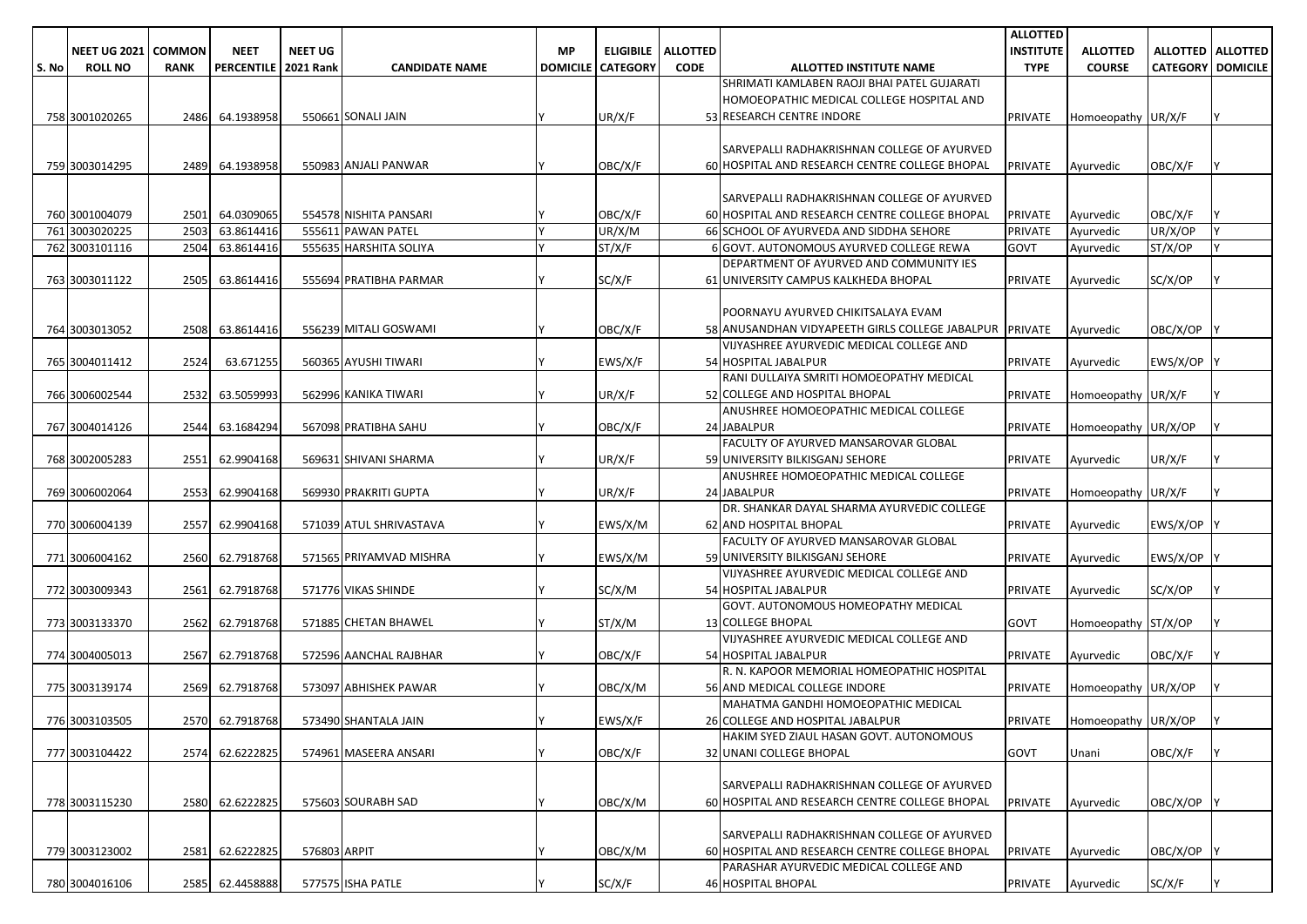|       |                            |             |                             |                |                         |    |                          |                             |                                                         | <b>ALLOTTED</b>  |                             |                            |                            |
|-------|----------------------------|-------------|-----------------------------|----------------|-------------------------|----|--------------------------|-----------------------------|---------------------------------------------------------|------------------|-----------------------------|----------------------------|----------------------------|
|       | <b>NEET UG 2021 COMMON</b> |             | <b>NEET</b>                 | <b>NEET UG</b> |                         | МP |                          | <b>ELIGIBILE   ALLOTTED</b> |                                                         | <b>INSTITUTE</b> | <b>ALLOTTED</b>             |                            | <b>ALLOTTED   ALLOTTED</b> |
| S. No | <b>ROLL NO</b>             | <b>RANK</b> | <b>PERCENTILE 2021 Rank</b> |                | <b>CANDIDATE NAME</b>   |    | <b>DOMICILE CATEGORY</b> | <b>CODE</b>                 | ALLOTTED INSTITUTE NAME                                 | <b>TYPE</b>      | <b>COURSE</b>               | <b>CATEGORY   DOMICILE</b> |                            |
|       |                            |             |                             |                |                         |    |                          |                             | SHRIMATI KAMLABEN RAOJI BHAI PATEL GUJARATI             |                  |                             |                            |                            |
|       |                            |             |                             |                |                         |    |                          |                             | HOMOEOPATHIC MEDICAL COLLEGE HOSPITAL AND               |                  |                             |                            |                            |
|       | 758 3001020265             | 2486        | 64.1938958                  |                | 550661 SONALI JAIN      |    | UR/X/F                   |                             | 53 RESEARCH CENTRE INDORE                               | <b>PRIVATE</b>   | Homoeopathy UR/X/F          |                            |                            |
|       |                            |             |                             |                |                         |    |                          |                             |                                                         |                  |                             |                            |                            |
|       |                            |             |                             |                |                         |    |                          |                             | SARVEPALLI RADHAKRISHNAN COLLEGE OF AYURVED             |                  |                             |                            |                            |
|       | 759 3003014295             | 2489        | 64.1938958                  |                | 550983 ANJALI PANWAR    |    | OBC/X/F                  |                             | 60 HOSPITAL AND RESEARCH CENTRE COLLEGE BHOPAL          | <b>PRIVATE</b>   | Ayurvedic                   | OBC/X/F                    |                            |
|       |                            |             |                             |                |                         |    |                          |                             |                                                         |                  |                             |                            |                            |
|       |                            |             |                             |                |                         |    |                          |                             | SARVEPALLI RADHAKRISHNAN COLLEGE OF AYURVED             |                  |                             |                            |                            |
|       | 760 3001004079             | 2501        | 64.0309065                  |                | 554578 NISHITA PANSARI  |    | OBC/X/F                  |                             | 60 HOSPITAL AND RESEARCH CENTRE COLLEGE BHOPAL          | <b>PRIVATE</b>   | Ayurvedic                   | OBC/X/F                    |                            |
|       | 761 3003020225             | 2503        | 63.8614416                  |                | 555611 PAWAN PATEL      |    | UR/X/M                   |                             | 66 SCHOOL OF AYURVEDA AND SIDDHA SEHORE                 | <b>PRIVATE</b>   | Ayurvedic                   | UR/X/OP                    |                            |
|       | 762 3003101116             | 2504        | 63.8614416                  |                | 555635 HARSHITA SOLIYA  |    | ST/X/F                   |                             | 6 GOVT. AUTONOMOUS AYURVED COLLEGE REWA                 | <b>GOVT</b>      | Ayurvedic                   | ST/X/OP                    |                            |
|       |                            |             |                             |                |                         |    |                          |                             | DEPARTMENT OF AYURVED AND COMMUNITY IES                 |                  |                             |                            |                            |
|       | 763 3003011122             | 2505        | 63.8614416                  |                | 555694 PRATIBHA PARMAR  |    | SC/X/F                   |                             | 61 UNIVERSITY CAMPUS KALKHEDA BHOPAL                    | <b>PRIVATE</b>   | Ayurvedic                   | SC/X/OP                    |                            |
|       |                            |             |                             |                |                         |    |                          |                             |                                                         |                  |                             |                            |                            |
|       |                            |             |                             |                |                         |    |                          |                             | POORNAYU AYURVED CHIKITSALAYA EVAM                      |                  |                             |                            |                            |
|       | 764 3003013052             | 2508        | 63.8614416                  |                | 556239 MITALI GOSWAMI   |    | OBC/X/F                  |                             | 58 ANUSANDHAN VIDYAPEETH GIRLS COLLEGE JABALPUR PRIVATE |                  | Ayurvedic                   | OBC/X/OP                   |                            |
|       |                            |             |                             |                |                         |    |                          |                             | VIJYASHREE AYURVEDIC MEDICAL COLLEGE AND                |                  |                             |                            |                            |
|       | 765 3004011412             | 2524        | 63.671255                   |                | 560365 AYUSHI TIWARI    |    | EWS/X/F                  |                             | 54 HOSPITAL JABALPUR                                    | <b>PRIVATE</b>   | Ayurvedic                   | EWS/X/OP                   |                            |
|       |                            |             |                             |                |                         |    |                          |                             | RANI DULLAIYA SMRITI HOMOEOPATHY MEDICAL                |                  |                             |                            |                            |
|       | 766 3006002544             | 2532        | 63.5059993                  |                | 562996 KANIKA TIWARI    |    | UR/X/F                   |                             | 52 COLLEGE AND HOSPITAL BHOPAL                          | <b>PRIVATE</b>   | Homoeopathy UR/X/F          |                            |                            |
|       |                            |             |                             |                |                         |    |                          |                             | ANUSHREE HOMOEOPATHIC MEDICAL COLLEGE                   |                  |                             |                            |                            |
|       | 767 3004014126             | 2544        | 63.1684294                  |                | 567098 PRATIBHA SAHU    |    | OBC/X/F                  |                             | 24 JABALPUR                                             | <b>PRIVATE</b>   | Homoeopathy UR/X/OP         |                            |                            |
|       |                            |             |                             |                |                         |    |                          |                             | FACULTY OF AYURVED MANSAROVAR GLOBAL                    |                  |                             |                            |                            |
|       | 768 3002005283             | 2551        | 62.9904168                  |                | 569631 SHIVANI SHARMA   |    | UR/X/F                   |                             | 59 UNIVERSITY BILKISGANJ SEHORE                         | <b>PRIVATE</b>   | Ayurvedic                   | UR/X/F                     |                            |
|       |                            |             |                             |                |                         |    |                          |                             | ANUSHREE HOMOEOPATHIC MEDICAL COLLEGE                   |                  |                             |                            |                            |
|       | 769 3006002064             | 2553        | 62.9904168                  |                | 569930 PRAKRITI GUPTA   |    | UR/X/F                   |                             | 24 JABALPUR                                             | <b>PRIVATE</b>   | Homoeopathy UR/X/F          |                            |                            |
|       |                            |             |                             |                |                         |    |                          |                             | DR. SHANKAR DAYAL SHARMA AYURVEDIC COLLEGE              |                  |                             |                            |                            |
|       | 770 3006004139             | 2557        | 62.9904168                  |                | 571039 ATUL SHRIVASTAVA |    | EWS/X/M                  |                             | 62 AND HOSPITAL BHOPAL                                  | <b>PRIVATE</b>   | Ayurvedic                   | EWS/X/OP                   |                            |
|       |                            |             |                             |                |                         |    |                          |                             | FACULTY OF AYURVED MANSAROVAR GLOBAL                    |                  |                             |                            |                            |
|       | 771 3006004162             | 2560        | 62.7918768                  |                | 571565 PRIYAMVAD MISHRA |    | EWS/X/M                  |                             | 59 UNIVERSITY BILKISGANJ SEHORE                         | <b>PRIVATE</b>   | Ayurvedic                   | EWS/X/OP                   |                            |
|       |                            |             |                             |                |                         |    |                          |                             | VIJYASHREE AYURVEDIC MEDICAL COLLEGE AND                |                  |                             |                            |                            |
|       | 772 3003009343             | 2561        | 62.7918768                  |                | 571776 VIKAS SHINDE     |    | SC/X/M                   |                             | 54 HOSPITAL JABALPUR                                    | <b>PRIVATE</b>   | Ayurvedic                   | SC/X/OP                    |                            |
|       |                            |             |                             |                |                         |    |                          |                             | GOVT. AUTONOMOUS HOMEOPATHY MEDICAL                     |                  |                             |                            |                            |
|       | 773 3003133370             | 2562        | 62.7918768                  |                | 571885 CHETAN BHAWEL    |    | ST/X/M                   |                             | <b>13 COLLEGE BHOPAL</b>                                | <b>GOVT</b>      | Homoeopathy ST/X/OP         |                            |                            |
|       |                            |             |                             |                |                         |    |                          |                             | VIJYASHREE AYURVEDIC MEDICAL COLLEGE AND                |                  |                             |                            |                            |
|       | 774 3004005013             | 2567        | 62.7918768                  |                | 572596 AANCHAL RAJBHAR  |    | OBC/X/F                  |                             | 54 HOSPITAL JABALPUR                                    | <b>PRIVATE</b>   | Ayurvedic                   | OBC/X/F                    |                            |
|       |                            |             |                             |                |                         |    |                          |                             | R. N. KAPOOR MEMORIAL HOMEOPATHIC HOSPITAL              |                  |                             |                            |                            |
|       | 775 3003139174             | 2569        | 62.7918768                  |                | 573097 ABHISHEK PAWAR   |    | OBC/X/M                  |                             | 56 AND MEDICAL COLLEGE INDORE                           | <b>PRIVATE</b>   | Homoeopathy UR/X/OP         |                            |                            |
|       |                            |             |                             |                |                         |    |                          |                             | MAHATMA GANDHI HOMOEOPATHIC MEDICAL                     |                  |                             |                            |                            |
|       | 776 3003103505             |             | 2570 62.7918768             |                | 573490 SHANTALA JAIN    |    | EWS/X/F                  |                             | 26 COLLEGE AND HOSPITAL JABALPUR                        |                  | PRIVATE Homoeopathy UR/X/OP |                            |                            |
|       |                            |             |                             |                |                         |    |                          |                             | HAKIM SYED ZIAUL HASAN GOVT. AUTONOMOUS                 |                  |                             |                            |                            |
|       | 777 3003104422             |             | 2574 62.6222825             |                | 574961 MASEERA ANSARI   |    | OBC/X/F                  |                             | 32 UNANI COLLEGE BHOPAL                                 | GOVT             | Unani                       | OBC/X/F                    |                            |
|       |                            |             |                             |                |                         |    |                          |                             |                                                         |                  |                             |                            |                            |
|       |                            |             |                             |                |                         |    |                          |                             | SARVEPALLI RADHAKRISHNAN COLLEGE OF AYURVED             |                  |                             |                            |                            |
|       | 778 3003115230             |             | 2580 62.6222825             |                | 575603 SOURABH SAD      |    | OBC/X/M                  |                             | 60 HOSPITAL AND RESEARCH CENTRE COLLEGE BHOPAL          | PRIVATE          | Ayurvedic                   | OBC/X/OP Y                 |                            |
|       |                            |             |                             |                |                         |    |                          |                             |                                                         |                  |                             |                            |                            |
|       |                            |             |                             |                |                         |    |                          |                             | SARVEPALLI RADHAKRISHNAN COLLEGE OF AYURVED             |                  |                             |                            |                            |
|       | 779 3003123002             |             | 2581 62.6222825             | 576803 ARPIT   |                         |    | OBC/X/M                  |                             | 60 HOSPITAL AND RESEARCH CENTRE COLLEGE BHOPAL          | <b>PRIVATE</b>   | Ayurvedic                   | OBC/X/OP                   |                            |
|       |                            |             |                             |                |                         |    |                          |                             | PARASHAR AYURVEDIC MEDICAL COLLEGE AND                  |                  |                             |                            |                            |
|       | 780 3004016106             |             | 2585 62.4458888             |                | 577575 ISHA PATLE       |    | SC/X/F                   |                             | <b>46 HOSPITAL BHOPAL</b>                               | <b>PRIVATE</b>   | Ayurvedic                   | SC/X/F                     |                            |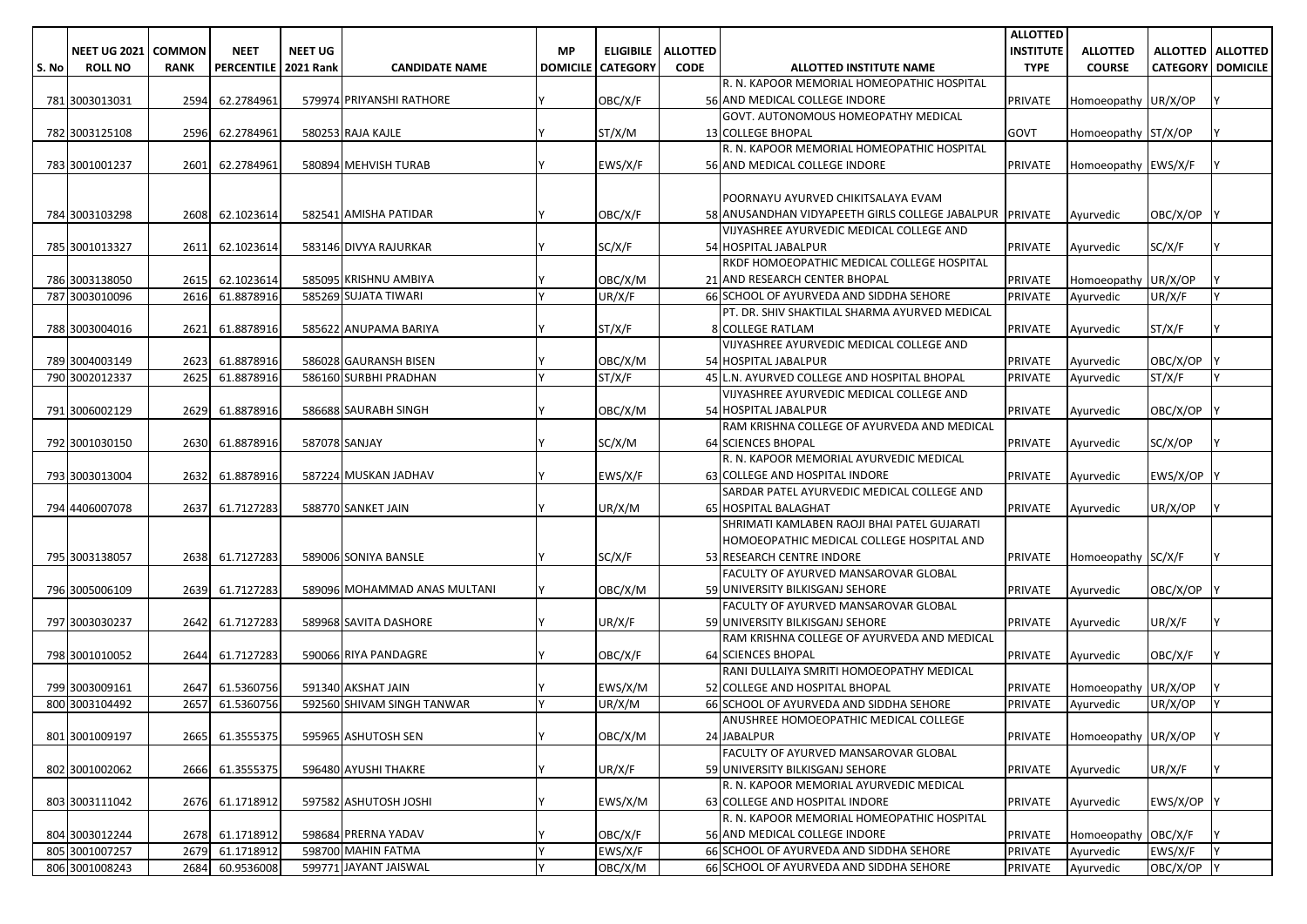|       |                              |             |                               |                |                                           |           |                            |                 |                                                                              | <b>ALLOTTED</b>  |                     |                            |                            |
|-------|------------------------------|-------------|-------------------------------|----------------|-------------------------------------------|-----------|----------------------------|-----------------|------------------------------------------------------------------------------|------------------|---------------------|----------------------------|----------------------------|
|       | <b>NEET UG 2021   COMMON</b> |             | <b>NEET</b>                   | <b>NEET UG</b> |                                           | <b>MP</b> | <b>ELIGIBILE</b>           | <b>ALLOTTED</b> |                                                                              | <b>INSTITUTE</b> | <b>ALLOTTED</b>     |                            | <b>ALLOTTED   ALLOTTED</b> |
| S. No | <b>ROLL NO</b>               | <b>RANK</b> | PERCENTILE   2021 Rank        |                | <b>CANDIDATE NAME</b>                     |           | <b>DOMICILE   CATEGORY</b> | <b>CODE</b>     | ALLOTTED INSTITUTE NAME                                                      | <b>TYPE</b>      | <b>COURSE</b>       | <b>CATEGORY   DOMICILE</b> |                            |
|       |                              |             |                               |                |                                           |           |                            |                 | R. N. KAPOOR MEMORIAL HOMEOPATHIC HOSPITAL                                   |                  |                     |                            |                            |
|       | 781 3003013031               | 2594        | 62.2784961                    |                | 579974 PRIYANSHI RATHORE                  |           | OBC/X/F                    |                 | 56 AND MEDICAL COLLEGE INDORE                                                | PRIVATE          | Homoeopathy UR/X/OP |                            |                            |
|       |                              |             |                               |                |                                           |           |                            |                 | GOVT. AUTONOMOUS HOMEOPATHY MEDICAL                                          |                  |                     |                            |                            |
|       | 782 3003125108               |             | 2596 62.2784961               |                | 580253 RAJA KAJLE                         |           | ST/X/M                     |                 | <b>13 COLLEGE BHOPAL</b>                                                     | GOVT             | Homoeopathy ST/X/OP |                            |                            |
|       |                              |             |                               |                |                                           |           |                            |                 | R. N. KAPOOR MEMORIAL HOMEOPATHIC HOSPITAL                                   |                  |                     |                            |                            |
|       | 783 3001001237               | 2601        | 62.2784961                    |                | 580894 MEHVISH TURAB                      |           | EWS/X/F                    |                 | 56 AND MEDICAL COLLEGE INDORE                                                | <b>PRIVATE</b>   | Homoeopathy EWS/X/F |                            |                            |
|       |                              |             |                               |                |                                           |           |                            |                 |                                                                              |                  |                     |                            |                            |
|       |                              |             |                               |                |                                           |           |                            |                 | POORNAYU AYURVED CHIKITSALAYA EVAM                                           |                  |                     |                            |                            |
|       | 784 3003103298               | 2608        | 62.1023614                    |                | 582541 AMISHA PATIDAR                     |           | OBC/X/F                    |                 | 58 ANUSANDHAN VIDYAPEETH GIRLS COLLEGE JABALPUR PRIVATE                      |                  | Ayurvedic           | OBC/X/OP                   |                            |
|       |                              |             |                               |                |                                           |           |                            |                 | VIJYASHREE AYURVEDIC MEDICAL COLLEGE AND                                     |                  |                     |                            |                            |
|       | 785 3001013327               | 2611        | 62.1023614                    |                | 583146 DIVYA RAJURKAR                     |           | SC/X/F                     |                 | 54 HOSPITAL JABALPUR                                                         | <b>PRIVATE</b>   | Ayurvedic           | SC/X/F                     |                            |
|       |                              |             |                               |                |                                           |           |                            |                 | RKDF HOMOEOPATHIC MEDICAL COLLEGE HOSPITAL                                   |                  |                     |                            |                            |
|       | 786 3003138050               | 2615        | 62.1023614                    |                | 585095 KRISHNU AMBIYA                     |           | OBC/X/M                    |                 | 21 AND RESEARCH CENTER BHOPAL                                                | PRIVATE          | Homoeopathy UR/X/OP |                            |                            |
|       | 787 3003010096               | 2616        | 61.8878916                    |                | 585269 SUJATA TIWARI                      |           | UR/X/F                     |                 | 66 SCHOOL OF AYURVEDA AND SIDDHA SEHORE                                      | <b>PRIVATE</b>   | Ayurvedic           | UR/X/F                     |                            |
|       |                              |             |                               |                |                                           |           |                            |                 | PT. DR. SHIV SHAKTILAL SHARMA AYURVED MEDICAL                                |                  |                     |                            |                            |
|       | 788 3003004016               | 2621        | 61.8878916                    |                | 585622 ANUPAMA BARIYA                     |           | ST/X/F                     |                 | <b>8 COLLEGE RATLAM</b>                                                      | PRIVATE          | Ayurvedic           | ST/X/F                     |                            |
|       |                              |             |                               |                |                                           |           |                            |                 | VIJYASHREE AYURVEDIC MEDICAL COLLEGE AND                                     |                  |                     |                            |                            |
|       | 789 3004003149               | 2623        | 61.8878916                    |                | 586028 GAURANSH BISEN                     |           | OBC/X/M                    |                 | 54 HOSPITAL JABALPUR                                                         | <b>PRIVATE</b>   | Ayurvedic           | OBC/X/OP                   |                            |
|       | 790 3002012337               | 2625        | 61.8878916                    |                | 586160 SURBHI PRADHAN                     |           | ST/X/F                     |                 | 45 L.N. AYURVED COLLEGE AND HOSPITAL BHOPAL                                  | <b>PRIVATE</b>   | Ayurvedic           | ST/X/F                     | v                          |
|       |                              |             |                               |                |                                           |           |                            |                 | VIJYASHREE AYURVEDIC MEDICAL COLLEGE AND                                     |                  |                     |                            |                            |
|       | 791 3006002129               | 2629        | 61.8878916                    |                | 586688 SAURABH SINGH                      |           | OBC/X/M                    |                 | 54 HOSPITAL JABALPUR                                                         | PRIVATE          | Ayurvedic           | OBC/X/OP                   |                            |
|       |                              |             |                               |                |                                           |           |                            |                 | RAM KRISHNA COLLEGE OF AYURVEDA AND MEDICAL                                  |                  |                     |                            |                            |
|       | 792 3001030150               | 2630        | 61.8878916                    |                | 587078 SANJAY                             |           | SC/X/M                     |                 | <b>64 SCIENCES BHOPAL</b>                                                    | PRIVATE          | Ayurvedic           | SC/X/OP                    |                            |
|       |                              |             |                               |                |                                           |           |                            |                 | R. N. KAPOOR MEMORIAL AYURVEDIC MEDICAL                                      |                  |                     |                            |                            |
|       | 793 3003013004               | 2632        | 61.8878916                    |                | 587224 MUSKAN JADHAV                      |           | EWS/X/F                    |                 | 63 COLLEGE AND HOSPITAL INDORE                                               | <b>PRIVATE</b>   | Ayurvedic           | EWS/X/OP                   |                            |
|       |                              |             |                               |                |                                           |           |                            |                 | SARDAR PATEL AYURVEDIC MEDICAL COLLEGE AND                                   |                  |                     |                            |                            |
|       | 794 4406007078               | 2637        | 61.7127283                    |                | 588770 SANKET JAIN                        |           | UR/X/M                     |                 | 65 HOSPITAL BALAGHAT                                                         | <b>PRIVATE</b>   | Ayurvedic           | UR/X/OP                    |                            |
|       |                              |             |                               |                |                                           |           |                            |                 | SHRIMATI KAMLABEN RAOJI BHAI PATEL GUJARATI                                  |                  |                     |                            |                            |
|       |                              |             |                               |                |                                           |           |                            |                 | HOMOEOPATHIC MEDICAL COLLEGE HOSPITAL AND                                    |                  |                     |                            |                            |
|       | 795 3003138057               |             | 2638 61.7127283               |                | 589006 SONIYA BANSLE                      |           | SC/X/F                     |                 | 53 RESEARCH CENTRE INDORE                                                    | <b>PRIVATE</b>   | Homoeopathy SC/X/F  |                            |                            |
|       |                              |             |                               |                |                                           |           |                            |                 | FACULTY OF AYURVED MANSAROVAR GLOBAL                                         |                  |                     |                            |                            |
|       | 796 3005006109               | 2639        | 61.7127283                    |                | 589096 MOHAMMAD ANAS MULTANI              |           | OBC/X/M                    |                 | 59 UNIVERSITY BILKISGANJ SEHORE                                              | PRIVATE          | Ayurvedic           | OBC/X/OP                   |                            |
|       |                              |             |                               |                |                                           |           |                            |                 | FACULTY OF AYURVED MANSAROVAR GLOBAL                                         |                  |                     |                            |                            |
|       | 797 3003030237               | 2642        | 61.7127283                    |                | 589968 SAVITA DASHORE                     |           | UR/X/F                     |                 | 59 UNIVERSITY BILKISGANJ SEHORE                                              | <b>PRIVATE</b>   | Ayurvedic           | UR/X/F                     |                            |
|       |                              |             |                               |                |                                           |           |                            |                 | RAM KRISHNA COLLEGE OF AYURVEDA AND MEDICAL                                  |                  |                     |                            |                            |
|       | 798 3001010052               | 2644        | 61.7127283                    |                | 590066 RIYA PANDAGRE                      |           | OBC/X/F                    |                 | <b>64 SCIENCES BHOPAL</b>                                                    | PRIVATE          | Ayurvedic           | OBC/X/F                    |                            |
|       |                              |             |                               |                |                                           |           |                            |                 | RANI DULLAIYA SMRITI HOMOEOPATHY MEDICAL                                     |                  |                     |                            |                            |
|       | 799 3003009161               | 2647        | 61.5360756                    |                | 591340 AKSHAT JAIN                        |           | EWS/X/M                    |                 | 52 COLLEGE AND HOSPITAL BHOPAL                                               | PRIVATE          | Homoeopathy UR/X/OP |                            |                            |
|       | 800 3003104492               | 2657        | 61.5360756                    |                | 592560 SHIVAM SINGH TANWAR                |           | UR/X/M                     |                 | 66 SCHOOL OF AYURVEDA AND SIDDHA SEHORE                                      | <b>PRIVATE</b>   | Ayurvedic           | UR/X/OP                    |                            |
|       |                              |             |                               |                |                                           | I۷        |                            |                 | ANUSHREE HOMOEOPATHIC MEDICAL COLLEGE                                        |                  |                     |                            |                            |
|       | 801 3001009197               |             | 2665 61.3555375               |                | 595965 ASHUTOSH SEN                       |           | OBC/X/M                    |                 | 24 JABALPUR                                                                  | <b>PRIVATE</b>   | Homoeopathy UR/X/OP |                            |                            |
|       |                              |             |                               |                |                                           |           |                            |                 | FACULTY OF AYURVED MANSAROVAR GLOBAL                                         |                  |                     |                            |                            |
|       | 802 3001002062               |             | 2666 61.3555375               |                | 596480 AYUSHI THAKRE                      |           | UR/X/F                     |                 | 59 UNIVERSITY BILKISGANJ SEHORE<br>R. N. KAPOOR MEMORIAL AYURVEDIC MEDICAL   | <b>PRIVATE</b>   | Ayurvedic           | UR/X/F                     |                            |
|       |                              |             |                               |                |                                           |           |                            |                 |                                                                              |                  |                     |                            |                            |
|       | 803 3003111042               |             | 2676 61.1718912               |                | 597582 ASHUTOSH JOSHI                     |           | EWS/X/M                    |                 | 63 COLLEGE AND HOSPITAL INDORE<br>R. N. KAPOOR MEMORIAL HOMEOPATHIC HOSPITAL | <b>PRIVATE</b>   | Ayurvedic           | EWS/X/OP Y                 |                            |
|       | 804 3003012244               |             |                               |                |                                           |           |                            |                 |                                                                              | <b>PRIVATE</b>   |                     |                            |                            |
|       | 805 3001007257               |             | 2678 61.1718912<br>61.1718912 |                | 598684 PRERNA YADAV<br>598700 MAHIN FATMA |           | OBC/X/F                    |                 | 56 AND MEDICAL COLLEGE INDORE<br>66 SCHOOL OF AYURVEDA AND SIDDHA SEHORE     | PRIVATE          | Homoeopathy OBC/X/F | EWS/X/F                    |                            |
|       | 806 3001008243               | 2679        | 2684 60.9536008               |                | 599771 JAYANT JAISWAL                     | I۷        | EWS/X/F                    |                 | 66 SCHOOL OF AYURVEDA AND SIDDHA SEHORE                                      |                  | Ayurvedic           |                            |                            |
|       |                              |             |                               |                |                                           |           | OBC/X/M                    |                 |                                                                              | PRIVATE          | Ayurvedic           | OBC/X/OP Y                 |                            |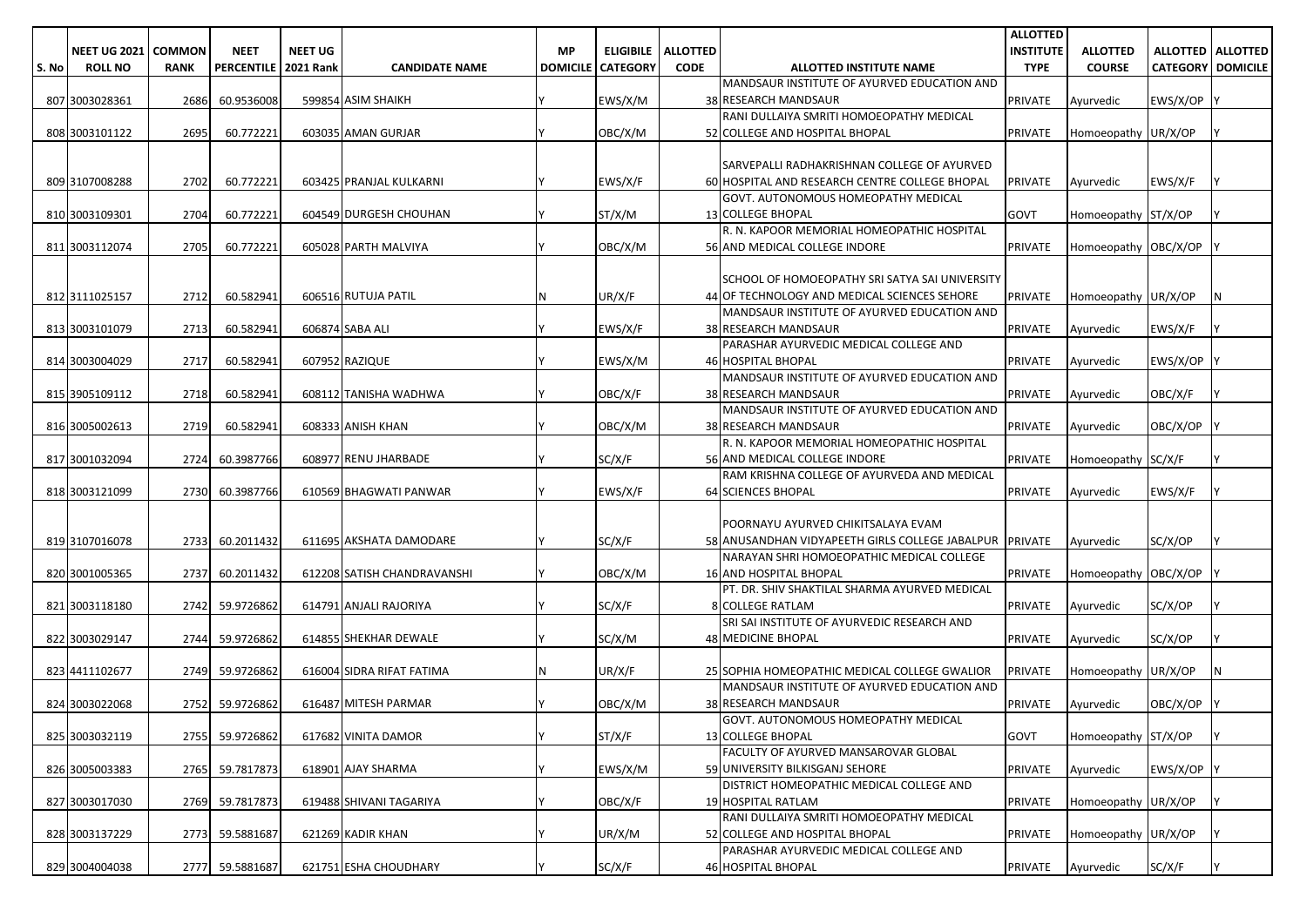|       |                     |               |                        |                |                             |           |                          |                 |                                                                              | <b>ALLOTTED</b>  |                      |                          |                            |
|-------|---------------------|---------------|------------------------|----------------|-----------------------------|-----------|--------------------------|-----------------|------------------------------------------------------------------------------|------------------|----------------------|--------------------------|----------------------------|
|       | <b>NEET UG 2021</b> | <b>COMMON</b> | <b>NEET</b>            | <b>NEET UG</b> |                             | <b>MP</b> | <b>ELIGIBILE</b>         | <b>ALLOTTED</b> |                                                                              | <b>INSTITUTE</b> | <b>ALLOTTED</b>      |                          | <b>ALLOTTED   ALLOTTED</b> |
| S. No | <b>ROLL NO</b>      | <b>RANK</b>   | PERCENTILE   2021 Rank |                | <b>CANDIDATE NAME</b>       |           | <b>DOMICILE CATEGORY</b> | <b>CODE</b>     | ALLOTTED INSTITUTE NAME                                                      | <b>TYPE</b>      | <b>COURSE</b>        | <b>CATEGORY DOMICILE</b> |                            |
|       |                     |               |                        |                |                             |           |                          |                 | MANDSAUR INSTITUTE OF AYURVED EDUCATION AND                                  |                  |                      |                          |                            |
|       | 807 3003028361      | 2686          | 60.9536008             |                | 599854 ASIM SHAIKH          |           | EWS/X/M                  |                 | 38 RESEARCH MANDSAUR                                                         | <b>PRIVATE</b>   | Ayurvedic            | EWS/X/OP                 |                            |
|       |                     |               |                        |                |                             |           |                          |                 | RANI DULLAIYA SMRITI HOMOEOPATHY MEDICAL                                     |                  |                      |                          |                            |
|       | 808 3003101122      | 2695          | 60.772221              |                | 603035 AMAN GURJAR          |           | OBC/X/M                  |                 | 52 COLLEGE AND HOSPITAL BHOPAL                                               | <b>PRIVATE</b>   | Homoeopathy UR/X/OP  |                          |                            |
|       |                     |               |                        |                |                             |           |                          |                 |                                                                              |                  |                      |                          |                            |
|       |                     |               |                        |                |                             |           |                          |                 | SARVEPALLI RADHAKRISHNAN COLLEGE OF AYURVED                                  |                  |                      |                          |                            |
|       | 809 3107008288      | 2702          | 60.772221              |                | 603425 PRANJAL KULKARNI     |           | EWS/X/F                  |                 | 60 HOSPITAL AND RESEARCH CENTRE COLLEGE BHOPAL                               | <b>PRIVATE</b>   | Ayurvedic            | EWS/X/F                  |                            |
|       |                     |               |                        |                |                             |           |                          |                 | GOVT. AUTONOMOUS HOMEOPATHY MEDICAL                                          |                  |                      |                          |                            |
|       | 810 3003109301      | 2704          | 60.772221              |                | 604549 DURGESH CHOUHAN      |           | ST/X/M                   |                 | <b>13 COLLEGE BHOPAL</b>                                                     | <b>GOVT</b>      | Homoeopathy ST/X/OP  |                          |                            |
|       |                     |               |                        |                |                             |           |                          |                 | R. N. KAPOOR MEMORIAL HOMEOPATHIC HOSPITAL                                   |                  |                      |                          |                            |
|       | 811 3003112074      | 2705          | 60.772221              |                | 605028 PARTH MALVIYA        |           | OBC/X/M                  |                 | 56 AND MEDICAL COLLEGE INDORE                                                | <b>PRIVATE</b>   | Homoeopathy OBC/X/OP |                          |                            |
|       |                     |               |                        |                |                             |           |                          |                 |                                                                              |                  |                      |                          |                            |
|       |                     |               |                        |                |                             |           |                          |                 | SCHOOL OF HOMOEOPATHY SRI SATYA SAI UNIVERSITY                               |                  |                      |                          |                            |
|       | 812 3111025157      | 2712          | 60.582941              |                | 606516 RUTUJA PATIL         | ΙN        | UR/X/F                   |                 | 44 OF TECHNOLOGY AND MEDICAL SCIENCES SEHORE                                 | <b>PRIVATE</b>   | Homoeopathy UR/X/OP  |                          | N                          |
|       |                     |               |                        |                |                             |           |                          |                 | MANDSAUR INSTITUTE OF AYURVED EDUCATION AND                                  |                  |                      |                          |                            |
|       | 813 3003101079      | 2713          | 60.582941              |                | 606874 SABA ALI             |           | EWS/X/F                  |                 | 38 RESEARCH MANDSAUR                                                         | <b>PRIVATE</b>   | Ayurvedic            | EWS/X/F                  |                            |
|       |                     |               |                        |                |                             |           |                          |                 | PARASHAR AYURVEDIC MEDICAL COLLEGE AND                                       |                  |                      |                          |                            |
|       | 814 3003004029      | 2717          | 60.582941              |                | 607952 RAZIQUE              |           | EWS/X/M                  |                 | 46 HOSPITAL BHOPAL                                                           | <b>PRIVATE</b>   | Ayurvedic            | EWS/X/OP                 |                            |
|       |                     |               |                        |                |                             |           |                          |                 | MANDSAUR INSTITUTE OF AYURVED EDUCATION AND                                  |                  |                      |                          |                            |
|       | 815 3905109112      | 2718          | 60.582941              |                | 608112 TANISHA WADHWA       |           | OBC/X/F                  |                 | 38 RESEARCH MANDSAUR                                                         | <b>PRIVATE</b>   | Ayurvedic            | OBC/X/F                  |                            |
|       |                     |               |                        |                |                             |           |                          |                 | MANDSAUR INSTITUTE OF AYURVED EDUCATION AND                                  |                  |                      |                          |                            |
|       | 816 3005002613      | 2719          | 60.582941              |                | 608333 ANISH KHAN           |           | OBC/X/M                  |                 | 38 RESEARCH MANDSAUR                                                         | <b>PRIVATE</b>   | Ayurvedic            | OBC/X/OP                 |                            |
|       |                     |               |                        |                |                             |           |                          |                 | R. N. KAPOOR MEMORIAL HOMEOPATHIC HOSPITAL                                   |                  |                      |                          |                            |
|       | 817 3001032094      | 2724          | 60.3987766             |                | 608977 RENU JHARBADE        |           | SC/X/F                   |                 | 56 AND MEDICAL COLLEGE INDORE<br>RAM KRISHNA COLLEGE OF AYURVEDA AND MEDICAL | <b>PRIVATE</b>   | Homoeopathy SC/X/F   |                          |                            |
|       | 818 3003121099      | 2730          |                        |                | 610569 BHAGWATI PANWAR      |           | EWS/X/F                  |                 | <b>64 SCIENCES BHOPAL</b>                                                    | <b>PRIVATE</b>   |                      |                          |                            |
|       |                     |               | 60.3987766             |                |                             |           |                          |                 |                                                                              |                  | Ayurvedic            | EWS/X/F                  |                            |
|       |                     |               |                        |                |                             |           |                          |                 | POORNAYU AYURVED CHIKITSALAYA EVAM                                           |                  |                      |                          |                            |
|       | 819 3107016078      | 2733          | 60.2011432             |                | 611695 AKSHATA DAMODARE     |           | SC/X/F                   |                 | 58 ANUSANDHAN VIDYAPEETH GIRLS COLLEGE JABALPUR PRIVATE                      |                  | Ayurvedic            | SC/X/OP                  |                            |
|       |                     |               |                        |                |                             |           |                          |                 | NARAYAN SHRI HOMOEOPATHIC MEDICAL COLLEGE                                    |                  |                      |                          |                            |
|       | 820 3001005365      | 2737          | 60.2011432             |                | 612208 SATISH CHANDRAVANSHI |           | OBC/X/M                  |                 | <b>16 AND HOSPITAL BHOPAL</b>                                                | <b>PRIVATE</b>   | Homoeopathy OBC/X/OP |                          |                            |
|       |                     |               |                        |                |                             |           |                          |                 | PT. DR. SHIV SHAKTILAL SHARMA AYURVED MEDICAL                                |                  |                      |                          |                            |
|       | 821 3003118180      |               | 2742 59.9726862        |                | 614791 ANJALI RAJORIYA      |           | SC/X/F                   |                 | <b>8 COLLEGE RATLAM</b>                                                      | <b>PRIVATE</b>   | Ayurvedic            | SC/X/OP                  |                            |
|       |                     |               |                        |                |                             |           |                          |                 | SRI SAI INSTITUTE OF AYURVEDIC RESEARCH AND                                  |                  |                      |                          |                            |
|       | 822 3003029147      | 2744          | 59.9726862             |                | 614855 SHEKHAR DEWALE       |           | SC/X/M                   |                 | <b>48 MEDICINE BHOPAL</b>                                                    | <b>PRIVATE</b>   | Ayurvedic            | SC/X/OP                  |                            |
|       |                     |               |                        |                |                             |           |                          |                 |                                                                              |                  |                      |                          |                            |
|       | 823 4411102677      |               | 2749 59.9726862        |                | 616004 SIDRA RIFAT FATIMA   |           | UR/X/F                   |                 | 25 SOPHIA HOMEOPATHIC MEDICAL COLLEGE GWALIOR                                | <b>PRIVATE</b>   | Homoeopathy UR/X/OP  |                          | N                          |
|       |                     |               |                        |                |                             |           |                          |                 | MANDSAUR INSTITUTE OF AYURVED EDUCATION AND                                  |                  |                      |                          |                            |
|       | 824 3003022068      |               | 2752 59.9726862        |                | 616487 MITESH PARMAR        |           | OBC/X/M                  |                 | 38 RESEARCH MANDSAUR                                                         | <b>PRIVATE</b>   | Ayurvedic            | OBC/X/OP                 |                            |
|       |                     |               |                        |                |                             |           |                          |                 | GOVT. AUTONOMOUS HOMEOPATHY MEDICAL                                          |                  |                      |                          |                            |
|       | 825 3003032119      |               | 2755 59.9726862        |                | 617682 VINITA DAMOR         | I۷        | ST/X/F                   |                 | <b>13 COLLEGE BHOPAL</b>                                                     | <b>GOVT</b>      | Homoeopathy ST/X/OP  |                          |                            |
|       |                     |               |                        |                |                             |           |                          |                 | FACULTY OF AYURVED MANSAROVAR GLOBAL                                         |                  |                      |                          |                            |
|       | 826 3005003383      |               | 2765 59.7817873        |                | 618901 AJAY SHARMA          |           | EWS/X/M                  |                 | 59 UNIVERSITY BILKISGANJ SEHORE                                              | <b>PRIVATE</b>   | Ayurvedic            | EWS/X/OP Y               |                            |
|       |                     |               |                        |                |                             |           |                          |                 | DISTRICT HOMEOPATHIC MEDICAL COLLEGE AND                                     |                  |                      |                          |                            |
|       | 827 3003017030      |               | 2769 59.7817873        |                | 619488 SHIVANI TAGARIYA     |           | OBC/X/F                  |                 | 19 HOSPITAL RATLAM                                                           | <b>PRIVATE</b>   | Homoeopathy UR/X/OP  |                          |                            |
|       |                     |               |                        |                |                             |           |                          |                 | RANI DULLAIYA SMRITI HOMOEOPATHY MEDICAL                                     |                  |                      |                          |                            |
|       | 828 3003137229      |               | 2773 59.5881687        |                | 621269 KADIR KHAN           |           | UR/X/M                   |                 | 52 COLLEGE AND HOSPITAL BHOPAL                                               | <b>PRIVATE</b>   | Homoeopathy UR/X/OP  |                          |                            |
|       |                     |               |                        |                |                             |           |                          |                 | PARASHAR AYURVEDIC MEDICAL COLLEGE AND                                       |                  |                      |                          |                            |
|       | 829 3004004038      |               | 2777 59.5881687        |                | 621751 ESHA CHOUDHARY       |           | SC/X/F                   |                 | 46 HOSPITAL BHOPAL                                                           | PRIVATE          | Ayurvedic            | SC/X/F                   | IY.                        |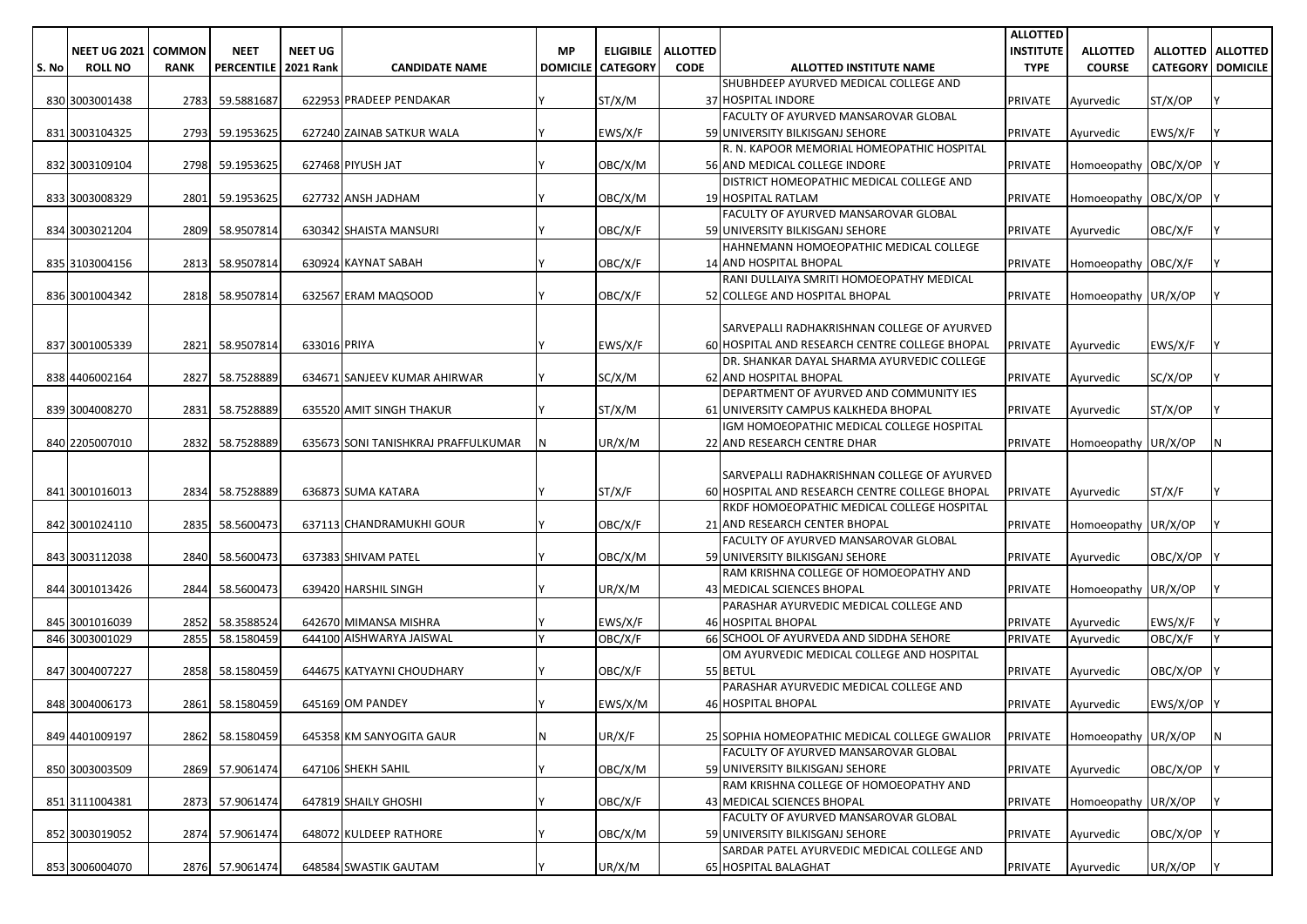|       |                     |             |                        |                |                                     |                 |                  |                 |                                                | <b>ALLOTTED</b>  |                      |                            |                 |
|-------|---------------------|-------------|------------------------|----------------|-------------------------------------|-----------------|------------------|-----------------|------------------------------------------------|------------------|----------------------|----------------------------|-----------------|
|       | NEET UG 2021 COMMON |             | <b>NEET</b>            | <b>NEET UG</b> |                                     | <b>MP</b>       | <b>ELIGIBILE</b> | <b>ALLOTTED</b> |                                                | <b>INSTITUTE</b> | <b>ALLOTTED</b>      | <b>ALLOTTED   ALLOTTED</b> |                 |
| S. No | <b>ROLL NO</b>      | <b>RANK</b> | PERCENTILE   2021 Rank |                | <b>CANDIDATE NAME</b>               | <b>DOMICILE</b> | <b>CATEGORY</b>  | <b>CODE</b>     | ALLOTTED INSTITUTE NAME                        | <b>TYPE</b>      | <b>COURSE</b>        | <b>CATEGORY</b>            | <b>DOMICILE</b> |
|       |                     |             |                        |                |                                     |                 |                  |                 | SHUBHDEEP AYURVED MEDICAL COLLEGE AND          |                  |                      |                            |                 |
|       | 830 3003001438      | 2783        | 59.5881687             |                | 622953 PRADEEP PENDAKAR             |                 | ST/X/M           |                 | 37 HOSPITAL INDORE                             | PRIVATE          | Ayurvedic            | ST/X/OP                    |                 |
|       |                     |             |                        |                |                                     |                 |                  |                 | FACULTY OF AYURVED MANSAROVAR GLOBAL           |                  |                      |                            |                 |
|       | 831 3003104325      | 2793        | 59.1953625             |                | 627240 ZAINAB SATKUR WALA           |                 | EWS/X/F          |                 | 59 UNIVERSITY BILKISGANJ SEHORE                | PRIVATE          | Ayurvedic            | EWS/X/F                    |                 |
|       |                     |             |                        |                |                                     |                 |                  |                 | R. N. KAPOOR MEMORIAL HOMEOPATHIC HOSPITAL     |                  |                      |                            |                 |
|       | 832 3003109104      | 2798        | 59.1953625             |                | 627468 PIYUSH JAT                   |                 | OBC/X/M          |                 | 56 AND MEDICAL COLLEGE INDORE                  | <b>PRIVATE</b>   | Homoeopathy OBC/X/OP |                            |                 |
|       |                     |             |                        |                |                                     |                 |                  |                 | DISTRICT HOMEOPATHIC MEDICAL COLLEGE AND       |                  |                      |                            |                 |
|       | 833 3003008329      | 2801        | 59.1953625             |                | 627732 ANSH JADHAM                  |                 | OBC/X/M          |                 | 19 HOSPITAL RATLAM                             | PRIVATE          | Homoeopathy OBC/X/OP |                            |                 |
|       |                     |             |                        |                |                                     |                 |                  |                 | FACULTY OF AYURVED MANSAROVAR GLOBAL           |                  |                      |                            |                 |
|       | 834 3003021204      | 2809        | 58.9507814             |                | 630342 SHAISTA MANSURI              |                 | OBC/X/F          |                 | 59 UNIVERSITY BILKISGANJ SEHORE                | PRIVATE          | Ayurvedic            | OBC/X/F                    |                 |
|       |                     |             |                        |                |                                     |                 |                  |                 | HAHNEMANN HOMOEOPATHIC MEDICAL COLLEGE         |                  |                      |                            |                 |
|       | 835 3103004156      | 2813        | 58.9507814             |                | 630924 KAYNAT SABAH                 |                 | OBC/X/F          |                 | 14 AND HOSPITAL BHOPAL                         | <b>PRIVATE</b>   | Homoeopathy OBC/X/F  |                            |                 |
|       |                     |             |                        |                |                                     |                 |                  |                 | RANI DULLAIYA SMRITI HOMOEOPATHY MEDICAL       |                  |                      |                            |                 |
|       | 836 3001004342      | 2818        | 58.9507814             |                | 632567 ERAM MAQSOOD                 |                 | OBC/X/F          |                 | 52 COLLEGE AND HOSPITAL BHOPAL                 | <b>PRIVATE</b>   | Homoeopathy UR/X/OP  |                            |                 |
|       |                     |             |                        |                |                                     |                 |                  |                 |                                                |                  |                      |                            |                 |
|       |                     |             |                        |                |                                     |                 |                  |                 | SARVEPALLI RADHAKRISHNAN COLLEGE OF AYURVED    |                  |                      |                            |                 |
|       | 837 3001005339      | 2821        | 58.9507814             | 633016 PRIYA   |                                     |                 | EWS/X/F          |                 | 60 HOSPITAL AND RESEARCH CENTRE COLLEGE BHOPAL | <b>PRIVATE</b>   | Ayurvedic            | EWS/X/F                    |                 |
|       |                     |             |                        |                |                                     |                 |                  |                 | DR. SHANKAR DAYAL SHARMA AYURVEDIC COLLEGE     |                  |                      |                            |                 |
|       | 838 4406002164      | 2827        | 58.7528889             |                | 634671 SANJEEV KUMAR AHIRWAR        |                 | SC/X/M           |                 | 62 AND HOSPITAL BHOPAL                         | <b>PRIVATE</b>   | Ayurvedic            | SC/X/OP                    |                 |
|       |                     |             |                        |                |                                     |                 |                  |                 | DEPARTMENT OF AYURVED AND COMMUNITY IES        |                  |                      |                            |                 |
|       | 839 3004008270      | 2831        | 58.7528889             |                | 635520 AMIT SINGH THAKUR            |                 | ST/X/M           |                 | 61 UNIVERSITY CAMPUS KALKHEDA BHOPAL           | <b>PRIVATE</b>   | Ayurvedic            | ST/X/OP                    |                 |
|       |                     |             |                        |                |                                     |                 |                  |                 | IGM HOMOEOPATHIC MEDICAL COLLEGE HOSPITAL      |                  |                      |                            |                 |
|       | 840 2205007010      | 2832        | 58.7528889             |                | 635673 SONI TANISHKRAJ PRAFFULKUMAR |                 | UR/X/M           |                 | 22 AND RESEARCH CENTRE DHAR                    | <b>PRIVATE</b>   | Homoeopathy UR/X/OP  |                            | N               |
|       |                     |             |                        |                |                                     |                 |                  |                 |                                                |                  |                      |                            |                 |
|       |                     |             |                        |                |                                     |                 |                  |                 | SARVEPALLI RADHAKRISHNAN COLLEGE OF AYURVED    |                  |                      |                            |                 |
|       | 841 3001016013      | 2834        | 58.7528889             |                | 636873 SUMA KATARA                  |                 | ST/X/F           |                 | 60 HOSPITAL AND RESEARCH CENTRE COLLEGE BHOPAL | PRIVATE          | Ayurvedic            | ST/X/F                     |                 |
|       |                     |             |                        |                |                                     |                 |                  |                 | RKDF HOMOEOPATHIC MEDICAL COLLEGE HOSPITAL     |                  |                      |                            |                 |
|       | 842 3001024110      | 2835        | 58.5600473             |                | 637113 CHANDRAMUKHI GOUR            |                 | OBC/X/F          |                 | 21 AND RESEARCH CENTER BHOPAL                  | PRIVATE          | Homoeopathy UR/X/OP  |                            |                 |
|       |                     |             |                        |                |                                     |                 |                  |                 | FACULTY OF AYURVED MANSAROVAR GLOBAL           |                  |                      |                            |                 |
|       | 843 3003112038      | 2840        | 58.5600473             |                | 637383 SHIVAM PATEL                 |                 | OBC/X/M          |                 | 59 UNIVERSITY BILKISGANJ SEHORE                | PRIVATE          | Ayurvedic            | OBC/X/OP                   |                 |
|       |                     |             |                        |                |                                     |                 |                  |                 | RAM KRISHNA COLLEGE OF HOMOEOPATHY AND         |                  |                      |                            |                 |
|       | 844 3001013426      | 2844        | 58.5600473             |                | 639420 HARSHIL SINGH                |                 | UR/X/M           |                 | 43 MEDICAL SCIENCES BHOPAL                     | PRIVATE          | Homoeopathy UR/X/OP  |                            |                 |
|       |                     |             |                        |                |                                     |                 |                  |                 | PARASHAR AYURVEDIC MEDICAL COLLEGE AND         |                  |                      |                            |                 |
|       | 845 3001016039      | 2852        | 58.3588524             |                | 642670 MIMANSA MISHRA               |                 | EWS/X/F          |                 | <b>46 HOSPITAL BHOPAL</b>                      | PRIVATE          | Ayurvedic            | EWS/X/F                    |                 |
|       | 846 3003001029      | 2855        | 58.1580459             |                | 644100 AISHWARYA JAISWAL            |                 | OBC/X/F          |                 | 66 SCHOOL OF AYURVEDA AND SIDDHA SEHORE        | <b>PRIVATE</b>   | Ayurvedic            | OBC/X/F                    | Y               |
|       |                     |             |                        |                |                                     |                 |                  |                 | OM AYURVEDIC MEDICAL COLLEGE AND HOSPITAL      |                  |                      |                            |                 |
|       | 847 3004007227      | 2858        | 58.1580459             |                | 644675 KATYAYNI CHOUDHARY           |                 | OBC/X/F          |                 | 55 BETUL                                       | PRIVATE          | Ayurvedic            | OBC/X/OP                   |                 |
|       |                     |             |                        |                |                                     |                 |                  |                 | PARASHAR AYURVEDIC MEDICAL COLLEGE AND         |                  |                      |                            |                 |
|       | 848 3004006173      | 2861        | 58.1580459             |                | 645169 OM PANDEY                    |                 | EWS/X/M          |                 | 46 HOSPITAL BHOPAL                             | PRIVATE          | Ayurvedic            | EWS/X/OP                   |                 |
|       |                     |             |                        |                |                                     |                 |                  |                 |                                                |                  |                      |                            |                 |
|       | 849 4401009197      | 2862        | 58.1580459             |                | 645358 KM SANYOGITA GAUR            | $\mathsf{N}$    | UR/X/F           |                 | 25 SOPHIA HOMEOPATHIC MEDICAL COLLEGE GWALIOR  | <b>PRIVATE</b>   | Homoeopathy UR/X/OP  |                            | IN.             |
|       |                     |             |                        |                |                                     |                 |                  |                 | FACULTY OF AYURVED MANSAROVAR GLOBAL           |                  |                      |                            |                 |
|       | 850 3003003509      | 2869        | 57.9061474             |                | 647106 SHEKH SAHIL                  |                 | OBC/X/M          |                 | 59 UNIVERSITY BILKISGANJ SEHORE                | PRIVATE          | Ayurvedic            | OBC/X/OP                   |                 |
|       |                     |             |                        |                |                                     |                 |                  |                 | RAM KRISHNA COLLEGE OF HOMOEOPATHY AND         |                  |                      |                            |                 |
|       | 851 3111004381      | 2873        | 57.9061474             |                | 647819 SHAILY GHOSHI                |                 | OBC/X/F          |                 | 43 MEDICAL SCIENCES BHOPAL                     | PRIVATE          | Homoeopathy UR/X/OP  |                            |                 |
|       |                     |             |                        |                |                                     |                 |                  |                 | FACULTY OF AYURVED MANSAROVAR GLOBAL           |                  |                      |                            |                 |
|       | 852 3003019052      | 2874        | 57.9061474             |                | 648072 KULDEEP RATHORE              |                 | OBC/X/M          |                 | 59 UNIVERSITY BILKISGANJ SEHORE                | PRIVATE          | Ayurvedic            | OBC/X/OP                   |                 |
|       |                     |             |                        |                |                                     |                 |                  |                 | SARDAR PATEL AYURVEDIC MEDICAL COLLEGE AND     |                  |                      |                            |                 |
|       | 853 3006004070      |             | 2876 57.9061474        |                | 648584 SWASTIK GAUTAM               |                 | UR/X/M           |                 | 65 HOSPITAL BALAGHAT                           | PRIVATE          | Ayurvedic            | UR/X/OP                    | <b>IY</b>       |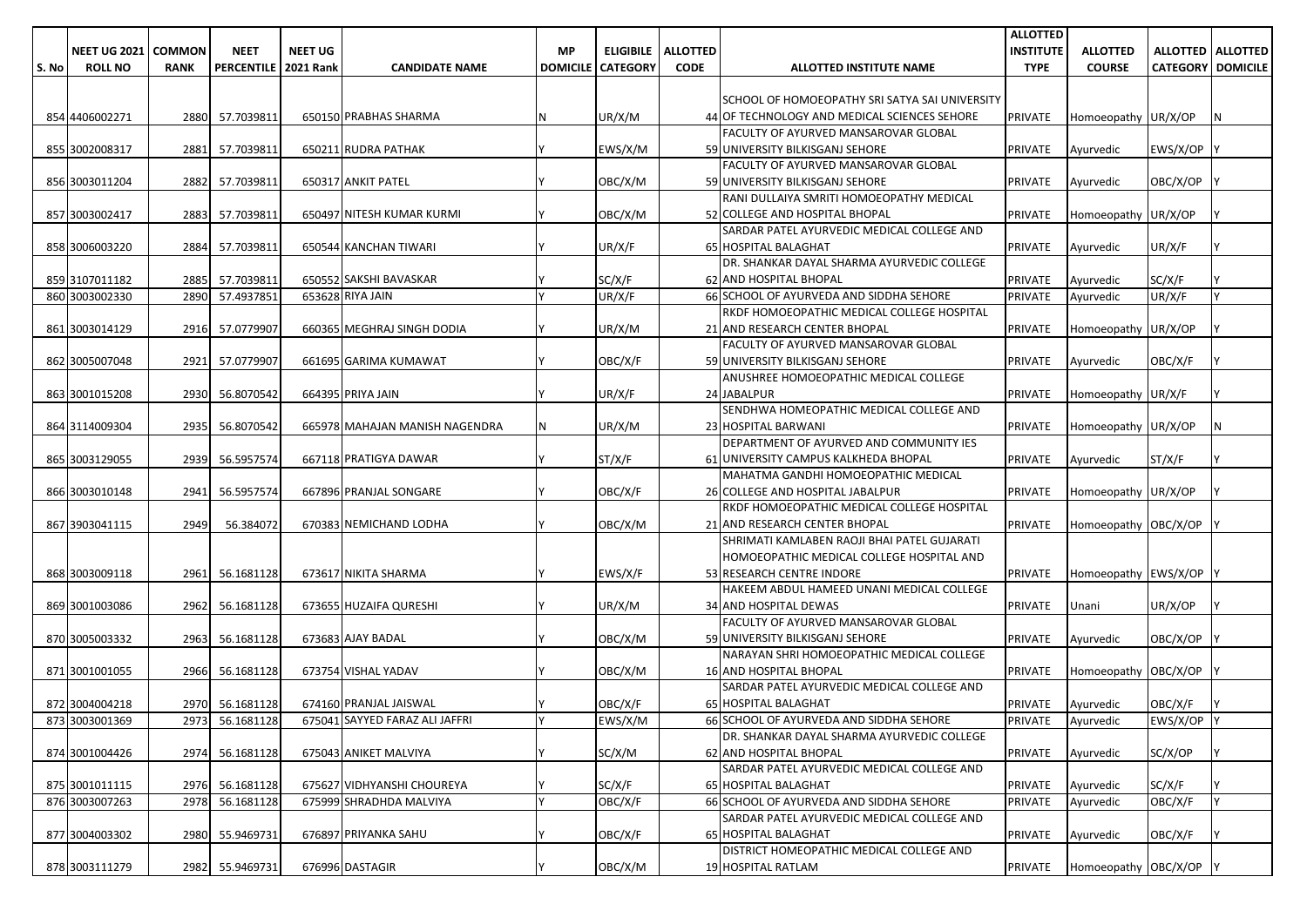|       |                     |               |                        |                |                                |           |                            |                 |                                                                                       | <b>ALLOTTED</b>   |                        |                              |                     |
|-------|---------------------|---------------|------------------------|----------------|--------------------------------|-----------|----------------------------|-----------------|---------------------------------------------------------------------------------------|-------------------|------------------------|------------------------------|---------------------|
|       | <b>NEET UG 2021</b> | <b>COMMON</b> | <b>NEET</b>            | <b>NEET UG</b> |                                | <b>MP</b> | <b>ELIGIBILE</b>           | <b>ALLOTTED</b> |                                                                                       | <b>INSTITUTE</b>  | <b>ALLOTTED</b>        |                              | ALLOTTED   ALLOTTED |
| S. No | <b>ROLL NO</b>      | <b>RANK</b>   | PERCENTILE   2021 Rank |                | <b>CANDIDATE NAME</b>          |           | <b>DOMICILE   CATEGORY</b> | <b>CODE</b>     | ALLOTTED INSTITUTE NAME                                                               | <b>TYPE</b>       | <b>COURSE</b>          | <b>CATEGORY   DOMICILE  </b> |                     |
|       |                     |               |                        |                |                                |           |                            |                 |                                                                                       |                   |                        |                              |                     |
|       |                     |               |                        |                |                                |           |                            |                 | SCHOOL OF HOMOEOPATHY SRI SATYA SAI UNIVERSITY                                        |                   |                        |                              |                     |
|       | 854 4406002271      |               | 2880 57.7039811        |                | 650150 PRABHAS SHARMA          |           | UR/X/M                     |                 | 44 OF TECHNOLOGY AND MEDICAL SCIENCES SEHORE                                          | PRIVATE           | Homoeopathy UR/X/OP    |                              | IN.                 |
|       |                     |               |                        |                |                                |           |                            |                 | FACULTY OF AYURVED MANSAROVAR GLOBAL                                                  |                   |                        |                              |                     |
|       | 855 3002008317      | 2881          | 57.7039811             |                | 650211 RUDRA PATHAK            |           | EWS/X/M                    |                 | 59 UNIVERSITY BILKISGANJ SEHORE                                                       | PRIVATE           | Ayurvedic              | $EWS/X/OP$  Y                |                     |
|       |                     |               |                        |                |                                |           |                            |                 | FACULTY OF AYURVED MANSAROVAR GLOBAL                                                  |                   |                        |                              |                     |
|       | 856 3003011204      | 2882          | 57.7039811             |                | 650317 ANKIT PATEL             |           | OBC/X/M                    |                 | 59 UNIVERSITY BILKISGANJ SEHORE                                                       | PRIVATE           | Ayurvedic              | OBC/X/OP                     |                     |
|       |                     |               |                        |                |                                |           |                            |                 | RANI DULLAIYA SMRITI HOMOEOPATHY MEDICAL                                              |                   |                        |                              |                     |
|       | 857 3003002417      |               | 2883 57.7039811        |                | 650497 NITESH KUMAR KURMI      |           | OBC/X/M                    |                 | 52 COLLEGE AND HOSPITAL BHOPAL                                                        | PRIVATE           | Homoeopathy UR/X/OP    |                              |                     |
|       |                     |               |                        |                |                                |           |                            |                 | SARDAR PATEL AYURVEDIC MEDICAL COLLEGE AND                                            |                   |                        |                              |                     |
|       | 858 3006003220      |               | 2884 57.7039811        |                | 650544 KANCHAN TIWARI          |           | UR/X/F                     |                 | <b>65 HOSPITAL BALAGHAT</b>                                                           | PRIVATE           | Ayurvedic              | UR/X/F                       |                     |
|       |                     |               |                        |                |                                |           |                            |                 | DR. SHANKAR DAYAL SHARMA AYURVEDIC COLLEGE                                            |                   |                        |                              |                     |
|       | 859 3107011182      |               | 2885 57.7039811        |                | 650552 SAKSHI BAVASKAR         |           | SC/X/F                     |                 | <b>62 AND HOSPITAL BHOPAL</b>                                                         | PRIVATE           | Ayurvedic              | SC/X/F                       |                     |
|       | 860 3003002330      | 2890          | 57.4937851             |                | 653628 RIYA JAIN               |           | UR/X/F                     |                 | 66 SCHOOL OF AYURVEDA AND SIDDHA SEHORE<br>RKDF HOMOEOPATHIC MEDICAL COLLEGE HOSPITAL | PRIVATE           | Ayurvedic              | UR/X/F                       |                     |
|       |                     |               | 2916 57.0779907        |                | 660365 MEGHRAJ SINGH DODIA     |           |                            |                 | 21 AND RESEARCH CENTER BHOPAL                                                         |                   |                        |                              |                     |
|       | 861 3003014129      |               |                        |                |                                |           | UR/X/M                     |                 | FACULTY OF AYURVED MANSAROVAR GLOBAL                                                  | PRIVATE           | Homoeopathy UR/X/OP    |                              |                     |
|       | 862 3005007048      | 2921          | 57.0779907             |                | 661695 GARIMA KUMAWAT          |           | OBC/X/F                    |                 | 59 UNIVERSITY BILKISGANJ SEHORE                                                       | PRIVATE           | Ayurvedic              | OBC/X/F                      |                     |
|       |                     |               |                        |                |                                |           |                            |                 | ANUSHREE HOMOEOPATHIC MEDICAL COLLEGE                                                 |                   |                        |                              |                     |
|       | 863 3001015208      |               | 2930 56.8070542        |                | 664395 PRIYA JAIN              |           | UR/X/F                     |                 | 24 JABALPUR                                                                           | PRIVATE           | Homoeopathy UR/X/F     |                              | l Y                 |
|       |                     |               |                        |                |                                |           |                            |                 | SENDHWA HOMEOPATHIC MEDICAL COLLEGE AND                                               |                   |                        |                              |                     |
|       | 864 3114009304      |               | 2935 56.8070542        |                | 665978 MAHAJAN MANISH NAGENDRA | N         | UR/X/M                     |                 | 23 HOSPITAL BARWANI                                                                   | PRIVATE           | Homoeopathy UR/X/OP    |                              | IN.                 |
|       |                     |               |                        |                |                                |           |                            |                 | DEPARTMENT OF AYURVED AND COMMUNITY IES                                               |                   |                        |                              |                     |
|       | 865 3003129055      |               | 2939 56.5957574        |                | 667118 PRATIGYA DAWAR          |           | ST/X/F                     |                 | 61 UNIVERSITY CAMPUS KALKHEDA BHOPAL                                                  | PRIVATE           | Ayurvedic              | ST/X/F                       | Y                   |
|       |                     |               |                        |                |                                |           |                            |                 | MAHATMA GANDHI HOMOEOPATHIC MEDICAL                                                   |                   |                        |                              |                     |
|       | 866 3003010148      | 2941          | 56.5957574             |                | 667896 PRANJAL SONGARE         |           | OBC/X/F                    |                 | 26 COLLEGE AND HOSPITAL JABALPUR                                                      | PRIVATE           | Homoeopathy UR/X/OP    |                              |                     |
|       |                     |               |                        |                |                                |           |                            |                 | RKDF HOMOEOPATHIC MEDICAL COLLEGE HOSPITAL                                            |                   |                        |                              |                     |
|       | 867 3903041115      | 2949          | 56.384072              |                | 670383 NEMICHAND LODHA         |           | OBC/X/M                    |                 | 21 AND RESEARCH CENTER BHOPAL                                                         | PRIVATE           | Homoeopathy OBC/X/OP Y |                              |                     |
|       |                     |               |                        |                |                                |           |                            |                 | SHRIMATI KAMLABEN RAOJI BHAI PATEL GUJARATI                                           |                   |                        |                              |                     |
|       |                     |               |                        |                |                                |           |                            |                 | HOMOEOPATHIC MEDICAL COLLEGE HOSPITAL AND                                             |                   |                        |                              |                     |
|       | 868 3003009118      |               | 2961 56.1681128        |                | 673617 NIKITA SHARMA           |           | EWS/X/F                    |                 | 53 RESEARCH CENTRE INDORE                                                             | PRIVATE           | Homoeopathy EWS/X/OP Y |                              |                     |
|       |                     |               |                        |                |                                |           |                            |                 | HAKEEM ABDUL HAMEED UNANI MEDICAL COLLEGE                                             |                   |                        |                              |                     |
|       | 869 3001003086      |               | 2962 56.1681128        |                | 673655 HUZAIFA QURESHI         |           | UR/X/M                     |                 | 34 AND HOSPITAL DEWAS                                                                 | PRIVATE           | Unani                  | UR/X/OP                      |                     |
|       |                     |               |                        |                |                                |           |                            |                 | FACULTY OF AYURVED MANSAROVAR GLOBAL                                                  |                   |                        |                              |                     |
|       | 870 3005003332      |               | 2963 56.1681128        |                | 673683 AJAY BADAL              |           | OBC/X/M                    |                 | 59 UNIVERSITY BILKISGANJ SEHORE                                                       | PRIVATE           | Ayurvedic              | OBC/X/OP                     |                     |
|       |                     |               |                        |                |                                |           |                            |                 | NARAYAN SHRI HOMOEOPATHIC MEDICAL COLLEGE                                             |                   |                        |                              |                     |
|       | 871 3001001055      |               | 2966 56.1681128        |                | 673754 VISHAL YADAV            |           | OBC/X/M                    |                 | <b>16 AND HOSPITAL BHOPAL</b>                                                         | PRIVATE           | Homoeopathy OBC/X/OP Y |                              |                     |
|       |                     |               |                        |                |                                |           |                            |                 | SARDAR PATEL AYURVEDIC MEDICAL COLLEGE AND                                            |                   |                        |                              |                     |
|       | 872 3004004218      |               | 2970 56.1681128        |                | 674160 PRANJAL JAISWAL         |           | OBC/X/F                    |                 | 65 HOSPITAL BALAGHAT                                                                  | PRIVATE           | Ayurvedic              | OBC/X/F                      |                     |
|       | 873 3003001369      |               | 2973 56.1681128        |                | 675041 SAYYED FARAZ ALI JAFFRI | İΥ        | EWS/X/M                    |                 | 66 SCHOOL OF AYURVEDA AND SIDDHA SEHORE                                               | PRIVATE Ayurvedic |                        | EWS/X/OP Y                   |                     |
|       |                     |               |                        |                |                                |           |                            |                 | DR. SHANKAR DAYAL SHARMA AYURVEDIC COLLEGE                                            |                   |                        |                              |                     |
|       | 874 3001004426      |               | 2974 56.1681128        |                | 675043 ANIKET MALVIYA          |           | SC/X/M                     |                 | 62 AND HOSPITAL BHOPAL                                                                | PRIVATE           | Ayurvedic              | SC/X/OP                      |                     |
|       |                     |               |                        |                |                                |           |                            |                 | SARDAR PATEL AYURVEDIC MEDICAL COLLEGE AND                                            |                   |                        |                              |                     |
|       | 875 3001011115      |               | 2976 56.1681128        |                | 675627 VIDHYANSHI CHOUREYA     |           | SC/X/F                     |                 | 65 HOSPITAL BALAGHAT                                                                  | PRIVATE           | Ayurvedic              | SC/X/F                       | IY.                 |
|       | 876 3003007263      |               | 2978 56.1681128        |                | 675999 SHRADHDA MALVIYA        |           | OBC/X/F                    |                 | 66 SCHOOL OF AYURVEDA AND SIDDHA SEHORE                                               | PRIVATE           | Ayurvedic              | OBC/X/F                      | IY.                 |
|       |                     |               |                        |                |                                |           |                            |                 | SARDAR PATEL AYURVEDIC MEDICAL COLLEGE AND                                            |                   |                        |                              |                     |
|       | 877 3004003302      |               | 2980 55.9469731        |                | 676897 PRIYANKA SAHU           |           | OBC/X/F                    |                 | 65 HOSPITAL BALAGHAT<br>DISTRICT HOMEOPATHIC MEDICAL COLLEGE AND                      | PRIVATE           | Ayurvedic              | OBC/X/F                      |                     |
|       | 878 3003111279      |               | 2982 55.9469731        |                | 676996 DASTAGIR                |           |                            |                 | 19 HOSPITAL RATLAM                                                                    | PRIVATE           | Homoeopathy OBC/X/OP Y |                              |                     |
|       |                     |               |                        |                |                                |           | OBC/X/M                    |                 |                                                                                       |                   |                        |                              |                     |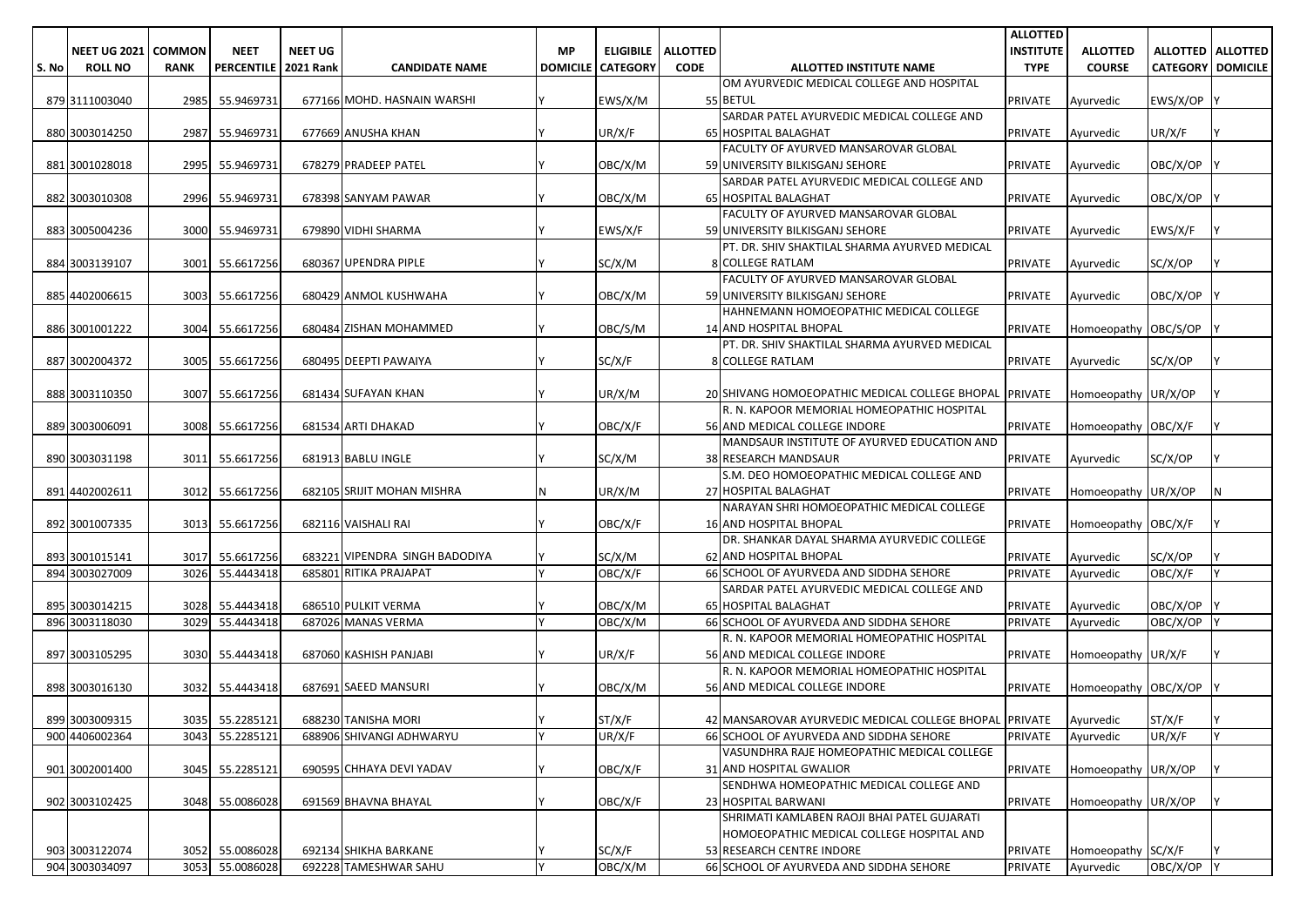|       |                            |             |                        |                |                                |           |                            |                 |                                                                            | <b>ALLOTTED</b>  |                      |                          |                     |
|-------|----------------------------|-------------|------------------------|----------------|--------------------------------|-----------|----------------------------|-----------------|----------------------------------------------------------------------------|------------------|----------------------|--------------------------|---------------------|
|       | <b>NEET UG 2021 COMMON</b> |             | <b>NEET</b>            | <b>NEET UG</b> |                                | <b>MP</b> | <b>ELIGIBILE</b>           | <b>ALLOTTED</b> |                                                                            | <b>INSTITUTE</b> | <b>ALLOTTED</b>      |                          | ALLOTTED   ALLOTTED |
| S. No | <b>ROLL NO</b>             | <b>RANK</b> | PERCENTILE   2021 Rank |                | <b>CANDIDATE NAME</b>          |           | <b>DOMICILE   CATEGORY</b> | <b>CODE</b>     | ALLOTTED INSTITUTE NAME                                                    | <b>TYPE</b>      | <b>COURSE</b>        | <b>CATEGORY DOMICILE</b> |                     |
|       |                            |             |                        |                |                                |           |                            |                 | OM AYURVEDIC MEDICAL COLLEGE AND HOSPITAL                                  |                  |                      |                          |                     |
|       | 879 3111003040             |             | 2985 55.9469731        |                | 677166 MOHD. HASNAIN WARSHI    |           | EWS/X/M                    |                 | 55 BETUL                                                                   | PRIVATE          | Ayurvedic            | EWS/X/OP                 |                     |
|       |                            |             |                        |                |                                |           |                            |                 | SARDAR PATEL AYURVEDIC MEDICAL COLLEGE AND                                 |                  |                      |                          |                     |
|       | 880 3003014250             |             | 2987 55.9469731        |                | 677669 ANUSHA KHAN             |           | UR/X/F                     |                 | 65 HOSPITAL BALAGHAT                                                       | <b>PRIVATE</b>   | Ayurvedic            | UR/X/F                   |                     |
|       |                            |             |                        |                |                                |           |                            |                 | FACULTY OF AYURVED MANSAROVAR GLOBAL                                       |                  |                      |                          |                     |
|       | 881 3001028018             |             | 2995 55.9469731        |                | 678279 PRADEEP PATEL           |           | OBC/X/M                    |                 | 59 UNIVERSITY BILKISGANJ SEHORE                                            | PRIVATE          | Ayurvedic            | OBC/X/OP                 |                     |
|       |                            |             |                        |                |                                |           |                            |                 | SARDAR PATEL AYURVEDIC MEDICAL COLLEGE AND                                 |                  |                      |                          |                     |
|       | 882 3003010308             |             | 2996 55.9469731        |                | 678398 SANYAM PAWAR            |           | OBC/X/M                    |                 | 65 HOSPITAL BALAGHAT                                                       | <b>PRIVATE</b>   | Ayurvedic            | OBC/X/OP                 |                     |
|       |                            |             |                        |                |                                |           |                            |                 | FACULTY OF AYURVED MANSAROVAR GLOBAL                                       |                  |                      |                          |                     |
|       | 883 3005004236             |             | 3000 55.9469731        |                | 679890 VIDHI SHARMA            |           | EWS/X/F                    |                 | 59 UNIVERSITY BILKISGANJ SEHORE                                            | <b>PRIVATE</b>   | Ayurvedic            | EWS/X/F                  |                     |
|       |                            |             |                        |                |                                |           |                            |                 | PT. DR. SHIV SHAKTILAL SHARMA AYURVED MEDICAL                              |                  |                      |                          |                     |
|       | 884 3003139107             | 3001        | 55.6617256             |                | 680367 UPENDRA PIPLE           |           | SC/X/M                     |                 | <b>8 COLLEGE RATLAM</b>                                                    | <b>PRIVATE</b>   | Ayurvedic            | SC/X/OP                  |                     |
|       |                            |             |                        |                |                                |           |                            |                 | FACULTY OF AYURVED MANSAROVAR GLOBAL                                       |                  |                      |                          |                     |
|       | 885 4402006615             | 3003        | 55.6617256             |                | 680429 ANMOL KUSHWAHA          |           | OBC/X/M                    |                 | 59 UNIVERSITY BILKISGANJ SEHORE                                            | <b>PRIVATE</b>   | Ayurvedic            | OBC/X/OP                 |                     |
|       |                            |             |                        |                |                                |           |                            |                 | HAHNEMANN HOMOEOPATHIC MEDICAL COLLEGE                                     |                  |                      |                          |                     |
|       | 886 3001001222             | 3004        | 55.6617256             |                | 680484 ZISHAN MOHAMMED         |           | OBC/S/M                    |                 | 14 AND HOSPITAL BHOPAL                                                     | <b>PRIVATE</b>   | Homoeopathy OBC/S/OP |                          |                     |
|       |                            |             |                        |                |                                |           |                            |                 | PT. DR. SHIV SHAKTILAL SHARMA AYURVED MEDICAL                              |                  |                      |                          |                     |
|       | 887 3002004372             | 3005        | 55.6617256             |                | 680495 DEEPTI PAWAIYA          |           | SC/X/F                     |                 | <b>8 COLLEGE RATLAM</b>                                                    | <b>PRIVATE</b>   | Ayurvedic            | SC/X/OP                  |                     |
|       |                            |             | 55.6617256             |                |                                |           |                            |                 |                                                                            |                  |                      |                          |                     |
|       | 888 3003110350             | 3007        |                        |                | 681434 SUFAYAN KHAN            |           | UR/X/M                     |                 | 20 SHIVANG HOMOEOPATHIC MEDICAL COLLEGE BHOPAL PRIVATE                     |                  | Homoeopathy UR/X/OP  |                          |                     |
|       |                            |             |                        |                |                                |           |                            |                 | R. N. KAPOOR MEMORIAL HOMEOPATHIC HOSPITAL                                 |                  |                      |                          |                     |
|       | 889 3003006091             |             | 3008 55.6617256        |                | 681534 ARTI DHAKAD             |           | OBC/X/F                    |                 | 56 AND MEDICAL COLLEGE INDORE                                              | <b>PRIVATE</b>   | Homoeopathy OBC/X/F  |                          |                     |
|       | 890 3003031198             | 3011        | 55.6617256             |                | 681913 BABLU INGLE             |           | SC/X/M                     |                 | MANDSAUR INSTITUTE OF AYURVED EDUCATION AND<br><b>38 RESEARCH MANDSAUR</b> | <b>PRIVATE</b>   |                      | SC/X/OP                  |                     |
|       |                            |             |                        |                |                                |           |                            |                 | S.M. DEO HOMOEOPATHIC MEDICAL COLLEGE AND                                  |                  | Ayurvedic            |                          |                     |
|       | 891 4402002611             | 3012        | 55.6617256             |                | 682105 SRIJIT MOHAN MISHRA     |           | UR/X/M                     |                 | 27 HOSPITAL BALAGHAT                                                       | <b>PRIVATE</b>   | Homoeopathy UR/X/OP  |                          | N                   |
|       |                            |             |                        |                |                                |           |                            |                 | NARAYAN SHRI HOMOEOPATHIC MEDICAL COLLEGE                                  |                  |                      |                          |                     |
|       | 892 3001007335             |             | 3013 55.6617256        |                | 682116 VAISHALI RAI            |           | OBC/X/F                    |                 | <b>16 AND HOSPITAL BHOPAL</b>                                              | <b>PRIVATE</b>   | Homoeopathy OBC/X/F  |                          |                     |
|       |                            |             |                        |                |                                |           |                            |                 | DR. SHANKAR DAYAL SHARMA AYURVEDIC COLLEGE                                 |                  |                      |                          |                     |
|       | 893 3001015141             | 3017        | 55.6617256             |                | 683221 VIPENDRA SINGH BADODIYA |           | SC/X/M                     |                 | 62 AND HOSPITAL BHOPAL                                                     | <b>PRIVATE</b>   | Ayurvedic            | SC/X/OP                  |                     |
|       | 894 3003027009             | 3026        | 55.4443418             |                | 685801 RITIKA PRAJAPAT         |           | OBC/X/F                    |                 | 66 SCHOOL OF AYURVEDA AND SIDDHA SEHORE                                    | <b>PRIVATE</b>   | Ayurvedic            | OBC/X/F                  | Y                   |
|       |                            |             |                        |                |                                |           |                            |                 | SARDAR PATEL AYURVEDIC MEDICAL COLLEGE AND                                 |                  |                      |                          |                     |
|       | 895 3003014215             |             | 3028 55.4443418        |                | 686510 PULKIT VERMA            |           | OBC/X/M                    |                 | 65 HOSPITAL BALAGHAT                                                       | <b>PRIVATE</b>   | Ayurvedic            | OBC/X/OP                 |                     |
|       | 896 3003118030             | 3029        | 55.4443418             |                | 687026 MANAS VERMA             |           | OBC/X/M                    |                 | 66 SCHOOL OF AYURVEDA AND SIDDHA SEHORE                                    | <b>PRIVATE</b>   | Ayurvedic            | OBC/X/OP                 |                     |
|       |                            |             |                        |                |                                |           |                            |                 | R. N. KAPOOR MEMORIAL HOMEOPATHIC HOSPITAL                                 |                  |                      |                          |                     |
|       | 897 3003105295             |             | 3030 55.4443418        |                | 687060 KASHISH PANJABI         |           | UR/X/F                     |                 | 56 AND MEDICAL COLLEGE INDORE                                              | <b>PRIVATE</b>   | Homoeopathy UR/X/F   |                          |                     |
|       |                            |             |                        |                |                                |           |                            |                 | R. N. KAPOOR MEMORIAL HOMEOPATHIC HOSPITAL                                 |                  |                      |                          |                     |
|       | 898 3003016130             |             | 3032 55.4443418        |                | 687691 SAEED MANSURI           |           | OBC/X/M                    |                 | 56 AND MEDICAL COLLEGE INDORE                                              | <b>PRIVATE</b>   | Homoeopathy OBC/X/OP |                          |                     |
|       |                            |             |                        |                |                                |           |                            |                 |                                                                            |                  |                      |                          |                     |
|       | 899 3003009315             |             | 3035 55.2285121        |                | 688230 TANISHA MORI            |           | ST/X/F                     |                 | 42 MANSAROVAR AYURVEDIC MEDICAL COLLEGE BHOPAL PRIVATE                     |                  | Ayurvedic            | ST/X/F                   |                     |
|       | 900 4406002364             | 3043        | 55.2285121             |                | 688906 SHIVANGI ADHWARYU       | $\vee$    | UR/X/F                     |                 | 66 SCHOOL OF AYURVEDA AND SIDDHA SEHORE                                    | <b>PRIVATE</b>   | Ayurvedic            | UR/X/F                   | Y                   |
|       |                            |             |                        |                |                                |           |                            |                 | VASUNDHRA RAJE HOMEOPATHIC MEDICAL COLLEGE                                 |                  |                      |                          |                     |
|       | 901 3002001400             |             | 3045 55.2285121        |                | 690595 CHHAYA DEVI YADAV       |           | OBC/X/F                    |                 | 31 AND HOSPITAL GWALIOR                                                    | <b>PRIVATE</b>   | Homoeopathy UR/X/OP  |                          |                     |
|       |                            |             |                        |                |                                |           |                            |                 | SENDHWA HOMEOPATHIC MEDICAL COLLEGE AND                                    |                  |                      |                          |                     |
|       | 902 3003102425             |             | 3048 55.0086028        |                | 691569 BHAVNA BHAYAL           |           | OBC/X/F                    |                 | 23 HOSPITAL BARWANI                                                        | <b>PRIVATE</b>   | Homoeopathy UR/X/OP  |                          |                     |
|       |                            |             |                        |                |                                |           |                            |                 | SHRIMATI KAMLABEN RAOJI BHAI PATEL GUJARATI                                |                  |                      |                          |                     |
|       |                            |             |                        |                |                                |           |                            |                 | HOMOEOPATHIC MEDICAL COLLEGE HOSPITAL AND                                  |                  |                      |                          |                     |
|       | 903 3003122074             |             | 3052 55.0086028        |                | 692134 SHIKHA BARKANE          |           | SC/X/F                     |                 | 53 RESEARCH CENTRE INDORE                                                  | <b>PRIVATE</b>   | Homoeopathy SC/X/F   |                          |                     |
|       | 904 3003034097             |             | 3053 55.0086028        |                | 692228 TAMESHWAR SAHU          | <b>V</b>  | OBC/X/M                    |                 | 66 SCHOOL OF AYURVEDA AND SIDDHA SEHORE                                    | <b>PRIVATE</b>   | Ayurvedic            | OBC/X/OP Y               |                     |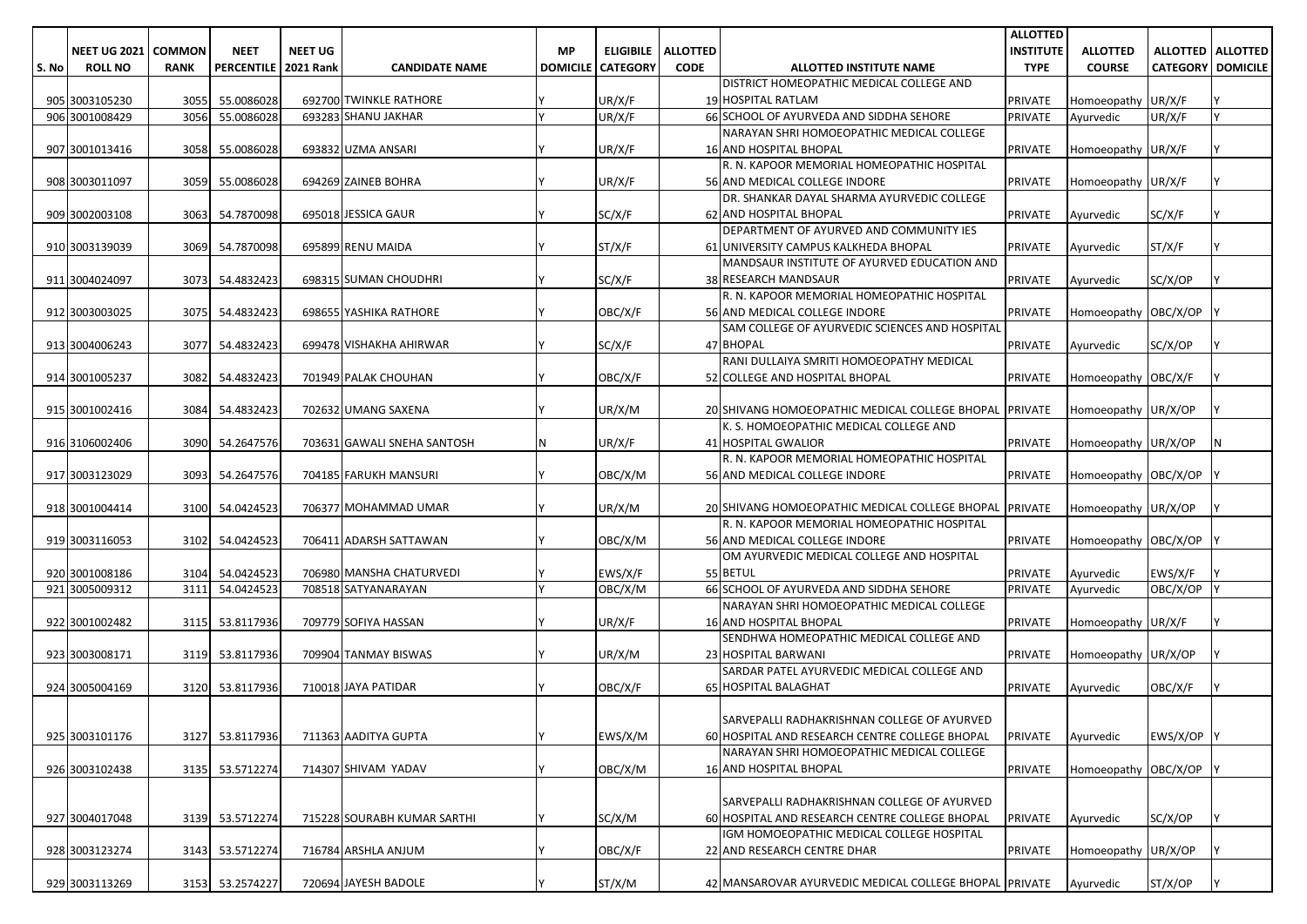|       |                              |             |                        |                |                             |           |                            |                 |                                                                            | <b>ALLOTTED</b>  |                      |                          |                     |
|-------|------------------------------|-------------|------------------------|----------------|-----------------------------|-----------|----------------------------|-----------------|----------------------------------------------------------------------------|------------------|----------------------|--------------------------|---------------------|
|       | <b>NEET UG 2021   COMMON</b> |             | <b>NEET</b>            | <b>NEET UG</b> |                             | <b>MP</b> | <b>ELIGIBILE</b>           | <b>ALLOTTED</b> |                                                                            | <b>INSTITUTE</b> | <b>ALLOTTED</b>      |                          | ALLOTTED   ALLOTTED |
| S. No | <b>ROLL NO</b>               | <b>RANK</b> | PERCENTILE   2021 Rank |                | <b>CANDIDATE NAME</b>       |           | <b>DOMICILE   CATEGORY</b> | <b>CODE</b>     | ALLOTTED INSTITUTE NAME                                                    | <b>TYPE</b>      | <b>COURSE</b>        | <b>CATEGORY DOMICILE</b> |                     |
|       |                              |             |                        |                |                             |           |                            |                 | DISTRICT HOMEOPATHIC MEDICAL COLLEGE AND                                   |                  |                      |                          |                     |
|       | 905 3003105230               | 3055        | 55.0086028             |                | 692700 TWINKLE RATHORE      |           | UR/X/F                     |                 | 19 HOSPITAL RATLAM                                                         | <b>PRIVATE</b>   | Homoeopathy UR/X/F   |                          |                     |
|       | 906 3001008429               | 3056        | 55.0086028             |                | 693283 SHANU JAKHAR         |           | UR/X/F                     |                 | 66 SCHOOL OF AYURVEDA AND SIDDHA SEHORE                                    | <b>PRIVATE</b>   | Ayurvedic            | UR/X/F                   |                     |
|       |                              |             |                        |                |                             |           |                            |                 | NARAYAN SHRI HOMOEOPATHIC MEDICAL COLLEGE                                  |                  |                      |                          |                     |
|       | 907 3001013416               |             | 3058 55.0086028        |                | 693832 UZMA ANSARI          |           | UR/X/F                     |                 | <b>16 AND HOSPITAL BHOPAL</b>                                              | <b>PRIVATE</b>   | Homoeopathy UR/X/F   |                          |                     |
|       |                              |             |                        |                |                             |           |                            |                 | R. N. KAPOOR MEMORIAL HOMEOPATHIC HOSPITAL                                 |                  |                      |                          |                     |
|       | 908 3003011097               |             | 3059 55.0086028        |                | 694269 ZAINEB BOHRA         |           | UR/X/F                     |                 | 56 AND MEDICAL COLLEGE INDORE                                              | <b>PRIVATE</b>   | Homoeopathy UR/X/F   |                          |                     |
|       |                              |             |                        |                |                             |           |                            |                 | DR. SHANKAR DAYAL SHARMA AYURVEDIC COLLEGE                                 |                  |                      |                          |                     |
|       | 909 3002003108               |             | 3063 54.7870098        |                | 695018 JESSICA GAUR         |           | SC/X/F                     |                 | 62 AND HOSPITAL BHOPAL                                                     | <b>PRIVATE</b>   | Ayurvedic            | SC/X/F                   |                     |
|       |                              |             |                        |                |                             |           |                            |                 | DEPARTMENT OF AYURVED AND COMMUNITY IES                                    |                  |                      |                          |                     |
|       | 910 3003139039               |             | 3069 54.7870098        |                | 695899 RENU MAIDA           |           | ST/X/F                     |                 | 61 UNIVERSITY CAMPUS KALKHEDA BHOPAL                                       | <b>PRIVATE</b>   | Ayurvedic            | ST/X/F                   |                     |
|       | 911 3004024097               |             | 3073 54.4832423        |                | 698315 SUMAN CHOUDHRI       |           | SC/X/F                     |                 | MANDSAUR INSTITUTE OF AYURVED EDUCATION AND<br><b>38 RESEARCH MANDSAUR</b> | <b>PRIVATE</b>   |                      | SC/X/OP                  |                     |
|       |                              |             |                        |                |                             |           |                            |                 | R. N. KAPOOR MEMORIAL HOMEOPATHIC HOSPITAL                                 |                  | Ayurvedic            |                          |                     |
|       | 912 3003003025               |             | 3075 54.4832423        |                | 698655 YASHIKA RATHORE      |           | OBC/X/F                    |                 | 56 AND MEDICAL COLLEGE INDORE                                              | <b>PRIVATE</b>   | Homoeopathy OBC/X/OP |                          |                     |
|       |                              |             |                        |                |                             |           |                            |                 | SAM COLLEGE OF AYURVEDIC SCIENCES AND HOSPITAL                             |                  |                      |                          |                     |
|       | 913 3004006243               |             | 3077 54.4832423        |                | 699478 VISHAKHA AHIRWAR     |           | SC/X/F                     |                 | 47 BHOPAL                                                                  | <b>PRIVATE</b>   | Ayurvedic            | SC/X/OP                  |                     |
|       |                              |             |                        |                |                             |           |                            |                 | RANI DULLAIYA SMRITI HOMOEOPATHY MEDICAL                                   |                  |                      |                          |                     |
|       | 914 3001005237               | 3082        | 54.4832423             |                | 701949 PALAK CHOUHAN        |           | OBC/X/F                    |                 | 52 COLLEGE AND HOSPITAL BHOPAL                                             | <b>PRIVATE</b>   | Homoeopathy OBC/X/F  |                          |                     |
|       |                              |             |                        |                |                             |           |                            |                 |                                                                            |                  |                      |                          |                     |
|       | 915 3001002416               |             | 3084 54.4832423        |                | 702632 UMANG SAXENA         |           | UR/X/M                     |                 | 20 SHIVANG HOMOEOPATHIC MEDICAL COLLEGE BHOPAL PRIVATE                     |                  | Homoeopathy UR/X/OP  |                          |                     |
|       |                              |             |                        |                |                             |           |                            |                 | K. S. HOMOEOPATHIC MEDICAL COLLEGE AND                                     |                  |                      |                          |                     |
|       | 916 3106002406               |             | 3090 54.2647576        |                | 703631 GAWALI SNEHA SANTOSH |           | UR/X/F                     |                 | 41 HOSPITAL GWALIOR                                                        | <b>PRIVATE</b>   | Homoeopathy UR/X/OP  |                          |                     |
|       |                              |             |                        |                |                             |           |                            |                 | R. N. KAPOOR MEMORIAL HOMEOPATHIC HOSPITAL                                 |                  |                      |                          |                     |
|       | 917 3003123029               |             | 3093 54.2647576        |                | 704185 FARUKH MANSURI       |           | OBC/X/M                    |                 | 56 AND MEDICAL COLLEGE INDORE                                              | <b>PRIVATE</b>   | Homoeopathy OBC/X/OP |                          |                     |
|       |                              |             |                        |                |                             |           |                            |                 |                                                                            |                  |                      |                          |                     |
|       | 918 3001004414               |             | 3100 54.0424523        |                | 706377 MOHAMMAD UMAR        |           | UR/X/M                     |                 | 20 SHIVANG HOMOEOPATHIC MEDICAL COLLEGE BHOPAL PRIVATE                     |                  | Homoeopathy UR/X/OP  |                          |                     |
|       |                              |             |                        |                |                             |           |                            |                 | R. N. KAPOOR MEMORIAL HOMEOPATHIC HOSPITAL                                 |                  |                      |                          |                     |
|       | 919 3003116053               |             | 3102 54.0424523        |                | 706411 ADARSH SATTAWAN      |           | OBC/X/M                    |                 | 56 AND MEDICAL COLLEGE INDORE                                              | <b>PRIVATE</b>   | Homoeopathy OBC/X/OP |                          |                     |
|       |                              |             |                        |                |                             |           |                            |                 | OM AYURVEDIC MEDICAL COLLEGE AND HOSPITAL                                  |                  |                      |                          |                     |
|       | 920 3001008186               |             | 3104 54.0424523        |                | 706980 MANSHA CHATURVEDI    |           | EWS/X/F                    |                 | 55 BETUL                                                                   | <b>PRIVATE</b>   | Ayurvedic            | EWS/X/F                  |                     |
|       | 921 3005009312               | 3111        | 54.0424523             |                | 708518 SATYANARAYAN         |           | OBC/X/M                    |                 | 66 SCHOOL OF AYURVEDA AND SIDDHA SEHORE                                    | <b>PRIVATE</b>   | Ayurvedic            | OBC/X/OP                 |                     |
|       |                              |             |                        |                |                             |           |                            |                 | NARAYAN SHRI HOMOEOPATHIC MEDICAL COLLEGE                                  |                  |                      |                          |                     |
|       | 922 3001002482               | 3115        | 53.8117936             |                | 709779 SOFIYA HASSAN        |           | UR/X/F                     |                 | <b>16 AND HOSPITAL BHOPAL</b>                                              | <b>PRIVATE</b>   | Homoeopathy UR/X/F   |                          |                     |
|       |                              |             |                        |                | 709904 TANMAY BISWAS        |           | UR/X/M                     |                 | SENDHWA HOMEOPATHIC MEDICAL COLLEGE AND                                    |                  |                      |                          |                     |
|       | 923 3003008171               |             | 3119 53.8117936        |                |                             |           |                            |                 | 23 HOSPITAL BARWANI<br>SARDAR PATEL AYURVEDIC MEDICAL COLLEGE AND          | <b>PRIVATE</b>   | Homoeopathy UR/X/OP  |                          |                     |
|       | 924 3005004169               |             | 3120 53.8117936        |                | 710018 JAYA PATIDAR         |           | OBC/X/F                    |                 | 65 HOSPITAL BALAGHAT                                                       | <b>PRIVATE</b>   | Ayurvedic            | OBC/X/F                  |                     |
|       |                              |             |                        |                |                             |           |                            |                 |                                                                            |                  |                      |                          |                     |
|       |                              |             |                        |                |                             |           |                            |                 | SARVEPALLI RADHAKRISHNAN COLLEGE OF AYURVED                                |                  |                      |                          |                     |
|       | 925 3003101176               |             | 3127 53.8117936        |                | 711363 AADITYA GUPTA        |           | EWS/X/M                    |                 | 60 HOSPITAL AND RESEARCH CENTRE COLLEGE BHOPAL                             | <b>PRIVATE</b>   | Ayurvedic            | EWS/X/OP Y               |                     |
|       |                              |             |                        |                |                             |           |                            |                 | NARAYAN SHRI HOMOEOPATHIC MEDICAL COLLEGE                                  |                  |                      |                          |                     |
|       | 926 3003102438               |             | 3135 53.5712274        |                | 714307 SHIVAM YADAV         |           | OBC/X/M                    |                 | 16 AND HOSPITAL BHOPAL                                                     | <b>PRIVATE</b>   | Homoeopathy OBC/X/OP |                          |                     |
|       |                              |             |                        |                |                             |           |                            |                 |                                                                            |                  |                      |                          |                     |
|       |                              |             |                        |                |                             |           |                            |                 | SARVEPALLI RADHAKRISHNAN COLLEGE OF AYURVED                                |                  |                      |                          |                     |
|       | 927 3004017048               |             | 3139 53.5712274        |                | 715228 SOURABH KUMAR SARTHI |           | SC/X/M                     |                 | 60 HOSPITAL AND RESEARCH CENTRE COLLEGE BHOPAL                             | <b>PRIVATE</b>   | Ayurvedic            | SC/X/OP                  |                     |
|       |                              |             |                        |                |                             |           |                            |                 | IGM HOMOEOPATHIC MEDICAL COLLEGE HOSPITAL                                  |                  |                      |                          |                     |
|       | 928 3003123274               |             | 3143 53.5712274        |                | 716784 ARSHLA ANJUM         |           | OBC/X/F                    |                 | 22 AND RESEARCH CENTRE DHAR                                                | <b>PRIVATE</b>   | Homoeopathy UR/X/OP  |                          |                     |
|       |                              |             |                        |                |                             |           |                            |                 |                                                                            |                  |                      |                          |                     |
|       | 929 3003113269               |             | 3153 53.2574227        |                | 720694 JAYESH BADOLE        |           | ST/X/M                     |                 | 42 MANSAROVAR AYURVEDIC MEDICAL COLLEGE BHOPAL PRIVATE                     |                  | Ayurvedic            | ST/X/OP                  |                     |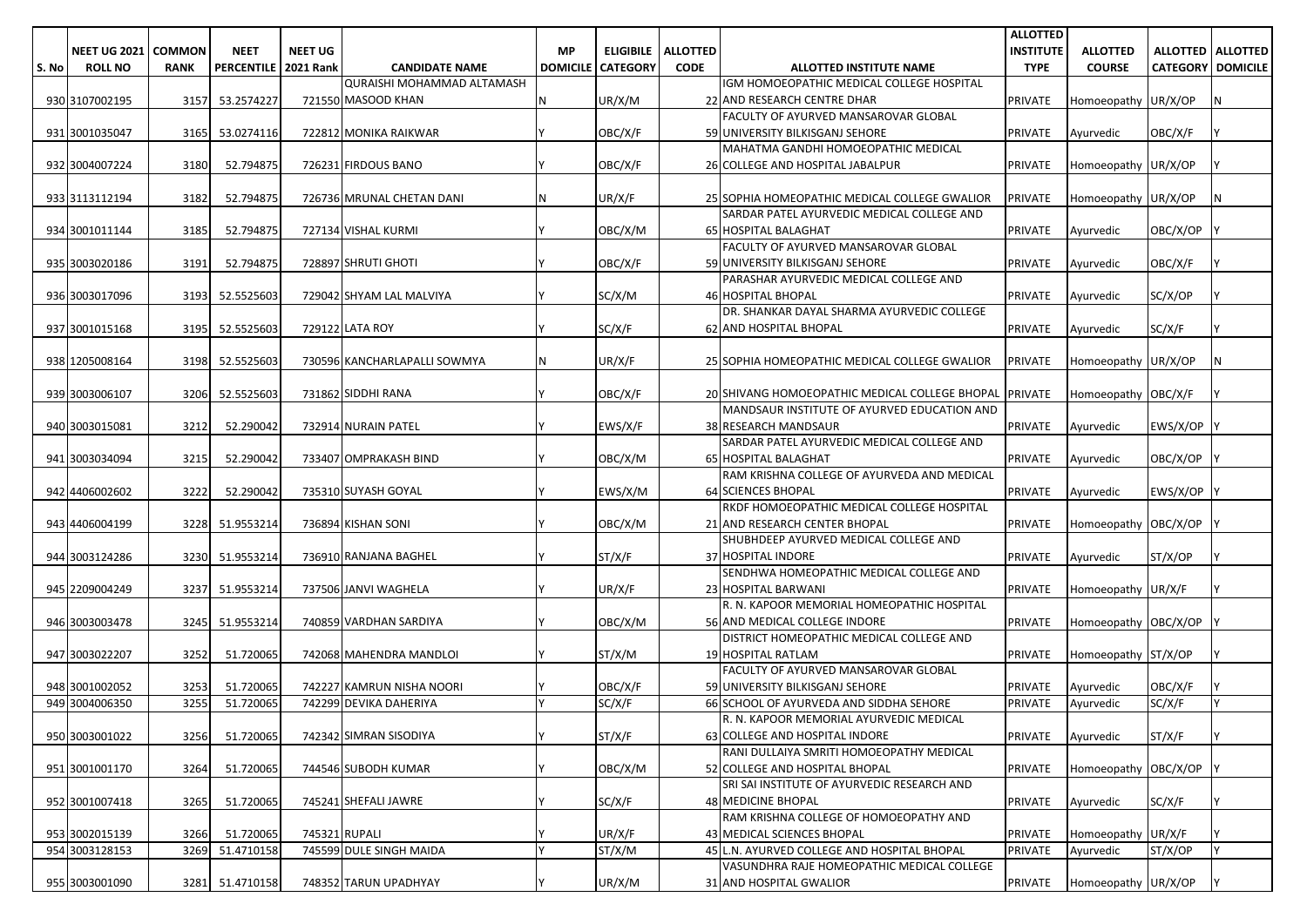|       |                     |               |                        |                |                                   |           |                          |                 |                                                                               | <b>ALLOTTED</b>  |                      |                            |   |
|-------|---------------------|---------------|------------------------|----------------|-----------------------------------|-----------|--------------------------|-----------------|-------------------------------------------------------------------------------|------------------|----------------------|----------------------------|---|
|       | <b>NEET UG 2021</b> | <b>COMMON</b> | <b>NEET</b>            | <b>NEET UG</b> |                                   | <b>MP</b> | <b>ELIGIBILE</b>         | <b>ALLOTTED</b> |                                                                               | <b>INSTITUTE</b> | <b>ALLOTTED</b>      | <b>ALLOTTED   ALLOTTED</b> |   |
| S. No | <b>ROLL NO</b>      | <b>RANK</b>   | PERCENTILE   2021 Rank |                | <b>CANDIDATE NAME</b>             |           | <b>DOMICILE CATEGORY</b> | <b>CODE</b>     | ALLOTTED INSTITUTE NAME                                                       | <b>TYPE</b>      | <b>COURSE</b>        | <b>CATEGORY DOMICILE</b>   |   |
|       |                     |               |                        |                | <b>QURAISHI MOHAMMAD ALTAMASH</b> |           |                          |                 | IGM HOMOEOPATHIC MEDICAL COLLEGE HOSPITAL                                     |                  |                      |                            |   |
|       | 930 3107002195      | 3157          | 53.2574227             |                | 721550 MASOOD KHAN                |           | UR/X/M                   |                 | 22 AND RESEARCH CENTRE DHAR                                                   | <b>PRIVATE</b>   | Homoeopathy UR/X/OP  |                            | N |
|       |                     |               |                        |                |                                   |           |                          |                 | FACULTY OF AYURVED MANSAROVAR GLOBAL                                          |                  |                      |                            |   |
|       | 931 3001035047      |               | 3165 53.0274116        |                | 722812 MONIKA RAIKWAR             |           | OBC/X/F                  |                 | 59 UNIVERSITY BILKISGANJ SEHORE                                               | <b>PRIVATE</b>   | Ayurvedic            | OBC/X/F                    |   |
|       |                     |               |                        |                |                                   |           |                          |                 | MAHATMA GANDHI HOMOEOPATHIC MEDICAL                                           |                  |                      |                            |   |
|       | 932 3004007224      | 3180          | 52.794875              |                | 726231 FIRDOUS BANO               |           | OBC/X/F                  |                 | 26 COLLEGE AND HOSPITAL JABALPUR                                              | <b>PRIVATE</b>   | Homoeopathy UR/X/OP  |                            |   |
|       | 933 3113112194      | 3182          | 52.794875              |                |                                   | N         | UR/X/F                   |                 | 25 SOPHIA HOMEOPATHIC MEDICAL COLLEGE GWALIOR                                 | <b>PRIVATE</b>   | Homoeopathy UR/X/OP  |                            | N |
|       |                     |               |                        |                | 726736 MRUNAL CHETAN DANI         |           |                          |                 | SARDAR PATEL AYURVEDIC MEDICAL COLLEGE AND                                    |                  |                      |                            |   |
|       | 934 3001011144      | 3185          | 52.794875              |                | 727134 VISHAL KURMI               |           | OBC/X/M                  |                 | 65 HOSPITAL BALAGHAT                                                          | <b>PRIVATE</b>   | Ayurvedic            | OBC/X/OP                   |   |
|       |                     |               |                        |                |                                   |           |                          |                 | FACULTY OF AYURVED MANSAROVAR GLOBAL                                          |                  |                      |                            |   |
|       | 935 3003020186      | 3191          | 52.794875              |                | 728897 SHRUTI GHOTI               |           | OBC/X/F                  |                 | 59 UNIVERSITY BILKISGANJ SEHORE                                               | <b>PRIVATE</b>   | Ayurvedic            | OBC/X/F                    |   |
|       |                     |               |                        |                |                                   |           |                          |                 | PARASHAR AYURVEDIC MEDICAL COLLEGE AND                                        |                  |                      |                            |   |
|       | 936 3003017096      |               | 3193 52.5525603        |                | 729042 SHYAM LAL MALVIYA          |           | SC/X/M                   |                 | <b>46 HOSPITAL BHOPAL</b>                                                     | <b>PRIVATE</b>   | Ayurvedic            | SC/X/OP                    |   |
|       |                     |               |                        |                |                                   |           |                          |                 | DR. SHANKAR DAYAL SHARMA AYURVEDIC COLLEGE                                    |                  |                      |                            |   |
|       | 937 3001015168      |               | 3195 52.5525603        |                | 729122 LATA ROY                   |           | SC/X/F                   |                 | <b>62 AND HOSPITAL BHOPAL</b>                                                 | <b>PRIVATE</b>   | Ayurvedic            | SC/X/F                     |   |
|       |                     |               |                        |                |                                   |           |                          |                 |                                                                               |                  |                      |                            |   |
|       | 938 1205008164      |               | 3198 52.5525603        |                | 730596 KANCHARLAPALLI SOWMYA      | N         | UR/X/F                   |                 | 25 SOPHIA HOMEOPATHIC MEDICAL COLLEGE GWALIOR                                 | <b>PRIVATE</b>   | Homoeopathy UR/X/OP  |                            | N |
|       |                     |               |                        |                |                                   |           |                          |                 |                                                                               |                  |                      |                            |   |
|       | 939 3003006107      |               | 3206 52.5525603        |                | 731862 SIDDHI RANA                |           | OBC/X/F                  |                 | 20 SHIVANG HOMOEOPATHIC MEDICAL COLLEGE BHOPAL                                | PRIVATE          | Homoeopathy OBC/X/F  |                            |   |
|       |                     |               |                        |                |                                   |           |                          |                 | MANDSAUR INSTITUTE OF AYURVED EDUCATION AND                                   |                  |                      |                            |   |
|       | 940 3003015081      | 3212          | 52.290042              |                | 732914 NURAIN PATEL               |           | EWS/X/F                  |                 | <b>38 RESEARCH MANDSAUR</b>                                                   | <b>PRIVATE</b>   | Ayurvedic            | EWS/X/OP                   |   |
|       |                     |               |                        |                |                                   |           |                          |                 | SARDAR PATEL AYURVEDIC MEDICAL COLLEGE AND                                    |                  |                      |                            |   |
|       | 941 3003034094      | 3215          | 52.290042              |                | 733407 OMPRAKASH BIND             |           | OBC/X/M                  |                 | <b>65 HOSPITAL BALAGHAT</b>                                                   | <b>PRIVATE</b>   | Ayurvedic            | OBC/X/OP                   |   |
|       |                     |               |                        |                |                                   |           |                          |                 | RAM KRISHNA COLLEGE OF AYURVEDA AND MEDICAL                                   |                  |                      |                            |   |
|       | 942 4406002602      | 3222          | 52.290042              |                | 735310 SUYASH GOYAL               |           | EWS/X/M                  |                 | <b>64 SCIENCES BHOPAL</b><br>RKDF HOMOEOPATHIC MEDICAL COLLEGE HOSPITAL       | <b>PRIVATE</b>   | Ayurvedic            | EWS/X/OP                   |   |
|       | 943 4406004199      |               | 3228 51.9553214        |                | 736894 KISHAN SONI                |           | OBC/X/M                  |                 | 21 AND RESEARCH CENTER BHOPAL                                                 | PRIVATE          | Homoeopathy OBC/X/OP |                            |   |
|       |                     |               |                        |                |                                   |           |                          |                 | SHUBHDEEP AYURVED MEDICAL COLLEGE AND                                         |                  |                      |                            |   |
|       | 944 3003124286      |               | 3230 51.9553214        |                | 736910 RANJANA BAGHEL             |           | ST/X/F                   |                 | 37 HOSPITAL INDORE                                                            | <b>PRIVATE</b>   | Ayurvedic            | ST/X/OP                    |   |
|       |                     |               |                        |                |                                   |           |                          |                 | SENDHWA HOMEOPATHIC MEDICAL COLLEGE AND                                       |                  |                      |                            |   |
|       | 945 2209004249      | 3237          | 51.9553214             |                | 737506 JANVI WAGHELA              |           | UR/X/F                   |                 | 23 HOSPITAL BARWANI                                                           | <b>PRIVATE</b>   | Homoeopathy UR/X/F   |                            |   |
|       |                     |               |                        |                |                                   |           |                          |                 | R. N. KAPOOR MEMORIAL HOMEOPATHIC HOSPITAL                                    |                  |                      |                            |   |
|       | 946 3003003478      |               | 3245 51.9553214        |                | 740859 VARDHAN SARDIYA            |           | OBC/X/M                  |                 | 56 AND MEDICAL COLLEGE INDORE                                                 | <b>PRIVATE</b>   | Homoeopathy OBC/X/OP |                            |   |
|       |                     |               |                        |                |                                   |           |                          |                 | DISTRICT HOMEOPATHIC MEDICAL COLLEGE AND                                      |                  |                      |                            |   |
|       | 947 3003022207      | 3252          | 51.720065              |                | 742068 MAHENDRA MANDLOI           |           | ST/X/M                   |                 | 19 HOSPITAL RATLAM                                                            | PRIVATE          | Homoeopathy ST/X/OP  |                            |   |
|       |                     |               |                        |                |                                   |           |                          |                 | FACULTY OF AYURVED MANSAROVAR GLOBAL                                          |                  |                      |                            |   |
|       | 948 3001002052      | 3253          | 51.720065              |                | 742227 KAMRUN NISHA NOORI         |           | OBC/X/F                  |                 | 59 UNIVERSITY BILKISGANJ SEHORE                                               | <b>PRIVATE</b>   | Ayurvedic            | OBC/X/F                    |   |
|       | 949 3004006350      | 3255          | 51.720065              |                | 742299 DEVIKA DAHERIYA            |           | SC/X/F                   |                 | 66 SCHOOL OF AYURVEDA AND SIDDHA SEHORE                                       | <b>PRIVATE</b>   | Ayurvedic            | SC/X/F                     | Y |
|       |                     |               |                        |                |                                   |           |                          |                 | R. N. KAPOOR MEMORIAL AYURVEDIC MEDICAL                                       |                  |                      |                            |   |
|       | 950 3003001022      | 3256          | 51.720065              |                | 742342 SIMRAN SISODIYA            |           | ST/X/F                   |                 | 63 COLLEGE AND HOSPITAL INDORE                                                | <b>PRIVATE</b>   | Ayurvedic            | ST/X/F                     |   |
|       |                     |               |                        |                |                                   |           |                          |                 | RANI DULLAIYA SMRITI HOMOEOPATHY MEDICAL                                      |                  |                      |                            |   |
|       | 951 3001001170      | 3264          | 51.720065              |                | 744546 SUBODH KUMAR               |           | OBC/X/M                  |                 | 52 COLLEGE AND HOSPITAL BHOPAL<br>SRI SAI INSTITUTE OF AYURVEDIC RESEARCH AND | <b>PRIVATE</b>   | Homoeopathy OBC/X/OP |                            |   |
|       | 952 3001007418      | 3265          | 51.720065              |                | 745241 SHEFALI JAWRE              |           | SC/X/F                   |                 | <b>48 MEDICINE BHOPAL</b>                                                     | <b>PRIVATE</b>   | Ayurvedic            | SC/X/F                     |   |
|       |                     |               |                        |                |                                   |           |                          |                 | RAM KRISHNA COLLEGE OF HOMOEOPATHY AND                                        |                  |                      |                            |   |
|       | 953 3002015139      | 3266          | 51.720065              |                | 745321 RUPALI                     |           | UR/X/F                   |                 | 43 MEDICAL SCIENCES BHOPAL                                                    | <b>PRIVATE</b>   | Homoeopathy UR/X/F   |                            |   |
|       | 954 3003128153      |               | 3269 51.4710158        |                | 745599 DULE SINGH MAIDA           |           | ST/X/M                   |                 | 45 L.N. AYURVED COLLEGE AND HOSPITAL BHOPAL                                   | <b>PRIVATE</b>   | Ayurvedic            | ST/X/OP                    |   |
|       |                     |               |                        |                |                                   |           |                          |                 | VASUNDHRA RAJE HOMEOPATHIC MEDICAL COLLEGE                                    |                  |                      |                            |   |
|       | 955 3003001090      |               | 3281 51.4710158        |                | 748352 TARUN UPADHYAY             |           | UR/X/M                   |                 | 31 AND HOSPITAL GWALIOR                                                       | PRIVATE          | Homoeopathy UR/X/OP  |                            |   |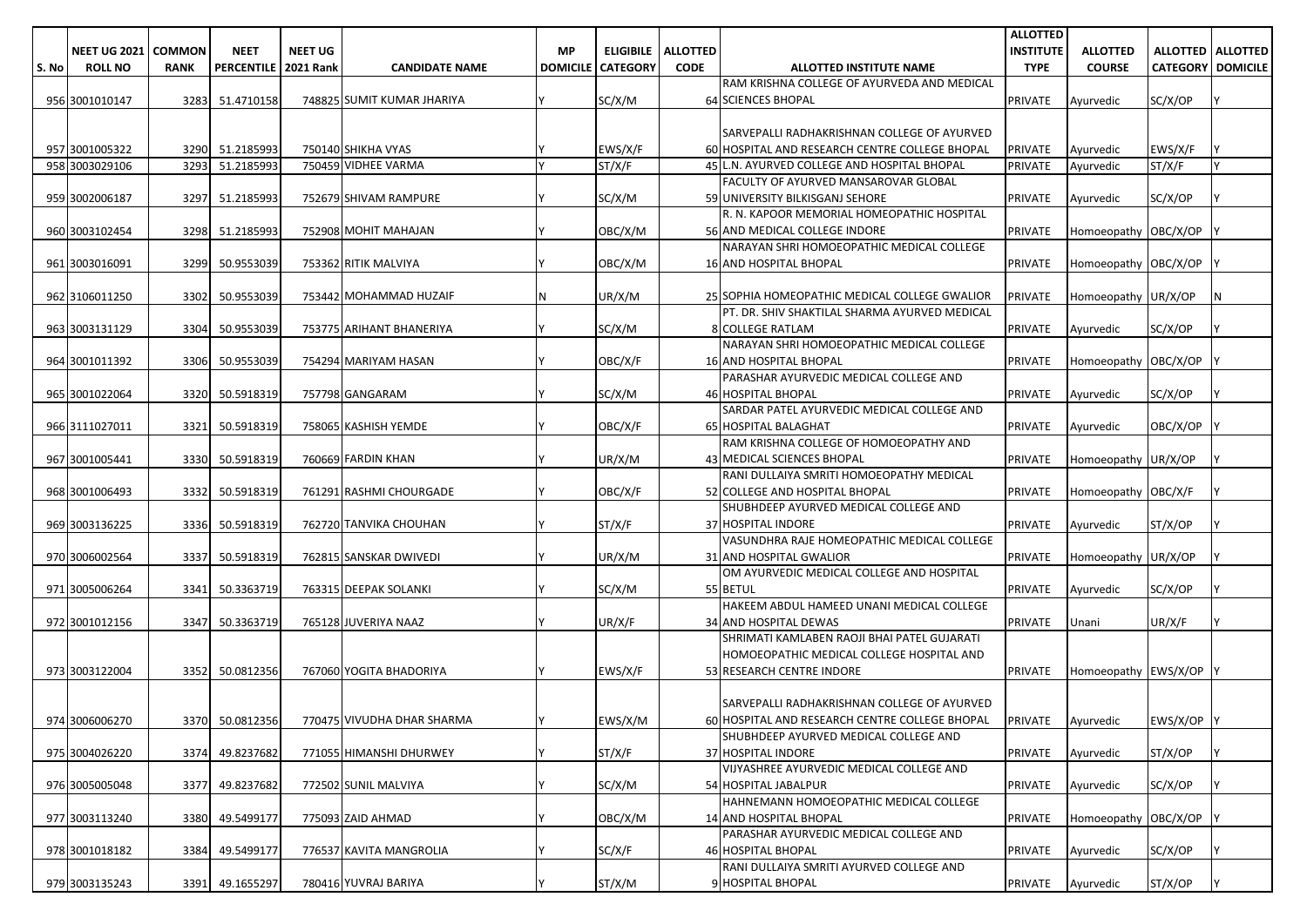|       |                     |               |                      |                |                            |           |                          |                 |                                                                         | <b>ALLOTTED</b>  |                        |                          |                     |
|-------|---------------------|---------------|----------------------|----------------|----------------------------|-----------|--------------------------|-----------------|-------------------------------------------------------------------------|------------------|------------------------|--------------------------|---------------------|
|       | <b>NEET UG 2021</b> | <b>COMMON</b> | <b>NEET</b>          | <b>NEET UG</b> |                            | <b>MP</b> | <b>ELIGIBILE</b>         | <b>ALLOTTED</b> |                                                                         | <b>INSTITUTE</b> | <b>ALLOTTED</b>        |                          | ALLOTTED   ALLOTTED |
| S. No | <b>ROLL NO</b>      | <b>RANK</b>   | PERCENTILE 2021 Rank |                | <b>CANDIDATE NAME</b>      |           | <b>DOMICILE CATEGORY</b> | <b>CODE</b>     | ALLOTTED INSTITUTE NAME                                                 | <b>TYPE</b>      | <b>COURSE</b>          | <b>CATEGORY DOMICILE</b> |                     |
|       |                     |               |                      |                |                            |           |                          |                 | RAM KRISHNA COLLEGE OF AYURVEDA AND MEDICAL                             |                  |                        |                          |                     |
|       | 956 3001010147      | 3283          | 51.4710158           |                | 748825 SUMIT KUMAR JHARIYA |           | SC/X/M                   |                 | <b>64 SCIENCES BHOPAL</b>                                               | <b>PRIVATE</b>   | Ayurvedic              | SC/X/OP                  |                     |
|       |                     |               |                      |                |                            |           |                          |                 |                                                                         |                  |                        |                          |                     |
|       |                     |               |                      |                |                            |           |                          |                 | SARVEPALLI RADHAKRISHNAN COLLEGE OF AYURVED                             |                  |                        |                          |                     |
|       | 957 3001005322      |               | 3290 51.2185993      |                | 750140 SHIKHA VYAS         |           | EWS/X/F                  |                 | 60 HOSPITAL AND RESEARCH CENTRE COLLEGE BHOPAL                          | <b>PRIVATE</b>   | Ayurvedic              | EWS/X/F                  |                     |
|       | 958 3003029106      | 3293          | 51.2185993           |                | 750459 VIDHEE VARMA        |           | ST/X/F                   |                 | 45 L.N. AYURVED COLLEGE AND HOSPITAL BHOPAL                             | <b>PRIVATE</b>   | Ayurvedic              | ST/X/F                   | Y                   |
|       |                     |               |                      |                |                            |           |                          |                 | FACULTY OF AYURVED MANSAROVAR GLOBAL                                    |                  |                        |                          |                     |
|       | 959 3002006187      | 3297          | 51.2185993           |                | 752679 SHIVAM RAMPURE      |           | SC/X/M                   |                 | 59 UNIVERSITY BILKISGANJ SEHORE                                         | <b>PRIVATE</b>   | Ayurvedic              | SC/X/OP                  |                     |
|       |                     |               |                      |                |                            |           |                          |                 | R. N. KAPOOR MEMORIAL HOMEOPATHIC HOSPITAL                              |                  |                        |                          |                     |
|       | 960 3003102454      |               | 3298 51.2185993      |                | 752908 MOHIT MAHAJAN       |           | OBC/X/M                  |                 | 56 AND MEDICAL COLLEGE INDORE                                           | <b>PRIVATE</b>   | Homoeopathy OBC/X/OP   |                          |                     |
|       |                     |               |                      |                |                            |           |                          |                 | NARAYAN SHRI HOMOEOPATHIC MEDICAL COLLEGE                               |                  |                        |                          |                     |
|       | 961 3003016091      | 3299          | 50.9553039           |                | 753362 RITIK MALVIYA       |           | OBC/X/M                  |                 | <b>16 AND HOSPITAL BHOPAL</b>                                           | <b>PRIVATE</b>   | Homoeopathy OBC/X/OP   |                          |                     |
|       |                     |               |                      |                |                            |           |                          |                 |                                                                         |                  |                        |                          |                     |
|       | 962 3106011250      | 3302          | 50.9553039           |                | 753442 MOHAMMAD HUZAIF     | ΙN        | UR/X/M                   |                 | 25 SOPHIA HOMEOPATHIC MEDICAL COLLEGE GWALIOR                           | <b>PRIVATE</b>   | Homoeopathy UR/X/OP    |                          | N                   |
|       |                     |               |                      |                |                            |           |                          |                 | PT. DR. SHIV SHAKTILAL SHARMA AYURVED MEDICAL                           |                  |                        |                          |                     |
|       | 963 3003131129      | 3304          | 50.9553039           |                | 753775 ARIHANT BHANERIYA   |           | SC/X/M                   |                 | 8 COLLEGE RATLAM                                                        | <b>PRIVATE</b>   | Ayurvedic              | SC/X/OP                  |                     |
|       |                     |               |                      |                |                            |           |                          |                 | NARAYAN SHRI HOMOEOPATHIC MEDICAL COLLEGE                               |                  |                        |                          |                     |
|       | 964 3001011392      | 3306          | 50.9553039           |                | 754294 MARIYAM HASAN       |           | OBC/X/F                  |                 | <b>16 AND HOSPITAL BHOPAL</b>                                           | <b>PRIVATE</b>   | Homoeopathy OBC/X/OP   |                          |                     |
|       |                     |               |                      |                |                            |           |                          |                 | PARASHAR AYURVEDIC MEDICAL COLLEGE AND                                  |                  |                        |                          |                     |
|       | 965 3001022064      | 3320          | 50.5918319           |                | 757798 GANGARAM            |           | SC/X/M                   |                 | <b>46 HOSPITAL BHOPAL</b>                                               | <b>PRIVATE</b>   | Ayurvedic              | SC/X/OP                  |                     |
|       |                     |               |                      |                |                            |           |                          |                 | SARDAR PATEL AYURVEDIC MEDICAL COLLEGE AND                              |                  |                        |                          |                     |
|       | 966 3111027011      | 3321          | 50.5918319           |                | 758065 KASHISH YEMDE       |           | OBC/X/F                  |                 | <b>65 HOSPITAL BALAGHAT</b>                                             | <b>PRIVATE</b>   | Ayurvedic              | OBC/X/OP                 |                     |
|       |                     |               |                      |                |                            |           |                          |                 | RAM KRISHNA COLLEGE OF HOMOEOPATHY AND                                  |                  |                        |                          |                     |
|       | 967 3001005441      | 3330          | 50.5918319           |                | 760669 FARDIN KHAN         |           | UR/X/M                   |                 | 43 MEDICAL SCIENCES BHOPAL                                              | <b>PRIVATE</b>   | Homoeopathy UR/X/OP    |                          |                     |
|       |                     |               |                      |                |                            |           |                          |                 | RANI DULLAIYA SMRITI HOMOEOPATHY MEDICAL                                |                  |                        |                          |                     |
|       | 968 3001006493      | 3332          | 50.5918319           |                | 761291 RASHMI CHOURGADE    |           | OBC/X/F                  |                 | 52 COLLEGE AND HOSPITAL BHOPAL<br>SHUBHDEEP AYURVED MEDICAL COLLEGE AND | <b>PRIVATE</b>   | Homoeopathy OBC/X/F    |                          |                     |
|       |                     |               |                      |                |                            |           |                          |                 |                                                                         |                  |                        |                          |                     |
|       | 969 3003136225      | 3336          | 50.5918319           |                | 762720 TANVIKA CHOUHAN     |           | ST/X/F                   |                 | 37 HOSPITAL INDORE<br>VASUNDHRA RAJE HOMEOPATHIC MEDICAL COLLEGE        | <b>PRIVATE</b>   | Ayurvedic              | ST/X/OP                  |                     |
|       |                     | 3337          | 50.5918319           |                | 762815 SANSKAR DWIVEDI     |           | UR/X/M                   |                 | 31 AND HOSPITAL GWALIOR                                                 | <b>PRIVATE</b>   | Homoeopathy UR/X/OP    |                          |                     |
|       | 970 3006002564      |               |                      |                |                            |           |                          |                 | OM AYURVEDIC MEDICAL COLLEGE AND HOSPITAL                               |                  |                        |                          |                     |
|       | 971 3005006264      | 3341          | 50.3363719           |                | 763315 DEEPAK SOLANKI      |           | SC/X/M                   |                 | 55 BETUL                                                                | PRIVATE          | Ayurvedic              | SC/X/OP                  |                     |
|       |                     |               |                      |                |                            |           |                          |                 | HAKEEM ABDUL HAMEED UNANI MEDICAL COLLEGE                               |                  |                        |                          |                     |
|       | 972 3001012156      | 3347          | 50.3363719           |                | 765128 JUVERIYA NAAZ       |           | UR/X/F                   |                 | <b>34 AND HOSPITAL DEWAS</b>                                            | <b>PRIVATE</b>   | Unani                  | UR/X/F                   |                     |
|       |                     |               |                      |                |                            |           |                          |                 | SHRIMATI KAMLABEN RAOJI BHAI PATEL GUJARATI                             |                  |                        |                          |                     |
|       |                     |               |                      |                |                            |           |                          |                 | HOMOEOPATHIC MEDICAL COLLEGE HOSPITAL AND                               |                  |                        |                          |                     |
|       | 973 3003122004      |               | 3352 50.0812356      |                | 767060 YOGITA BHADORIYA    |           | EWS/X/F                  |                 | 53 RESEARCH CENTRE INDORE                                               | PRIVATE          | Homoeopathy EWS/X/OP Y |                          |                     |
|       |                     |               |                      |                |                            |           |                          |                 |                                                                         |                  |                        |                          |                     |
|       |                     |               |                      |                |                            |           |                          |                 | SARVEPALLI RADHAKRISHNAN COLLEGE OF AYURVED                             |                  |                        |                          |                     |
|       | 974 3006006270      |               | 3370 50.0812356      |                | 770475 VIVUDHA DHAR SHARMA |           | EWS/X/M                  |                 | 60 HOSPITAL AND RESEARCH CENTRE COLLEGE BHOPAL PRIVATE Ayurvedic        |                  |                        | EWS/X/OP Y               |                     |
|       |                     |               |                      |                |                            |           |                          |                 | SHUBHDEEP AYURVED MEDICAL COLLEGE AND                                   |                  |                        |                          |                     |
|       | 975 3004026220      |               | 3374 49.8237682      |                | 771055 HIMANSHI DHURWEY    |           | ST/X/F                   |                 | 37 HOSPITAL INDORE                                                      | <b>PRIVATE</b>   | Ayurvedic              | ST/X/OP                  |                     |
|       |                     |               |                      |                |                            |           |                          |                 | VIJYASHREE AYURVEDIC MEDICAL COLLEGE AND                                |                  |                        |                          |                     |
|       | 976 3005005048      |               | 3377 49.8237682      |                | 772502 SUNIL MALVIYA       |           | SC/X/M                   |                 | 54 HOSPITAL JABALPUR                                                    | PRIVATE          | Ayurvedic              | SC/X/OP                  |                     |
|       |                     |               |                      |                |                            |           |                          |                 | HAHNEMANN HOMOEOPATHIC MEDICAL COLLEGE                                  |                  |                        |                          |                     |
|       | 977 3003113240      |               | 3380 49.5499177      |                | 775093 ZAID AHMAD          |           | OBC/X/M                  |                 | 14 AND HOSPITAL BHOPAL                                                  | <b>PRIVATE</b>   | Homoeopathy OBC/X/OP   |                          |                     |
|       |                     |               |                      |                |                            |           |                          |                 | PARASHAR AYURVEDIC MEDICAL COLLEGE AND                                  |                  |                        |                          |                     |
|       | 978 3001018182      | 3384          | 49.5499177           |                | 776537 KAVITA MANGROLIA    |           | SC/X/F                   |                 | <b>46 HOSPITAL BHOPAL</b>                                               | <b>PRIVATE</b>   | Ayurvedic              | SC/X/OP                  |                     |
|       |                     |               |                      |                |                            |           |                          |                 | RANI DULLAIYA SMRITI AYURVED COLLEGE AND                                |                  |                        |                          |                     |
|       | 979 3003135243      |               | 3391 49.1655297      |                | 780416 YUVRAJ BARIYA       | IY.       | ST/X/M                   |                 | 9 HOSPITAL BHOPAL                                                       | PRIVATE          | Ayurvedic              | ST/X/OP                  | IY.                 |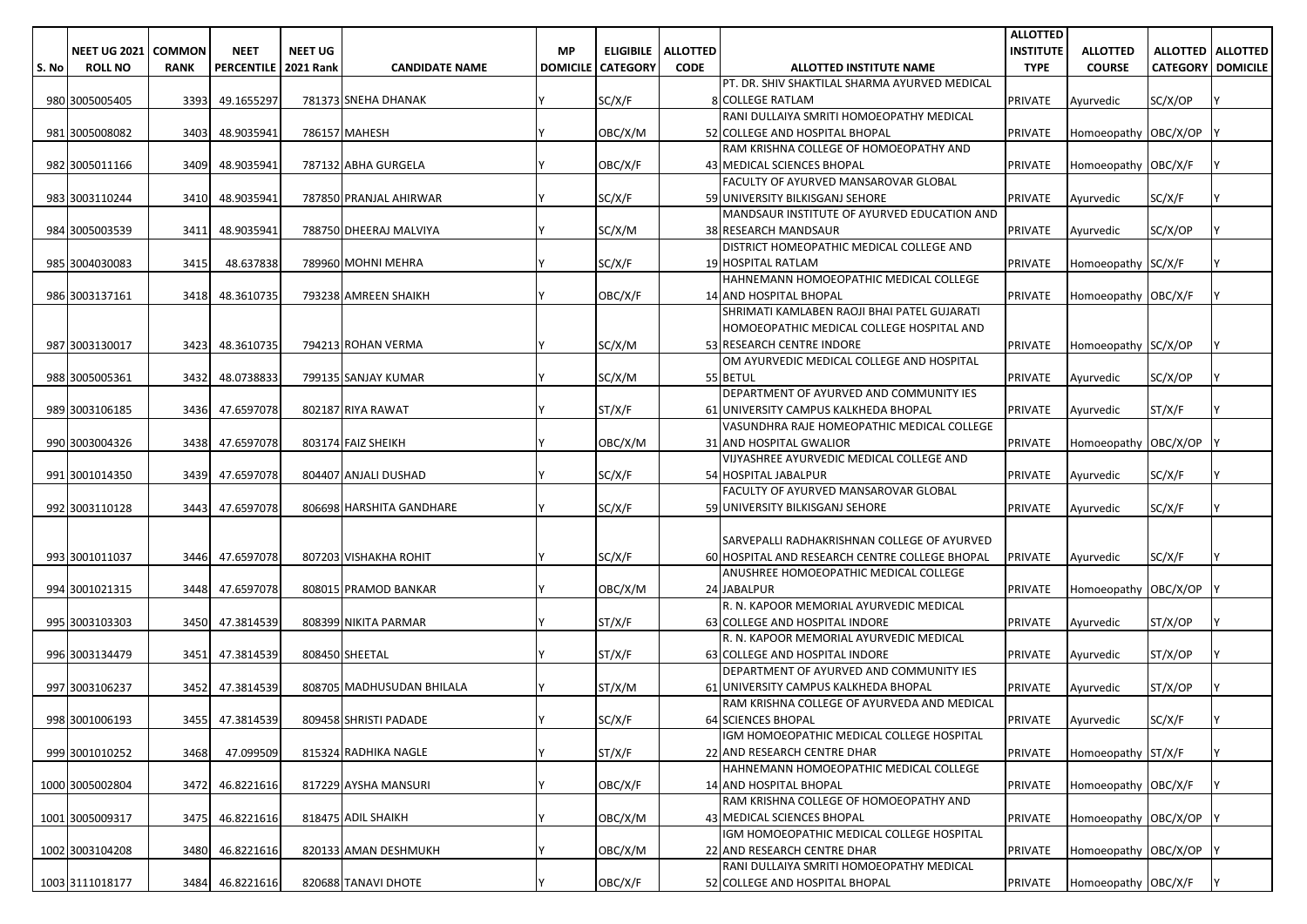|       |                     |               |                        |                |                           |    |                          |                             |                                                                  | <b>ALLOTTED</b>  |                       |                            |  |
|-------|---------------------|---------------|------------------------|----------------|---------------------------|----|--------------------------|-----------------------------|------------------------------------------------------------------|------------------|-----------------------|----------------------------|--|
|       | <b>NEET UG 2021</b> | <b>COMMON</b> | <b>NEET</b>            | <b>NEET UG</b> |                           | МP |                          | <b>ELIGIBILE   ALLOTTED</b> |                                                                  | <b>INSTITUTE</b> | <b>ALLOTTED</b>       | <b>ALLOTTED   ALLOTTED</b> |  |
| S. No | <b>ROLL NO</b>      | <b>RANK</b>   | PERCENTILE   2021 Rank |                | <b>CANDIDATE NAME</b>     |    | <b>DOMICILE CATEGORY</b> | <b>CODE</b>                 | <b>ALLOTTED INSTITUTE NAME</b>                                   | <b>TYPE</b>      | <b>COURSE</b>         | <b>CATEGORY   DOMICILE</b> |  |
|       |                     |               |                        |                |                           |    |                          |                             | PT. DR. SHIV SHAKTILAL SHARMA AYURVED MEDICAL                    |                  |                       |                            |  |
|       | 980 3005005405      | 3393          | 49.1655297             |                | 781373 SNEHA DHANAK       |    | SC/X/F                   |                             | <b>8 COLLEGE RATLAM</b>                                          | <b>PRIVATE</b>   | Ayurvedic             | SC/X/OP                    |  |
|       |                     |               |                        |                |                           |    |                          |                             | RANI DULLAIYA SMRITI HOMOEOPATHY MEDICAL                         |                  |                       |                            |  |
|       | 981 3005008082      | 3403          | 48.9035941             |                | 786157 MAHESH             |    | OBC/X/M                  |                             | 52 COLLEGE AND HOSPITAL BHOPAL                                   | <b>PRIVATE</b>   | Homoeopathy OBC/X/OP  |                            |  |
|       |                     |               |                        |                |                           |    |                          |                             | RAM KRISHNA COLLEGE OF HOMOEOPATHY AND                           |                  |                       |                            |  |
|       | 982 3005011166      | 3409          | 48.9035941             |                | 787132 ABHA GURGELA       |    | OBC/X/F                  |                             | 43 MEDICAL SCIENCES BHOPAL                                       | <b>PRIVATE</b>   | Homoeopathy   OBC/X/F |                            |  |
|       |                     |               |                        |                |                           |    |                          |                             | FACULTY OF AYURVED MANSAROVAR GLOBAL                             |                  |                       |                            |  |
|       | 983 3003110244      | 3410          | 48.9035941             |                | 787850 PRANJAL AHIRWAR    |    | SC/X/F                   |                             | 59 UNIVERSITY BILKISGANJ SEHORE                                  | <b>PRIVATE</b>   | Ayurvedic             | SC/X/F                     |  |
|       |                     |               |                        |                |                           |    |                          |                             | MANDSAUR INSTITUTE OF AYURVED EDUCATION AND                      |                  |                       |                            |  |
|       | 984 3005003539      | 3411          | 48.9035941             |                | 788750 DHEERAJ MALVIYA    |    | SC/X/M                   |                             | 38 RESEARCH MANDSAUR                                             | <b>PRIVATE</b>   | Avurvedic             | SC/X/OP                    |  |
|       |                     |               |                        |                |                           |    |                          |                             | DISTRICT HOMEOPATHIC MEDICAL COLLEGE AND                         |                  |                       |                            |  |
|       | 985 3004030083      | 3415          | 48.637838              |                | 789960 MOHNI MEHRA        |    | SC/X/F                   |                             | 19 HOSPITAL RATLAM                                               | <b>PRIVATE</b>   | Homoeopathy SC/X/F    |                            |  |
|       |                     |               |                        |                |                           |    |                          |                             | HAHNEMANN HOMOEOPATHIC MEDICAL COLLEGE                           |                  |                       |                            |  |
|       | 986 3003137161      | 3418          | 48.3610735             |                | 793238 AMREEN SHAIKH      |    | OBC/X/F                  |                             | 14 AND HOSPITAL BHOPAL                                           | <b>PRIVATE</b>   | Homoeopathy OBC/X/F   |                            |  |
|       |                     |               |                        |                |                           |    |                          |                             | SHRIMATI KAMLABEN RAOJI BHAI PATEL GUJARATI                      |                  |                       |                            |  |
|       |                     |               |                        |                |                           |    |                          |                             | HOMOEOPATHIC MEDICAL COLLEGE HOSPITAL AND                        |                  |                       |                            |  |
|       | 987 3003130017      | 3423          | 48.3610735             |                | 794213 ROHAN VERMA        |    | SC/X/M                   |                             | 53 RESEARCH CENTRE INDORE                                        | <b>PRIVATE</b>   | Homoeopathy SC/X/OP   |                            |  |
|       |                     |               |                        |                |                           |    |                          |                             | OM AYURVEDIC MEDICAL COLLEGE AND HOSPITAL                        |                  |                       |                            |  |
|       | 988 3005005361      | 3432          | 48.0738833             |                | 799135 SANJAY KUMAR       |    | SC/X/M                   |                             | 55 BETUL                                                         | <b>PRIVATE</b>   | Ayurvedic             | SC/X/OP                    |  |
|       |                     |               |                        |                |                           |    |                          |                             | DEPARTMENT OF AYURVED AND COMMUNITY IES                          |                  |                       |                            |  |
|       | 989 3003106185      | 3436          | 47.6597078             |                | 802187 RIYA RAWAT         |    | ST/X/F                   |                             | 61 UNIVERSITY CAMPUS KALKHEDA BHOPAL                             | <b>PRIVATE</b>   | Avurvedic             | ST/X/F                     |  |
|       |                     |               |                        |                |                           |    |                          |                             | VASUNDHRA RAJE HOMEOPATHIC MEDICAL COLLEGE                       |                  |                       |                            |  |
|       | 990 3003004326      | 3438          | 47.6597078             |                | 803174 FAIZ SHEIKH        |    | OBC/X/M                  |                             | 31 AND HOSPITAL GWALIOR                                          | <b>PRIVATE</b>   | Homoeopathy OBC/X/OP  |                            |  |
|       |                     |               |                        |                | 804407 ANJALI DUSHAD      |    |                          |                             | VIJYASHREE AYURVEDIC MEDICAL COLLEGE AND<br>54 HOSPITAL JABALPUR |                  |                       |                            |  |
|       | 991 3001014350      | 3439          | 47.6597078             |                |                           |    | SC/X/F                   |                             | FACULTY OF AYURVED MANSAROVAR GLOBAL                             | <b>PRIVATE</b>   | Avurvedic             | SC/X/F                     |  |
|       |                     |               |                        |                |                           |    | SC/X/F                   |                             | 59 UNIVERSITY BILKISGANJ SEHORE                                  |                  |                       | SC/X/F                     |  |
|       | 992 3003110128      | 3443          | 47.6597078             |                | 806698 HARSHITA GANDHARE  |    |                          |                             |                                                                  | <b>PRIVATE</b>   | Ayurvedic             |                            |  |
|       |                     |               |                        |                |                           |    |                          |                             | SARVEPALLI RADHAKRISHNAN COLLEGE OF AYURVED                      |                  |                       |                            |  |
|       | 993 3001011037      | 3446          | 47.6597078             |                | 807203 VISHAKHA ROHIT     |    | SC/X/F                   |                             | 60 HOSPITAL AND RESEARCH CENTRE COLLEGE BHOPAL                   | <b>PRIVATE</b>   | Ayurvedic             | SC/X/F                     |  |
|       |                     |               |                        |                |                           |    |                          |                             | ANUSHREE HOMOEOPATHIC MEDICAL COLLEGE                            |                  |                       |                            |  |
|       | 994 3001021315      | 3448          | 47.6597078             |                | 808015 PRAMOD BANKAR      |    | OBC/X/M                  |                             | 24 JABALPUR                                                      | <b>PRIVATE</b>   | Homoeopathy OBC/X/OP  |                            |  |
|       |                     |               |                        |                |                           |    |                          |                             | R. N. KAPOOR MEMORIAL AYURVEDIC MEDICAL                          |                  |                       |                            |  |
|       | 995 3003103303      | 3450          | 47.3814539             |                | 808399 NIKITA PARMAR      |    | ST/X/F                   |                             | 63 COLLEGE AND HOSPITAL INDORE                                   | <b>PRIVATE</b>   | Ayurvedic             | ST/X/OP                    |  |
|       |                     |               |                        |                |                           |    |                          |                             | R. N. KAPOOR MEMORIAL AYURVEDIC MEDICAL                          |                  |                       |                            |  |
|       | 996 3003134479      | 3451          | 47.3814539             |                | 808450 SHEETAL            |    | ST/X/F                   |                             | 63 COLLEGE AND HOSPITAL INDORE                                   | <b>PRIVATE</b>   | Ayurvedic             | ST/X/OP                    |  |
|       |                     |               |                        |                |                           |    |                          |                             | DEPARTMENT OF AYURVED AND COMMUNITY IES                          |                  |                       |                            |  |
|       | 997 3003106237      | 3452          | 47.3814539             |                | 808705 MADHUSUDAN BHILALA |    | ST/X/M                   |                             | 61 UNIVERSITY CAMPUS KALKHEDA BHOPAL                             | <b>PRIVATE</b>   | Avurvedic             | ST/X/OP                    |  |
|       |                     |               |                        |                |                           |    |                          |                             | RAM KRISHNA COLLEGE OF AYURVEDA AND MEDICAL                      |                  |                       |                            |  |
|       | 998 3001006193      |               | 3455 47.3814539        |                | 809458 SHRISTI PADADE     |    | SC/X/F                   |                             | 64 SCIENCES BHOPAL                                               | <b>PRIVATE</b>   | Ayurvedic             | SC/X/F                     |  |
|       |                     |               |                        |                |                           |    |                          |                             | IGM HOMOEOPATHIC MEDICAL COLLEGE HOSPITAL                        |                  |                       |                            |  |
|       | 999 3001010252      | 3468          | 47.099509              |                | 815324 RADHIKA NAGLE      |    | ST/X/F                   |                             | 22 AND RESEARCH CENTRE DHAR                                      | <b>PRIVATE</b>   | Homoeopathy ST/X/F    |                            |  |
|       |                     |               |                        |                |                           |    |                          |                             | HAHNEMANN HOMOEOPATHIC MEDICAL COLLEGE                           |                  |                       |                            |  |
|       | 1000 3005002804     | 3472          | 46.8221616             |                | 817229 AYSHA MANSURI      |    | OBC/X/F                  |                             | 14 AND HOSPITAL BHOPAL                                           | <b>PRIVATE</b>   | Homoeopathy OBC/X/F   |                            |  |
|       |                     |               |                        |                |                           |    |                          |                             | RAM KRISHNA COLLEGE OF HOMOEOPATHY AND                           |                  |                       |                            |  |
|       | 1001 3005009317     | 3475          | 46.8221616             |                | 818475 ADIL SHAIKH        |    | OBC/X/M                  |                             | 43 MEDICAL SCIENCES BHOPAL                                       | PRIVATE          | Homoeopathy OBC/X/OP  |                            |  |
|       |                     |               |                        |                |                           |    |                          |                             | IGM HOMOEOPATHIC MEDICAL COLLEGE HOSPITAL                        |                  |                       |                            |  |
|       | 1002 3003104208     |               | 3480 46.8221616        |                | 820133 AMAN DESHMUKH      |    | OBC/X/M                  |                             | 22 AND RESEARCH CENTRE DHAR                                      | PRIVATE          | Homoeopathy OBC/X/OP  |                            |  |
|       |                     |               |                        |                |                           |    |                          |                             | RANI DULLAIYA SMRITI HOMOEOPATHY MEDICAL                         |                  |                       |                            |  |
|       | 1003 3111018177     |               | 3484 46.8221616        |                | 820688 TANAVI DHOTE       |    | OBC/X/F                  |                             | 52 COLLEGE AND HOSPITAL BHOPAL                                   | <b>PRIVATE</b>   | Homoeopathy OBC/X/F   |                            |  |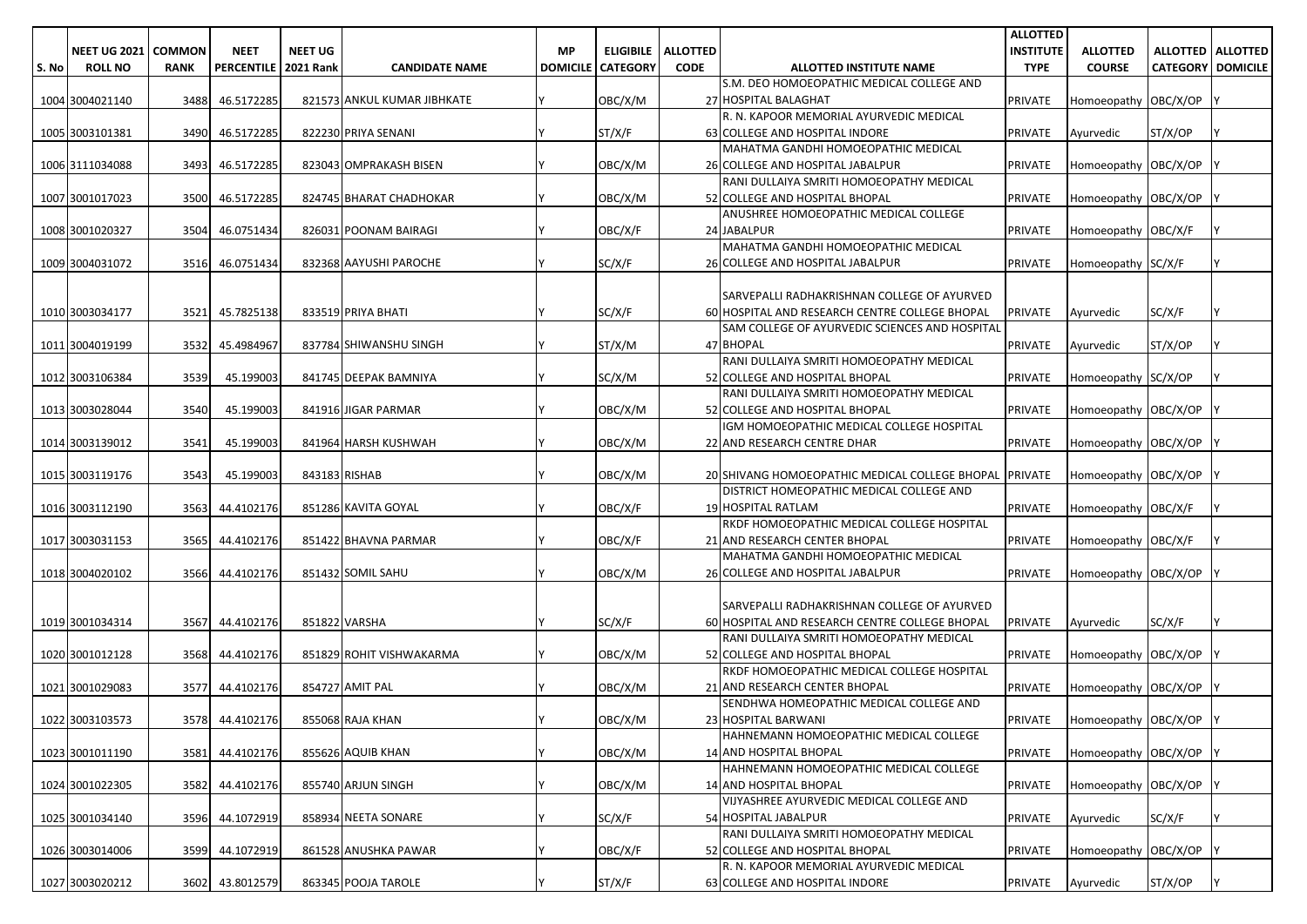|       |                     |               |                             |                |                             |           |                            |                 |                                                                      | <b>ALLOTTED</b>  |                        |                            |  |
|-------|---------------------|---------------|-----------------------------|----------------|-----------------------------|-----------|----------------------------|-----------------|----------------------------------------------------------------------|------------------|------------------------|----------------------------|--|
|       | <b>NEET UG 2021</b> | <b>COMMON</b> | <b>NEET</b>                 | <b>NEET UG</b> |                             | <b>MP</b> | <b>ELIGIBILE</b>           | <b>ALLOTTED</b> |                                                                      | <b>INSTITUTE</b> | <b>ALLOTTED</b>        | ALLOTTED   ALLOTTED        |  |
| S. No | <b>ROLL NO</b>      | <b>RANK</b>   | <b>PERCENTILE 2021 Rank</b> |                | <b>CANDIDATE NAME</b>       |           | <b>DOMICILE   CATEGORY</b> | <b>CODE</b>     | ALLOTTED INSTITUTE NAME                                              | <b>TYPE</b>      | <b>COURSE</b>          | <b>CATEGORY   DOMICILE</b> |  |
|       |                     |               |                             |                |                             |           |                            |                 | S.M. DEO HOMOEOPATHIC MEDICAL COLLEGE AND                            |                  |                        |                            |  |
|       | 1004 3004021140     | 3488          | 46.5172285                  |                | 821573 ANKUL KUMAR JIBHKATE |           | OBC/X/M                    |                 | 27 HOSPITAL BALAGHAT                                                 | <b>PRIVATE</b>   | Homoeopathy OBC/X/OP   |                            |  |
|       |                     |               |                             |                |                             |           |                            |                 | R. N. KAPOOR MEMORIAL AYURVEDIC MEDICAL                              |                  |                        |                            |  |
|       | 1005 3003101381     | 3490          | 46.5172285                  |                | 822230 PRIYA SENANI         |           | ST/X/F                     |                 | 63 COLLEGE AND HOSPITAL INDORE                                       | PRIVATE          | Ayurvedic              | ST/X/OP                    |  |
|       |                     |               |                             |                |                             |           |                            |                 | MAHATMA GANDHI HOMOEOPATHIC MEDICAL                                  |                  |                        |                            |  |
|       | 1006 3111034088     | 3493          | 46.5172285                  |                | 823043 OMPRAKASH BISEN      |           | OBC/X/M                    |                 | 26 COLLEGE AND HOSPITAL JABALPUR                                     | <b>PRIVATE</b>   | Homoeopathy OBC/X/OP   |                            |  |
|       |                     |               |                             |                |                             |           |                            |                 | RANI DULLAIYA SMRITI HOMOEOPATHY MEDICAL                             |                  |                        |                            |  |
|       | 1007 3001017023     | 3500          | 46.5172285                  |                | 824745 BHARAT CHADHOKAR     |           | OBC/X/M                    |                 | 52 COLLEGE AND HOSPITAL BHOPAL                                       | <b>PRIVATE</b>   | Homoeopathy OBC/X/OP   |                            |  |
|       |                     |               |                             |                |                             |           |                            |                 | ANUSHREE HOMOEOPATHIC MEDICAL COLLEGE                                |                  |                        |                            |  |
|       | 1008 3001020327     | 3504          | 46.0751434                  |                | 826031 POONAM BAIRAGI       |           | OBC/X/F                    |                 | 24 JABALPUR                                                          | <b>PRIVATE</b>   | Homoeopathy OBC/X/F    |                            |  |
|       |                     |               |                             |                |                             |           |                            |                 | MAHATMA GANDHI HOMOEOPATHIC MEDICAL                                  |                  |                        |                            |  |
|       | 1009 3004031072     | 3516          | 46.0751434                  |                | 832368 AAYUSHI PAROCHE      |           | SC/X/F                     |                 | 26 COLLEGE AND HOSPITAL JABALPUR                                     | <b>PRIVATE</b>   | Homoeopathy SC/X/F     |                            |  |
|       |                     |               |                             |                |                             |           |                            |                 |                                                                      |                  |                        |                            |  |
|       |                     |               |                             |                |                             |           |                            |                 | SARVEPALLI RADHAKRISHNAN COLLEGE OF AYURVED                          |                  |                        |                            |  |
|       | 1010 3003034177     | 3521          | 45.7825138                  |                | 833519 PRIYA BHATI          |           | SC/X/F                     |                 | 60 HOSPITAL AND RESEARCH CENTRE COLLEGE BHOPAL                       | PRIVATE          | Ayurvedic              | SC/X/F                     |  |
|       |                     |               |                             |                |                             |           |                            |                 | SAM COLLEGE OF AYURVEDIC SCIENCES AND HOSPITAL                       |                  |                        |                            |  |
|       | 1011 3004019199     | 3532          | 45.4984967                  |                | 837784 SHIWANSHU SINGH      |           | ST/X/M                     |                 | 47 BHOPAL                                                            | <b>PRIVATE</b>   | Avurvedic              | ST/X/OP                    |  |
|       |                     |               |                             |                |                             |           |                            |                 | RANI DULLAIYA SMRITI HOMOEOPATHY MEDICAL                             |                  |                        |                            |  |
|       | 1012 3003106384     | 3539          | 45.199003                   |                | 841745 DEEPAK BAMNIYA       |           | SC/X/M                     |                 | 52 COLLEGE AND HOSPITAL BHOPAL                                       | <b>PRIVATE</b>   | Homoeopathy SC/X/OP    |                            |  |
|       |                     |               |                             |                |                             |           |                            |                 | RANI DULLAIYA SMRITI HOMOEOPATHY MEDICAL                             |                  |                        |                            |  |
|       | 1013 3003028044     | 3540          | 45.199003                   |                | 841916 JIGAR PARMAR         |           | OBC/X/M                    |                 | 52 COLLEGE AND HOSPITAL BHOPAL                                       | <b>PRIVATE</b>   | Homoeopathy OBC/X/OP   |                            |  |
|       |                     |               |                             |                |                             |           |                            |                 | IGM HOMOEOPATHIC MEDICAL COLLEGE HOSPITAL                            |                  |                        |                            |  |
|       | 1014 3003139012     | 3541          | 45.199003                   |                | 841964 HARSH KUSHWAH        |           | OBC/X/M                    |                 | 22 AND RESEARCH CENTRE DHAR                                          | <b>PRIVATE</b>   | Homoeopathy OBC/X/OP   |                            |  |
|       |                     |               |                             |                |                             |           |                            |                 |                                                                      |                  |                        |                            |  |
|       | 1015 3003119176     | 3543          | 45.199003                   | 843183 RISHAB  |                             |           | OBC/X/M                    |                 | 20 SHIVANG HOMOEOPATHIC MEDICAL COLLEGE BHOPAL PRIVATE               |                  | Homoeopathy OBC/X/OP   |                            |  |
|       |                     |               |                             |                |                             |           |                            |                 | DISTRICT HOMEOPATHIC MEDICAL COLLEGE AND                             |                  |                        |                            |  |
|       | 1016 3003112190     | 3563          | 44.4102176                  |                | 851286 KAVITA GOYAL         |           | OBC/X/F                    |                 | 19 HOSPITAL RATLAM                                                   | PRIVATE          | Homoeopathy OBC/X/F    |                            |  |
|       |                     |               |                             |                |                             |           |                            |                 | RKDF HOMOEOPATHIC MEDICAL COLLEGE HOSPITAL                           |                  |                        |                            |  |
|       | 1017 3003031153     | 3565          | 44.4102176                  |                | 851422 BHAVNA PARMAR        |           | OBC/X/F                    |                 | 21 AND RESEARCH CENTER BHOPAL<br>MAHATMA GANDHI HOMOEOPATHIC MEDICAL | <b>PRIVATE</b>   | Homoeopathy OBC/X/F    |                            |  |
|       |                     |               |                             |                | 851432 SOMIL SAHU           |           | OBC/X/M                    |                 | 26 COLLEGE AND HOSPITAL JABALPUR                                     |                  |                        |                            |  |
|       | 1018 3004020102     | 3566          | 44.4102176                  |                |                             |           |                            |                 |                                                                      | <b>PRIVATE</b>   | Homoeopathy OBC/X/OP   |                            |  |
|       |                     |               |                             |                |                             |           |                            |                 | SARVEPALLI RADHAKRISHNAN COLLEGE OF AYURVED                          |                  |                        |                            |  |
|       | 1019 3001034314     | 3567          | 44.4102176                  |                | 851822 VARSHA               |           | SC/X/F                     |                 | 60 HOSPITAL AND RESEARCH CENTRE COLLEGE BHOPAL                       | <b>PRIVATE</b>   | Ayurvedic              | SC/X/F                     |  |
|       |                     |               |                             |                |                             |           |                            |                 | RANI DULLAIYA SMRITI HOMOEOPATHY MEDICAL                             |                  |                        |                            |  |
|       | 1020 3001012128     | 3568          | 44.4102176                  |                | 851829 ROHIT VISHWAKARMA    |           | OBC/X/M                    |                 | 52 COLLEGE AND HOSPITAL BHOPAL                                       | <b>PRIVATE</b>   | Homoeopathy OBC/X/OP   |                            |  |
|       |                     |               |                             |                |                             |           |                            |                 | RKDF HOMOEOPATHIC MEDICAL COLLEGE HOSPITAL                           |                  |                        |                            |  |
|       | 1021 3001029083     | 3577          | 44.4102176                  |                | 854727 AMIT PAL             |           | OBC/X/M                    |                 | 21 AND RESEARCH CENTER BHOPAL                                        | <b>PRIVATE</b>   | Homoeopathy OBC/X/OP   |                            |  |
|       |                     |               |                             |                |                             |           |                            |                 | SENDHWA HOMEOPATHIC MEDICAL COLLEGE AND                              |                  |                        |                            |  |
|       | 1022 3003103573     |               | 3578 44.4102176             |                | 855068 RAJA KHAN            |           | OBC/X/M                    |                 | 23 HOSPITAL BARWANI                                                  | <b>PRIVATE</b>   | Homoeopathy OBC/X/OP Y |                            |  |
|       |                     |               |                             |                |                             |           |                            |                 | HAHNEMANN HOMOEOPATHIC MEDICAL COLLEGE                               |                  |                        |                            |  |
|       | 1023 3001011190     | 3581          | 44.4102176                  |                | 855626 AQUIB KHAN           |           | OBC/X/M                    |                 | 14 AND HOSPITAL BHOPAL                                               | PRIVATE          | Homoeopathy OBC/X/OP   |                            |  |
|       |                     |               |                             |                |                             |           |                            |                 | HAHNEMANN HOMOEOPATHIC MEDICAL COLLEGE                               |                  |                        |                            |  |
|       | 1024 3001022305     | 3582          | 44.4102176                  |                | 855740 ARJUN SINGH          |           | OBC/X/M                    |                 | 14 AND HOSPITAL BHOPAL                                               | <b>PRIVATE</b>   | Homoeopathy OBC/X/OP   |                            |  |
|       |                     |               |                             |                |                             |           |                            |                 | VIJYASHREE AYURVEDIC MEDICAL COLLEGE AND                             |                  |                        |                            |  |
|       | 1025 3001034140     | 3596          | 44.1072919                  |                | 858934 NEETA SONARE         |           | SC/X/F                     |                 | 54 HOSPITAL JABALPUR                                                 | PRIVATE          | Ayurvedic              | SC/X/F                     |  |
|       |                     |               |                             |                |                             |           |                            |                 | RANI DULLAIYA SMRITI HOMOEOPATHY MEDICAL                             |                  |                        |                            |  |
|       | 1026 3003014006     | 3599          | 44.1072919                  |                | 861528 ANUSHKA PAWAR        |           | OBC/X/F                    |                 | 52 COLLEGE AND HOSPITAL BHOPAL                                       | PRIVATE          | Homoeopathy            | OBC/X/OP                   |  |
|       |                     |               |                             |                |                             |           |                            |                 | R. N. KAPOOR MEMORIAL AYURVEDIC MEDICAL                              |                  |                        |                            |  |
|       | 1027 3003020212     |               | 3602 43.8012579             |                | 863345 POOJA TAROLE         |           | ST/X/F                     |                 | 63 COLLEGE AND HOSPITAL INDORE                                       | PRIVATE          | Ayurvedic              | ST/X/OP                    |  |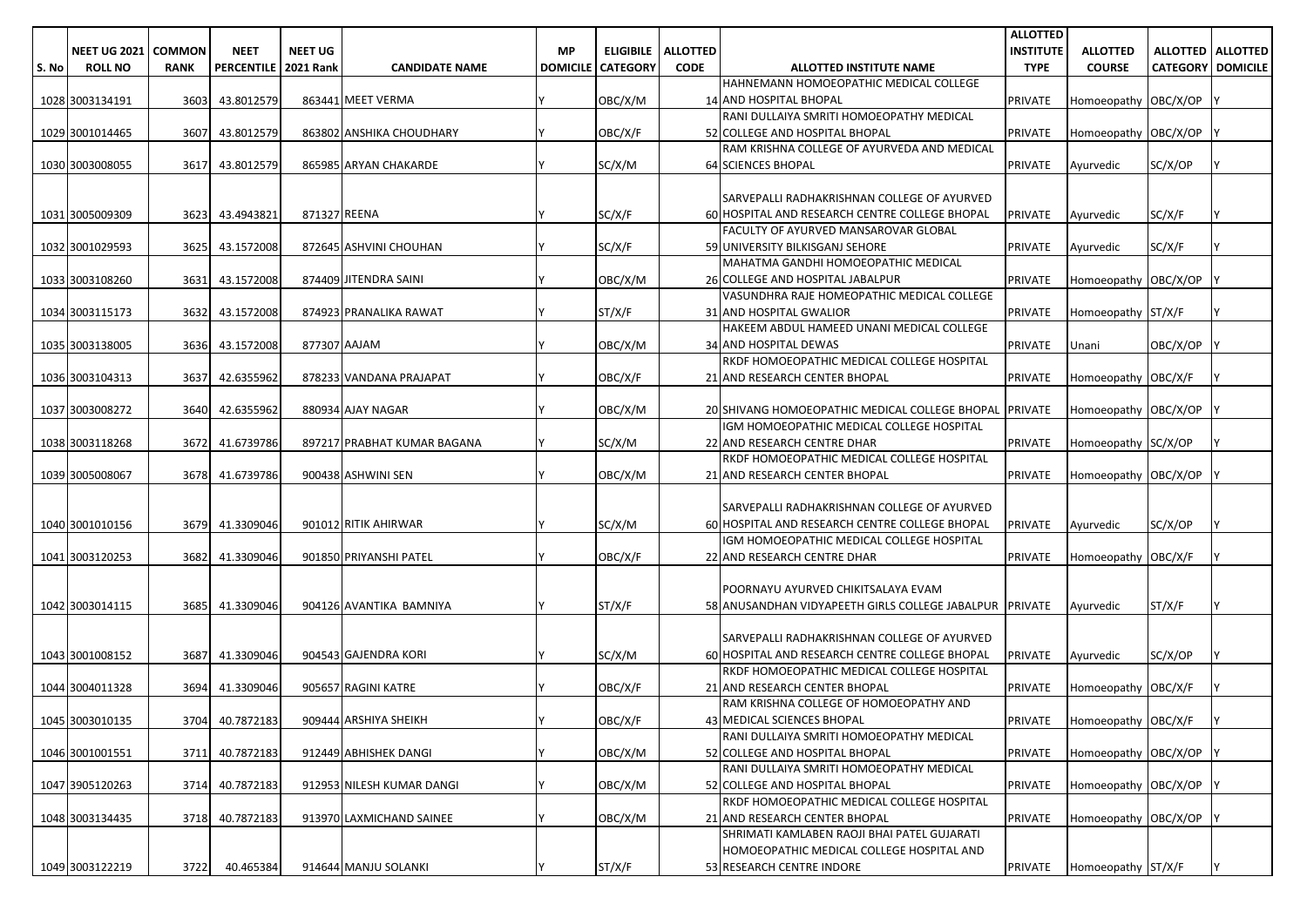|       |                     |               |                        |                |                             |           |                            |                 |                                                         | <b>ALLOTTED</b>  |                             |                            |                     |
|-------|---------------------|---------------|------------------------|----------------|-----------------------------|-----------|----------------------------|-----------------|---------------------------------------------------------|------------------|-----------------------------|----------------------------|---------------------|
|       | <b>NEET UG 2021</b> | <b>COMMON</b> | <b>NEET</b>            | <b>NEET UG</b> |                             | <b>MP</b> | <b>ELIGIBILE</b>           | <b>ALLOTTED</b> |                                                         | <b>INSTITUTE</b> | <b>ALLOTTED</b>             |                            | ALLOTTED   ALLOTTED |
| S. No | <b>ROLL NO</b>      | <b>RANK</b>   | PERCENTILE   2021 Rank |                | <b>CANDIDATE NAME</b>       |           | <b>DOMICILE   CATEGORY</b> | <b>CODE</b>     | ALLOTTED INSTITUTE NAME                                 | <b>TYPE</b>      | <b>COURSE</b>               | <b>CATEGORY   DOMICILE</b> |                     |
|       |                     |               |                        |                |                             |           |                            |                 | HAHNEMANN HOMOEOPATHIC MEDICAL COLLEGE                  |                  |                             |                            |                     |
|       | 1028 3003134191     | 3603          | 43.8012579             |                | 863441 MEET VERMA           |           | OBC/X/M                    |                 | 14 AND HOSPITAL BHOPAL                                  | PRIVATE          | Homoeopathy OBC/X/OP        |                            |                     |
|       |                     |               |                        |                |                             |           |                            |                 | RANI DULLAIYA SMRITI HOMOEOPATHY MEDICAL                |                  |                             |                            |                     |
|       | 1029 3001014465     | 3607          | 43.8012579             |                | 863802 ANSHIKA CHOUDHARY    |           | OBC/X/F                    |                 | 52 COLLEGE AND HOSPITAL BHOPAL                          | <b>PRIVATE</b>   | Homoeopathy OBC/X/OP        |                            |                     |
|       |                     |               |                        |                |                             |           |                            |                 | RAM KRISHNA COLLEGE OF AYURVEDA AND MEDICAL             |                  |                             |                            |                     |
|       | 1030 3003008055     | 3617          | 43.8012579             |                | 865985 ARYAN CHAKARDE       |           | SC/X/M                     |                 | 64 SCIENCES BHOPAL                                      | <b>PRIVATE</b>   | Ayurvedic                   | SC/X/OP                    |                     |
|       |                     |               |                        |                |                             |           |                            |                 |                                                         |                  |                             |                            |                     |
|       |                     |               |                        |                |                             |           |                            |                 | <b>SARVEPALLI RADHAKRISHNAN COLLEGE OF AYURVED</b>      |                  |                             |                            |                     |
|       | 1031 3005009309     | 3623          | 43.4943821             | 871327 REENA   |                             |           | SC/X/F                     |                 | 60 HOSPITAL AND RESEARCH CENTRE COLLEGE BHOPAL          | <b>PRIVATE</b>   | Ayurvedic                   | SC/X/F                     |                     |
|       |                     |               |                        |                |                             |           |                            |                 | FACULTY OF AYURVED MANSAROVAR GLOBAL                    |                  |                             |                            |                     |
|       | 1032 3001029593     | 3625          | 43.1572008             |                | 872645 ASHVINI CHOUHAN      |           | SC/X/F                     |                 | 59 UNIVERSITY BILKISGANJ SEHORE                         | <b>PRIVATE</b>   | Ayurvedic                   | SC/X/F                     |                     |
|       |                     |               |                        |                |                             |           |                            |                 | MAHATMA GANDHI HOMOEOPATHIC MEDICAL                     |                  |                             |                            |                     |
|       | 1033 3003108260     | 3631          | 43.1572008             |                | 874409 JITENDRA SAINI       |           | OBC/X/M                    |                 | 26 COLLEGE AND HOSPITAL JABALPUR                        | <b>PRIVATE</b>   | Homoeopathy OBC/X/OP        |                            |                     |
|       |                     |               |                        |                |                             |           |                            |                 | VASUNDHRA RAJE HOMEOPATHIC MEDICAL COLLEGE              |                  |                             |                            |                     |
|       | 1034 3003115173     | 3632          | 43.1572008             |                | 874923 PRANALIKA RAWAT      |           | ST/X/F                     |                 | 31 AND HOSPITAL GWALIOR                                 | <b>PRIVATE</b>   | Homoeopathy ST/X/F          |                            |                     |
|       |                     |               |                        |                |                             |           |                            |                 | HAKEEM ABDUL HAMEED UNANI MEDICAL COLLEGE               |                  |                             |                            |                     |
|       | 1035 3003138005     | 3636          | 43.1572008             | 877307 AAJAM   |                             |           | OBC/X/M                    |                 | <b>34 AND HOSPITAL DEWAS</b>                            | <b>PRIVATE</b>   | Unani                       | OBC/X/OP                   |                     |
|       |                     |               |                        |                |                             |           |                            |                 | RKDF HOMOEOPATHIC MEDICAL COLLEGE HOSPITAL              |                  |                             |                            |                     |
|       | 1036 3003104313     | 3637          | 42.6355962             |                | 878233 VANDANA PRAJAPAT     |           | OBC/X/F                    |                 | 21 AND RESEARCH CENTER BHOPAL                           | <b>PRIVATE</b>   | Homoeopathy OBC/X/F         |                            |                     |
|       |                     |               |                        |                |                             |           |                            |                 |                                                         |                  |                             |                            |                     |
|       | 1037 3003008272     | 3640          | 42.6355962             |                | 880934 AJAY NAGAR           |           | OBC/X/M                    |                 | 20 SHIVANG HOMOEOPATHIC MEDICAL COLLEGE BHOPAL PRIVATE  |                  | Homoeopathy OBC/X/OP        |                            |                     |
|       |                     |               |                        |                |                             |           |                            |                 | IGM HOMOEOPATHIC MEDICAL COLLEGE HOSPITAL               |                  |                             |                            |                     |
|       | 1038 3003118268     | 3672          | 41.6739786             |                | 897217 PRABHAT KUMAR BAGANA |           | SC/X/M                     |                 | 22 AND RESEARCH CENTRE DHAR                             | <b>PRIVATE</b>   | Homoeopathy SC/X/OP         |                            |                     |
|       |                     |               |                        |                |                             |           |                            |                 | RKDF HOMOEOPATHIC MEDICAL COLLEGE HOSPITAL              |                  |                             |                            |                     |
|       | 1039 3005008067     | 3678          | 41.6739786             |                | 900438 ASHWINI SEN          |           | OBC/X/M                    |                 | 21 AND RESEARCH CENTER BHOPAL                           | <b>PRIVATE</b>   | Homoeopathy OBC/X/OP        |                            |                     |
|       |                     |               |                        |                |                             |           |                            |                 |                                                         |                  |                             |                            |                     |
|       |                     |               |                        |                |                             |           |                            |                 | SARVEPALLI RADHAKRISHNAN COLLEGE OF AYURVED             |                  |                             |                            |                     |
|       | 1040 3001010156     | 3679          | 41.3309046             |                | 901012 RITIK AHIRWAR        |           | SC/X/M                     |                 | 60 HOSPITAL AND RESEARCH CENTRE COLLEGE BHOPAL          | PRIVATE          | Ayurvedic                   | SC/X/OP                    |                     |
|       |                     |               |                        |                |                             |           |                            |                 | IGM HOMOEOPATHIC MEDICAL COLLEGE HOSPITAL               |                  |                             |                            |                     |
|       | 1041 3003120253     | 3682          | 41.3309046             |                | 901850 PRIYANSHI PATEL      |           | OBC/X/F                    |                 | 22 AND RESEARCH CENTRE DHAR                             | <b>PRIVATE</b>   | Homoeopathy OBC/X/F         |                            |                     |
|       |                     |               |                        |                |                             |           |                            |                 |                                                         |                  |                             |                            |                     |
|       |                     |               |                        |                |                             |           |                            |                 | POORNAYU AYURVED CHIKITSALAYA EVAM                      |                  |                             |                            |                     |
|       | 1042 3003014115     | 3685          | 41.3309046             |                | 904126 AVANTIKA BAMNIYA     |           | ST/X/F                     |                 | 58 ANUSANDHAN VIDYAPEETH GIRLS COLLEGE JABALPUR PRIVATE |                  | Ayurvedic                   | ST/X/F                     |                     |
|       |                     |               |                        |                |                             |           |                            |                 |                                                         |                  |                             |                            |                     |
|       |                     |               |                        |                |                             |           |                            |                 | SARVEPALLI RADHAKRISHNAN COLLEGE OF AYURVED             |                  |                             |                            |                     |
|       | 1043 3001008152     | 3687          | 41.3309046             |                | 904543 GAJENDRA KORI        |           | SC/X/M                     |                 | 60 HOSPITAL AND RESEARCH CENTRE COLLEGE BHOPAL          | <b>PRIVATE</b>   | Ayurvedic                   | SC/X/OP                    |                     |
|       |                     |               |                        |                |                             |           |                            |                 | RKDF HOMOEOPATHIC MEDICAL COLLEGE HOSPITAL              |                  |                             |                            |                     |
|       | 1044 3004011328     | 3694          | 41.3309046             |                | 905657 RAGINI KATRE         |           | OBC/X/F                    |                 | 21 AND RESEARCH CENTER BHOPAL                           | <b>PRIVATE</b>   | Homoeopathy   OBC/X/F       |                            |                     |
|       |                     |               |                        |                |                             |           |                            |                 | RAM KRISHNA COLLEGE OF HOMOEOPATHY AND                  |                  |                             |                            |                     |
|       | 1045 3003010135     |               | 3704 40.7872183        |                | 909444 ARSHIYA SHEIKH       |           | OBC/X/F                    |                 | 43 MEDICAL SCIENCES BHOPAL                              |                  | PRIVATE Homoeopathy OBC/X/F |                            |                     |
|       |                     |               |                        |                |                             |           |                            |                 | RANI DULLAIYA SMRITI HOMOEOPATHY MEDICAL                |                  |                             |                            |                     |
|       | 1046 3001001551     | 3711          | 40.7872183             |                | 912449 ABHISHEK DANGI       |           | OBC/X/M                    |                 | 52 COLLEGE AND HOSPITAL BHOPAL                          | PRIVATE          | Homoeopathy OBC/X/OP        |                            |                     |
|       |                     |               |                        |                |                             |           |                            |                 | RANI DULLAIYA SMRITI HOMOEOPATHY MEDICAL                |                  |                             |                            |                     |
|       | 1047 3905120263     | 3714          | 40.7872183             |                | 912953 NILESH KUMAR DANGI   |           | OBC/X/M                    |                 | 52 COLLEGE AND HOSPITAL BHOPAL                          | <b>PRIVATE</b>   | Homoeopathy OBC/X/OP        |                            |                     |
|       |                     |               |                        |                |                             |           |                            |                 | RKDF HOMOEOPATHIC MEDICAL COLLEGE HOSPITAL              |                  |                             |                            |                     |
|       | 1048 3003134435     | 3718          | 40.7872183             |                | 913970 LAXMICHAND SAINEE    |           | OBC/X/M                    |                 | 21 AND RESEARCH CENTER BHOPAL                           | <b>PRIVATE</b>   | Homoeopathy OBC/X/OP        |                            |                     |
|       |                     |               |                        |                |                             |           |                            |                 | SHRIMATI KAMLABEN RAOJI BHAI PATEL GUJARATI             |                  |                             |                            |                     |
|       |                     |               |                        |                |                             |           |                            |                 | HOMOEOPATHIC MEDICAL COLLEGE HOSPITAL AND               |                  |                             |                            |                     |
|       | 1049 3003122219     | 3722          | 40.465384              |                | 914644 MANJU SOLANKI        |           | ST/X/F                     |                 | 53 RESEARCH CENTRE INDORE                               | PRIVATE          | Homoeopathy ST/X/F          |                            |                     |